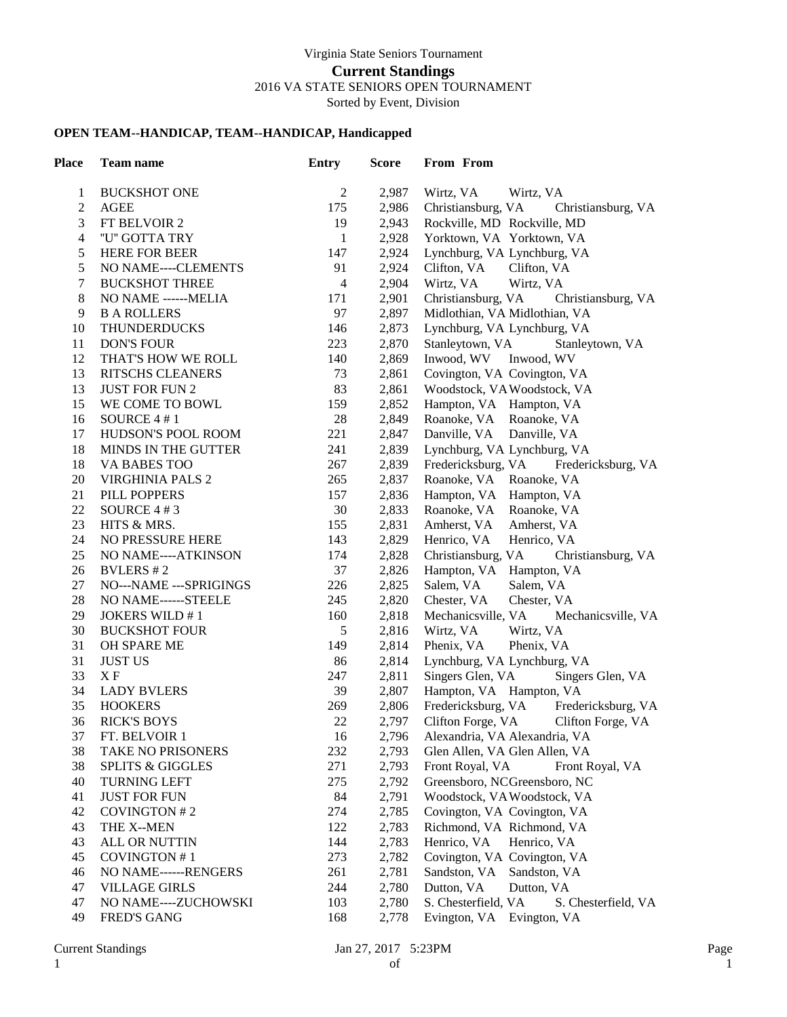## **OPEN TEAM--HANDICAP, TEAM--HANDICAP, Handicapped**

| Place        | Team name                   | <b>Entry</b>            | <b>Score</b> | From From                                  |
|--------------|-----------------------------|-------------------------|--------------|--------------------------------------------|
| $\mathbf{1}$ | <b>BUCKSHOT ONE</b>         | $\overline{2}$          | 2,987        | Wirtz, VA<br>Wirtz, VA                     |
| 2            | <b>AGEE</b>                 | 175                     | 2,986        | Christiansburg, VA<br>Christiansburg, VA   |
| 3            | FT BELVOIR 2                | 19                      | 2,943        | Rockville, MD Rockville, MD                |
| 4            | "U" GOTTA TRY               | $\mathbf{1}$            | 2,928        | Yorktown, VA Yorktown, VA                  |
| 5            | <b>HERE FOR BEER</b>        | 147                     | 2,924        | Lynchburg, VA Lynchburg, VA                |
| 5            | NO NAME----CLEMENTS         | 91                      | 2,924        | Clifton, VA<br>Clifton, VA                 |
| 7            | <b>BUCKSHOT THREE</b>       | $\overline{\mathbf{4}}$ | 2,904        | Wirtz, VA<br>Wirtz, VA                     |
| 8            | NO NAME ------MELIA         | 171                     | 2,901        | Christiansburg, VA<br>Christiansburg, VA   |
| 9            | <b>B A ROLLERS</b>          | 97                      | 2,897        | Midlothian, VA Midlothian, VA              |
| 10           | <b>THUNDERDUCKS</b>         | 146                     | 2,873        | Lynchburg, VA Lynchburg, VA                |
| 11           | <b>DON'S FOUR</b>           | 223                     | 2,870        | Stanleytown, VA<br>Stanleytown, VA         |
| 12           | THAT'S HOW WE ROLL          | 140                     | 2,869        | Inwood, WV<br>Inwood, WV                   |
| 13           | RITSCHS CLEANERS            | 73                      | 2,861        | Covington, VA Covington, VA                |
| 13           | <b>JUST FOR FUN 2</b>       | 83                      | 2,861        | Woodstock, VAWoodstock, VA                 |
| 15           | WE COME TO BOWL             | 159                     | 2,852        | Hampton, VA Hampton, VA                    |
| 16           | SOURCE 4 #1                 | 28                      | 2,849        | Roanoke, VA Roanoke, VA                    |
| 17           | HUDSON'S POOL ROOM          | 221                     | 2,847        | Danville, VA Danville, VA                  |
| 18           | MINDS IN THE GUTTER         | 241                     | 2,839        | Lynchburg, VA Lynchburg, VA                |
| 18           | VA BABES TOO                | 267                     | 2,839        | Fredericksburg, VA<br>Fredericksburg, VA   |
| 20           | <b>VIRGHINIA PALS 2</b>     | 265                     | 2,837        | Roanoke, VA Roanoke, VA                    |
| 21           | PILL POPPERS                | 157                     | 2,836        | Hampton, VA Hampton, VA                    |
| 22           | SOURCE $4#3$                | 30                      | 2,833        | Roanoke, VA Roanoke, VA                    |
| 23           | HITS & MRS.                 | 155                     | 2,831        | Amherst, VA<br>Amherst, VA                 |
| 24           | NO PRESSURE HERE            | 143                     | 2,829        | Henrico, VA<br>Henrico, VA                 |
| 25           | NO NAME----ATKINSON         | 174                     | 2,828        | Christiansburg, VA<br>Christiansburg, VA   |
| 26           | BVLERS #2                   | 37                      | 2,826        | Hampton, VA Hampton, VA                    |
| 27           | NO---NAME --- SPRIGINGS     | 226                     | 2,825        | Salem, VA<br>Salem, VA                     |
| 28           | NO NAME------STEELE         | 245                     | 2,820        | Chester, VA<br>Chester, VA                 |
| 29           | <b>JOKERS WILD #1</b>       | 160                     | 2,818        | Mechanicsville, VA<br>Mechanicsville, VA   |
| 30           | <b>BUCKSHOT FOUR</b>        | 5                       | 2,816        | Wirtz, VA<br>Wirtz, VA                     |
| 31           | OH SPARE ME                 | 149                     | 2,814        | Phenix, VA<br>Phenix, VA                   |
| 31           | <b>JUST US</b>              | 86                      | 2,814        | Lynchburg, VA Lynchburg, VA                |
| 33           | X F                         | 247                     | 2,811        | Singers Glen, VA<br>Singers Glen, VA       |
| 34           | <b>LADY BVLERS</b>          | 39                      | 2,807        | Hampton, VA Hampton, VA                    |
| 35           | <b>HOOKERS</b>              | 269                     | 2,806        | Fredericksburg, VA<br>Fredericksburg, VA   |
| 36           | <b>RICK'S BOYS</b>          | 22                      | 2,797        | Clifton Forge, VA<br>Clifton Forge, VA     |
| 37           | FT. BELVOIR 1               | 16                      | 2,796        | Alexandria, VA Alexandria, VA              |
| 38           | TAKE NO PRISONERS           | 232                     | 2,793        | Glen Allen, VA Glen Allen, VA              |
| 38           | <b>SPLITS &amp; GIGGLES</b> | 271                     | 2,793        | Front Royal, VA<br>Front Royal, VA         |
| 40           | <b>TURNING LEFT</b>         | 275                     | 2,792        | Greensboro, NCGreensboro, NC               |
| 41           | <b>JUST FOR FUN</b>         | 84                      | 2,791        | Woodstock, VA Woodstock, VA                |
| 42           | COVINGTON #2                | 274                     | 2,785        | Covington, VA Covington, VA                |
| 43           | THE X--MEN                  | 122                     | 2,783        | Richmond, VA Richmond, VA                  |
| 43           | ALL OR NUTTIN               | 144                     | 2,783        | Henrico, VA<br>Henrico, VA                 |
| 45           | COVINGTON #1                | 273                     | 2,782        | Covington, VA Covington, VA                |
| 46           | NO NAME------RENGERS        | 261                     | 2,781        | Sandston, VA Sandston, VA                  |
| 47           | <b>VILLAGE GIRLS</b>        | 244                     | 2,780        | Dutton, VA<br>Dutton, VA                   |
| 47           | NO NAME----ZUCHOWSKI        | 103                     | 2,780        | S. Chesterfield, VA<br>S. Chesterfield, VA |
| 49           | <b>FRED'S GANG</b>          | 168                     | 2,778        | Evington, VA Evington, VA                  |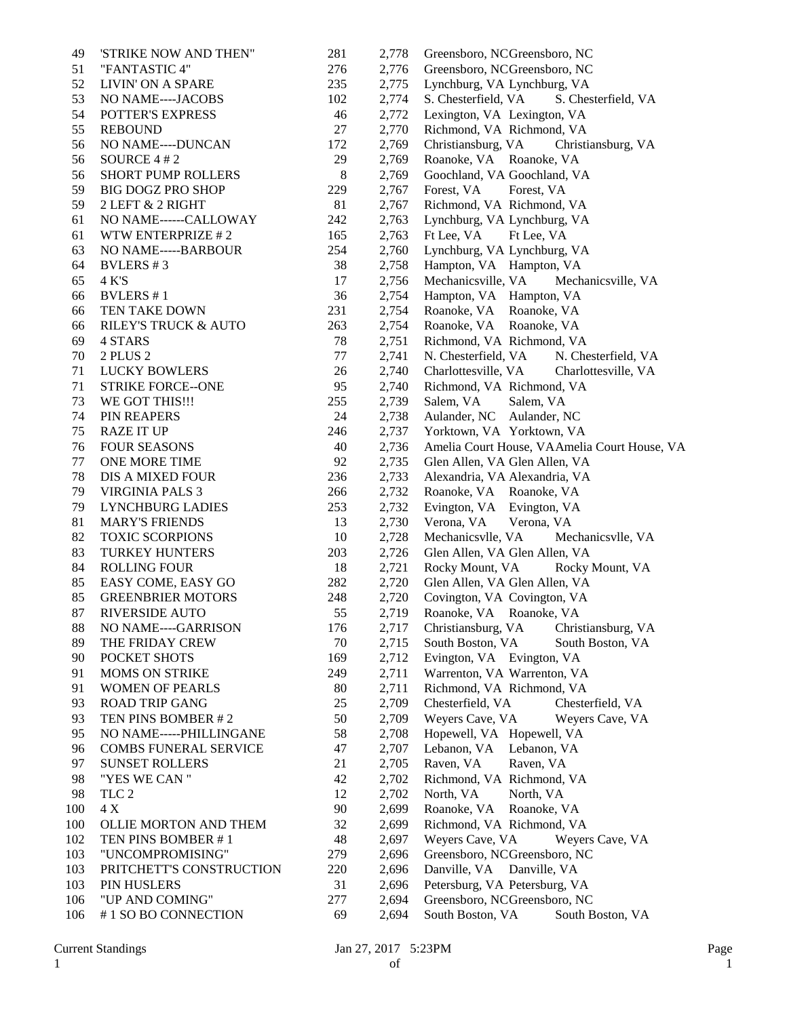| 49  | 'STRIKE NOW AND THEN"           | 281     | 2,778 | Greensboro, NCGreensboro, NC                 |
|-----|---------------------------------|---------|-------|----------------------------------------------|
| 51  | "FANTASTIC 4"                   | 276     | 2,776 | Greensboro, NCGreensboro, NC                 |
| 52  | LIVIN' ON A SPARE               | 235     | 2,775 | Lynchburg, VA Lynchburg, VA                  |
| 53  | NO NAME----JACOBS               | 102     | 2,774 | S. Chesterfield, VA<br>S. Chesterfield, VA   |
| 54  | <b>POTTER'S EXPRESS</b>         | 46      | 2,772 | Lexington, VA Lexington, VA                  |
| 55  | <b>REBOUND</b>                  | 27      | 2,770 | Richmond, VA Richmond, VA                    |
| 56  | NO NAME----DUNCAN               | 172     | 2,769 | Christiansburg, VA<br>Christiansburg, VA     |
| 56  | SOURCE $4#2$                    | 29      | 2,769 | Roanoke, VA Roanoke, VA                      |
| 56  | <b>SHORT PUMP ROLLERS</b>       | $\,8\,$ | 2,769 | Goochland, VA Goochland, VA                  |
| 59  | <b>BIG DOGZ PRO SHOP</b>        | 229     | 2,767 | Forest, VA<br>Forest, VA                     |
| 59  | 2 LEFT & 2 RIGHT                | 81      | 2,767 | Richmond, VA Richmond, VA                    |
| 61  | NO NAME------CALLOWAY           | 242     | 2,763 | Lynchburg, VA Lynchburg, VA                  |
| 61  | WTW ENTERPRIZE #2               | 165     | 2,763 | Ft Lee, VA<br>Ft Lee, VA                     |
| 63  | NO NAME-----BARBOUR             | 254     | 2,760 | Lynchburg, VA Lynchburg, VA                  |
| 64  | <b>BVLERS</b> #3                | 38      | 2,758 | Hampton, VA Hampton, VA                      |
| 65  | 4 K'S                           | 17      | 2,756 | Mechanicsville, VA<br>Mechanicsville, VA     |
| 66  | <b>BVLERS</b> #1                | 36      | 2,754 | Hampton, VA Hampton, VA                      |
| 66  | TEN TAKE DOWN                   | 231     | 2,754 | Roanoke, VA Roanoke, VA                      |
| 66  | <b>RILEY'S TRUCK &amp; AUTO</b> | 263     | 2,754 | Roanoke, VA Roanoke, VA                      |
| 69  | 4 STARS                         | 78      | 2,751 | Richmond, VA Richmond, VA                    |
| 70  | 2 PLUS 2                        | 77      | 2,741 |                                              |
|     |                                 |         |       | N. Chesterfield, VA<br>N. Chesterfield, VA   |
| 71  | <b>LUCKY BOWLERS</b>            | 26      | 2,740 | Charlottesville, VA<br>Charlottesville, VA   |
| 71  | <b>STRIKE FORCE--ONE</b>        | 95      | 2,740 | Richmond, VA Richmond, VA                    |
| 73  | WE GOT THIS!!!                  | 255     | 2,739 | Salem, VA<br>Salem, VA                       |
| 74  | PIN REAPERS                     | 24      | 2,738 | Aulander, NC<br>Aulander, NC                 |
| 75  | <b>RAZE IT UP</b>               | 246     | 2,737 | Yorktown, VA Yorktown, VA                    |
| 76  | <b>FOUR SEASONS</b>             | 40      | 2,736 | Amelia Court House, VAAmelia Court House, VA |
| 77  | ONE MORE TIME                   | 92      | 2,735 | Glen Allen, VA Glen Allen, VA                |
| 78  | DIS A MIXED FOUR                | 236     | 2,733 | Alexandria, VA Alexandria, VA                |
| 79  | <b>VIRGINIA PALS 3</b>          | 266     | 2,732 | Roanoke, VA Roanoke, VA                      |
| 79  | LYNCHBURG LADIES                | 253     | 2,732 | Evington, VA Evington, VA                    |
| 81  | <b>MARY'S FRIENDS</b>           | 13      | 2,730 | Verona, VA<br>Verona, VA                     |
| 82  | <b>TOXIC SCORPIONS</b>          | 10      | 2,728 | Mechanicsvlle, VA<br>Mechanicsvlle, VA       |
| 83  | <b>TURKEY HUNTERS</b>           | 203     | 2,726 | Glen Allen, VA Glen Allen, VA                |
| 84  | <b>ROLLING FOUR</b>             | 18      | 2,721 | Rocky Mount, VA<br>Rocky Mount, VA           |
| 85  | EASY COME, EASY GO              | 282     | 2,720 | Glen Allen, VA Glen Allen, VA                |
| 85  | <b>GREENBRIER MOTORS</b>        | 248     | 2,720 | Covington, VA Covington, VA                  |
| 87  | <b>RIVERSIDE AUTO</b>           | 55      | 2,719 | Roanoke, VA Roanoke, VA                      |
| 88  | NO NAME----GARRISON             | 176     | 2,717 | Christiansburg, VA<br>Christiansburg, VA     |
| 89  | THE FRIDAY CREW                 | 70      | 2,715 | South Boston, VA<br>South Boston, VA         |
| 90  | POCKET SHOTS                    | 169     | 2,712 | Evington, VA Evington, VA                    |
| 91  | <b>MOMS ON STRIKE</b>           | 249     | 2,711 | Warrenton, VA Warrenton, VA                  |
| 91  | <b>WOMEN OF PEARLS</b>          | 80      | 2,711 | Richmond, VA Richmond, VA                    |
| 93  | <b>ROAD TRIP GANG</b>           | 25      | 2,709 | Chesterfield, VA<br>Chesterfield, VA         |
| 93  | TEN PINS BOMBER #2              | 50      | 2,709 | Weyers Cave, VA<br>Weyers Cave, VA           |
| 95  | NO NAME-----PHILLINGANE         | 58      | 2,708 | Hopewell, VA Hopewell, VA                    |
| 96  | <b>COMBS FUNERAL SERVICE</b>    | 47      | 2,707 | Lebanon, VA<br>Lebanon, VA                   |
| 97  | <b>SUNSET ROLLERS</b>           | 21      | 2,705 | Raven, VA<br>Raven, VA                       |
| 98  | "YES WE CAN "                   | 42      | 2,702 | Richmond, VA Richmond, VA                    |
| 98  | TLC <sub>2</sub>                | 12      | 2,702 | North, VA<br>North, VA                       |
| 100 | $4\,\mathrm{X}$                 | 90      | 2,699 | Roanoke, VA<br>Roanoke, VA                   |
| 100 | OLLIE MORTON AND THEM           | 32      | 2,699 | Richmond, VA Richmond, VA                    |
| 102 | TEN PINS BOMBER #1              | 48      | 2,697 | Weyers Cave, VA<br>Weyers Cave, VA           |
| 103 | "UNCOMPROMISING"                | 279     |       |                                              |
|     |                                 |         | 2,696 | Greensboro, NCGreensboro, NC                 |
| 103 | PRITCHETT'S CONSTRUCTION        | 220     | 2,696 | Danville, VA Danville, VA                    |
| 103 | PIN HUSLERS                     | 31      | 2,696 | Petersburg, VA Petersburg, VA                |
| 106 | "UP AND COMING"                 | 277     | 2,694 | Greensboro, NCGreensboro, NC                 |
| 106 | #1 SO BO CONNECTION             | 69      | 2,694 | South Boston, VA<br>South Boston, VA         |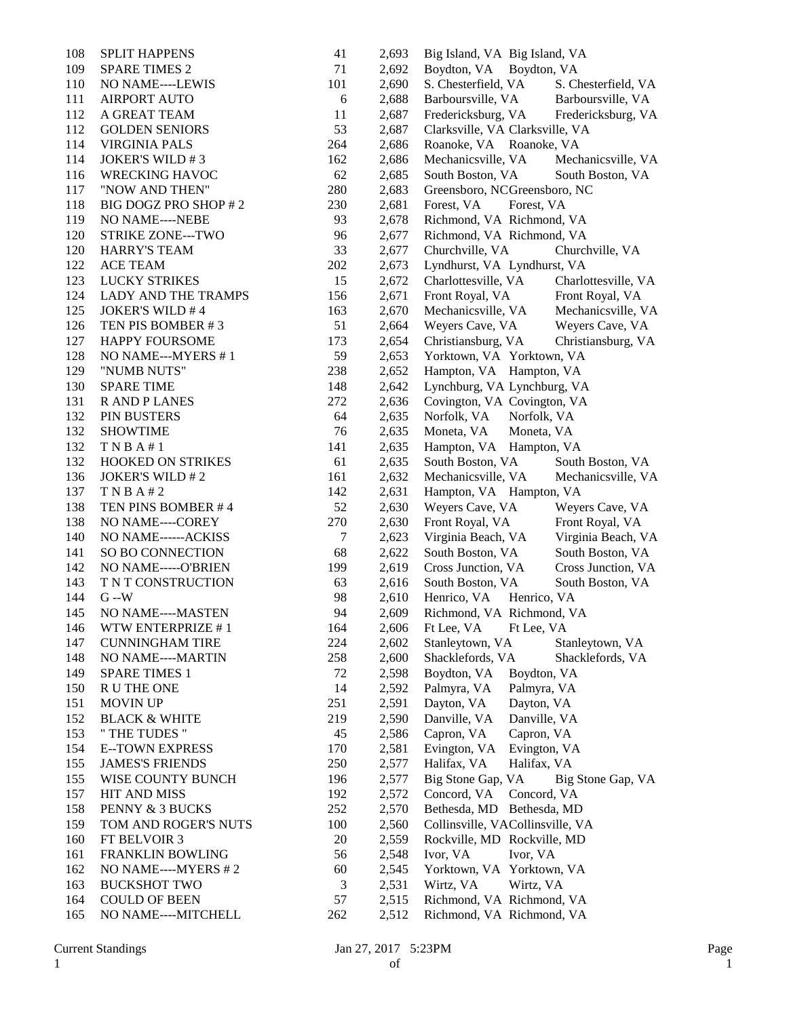| 108 | <b>SPLIT HAPPENS</b>     | 41  | 2,693 | Big Island, VA Big Island, VA              |
|-----|--------------------------|-----|-------|--------------------------------------------|
| 109 | <b>SPARE TIMES 2</b>     | 71  | 2,692 | Boydton, VA Boydton, VA                    |
| 110 | NO NAME----LEWIS         | 101 | 2,690 | S. Chesterfield, VA<br>S. Chesterfield, VA |
| 111 | <b>AIRPORT AUTO</b>      | 6   | 2,688 | Barboursville, VA<br>Barboursville, VA     |
| 112 | A GREAT TEAM             | 11  | 2,687 | Fredericksburg, VA<br>Fredericksburg, VA   |
| 112 | <b>GOLDEN SENIORS</b>    | 53  | 2,687 | Clarksville, VA Clarksville, VA            |
| 114 | <b>VIRGINIA PALS</b>     | 264 | 2,686 | Roanoke, VA Roanoke, VA                    |
| 114 | <b>JOKER'S WILD #3</b>   | 162 | 2,686 | Mechanicsville, VA<br>Mechanicsville, VA   |
| 116 | <b>WRECKING HAVOC</b>    | 62  | 2,685 | South Boston, VA<br>South Boston, VA       |
| 117 | "NOW AND THEN"           | 280 | 2,683 | Greensboro, NCGreensboro, NC               |
| 118 | BIG DOGZ PRO SHOP #2     | 230 | 2,681 | Forest, VA<br>Forest, VA                   |
| 119 | NO NAME----NEBE          | 93  | 2,678 | Richmond, VA Richmond, VA                  |
| 120 | STRIKE ZONE---TWO        | 96  | 2,677 | Richmond, VA Richmond, VA                  |
| 120 | <b>HARRY'S TEAM</b>      | 33  | 2,677 | Churchville, VA<br>Churchville, VA         |
| 122 | <b>ACE TEAM</b>          | 202 | 2,673 | Lyndhurst, VA Lyndhurst, VA                |
| 123 | <b>LUCKY STRIKES</b>     | 15  | 2,672 | Charlottesville, VA<br>Charlottesville, VA |
| 124 | LADY AND THE TRAMPS      | 156 | 2,671 | Front Royal, VA<br>Front Royal, VA         |
| 125 | <b>JOKER'S WILD #4</b>   | 163 | 2,670 | Mechanicsville, VA<br>Mechanicsville, VA   |
| 126 | TEN PIS BOMBER #3        | 51  | 2,664 | Weyers Cave, VA<br>Weyers Cave, VA         |
| 127 | <b>HAPPY FOURSOME</b>    | 173 | 2,654 | Christiansburg, VA<br>Christiansburg, VA   |
| 128 | NO NAME---MYERS #1       | 59  | 2,653 | Yorktown, VA Yorktown, VA                  |
| 129 | "NUMB NUTS"              | 238 | 2,652 | Hampton, VA Hampton, VA                    |
| 130 | <b>SPARE TIME</b>        | 148 | 2,642 | Lynchburg, VA Lynchburg, VA                |
| 131 | <b>RANDPLANES</b>        | 272 | 2,636 | Covington, VA Covington, VA                |
| 132 | PIN BUSTERS              | 64  | 2,635 | Norfolk, VA<br>Norfolk, VA                 |
| 132 | <b>SHOWTIME</b>          | 76  | 2,635 | Moneta, VA<br>Moneta, VA                   |
| 132 | T N B A # 1              | 141 | 2,635 | Hampton, VA Hampton, VA                    |
| 132 | HOOKED ON STRIKES        | 61  | 2,635 | South Boston, VA<br>South Boston, VA       |
| 136 | <b>JOKER'S WILD #2</b>   | 161 | 2,632 | Mechanicsville, VA<br>Mechanicsville, VA   |
| 137 | TNBA#2                   | 142 | 2,631 | Hampton, VA Hampton, VA                    |
| 138 | TEN PINS BOMBER #4       | 52  | 2,630 | Weyers Cave, VA<br>Weyers Cave, VA         |
| 138 | NO NAME----COREY         | 270 | 2,630 | Front Royal, VA<br>Front Royal, VA         |
| 140 | NO NAME------ACKISS      | 7   | 2,623 | Virginia Beach, VA<br>Virginia Beach, VA   |
| 141 | SO BO CONNECTION         | 68  | 2,622 | South Boston, VA<br>South Boston, VA       |
| 142 | NO NAME-----O'BRIEN      | 199 | 2,619 | Cross Junction, VA<br>Cross Junction, VA   |
| 143 | T N T CONSTRUCTION       | 63  | 2,616 | South Boston, VA<br>South Boston, VA       |
| 144 | $G - W$                  | 98  | 2,610 | Henrico, VA<br>Henrico, VA                 |
| 145 | NO NAME----MASTEN        | 94  | 2,609 | Richmond, VA Richmond, VA                  |
| 146 | WTW ENTERPRIZE #1        | 164 | 2,606 | Ft Lee, VA<br>Ft Lee, VA                   |
| 147 | <b>CUNNINGHAM TIRE</b>   | 224 | 2,602 | Stanleytown, VA<br>Stanleytown, VA         |
| 148 | NO NAME----MARTIN        | 258 | 2,600 | Shacklefords, VA<br>Shacklefords, VA       |
| 149 | <b>SPARE TIMES 1</b>     | 72  | 2,598 | Boydton, VA<br>Boydton, VA                 |
| 150 | R U THE ONE              | 14  | 2,592 | Palmyra, VA<br>Palmyra, VA                 |
| 151 | <b>MOVIN UP</b>          | 251 | 2,591 | Dayton, VA<br>Dayton, VA                   |
| 152 | <b>BLACK &amp; WHITE</b> | 219 | 2,590 | Danville, VA<br>Danville, VA               |
| 153 | " THE TUDES "            | 45  | 2,586 | Capron, VA<br>Capron, VA                   |
| 154 | <b>E--TOWN EXPRESS</b>   | 170 | 2,581 | Evington, VA<br>Evington, VA               |
| 155 | <b>JAMES'S FRIENDS</b>   | 250 | 2,577 | Halifax, VA<br>Halifax, VA                 |
| 155 | WISE COUNTY BUNCH        | 196 | 2,577 | Big Stone Gap, VA<br>Big Stone Gap, VA     |
| 157 | HIT AND MISS             | 192 | 2,572 | Concord, VA<br>Concord, VA                 |
| 158 | PENNY & 3 BUCKS          | 252 | 2,570 | Bethesda, MD Bethesda, MD                  |
| 159 | TOM AND ROGER'S NUTS     | 100 | 2,560 | Collinsville, VACollinsville, VA           |
| 160 | FT BELVOIR 3             | 20  | 2,559 | Rockville, MD Rockville, MD                |
| 161 | FRANKLIN BOWLING         | 56  | 2,548 | Ivor, VA<br>Ivor, VA                       |
| 162 | NO NAME----MYERS #2      | 60  | 2,545 | Yorktown, VA Yorktown, VA                  |
| 163 | <b>BUCKSHOT TWO</b>      | 3   | 2,531 | Wirtz, VA<br>Wirtz, VA                     |
| 164 | <b>COULD OF BEEN</b>     | 57  | 2,515 | Richmond, VA Richmond, VA                  |
| 165 | NO NAME----MITCHELL      | 262 | 2,512 | Richmond, VA Richmond, VA                  |
|     |                          |     |       |                                            |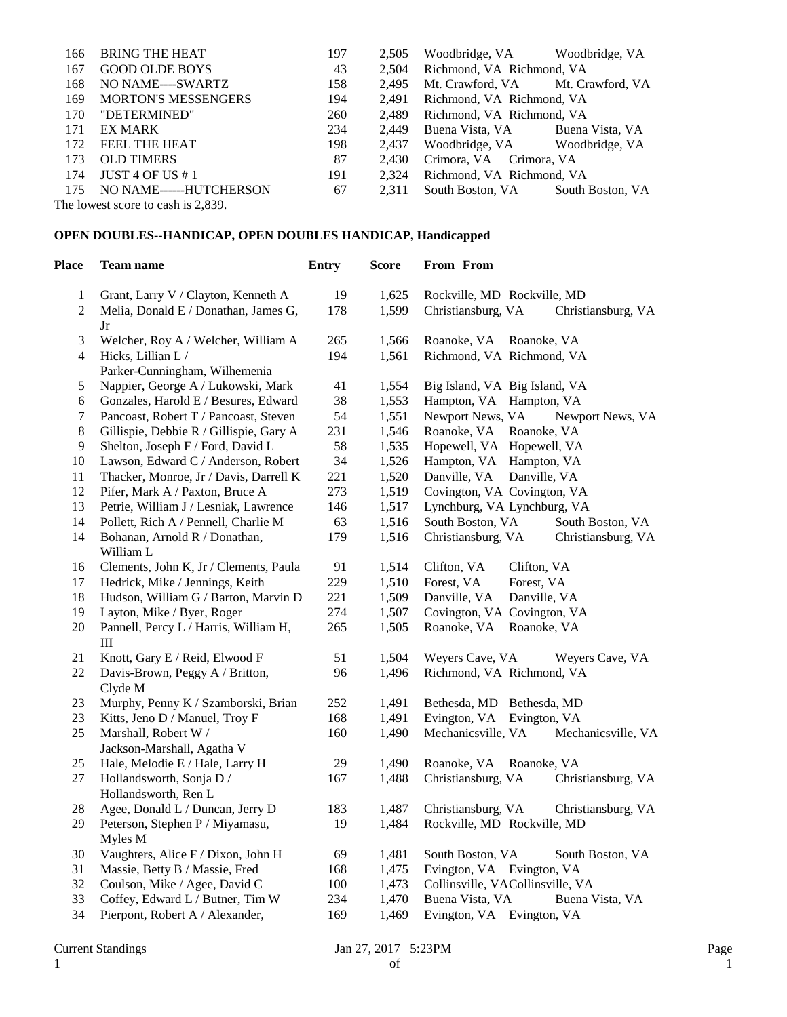| 166 | <b>BRING THE HEAT</b>              | 197 | 2,505 | Woodbridge, VA Woodbridge, VA     |                  |  |
|-----|------------------------------------|-----|-------|-----------------------------------|------------------|--|
| 167 | <b>GOOD OLDE BOYS</b>              | 43  | 2.504 | Richmond, VA Richmond, VA         |                  |  |
| 168 | NO NAME----SWARTZ                  | 158 | 2.495 | Mt. Crawford, VA Mt. Crawford, VA |                  |  |
| 169 | <b>MORTON'S MESSENGERS</b>         | 194 | 2.491 | Richmond, VA Richmond, VA         |                  |  |
| 170 | "DETERMINED"                       | 260 | 2.489 | Richmond, VA Richmond, VA         |                  |  |
| 171 | EX MARK                            | 234 | 2.449 | Buena Vista, VA                   | Buena Vista, VA  |  |
| 172 | FEEL THE HEAT                      | 198 | 2.437 | Woodbridge, VA Woodbridge, VA     |                  |  |
| 173 | <b>OLD TIMERS</b>                  | 87  | 2.430 | Crimora, VA Crimora, VA           |                  |  |
| 174 | JUST 4 OF US # 1                   | 191 | 2.324 | Richmond, VA Richmond, VA         |                  |  |
| 175 | NO NAME------HUTCHERSON            | 67  | 2.311 | South Boston, VA                  | South Boston, VA |  |
|     | The lowest score to cash is 2,839. |     |       |                                   |                  |  |

## **OPEN DOUBLES--HANDICAP, OPEN DOUBLES HANDICAP, Handicapped**

| Place          | Team name                                                            | <b>Entry</b> | <b>Score</b>   | From From                                                         |
|----------------|----------------------------------------------------------------------|--------------|----------------|-------------------------------------------------------------------|
| 1              | Grant, Larry V / Clayton, Kenneth A                                  | 19           | 1,625          | Rockville, MD Rockville, MD                                       |
| $\overline{c}$ | Melia, Donald E / Donathan, James G,                                 | 178          | 1,599          | Christiansburg, VA<br>Christiansburg, VA                          |
|                | Jr                                                                   |              |                |                                                                   |
| 3              | Welcher, Roy A / Welcher, William A                                  | 265          | 1,566          | Roanoke, VA Roanoke, VA                                           |
| 4              | Hicks, Lillian L /                                                   | 194          | 1,561          | Richmond, VA Richmond, VA                                         |
|                | Parker-Cunningham, Wilhemenia                                        |              |                |                                                                   |
| 5              | Nappier, George A / Lukowski, Mark                                   | 41           | 1,554          | Big Island, VA Big Island, VA                                     |
| $\epsilon$     | Gonzales, Harold E / Besures, Edward                                 | 38           | 1,553          | Hampton, VA Hampton, VA                                           |
| $\tau$         | Pancoast, Robert T / Pancoast, Steven                                | 54           | 1,551          | Newport News, VA<br>Newport News, VA                              |
| $8\,$          | Gillispie, Debbie R / Gillispie, Gary A                              | 231          | 1,546          | Roanoke, VA<br>Roanoke, VA                                        |
| 9              | Shelton, Joseph F / Ford, David L                                    | 58           | 1,535          | Hopewell, VA Hopewell, VA                                         |
| 10             | Lawson, Edward C / Anderson, Robert                                  | 34           | 1,526          | Hampton, VA Hampton, VA                                           |
| 11             | Thacker, Monroe, Jr / Davis, Darrell K                               | 221          | 1,520          | Danville, VA<br>Danville, VA                                      |
| 12             | Pifer, Mark A / Paxton, Bruce A                                      | 273          | 1,519          | Covington, VA Covington, VA                                       |
| 13             | Petrie, William J / Lesniak, Lawrence                                | 146          | 1,517          | Lynchburg, VA Lynchburg, VA                                       |
| 14             | Pollett, Rich A / Pennell, Charlie M                                 | 63           | 1,516          | South Boston, VA<br>South Boston, VA                              |
| 14             | Bohanan, Arnold R / Donathan,                                        | 179          | 1,516          | Christiansburg, VA<br>Christiansburg, VA                          |
|                | William L                                                            |              |                |                                                                   |
| 16             | Clements, John K, Jr / Clements, Paula                               | 91           | 1,514          | Clifton, VA<br>Clifton, VA                                        |
| 17             | Hedrick, Mike / Jennings, Keith                                      | 229          | 1,510          | Forest, VA<br>Forest, VA                                          |
| 18             | Hudson, William G / Barton, Marvin D                                 | 221          | 1,509          | Danville, VA<br>Danville, VA                                      |
| 19             | Layton, Mike / Byer, Roger                                           | 274          | 1,507          | Covington, VA Covington, VA                                       |
| 20             | Pannell, Percy L / Harris, William H,                                | 265          | 1,505          | Roanoke, VA<br>Roanoke, VA                                        |
|                | Ш                                                                    |              |                |                                                                   |
| 21             | Knott, Gary E / Reid, Elwood F                                       | 51           | 1,504          | Weyers Cave, VA<br>Weyers Cave, VA                                |
| 22             | Davis-Brown, Peggy A / Britton,                                      | 96           | 1,496          | Richmond, VA Richmond, VA                                         |
|                | Clyde M                                                              |              |                |                                                                   |
| 23             | Murphy, Penny K / Szamborski, Brian                                  | 252          | 1,491          | Bethesda, MD Bethesda, MD                                         |
| 23             | Kitts, Jeno D / Manuel, Troy F                                       | 168          | 1,491          | Evington, VA Evington, VA                                         |
| 25             | Marshall, Robert W /                                                 | 160          | 1,490          | Mechanicsville, VA<br>Mechanicsville, VA                          |
|                | Jackson-Marshall, Agatha V                                           |              |                |                                                                   |
| 25             | Hale, Melodie E / Hale, Larry H                                      | 29           | 1,490          | Roanoke, VA Roanoke, VA                                           |
| 27             | Hollandsworth, Sonja D /                                             | 167          | 1,488          | Christiansburg, VA<br>Christiansburg, VA                          |
|                | Hollandsworth, Ren L                                                 |              |                |                                                                   |
| 28             | Agee, Donald L / Duncan, Jerry D                                     | 183          | 1,487          | Christiansburg, VA<br>Christiansburg, VA                          |
| 29             | Peterson, Stephen P / Miyamasu,                                      | 19           | 1,484          | Rockville, MD Rockville, MD                                       |
|                | Myles M                                                              |              |                |                                                                   |
| 30             | Vaughters, Alice F / Dixon, John H<br>Massie, Betty B / Massie, Fred | 69           | 1,481<br>1,475 | South Boston, VA<br>South Boston, VA<br>Evington, VA Evington, VA |
| 31<br>32       | Coulson, Mike / Agee, David C                                        | 168<br>100   | 1,473          | Collinsville, VACollinsville, VA                                  |
| 33             | Coffey, Edward L / Butner, Tim W                                     | 234          | 1,470          | Buena Vista, VA                                                   |
| 34             |                                                                      |              |                | Buena Vista, VA                                                   |
|                | Pierpont, Robert A / Alexander,                                      | 169          | 1,469          | Evington, VA Evington, VA                                         |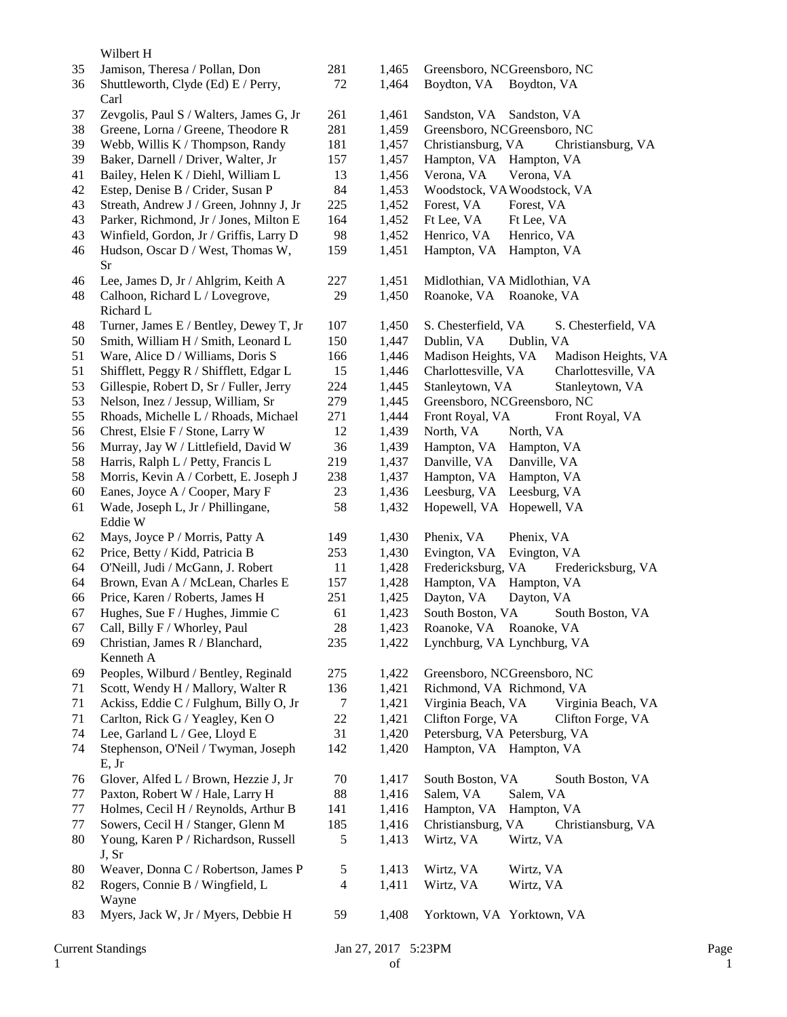Wilbert H

|          | <b>Current Standings</b>                                             |           | Jan 27, 2017 5:23PM |                                                          | Page |
|----------|----------------------------------------------------------------------|-----------|---------------------|----------------------------------------------------------|------|
| 83       | Myers, Jack W, Jr / Myers, Debbie H                                  | 59        | 1,408               | Yorktown, VA Yorktown, VA                                |      |
| 82       | Rogers, Connie B / Wingfield, L<br>Wayne                             | 4         | 1,411               | Wirtz, VA<br>Wirtz, VA                                   |      |
| 80       | Weaver, Donna C / Robertson, James P                                 | 5         | 1,413               | Wirtz, VA<br>Wirtz, VA                                   |      |
|          | J, Sr                                                                |           |                     |                                                          |      |
| 80       | Young, Karen P / Richardson, Russell                                 | 5         | 1,413               | Wirtz, VA<br>Wirtz, VA                                   |      |
| 77       | Sowers, Cecil H / Stanger, Glenn M                                   | 185       | 1,416               | Christiansburg, VA<br>Christiansburg, VA                 |      |
| 77       | Holmes, Cecil H / Reynolds, Arthur B                                 | 141       | 1,416               | Hampton, VA Hampton, VA                                  |      |
| 77       | Paxton, Robert W / Hale, Larry H                                     | $\bf 88$  | 1,416               | Salem, VA<br>Salem, VA                                   |      |
| 76       | Glover, Alfed L / Brown, Hezzie J, Jr                                | 70        | 1,417               | South Boston, VA<br>South Boston, VA                     |      |
|          | E, Jr                                                                |           |                     |                                                          |      |
| 74<br>74 | Lee, Garland L / Gee, Lloyd E<br>Stephenson, O'Neil / Twyman, Joseph | 31<br>142 | 1,420<br>1,420      | Petersburg, VA Petersburg, VA<br>Hampton, VA Hampton, VA |      |
| 71       | Carlton, Rick G / Yeagley, Ken O                                     | $22\,$    | 1,421               | Clifton Forge, VA<br>Clifton Forge, VA                   |      |
| 71       | Ackiss, Eddie C / Fulghum, Billy O, Jr                               | $\tau$    | 1,421               | Virginia Beach, VA<br>Virginia Beach, VA                 |      |
| 71       | Scott, Wendy H / Mallory, Walter R                                   | 136       | 1,421               | Richmond, VA Richmond, VA                                |      |
| 69       | Peoples, Wilburd / Bentley, Reginald                                 | 275       | 1,422               | Greensboro, NCGreensboro, NC                             |      |
|          | Kenneth A                                                            |           |                     |                                                          |      |
| 69       | Christian, James R / Blanchard,                                      | 235       | 1,422               | Lynchburg, VA Lynchburg, VA                              |      |
| 67       | Call, Billy F / Whorley, Paul                                        | 28        | 1,423               | Roanoke, VA Roanoke, VA                                  |      |
| 67       | Hughes, Sue F / Hughes, Jimmie C                                     | 61        | 1,423               | South Boston, VA<br>South Boston, VA                     |      |
| 66       | Price, Karen / Roberts, James H                                      | 251       | 1,425               | Dayton, VA<br>Dayton, VA                                 |      |
| 64       | Brown, Evan A / McLean, Charles E                                    | 157       | 1,428               | Hampton, VA Hampton, VA                                  |      |
| 64       | O'Neill, Judi / McGann, J. Robert                                    | 11        | 1,428               | Fredericksburg, VA<br>Fredericksburg, VA                 |      |
| 62       | Price, Betty / Kidd, Patricia B                                      | 253       | 1,430               | Evington, VA<br>Evington, VA                             |      |
| 62       | Mays, Joyce P / Morris, Patty A                                      | 149       | 1,430               | Phenix, VA<br>Phenix, VA                                 |      |
|          | Eddie W                                                              |           |                     |                                                          |      |
| 61       | Wade, Joseph L, Jr / Phillingane,                                    | 58        | 1,432               | Hopewell, VA Hopewell, VA                                |      |
| 60       | Eanes, Joyce A / Cooper, Mary F                                      | 23        | 1,436               | Leesburg, VA Leesburg, VA                                |      |
| 58       | Morris, Kevin A / Corbett, E. Joseph J                               | 238       | 1,437               | Hampton, VA Hampton, VA                                  |      |
| 58       | Harris, Ralph L / Petty, Francis L                                   | 219       | 1,437               | Danville, VA<br>Danville, VA                             |      |
| 56       | Murray, Jay W / Littlefield, David W                                 | 36        | 1,439               | Hampton, VA Hampton, VA                                  |      |
| 56       | Chrest, Elsie F / Stone, Larry W                                     | 12        | 1,439               | North, VA<br>North, VA                                   |      |
| 55       | Rhoads, Michelle L / Rhoads, Michael                                 | 271       | 1,444               | Front Royal, VA<br>Front Royal, VA                       |      |
| 53       | Nelson, Inez / Jessup, William, Sr                                   | 279       | 1,445               | Greensboro, NCGreensboro, NC                             |      |
| 53       | Gillespie, Robert D, Sr / Fuller, Jerry                              | 224       | 1,445               | Stanleytown, VA<br>Stanleytown, VA                       |      |
| 51       | Shifflett, Peggy R / Shifflett, Edgar L                              | 15        | 1,446               | Charlottesville, VA<br>Charlottesville, VA               |      |
| 51       | Ware, Alice D / Williams, Doris S                                    | 166       | 1,446               | Madison Heights, VA<br>Madison Heights, VA               |      |
| 50       | Smith, William H / Smith, Leonard L                                  | 150       | 1,447               | Dublin, VA<br>Dublin, VA                                 |      |
| 48       | Turner, James E / Bentley, Dewey T, Jr                               | 107       | 1,450               | S. Chesterfield, VA<br>S. Chesterfield, VA               |      |
|          | Richard L                                                            |           |                     |                                                          |      |
| 48       | Calhoon, Richard L / Lovegrove,                                      | 29        | 1,450               | Roanoke, VA Roanoke, VA                                  |      |
| 46       | Lee, James D, Jr / Ahlgrim, Keith A                                  | 227       | 1,451               | Midlothian, VA Midlothian, VA                            |      |
|          | <b>Sr</b>                                                            |           |                     |                                                          |      |
| 46       | Hudson, Oscar D / West, Thomas W,                                    | 159       | 1,451               | Hampton, VA Hampton, VA                                  |      |
| 43       | Winfield, Gordon, Jr / Griffis, Larry D                              | 98        | 1,452               | Henrico, VA<br>Henrico, VA                               |      |
| 43       | Parker, Richmond, Jr / Jones, Milton E                               | 164       | 1,452               | Ft Lee, VA<br>Ft Lee, VA                                 |      |
| 43       | Streath, Andrew J / Green, Johnny J, Jr                              | 225       | 1,452               | Forest, VA<br>Forest, VA                                 |      |
| 42       | Estep, Denise B / Crider, Susan P                                    | 84        | 1,453               | Woodstock, VAWoodstock, VA                               |      |
| 41       | Bailey, Helen K / Diehl, William L                                   | 13        | 1,457<br>1,456      | Hampton, VA Hampton, VA<br>Verona, VA<br>Verona, VA      |      |
| 39       | Baker, Darnell / Driver, Walter, Jr                                  | 157       |                     |                                                          |      |
| 39       | Webb, Willis K / Thompson, Randy                                     | 181       | 1,457               | Christiansburg, VA<br>Christiansburg, VA                 |      |
| 38       | Greene, Lorna / Greene, Theodore R                                   | 281       | 1,459               | Greensboro, NCGreensboro, NC                             |      |
| 37       | Zevgolis, Paul S / Walters, James G, Jr                              | 261       | 1,461               | Sandston, VA Sandston, VA                                |      |
| 36       | Shuttleworth, Clyde (Ed) E / Perry,<br>Carl                          | 72        | 1,464               | Boydton, VA Boydton, VA                                  |      |
| 35       | Jamison, Theresa / Pollan, Don                                       | 281       | 1,465               | Greensboro, NCGreensboro, NC                             |      |
|          |                                                                      |           |                     |                                                          |      |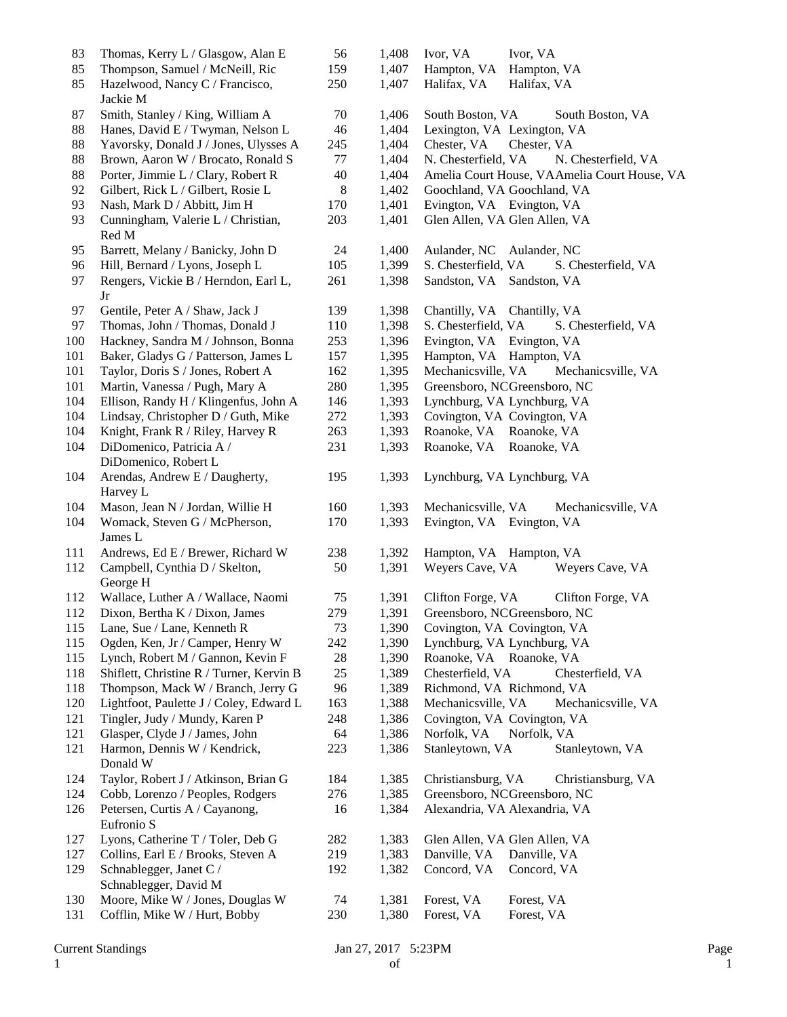| 83  | Thomas, Kerry L / Glasgow, Alan E                               | 56  | 1,408 | Ivor, VA<br>Ivor, VA                         |
|-----|-----------------------------------------------------------------|-----|-------|----------------------------------------------|
| 85  | Thompson, Samuel / McNeill, Ric                                 | 159 | 1,407 | Hampton, VA<br>Hampton, VA                   |
| 85  | Hazelwood, Nancy C / Francisco,                                 | 250 | 1,407 | Halifax, VA<br>Halifax, VA                   |
|     | Jackie M                                                        |     |       |                                              |
| 87  | Smith, Stanley / King, William A                                | 70  | 1,406 | South Boston, VA<br>South Boston, VA         |
| 88  | Hanes, David E / Twyman, Nelson L                               | 46  | 1,404 | Lexington, VA Lexington, VA                  |
| 88  | Yavorsky, Donald J / Jones, Ulysses A                           |     |       |                                              |
|     |                                                                 | 245 | 1,404 | Chester, VA<br>Chester, VA                   |
| 88  | Brown, Aaron W / Brocato, Ronald S                              | 77  | 1,404 | N. Chesterfield, VA<br>N. Chesterfield, VA   |
| 88  | Porter, Jimmie L / Clary, Robert R                              | 40  | 1,404 | Amelia Court House, VAAmelia Court House, VA |
| 92  | Gilbert, Rick L / Gilbert, Rosie L                              | 8   | 1,402 | Goochland, VA Goochland, VA                  |
| 93  | Nash, Mark D / Abbitt, Jim H                                    | 170 | 1,401 | Evington, VA Evington, VA                    |
| 93  | Cunningham, Valerie L / Christian,<br>Red M                     | 203 | 1,401 | Glen Allen, VA Glen Allen, VA                |
| 95  | Barrett, Melany / Banicky, John D                               | 24  | 1,400 | Aulander, NC<br>Aulander, NC                 |
| 96  | Hill, Bernard / Lyons, Joseph L                                 | 105 | 1,399 | S. Chesterfield, VA<br>S. Chesterfield, VA   |
| 97  | Rengers, Vickie B / Herndon, Earl L,                            | 261 | 1,398 | Sandston, VA Sandston, VA                    |
|     | Jr                                                              |     |       |                                              |
| 97  | Gentile, Peter A / Shaw, Jack J                                 | 139 | 1,398 | Chantilly, VA Chantilly, VA                  |
| 97  | Thomas, John / Thomas, Donald J                                 | 110 | 1,398 | S. Chesterfield, VA<br>S. Chesterfield, VA   |
| 100 | Hackney, Sandra M / Johnson, Bonna                              | 253 | 1,396 | Evington, VA Evington, VA                    |
| 101 | Baker, Gladys G / Patterson, James L                            | 157 | 1,395 | Hampton, VA Hampton, VA                      |
|     |                                                                 |     |       |                                              |
| 101 | Taylor, Doris S / Jones, Robert A                               | 162 | 1,395 | Mechanicsville, VA<br>Mechanicsville, VA     |
| 101 | Martin, Vanessa / Pugh, Mary A                                  | 280 | 1,395 | Greensboro, NCGreensboro, NC                 |
| 104 | Ellison, Randy H / Klingenfus, John A                           | 146 | 1,393 | Lynchburg, VA Lynchburg, VA                  |
| 104 | Lindsay, Christopher D / Guth, Mike                             | 272 | 1,393 | Covington, VA Covington, VA                  |
| 104 | Knight, Frank R / Riley, Harvey R                               | 263 | 1,393 | Roanoke, VA Roanoke, VA                      |
| 104 | DiDomenico, Patricia A /                                        | 231 | 1,393 | Roanoke, VA Roanoke, VA                      |
|     | DiDomenico, Robert L                                            |     |       |                                              |
| 104 | Arendas, Andrew E / Daugherty,<br>Harvey L                      | 195 | 1,393 | Lynchburg, VA Lynchburg, VA                  |
| 104 | Mason, Jean N / Jordan, Willie H                                | 160 | 1,393 | Mechanicsville, VA<br>Mechanicsville, VA     |
| 104 | Womack, Steven G / McPherson,                                   | 170 | 1,393 | Evington, VA Evington, VA                    |
|     | James L                                                         |     |       |                                              |
| 111 | Andrews, Ed E / Brewer, Richard W                               | 238 | 1,392 | Hampton, VA Hampton, VA                      |
| 112 | Campbell, Cynthia D / Skelton,                                  | 50  | 1,391 | Weyers Cave, VA<br>Weyers Cave, VA           |
|     | George H                                                        |     |       |                                              |
| 112 | Wallace, Luther A / Wallace, Naomi                              | 75  | 1,391 | Clifton Forge, VA<br>Clifton Forge, VA       |
| 112 | Dixon, Bertha K / Dixon, James                                  | 279 | 1,391 | Greensboro, NCGreensboro, NC                 |
|     |                                                                 |     |       |                                              |
| 115 | Lane, Sue / Lane, Kenneth R<br>Ogden, Ken, Jr / Camper, Henry W | 73  | 1,390 | Covington, VA Covington, VA                  |
| 115 |                                                                 | 242 | 1,390 | Lynchburg, VA Lynchburg, VA                  |
| 115 | Lynch, Robert M / Gannon, Kevin F                               | 28  | 1,390 | Roanoke, VA Roanoke, VA                      |
| 118 | Shiflett, Christine R / Turner, Kervin B                        | 25  | 1,389 | Chesterfield, VA<br>Chesterfield, VA         |
| 118 | Thompson, Mack W / Branch, Jerry G                              | 96  | 1,389 | Richmond, VA Richmond, VA                    |
| 120 | Lightfoot, Paulette J / Coley, Edward L                         | 163 | 1,388 | Mechanicsville, VA<br>Mechanicsville, VA     |
| 121 | Tingler, Judy / Mundy, Karen P                                  | 248 | 1,386 | Covington, VA Covington, VA                  |
| 121 | Glasper, Clyde J / James, John                                  | 64  | 1,386 | Norfolk, VA<br>Norfolk, VA                   |
| 121 | Harmon, Dennis W / Kendrick,                                    | 223 | 1,386 | Stanleytown, VA<br>Stanleytown, VA           |
|     | Donald W                                                        |     |       |                                              |
| 124 | Taylor, Robert J / Atkinson, Brian G                            | 184 | 1,385 | Christiansburg, VA<br>Christiansburg, VA     |
| 124 | Cobb, Lorenzo / Peoples, Rodgers                                | 276 | 1,385 | Greensboro, NCGreensboro, NC                 |
| 126 | Petersen, Curtis A / Cayanong,                                  | 16  | 1,384 | Alexandria, VA Alexandria, VA                |
|     | Eufronio S                                                      |     |       |                                              |
| 127 | Lyons, Catherine T / Toler, Deb G                               | 282 | 1,383 | Glen Allen, VA Glen Allen, VA                |
| 127 | Collins, Earl E / Brooks, Steven A                              | 219 | 1,383 | Danville, VA<br>Danville, VA                 |
| 129 | Schnablegger, Janet C /                                         | 192 | 1,382 | Concord, VA<br>Concord, VA                   |
|     | Schnablegger, David M                                           |     |       |                                              |
| 130 | Moore, Mike W / Jones, Douglas W                                | 74  | 1,381 | Forest, VA<br>Forest, VA                     |
|     |                                                                 |     |       |                                              |
| 131 | Cofflin, Mike W / Hurt, Bobby                                   | 230 | 1,380 | Forest, VA<br>Forest, VA                     |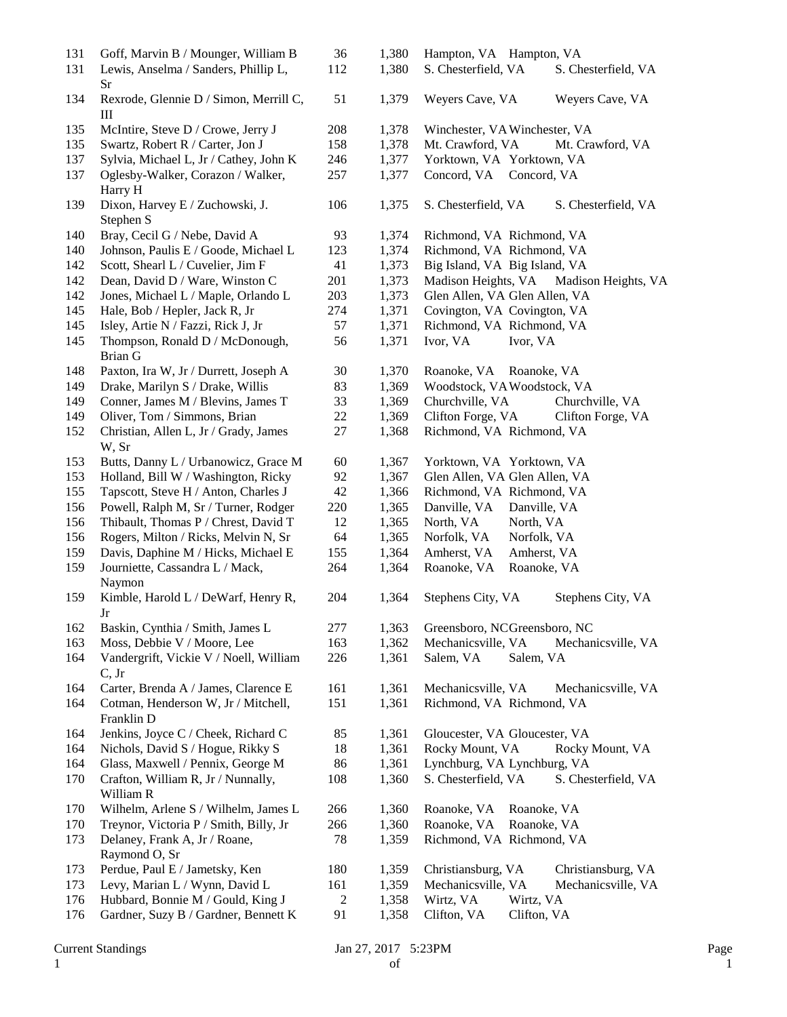| 131 | Goff, Marvin B / Mounger, William B    | 36             | 1,380 | Hampton, VA Hampton, VA                    |
|-----|----------------------------------------|----------------|-------|--------------------------------------------|
| 131 | Lewis, Anselma / Sanders, Phillip L,   | 112            | 1,380 | S. Chesterfield, VA<br>S. Chesterfield, VA |
|     | Sr                                     |                |       |                                            |
| 134 | Rexrode, Glennie D / Simon, Merrill C, | 51             | 1,379 | Weyers Cave, VA<br>Weyers Cave, VA         |
|     | Ш                                      |                |       |                                            |
| 135 | McIntire, Steve D / Crowe, Jerry J     | 208            | 1,378 | Winchester, VA Winchester, VA              |
| 135 |                                        | 158            | 1,378 | Mt. Crawford, VA                           |
|     | Swartz, Robert R / Carter, Jon J       |                |       | Mt. Crawford, VA                           |
| 137 | Sylvia, Michael L, Jr / Cathey, John K | 246            | 1,377 | Yorktown, VA Yorktown, VA                  |
| 137 | Oglesby-Walker, Corazon / Walker,      | 257            | 1,377 | Concord, VA Concord, VA                    |
|     | Harry H                                |                |       |                                            |
| 139 | Dixon, Harvey E / Zuchowski, J.        | 106            | 1,375 | S. Chesterfield, VA<br>S. Chesterfield, VA |
|     | Stephen S                              |                |       |                                            |
| 140 | Bray, Cecil G / Nebe, David A          | 93             | 1,374 | Richmond, VA Richmond, VA                  |
| 140 | Johnson, Paulis E / Goode, Michael L   | 123            | 1,374 | Richmond, VA Richmond, VA                  |
| 142 | Scott, Shearl L / Cuvelier, Jim F      | 41             | 1,373 | Big Island, VA Big Island, VA              |
| 142 | Dean, David D / Ware, Winston C        | 201            | 1,373 | Madison Heights, VA<br>Madison Heights, VA |
| 142 | Jones, Michael L / Maple, Orlando L    | 203            | 1,373 | Glen Allen, VA Glen Allen, VA              |
| 145 | Hale, Bob / Hepler, Jack R, Jr         | 274            | 1,371 | Covington, VA Covington, VA                |
| 145 | Isley, Artie N / Fazzi, Rick J, Jr     | 57             | 1,371 | Richmond, VA Richmond, VA                  |
| 145 | Thompson, Ronald D / McDonough,        | 56             | 1,371 | Ivor, VA<br>Ivor, VA                       |
|     | <b>Brian G</b>                         |                |       |                                            |
| 148 | Paxton, Ira W, Jr / Durrett, Joseph A  | 30             | 1,370 | Roanoke, VA Roanoke, VA                    |
| 149 | Drake, Marilyn S / Drake, Willis       | 83             | 1,369 | Woodstock, VA Woodstock, VA                |
| 149 | Conner, James M / Blevins, James T     | 33             | 1,369 | Churchville, VA<br>Churchville, VA         |
| 149 | Oliver, Tom / Simmons, Brian           | $22\,$         | 1,369 | Clifton Forge, VA<br>Clifton Forge, VA     |
| 152 | Christian, Allen L, Jr / Grady, James  | 27             | 1,368 | Richmond, VA Richmond, VA                  |
|     |                                        |                |       |                                            |
|     | W, Sr                                  |                |       |                                            |
| 153 | Butts, Danny L / Urbanowicz, Grace M   | 60             | 1,367 | Yorktown, VA Yorktown, VA                  |
| 153 | Holland, Bill W / Washington, Ricky    | 92             | 1,367 | Glen Allen, VA Glen Allen, VA              |
| 155 | Tapscott, Steve H / Anton, Charles J   | 42             | 1,366 | Richmond, VA Richmond, VA                  |
| 156 | Powell, Ralph M, Sr / Turner, Rodger   | 220            | 1,365 | Danville, VA<br>Danville, VA               |
| 156 | Thibault, Thomas P / Chrest, David T   | 12             | 1,365 | North, VA<br>North, VA                     |
| 156 | Rogers, Milton / Ricks, Melvin N, Sr   | 64             | 1,365 | Norfolk, VA<br>Norfolk, VA                 |
| 159 | Davis, Daphine M / Hicks, Michael E    | 155            | 1,364 | Amherst, VA<br>Amherst, VA                 |
| 159 | Journiette, Cassandra L / Mack,        | 264            | 1,364 | Roanoke, VA<br>Roanoke, VA                 |
|     | Naymon                                 |                |       |                                            |
| 159 | Kimble, Harold L / DeWarf, Henry R,    | 204            | 1,364 | Stephens City, VA<br>Stephens City, VA     |
|     | Jr                                     |                |       |                                            |
| 162 | Baskin, Cynthia / Smith, James L       | 277            | 1,363 | Greensboro, NCGreensboro, NC               |
| 163 | Moss, Debbie V / Moore, Lee            | 163            | 1,362 | Mechanicsville, VA<br>Mechanicsville, VA   |
| 164 | Vandergrift, Vickie V / Noell, William | 226            | 1,361 | Salem, VA<br>Salem, VA                     |
|     | C, Jr                                  |                |       |                                            |
| 164 | Carter, Brenda A / James, Clarence E   | 161            | 1,361 | Mechanicsville, VA<br>Mechanicsville, VA   |
| 164 | Cotman, Henderson W, Jr / Mitchell,    | 151            | 1,361 | Richmond, VA Richmond, VA                  |
|     | Franklin D                             |                |       |                                            |
| 164 | Jenkins, Joyce C / Cheek, Richard C    | 85             | 1,361 | Gloucester, VA Gloucester, VA              |
| 164 | Nichols, David S / Hogue, Rikky S      | 18             | 1,361 | Rocky Mount, VA<br>Rocky Mount, VA         |
| 164 | Glass, Maxwell / Pennix, George M      | 86             | 1,361 | Lynchburg, VA Lynchburg, VA                |
| 170 | Crafton, William R, Jr / Nunnally,     | 108            | 1,360 | S. Chesterfield, VA<br>S. Chesterfield, VA |
|     | William R                              |                |       |                                            |
| 170 | Wilhelm, Arlene S / Wilhelm, James L   | 266            | 1,360 | Roanoke, VA<br>Roanoke, VA                 |
| 170 | Treynor, Victoria P / Smith, Billy, Jr | 266            | 1,360 | Roanoke, VA<br>Roanoke, VA                 |
| 173 |                                        |                | 1,359 |                                            |
|     | Delaney, Frank A, Jr / Roane,          | 78             |       | Richmond, VA Richmond, VA                  |
|     | Raymond O, Sr                          |                |       |                                            |
| 173 | Perdue, Paul E / Jametsky, Ken         | 180            | 1,359 | Christiansburg, VA<br>Christiansburg, VA   |
| 173 | Levy, Marian L / Wynn, David L         | 161            | 1,359 | Mechanicsville, VA<br>Mechanicsville, VA   |
| 176 | Hubbard, Bonnie M / Gould, King J      | $\overline{c}$ | 1,358 | Wirtz, VA<br>Wirtz, VA                     |
| 176 | Gardner, Suzy B / Gardner, Bennett K   | 91             | 1,358 | Clifton, VA<br>Clifton, VA                 |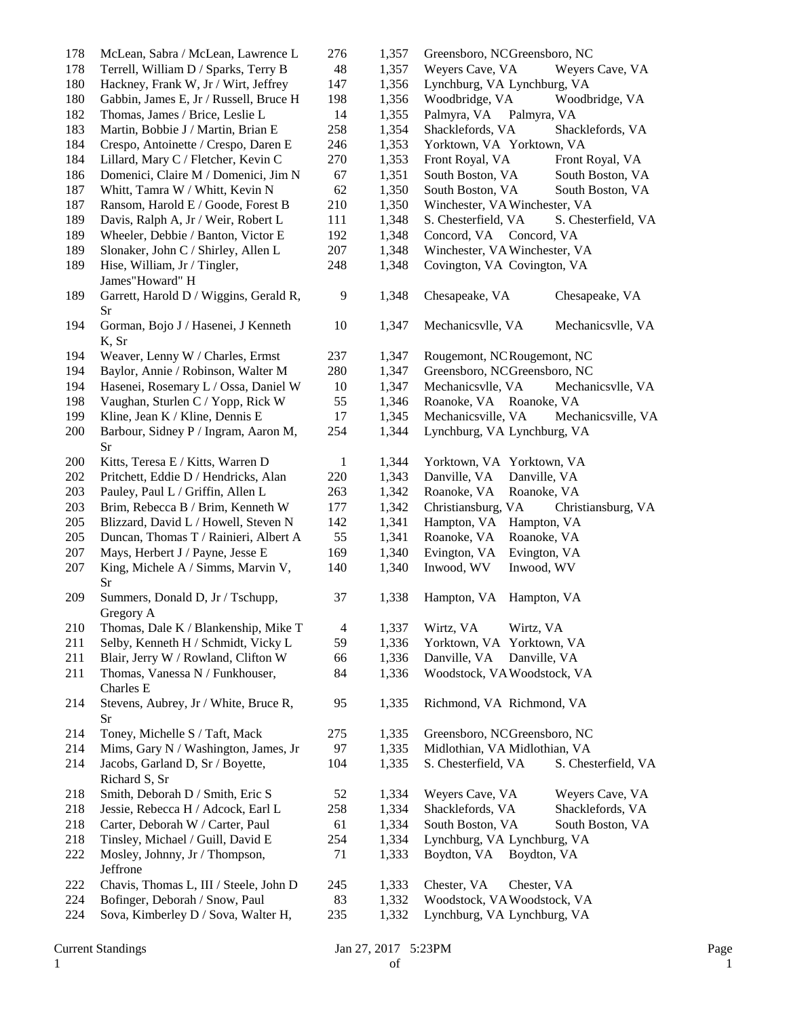| 178 | McLean, Sabra / McLean, Lawrence L                | 276            | 1,357 | Greensboro, NCGreensboro, NC               |  |
|-----|---------------------------------------------------|----------------|-------|--------------------------------------------|--|
| 178 | Terrell, William D / Sparks, Terry B              | 48             | 1,357 | Weyers Cave, VA<br>Weyers Cave, VA         |  |
| 180 | Hackney, Frank W, Jr / Wirt, Jeffrey              | 147            | 1,356 | Lynchburg, VA Lynchburg, VA                |  |
| 180 | Gabbin, James E, Jr / Russell, Bruce H            | 198            | 1,356 | Woodbridge, VA<br>Woodbridge, VA           |  |
| 182 | Thomas, James / Brice, Leslie L                   | 14             | 1,355 | Palmyra, VA<br>Palmyra, VA                 |  |
| 183 | Martin, Bobbie J / Martin, Brian E                | 258            | 1,354 | Shacklefords, VA<br>Shacklefords, VA       |  |
| 184 | Crespo, Antoinette / Crespo, Daren E              | 246            | 1,353 | Yorktown, VA Yorktown, VA                  |  |
| 184 | Lillard, Mary C / Fletcher, Kevin C               | 270            | 1,353 | Front Royal, VA<br>Front Royal, VA         |  |
| 186 | Domenici, Claire M / Domenici, Jim N              | 67             | 1,351 | South Boston, VA<br>South Boston, VA       |  |
| 187 | Whitt, Tamra W / Whitt, Kevin N                   | 62             | 1,350 | South Boston, VA<br>South Boston, VA       |  |
| 187 | Ransom, Harold E / Goode, Forest B                | 210            | 1,350 | Winchester, VA Winchester, VA              |  |
| 189 | Davis, Ralph A, Jr / Weir, Robert L               | 111            | 1,348 | S. Chesterfield, VA<br>S. Chesterfield, VA |  |
| 189 | Wheeler, Debbie / Banton, Victor E                | 192            | 1,348 | Concord, VA<br>Concord, VA                 |  |
| 189 | Slonaker, John C / Shirley, Allen L               | 207            | 1,348 | Winchester, VA Winchester, VA              |  |
| 189 | Hise, William, Jr / Tingler,                      | 248            | 1,348 | Covington, VA Covington, VA                |  |
|     | James"Howard" H                                   |                |       |                                            |  |
| 189 | Garrett, Harold D / Wiggins, Gerald R,<br>Sr      | 9              | 1,348 | Chesapeake, VA<br>Chesapeake, VA           |  |
| 194 | Gorman, Bojo J / Hasenei, J Kenneth<br>K, Sr      | 10             | 1,347 | Mechanicsvlle, VA<br>Mechanicsvlle, VA     |  |
| 194 | Weaver, Lenny W / Charles, Ermst                  | 237            | 1,347 | Rougemont, NCRougemont, NC                 |  |
| 194 | Baylor, Annie / Robinson, Walter M                | 280            | 1,347 | Greensboro, NCGreensboro, NC               |  |
| 194 | Hasenei, Rosemary L / Ossa, Daniel W              | 10             | 1,347 | Mechanicsvlle, VA<br>Mechanicsvlle, VA     |  |
| 198 | Vaughan, Sturlen C / Yopp, Rick W                 | 55             | 1,346 | Roanoke, VA Roanoke, VA                    |  |
| 199 | Kline, Jean K / Kline, Dennis E                   | 17             | 1,345 | Mechanicsville, VA<br>Mechanicsville, VA   |  |
| 200 | Barbour, Sidney P / Ingram, Aaron M,<br>Sr        | 254            | 1,344 | Lynchburg, VA Lynchburg, VA                |  |
| 200 | Kitts, Teresa E / Kitts, Warren D                 | $\mathbf{1}$   | 1,344 | Yorktown, VA Yorktown, VA                  |  |
| 202 | Pritchett, Eddie D / Hendricks, Alan              | 220            | 1,343 | Danville, VA<br>Danville, VA               |  |
| 203 | Pauley, Paul L / Griffin, Allen L                 | 263            | 1,342 | Roanoke, VA<br>Roanoke, VA                 |  |
| 203 | Brim, Rebecca B / Brim, Kenneth W                 | 177            | 1,342 | Christiansburg, VA<br>Christiansburg, VA   |  |
| 205 | Blizzard, David L / Howell, Steven N              | 142            | 1,341 | Hampton, VA<br>Hampton, VA                 |  |
| 205 | Duncan, Thomas T / Rainieri, Albert A             | 55             | 1,341 | Roanoke, VA<br>Roanoke, VA                 |  |
| 207 | Mays, Herbert J / Payne, Jesse E                  | 169            | 1,340 | Evington, VA<br>Evington, VA               |  |
| 207 | King, Michele A / Simms, Marvin V,<br>Sr          | 140            | 1,340 | Inwood, WV<br>Inwood, WV                   |  |
| 209 | Summers, Donald D, Jr / Tschupp,<br>Gregory A     | 37             | 1,338 | Hampton, VA<br>Hampton, VA                 |  |
| 210 | Thomas, Dale K / Blankenship, Mike T              | $\overline{4}$ | 1,337 | Wirtz, VA<br>Wirtz, VA                     |  |
| 211 | Selby, Kenneth H / Schmidt, Vicky L               | 59             | 1,336 | Yorktown, VA Yorktown, VA                  |  |
| 211 | Blair, Jerry W / Rowland, Clifton W               | 66             | 1,336 | Danville, VA<br>Danville, VA               |  |
| 211 | Thomas, Vanessa N / Funkhouser,<br>Charles E      | 84             | 1,336 | Woodstock, VAWoodstock, VA                 |  |
| 214 | Stevens, Aubrey, Jr / White, Bruce R,<br>Sr       | 95             | 1,335 | Richmond, VA Richmond, VA                  |  |
| 214 | Toney, Michelle S / Taft, Mack                    | 275            | 1,335 | Greensboro, NCGreensboro, NC               |  |
| 214 | Mims, Gary N / Washington, James, Jr              | 97             | 1,335 | Midlothian, VA Midlothian, VA              |  |
| 214 | Jacobs, Garland D, Sr / Boyette,<br>Richard S, Sr | 104            | 1,335 | S. Chesterfield, VA<br>S. Chesterfield, VA |  |
| 218 | Smith, Deborah D / Smith, Eric S                  | 52             | 1,334 | Weyers Cave, VA<br>Weyers Cave, VA         |  |
| 218 | Jessie, Rebecca H / Adcock, Earl L                | 258            | 1,334 | Shacklefords, VA<br>Shacklefords, VA       |  |
| 218 | Carter, Deborah W / Carter, Paul                  | 61             | 1,334 | South Boston, VA<br>South Boston, VA       |  |
| 218 | Tinsley, Michael / Guill, David E                 | 254            | 1,334 | Lynchburg, VA Lynchburg, VA                |  |
| 222 | Mosley, Johnny, Jr / Thompson,<br>Jeffrone        | 71             | 1,333 | Boydton, VA<br>Boydton, VA                 |  |
| 222 | Chavis, Thomas L, III / Steele, John D            | 245            | 1,333 | Chester, VA<br>Chester, VA                 |  |
| 224 | Bofinger, Deborah / Snow, Paul                    | 83             | 1,332 | Woodstock, VAWoodstock, VA                 |  |
| 224 | Sova, Kimberley D / Sova, Walter H,               | 235            | 1,332 | Lynchburg, VA Lynchburg, VA                |  |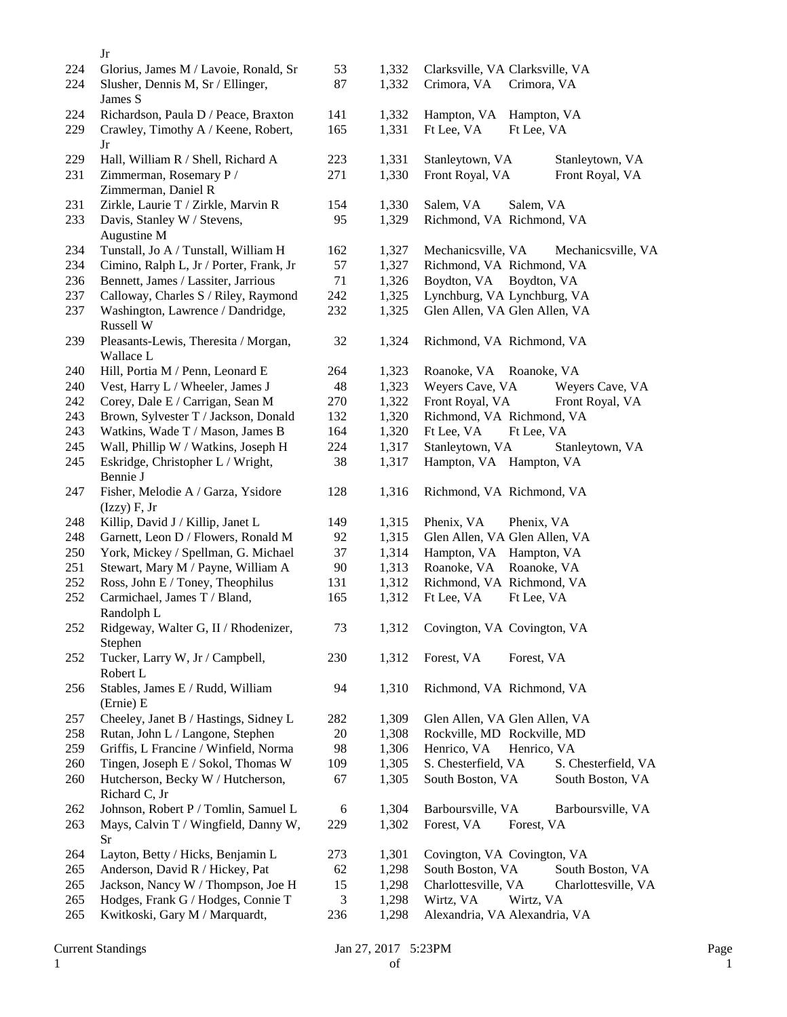|     | Jr                                      |                |       |                                            |
|-----|-----------------------------------------|----------------|-------|--------------------------------------------|
| 224 | Glorius, James M / Lavoie, Ronald, Sr   | 53             | 1,332 | Clarksville, VA Clarksville, VA            |
| 224 | Slusher, Dennis M, Sr / Ellinger,       | 87             | 1,332 | Crimora, VA<br>Crimora, VA                 |
|     | James S                                 |                |       |                                            |
| 224 | Richardson, Paula D / Peace, Braxton    | 141            | 1,332 | Hampton, VA<br>Hampton, VA                 |
| 229 | Crawley, Timothy A / Keene, Robert,     | 165            | 1,331 | Ft Lee, VA<br>Ft Lee, VA                   |
|     | Jr                                      |                |       |                                            |
| 229 | Hall, William R / Shell, Richard A      | 223            | 1,331 | Stanleytown, VA<br>Stanleytown, VA         |
| 231 | Zimmerman, Rosemary P /                 | 271            | 1,330 | Front Royal, VA<br>Front Royal, VA         |
|     | Zimmerman, Daniel R                     |                |       |                                            |
| 231 | Zirkle, Laurie T / Zirkle, Marvin R     | 154            | 1,330 | Salem, VA<br>Salem, VA                     |
| 233 | Davis, Stanley W / Stevens,             | 95             | 1,329 | Richmond, VA Richmond, VA                  |
|     | Augustine M                             |                |       |                                            |
| 234 | Tunstall, Jo A / Tunstall, William H    | 162            | 1,327 | Mechanicsville, VA<br>Mechanicsville, VA   |
| 234 | Cimino, Ralph L, Jr / Porter, Frank, Jr | 57             | 1,327 | Richmond, VA Richmond, VA                  |
| 236 | Bennett, James / Lassiter, Jarrious     | 71             | 1,326 | Boydton, VA Boydton, VA                    |
| 237 | Calloway, Charles S / Riley, Raymond    | 242            | 1,325 | Lynchburg, VA Lynchburg, VA                |
| 237 | Washington, Lawrence / Dandridge,       | 232            | 1,325 | Glen Allen, VA Glen Allen, VA              |
|     | Russell W                               |                |       |                                            |
| 239 | Pleasants-Lewis, Theresita / Morgan,    | 32             | 1,324 | Richmond, VA Richmond, VA                  |
|     | Wallace L                               |                |       |                                            |
| 240 | Hill, Portia M / Penn, Leonard E        | 264            | 1,323 | Roanoke, VA Roanoke, VA                    |
| 240 | Vest, Harry L / Wheeler, James J        | 48             | 1,323 | Weyers Cave, VA<br>Weyers Cave, VA         |
| 242 | Corey, Dale E / Carrigan, Sean M        | 270            | 1,322 | Front Royal, VA<br>Front Royal, VA         |
| 243 | Brown, Sylvester T / Jackson, Donald    | 132            | 1,320 | Richmond, VA Richmond, VA                  |
| 243 | Watkins, Wade T / Mason, James B        | 164            | 1,320 | Ft Lee, VA<br>Ft Lee, VA                   |
| 245 | Wall, Phillip W / Watkins, Joseph H     | 224            | 1,317 | Stanleytown, VA<br>Stanleytown, VA         |
| 245 | Eskridge, Christopher L / Wright,       | 38             | 1,317 | Hampton, VA Hampton, VA                    |
|     | Bennie J                                |                |       |                                            |
| 247 | Fisher, Melodie A / Garza, Ysidore      | 128            | 1,316 | Richmond, VA Richmond, VA                  |
|     | $(Izzy)$ F, Jr                          |                |       |                                            |
| 248 | Killip, David J / Killip, Janet L       | 149            | 1,315 | Phenix, VA<br>Phenix, VA                   |
| 248 | Garnett, Leon D / Flowers, Ronald M     | 92             | 1,315 | Glen Allen, VA Glen Allen, VA              |
| 250 | York, Mickey / Spellman, G. Michael     | 37             | 1,314 | Hampton, VA Hampton, VA                    |
| 251 | Stewart, Mary M / Payne, William A      | 90             | 1,313 | Roanoke, VA<br>Roanoke, VA                 |
| 252 | Ross, John E / Toney, Theophilus        | 131            | 1,312 | Richmond, VA Richmond, VA                  |
| 252 | Carmichael, James T / Bland,            | 165            | 1,312 | Ft Lee, VA<br>Ft Lee, VA                   |
|     | Randolph L                              |                |       |                                            |
| 252 | Ridgeway, Walter G, II / Rhodenizer,    | 73             | 1,312 | Covington, VA Covington, VA                |
|     | Stephen                                 |                |       |                                            |
| 252 | Tucker, Larry W, Jr / Campbell,         | 230            | 1,312 | Forest, VA<br>Forest, VA                   |
|     | Robert L                                |                |       |                                            |
| 256 | Stables, James E / Rudd, William        | 94             | 1,310 | Richmond, VA Richmond, VA                  |
|     | (Ernie) E                               |                |       |                                            |
| 257 | Cheeley, Janet B / Hastings, Sidney L   | 282            | 1,309 | Glen Allen, VA Glen Allen, VA              |
| 258 | Rutan, John L / Langone, Stephen        | 20             | 1,308 | Rockville, MD Rockville, MD                |
| 259 | Griffis, L Francine / Winfield, Norma   | 98             | 1,306 | Henrico, VA<br>Henrico, VA                 |
| 260 | Tingen, Joseph E / Sokol, Thomas W      | 109            | 1,305 | S. Chesterfield, VA<br>S. Chesterfield, VA |
| 260 | Hutcherson, Becky W / Hutcherson,       | 67             | 1,305 | South Boston, VA<br>South Boston, VA       |
|     | Richard C, Jr                           |                |       |                                            |
| 262 | Johnson, Robert P / Tomlin, Samuel L    | 6              | 1,304 | Barboursville, VA<br>Barboursville, VA     |
| 263 | Mays, Calvin T / Wingfield, Danny W,    | 229            | 1,302 | Forest, VA<br>Forest, VA                   |
|     | Sr                                      |                |       |                                            |
| 264 | Layton, Betty / Hicks, Benjamin L       | 273            | 1,301 | Covington, VA Covington, VA                |
| 265 | Anderson, David R / Hickey, Pat         | 62             | 1,298 | South Boston, VA<br>South Boston, VA       |
| 265 | Jackson, Nancy W / Thompson, Joe H      | 15             | 1,298 | Charlottesville, VA<br>Charlottesville, VA |
| 265 | Hodges, Frank G / Hodges, Connie T      | $\mathfrak{Z}$ | 1,298 | Wirtz, VA<br>Wirtz, VA                     |
| 265 | Kwitkoski, Gary M / Marquardt,          | 236            | 1,298 | Alexandria, VA Alexandria, VA              |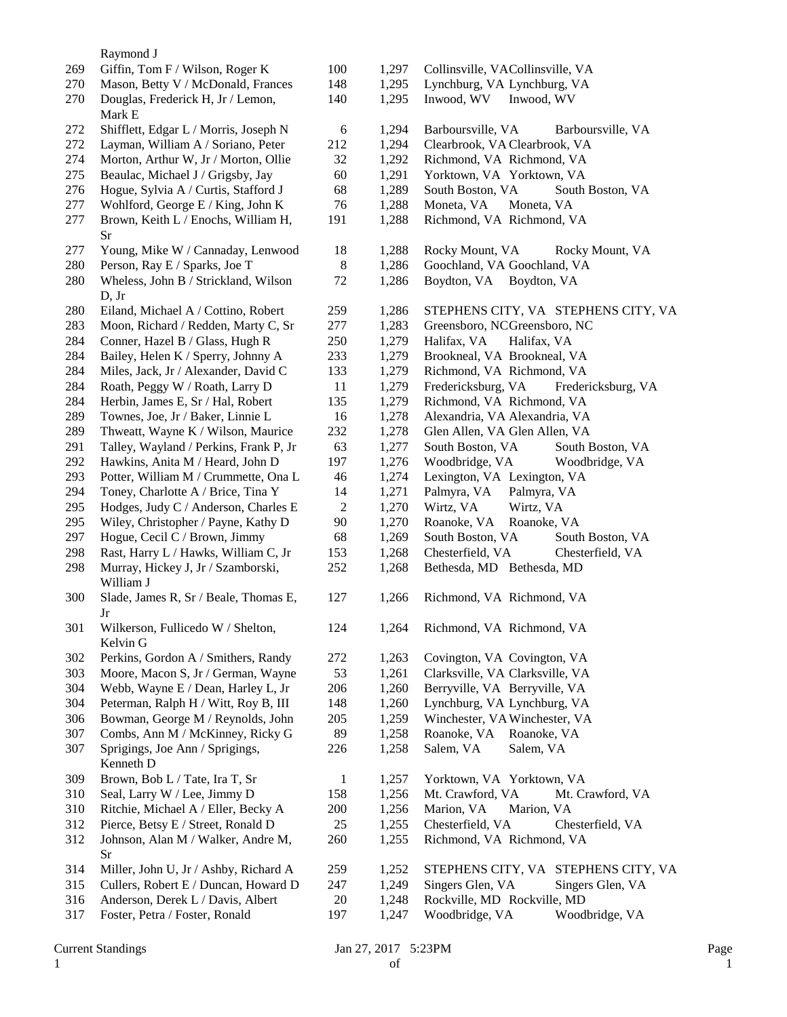|            | Raymond J                                        |              |                |                                                                  |
|------------|--------------------------------------------------|--------------|----------------|------------------------------------------------------------------|
| 269        | Giffin, Tom F / Wilson, Roger K                  | 100          | 1,297          | Collinsville, VACollinsville, VA                                 |
| 270        | Mason, Betty V / McDonald, Frances               | 148          | 1,295          | Lynchburg, VA Lynchburg, VA                                      |
| 270        | Douglas, Frederick H, Jr / Lemon,<br>Mark E      | 140          | 1,295          | Inwood, WV<br>Inwood, WV                                         |
| 272        | Shifflett, Edgar L / Morris, Joseph N            | 6            | 1,294          | Barboursville, VA<br>Barboursville, VA                           |
| 272        | Layman, William A / Soriano, Peter               | 212          | 1,294          | Clearbrook, VA Clearbrook, VA                                    |
| 274        | Morton, Arthur W, Jr / Morton, Ollie             | 32           | 1,292          | Richmond, VA Richmond, VA                                        |
| 275        | Beaulac, Michael J / Grigsby, Jay                | 60           | 1,291          | Yorktown, VA Yorktown, VA                                        |
| 276        | Hogue, Sylvia A / Curtis, Stafford J             | 68           | 1,289          | South Boston, VA<br>South Boston, VA                             |
| 277        | Wohlford, George E / King, John K                | 76           | 1,288          | Moneta, VA<br>Moneta, VA                                         |
| 277        | Brown, Keith L / Enochs, William H,<br><b>Sr</b> | 191          | 1,288          | Richmond, VA Richmond, VA                                        |
| 277        | Young, Mike W / Cannaday, Lenwood                | 18           | 1,288          | Rocky Mount, VA<br>Rocky Mount, VA                               |
| 280        | Person, Ray E / Sparks, Joe T                    | 8            | 1,286          | Goochland, VA Goochland, VA                                      |
| 280        | Wheless, John B / Strickland, Wilson<br>D, Jr    | 72           | 1,286          | Boydton, VA Boydton, VA                                          |
| 280        | Eiland, Michael A / Cottino, Robert              | 259          | 1,286          | STEPHENS CITY, VA STEPHENS CITY, VA                              |
| 283        | Moon, Richard / Redden, Marty C, Sr              | 277          | 1,283          | Greensboro, NCGreensboro, NC                                     |
| 284        | Conner, Hazel B / Glass, Hugh R                  | 250          | 1,279          | Halifax, VA<br>Halifax, VA                                       |
| 284        | Bailey, Helen K / Sperry, Johnny A               | 233          | 1,279          | Brookneal, VA Brookneal, VA                                      |
| 284        | Miles, Jack, Jr / Alexander, David C             | 133          | 1,279          | Richmond, VA Richmond, VA                                        |
| 284        | Roath, Peggy W / Roath, Larry D                  | 11           | 1,279          | Fredericksburg, VA<br>Fredericksburg, VA                         |
| 284        | Herbin, James E, Sr / Hal, Robert                | 135          | 1,279          | Richmond, VA Richmond, VA                                        |
| 289        | Townes, Joe, Jr / Baker, Linnie L                | 16           | 1,278          | Alexandria, VA Alexandria, VA                                    |
| 289        | Thweatt, Wayne K / Wilson, Maurice               | 232          | 1,278          | Glen Allen, VA Glen Allen, VA                                    |
| 291        | Talley, Wayland / Perkins, Frank P, Jr           | 63           | 1,277          | South Boston, VA<br>South Boston, VA                             |
| 292        | Hawkins, Anita M / Heard, John D                 | 197          | 1,276          | Woodbridge, VA<br>Woodbridge, VA                                 |
| 293        | Potter, William M / Crummette, Ona L             | 46           | 1,274          | Lexington, VA Lexington, VA                                      |
| 294        | Toney, Charlotte A / Brice, Tina Y               | 14           | 1,271          | Palmyra, VA<br>Palmyra, VA                                       |
| 295        | Hodges, Judy C / Anderson, Charles E             | $\sqrt{2}$   | 1,270          | Wirtz, VA<br>Wirtz, VA                                           |
| 295        | Wiley, Christopher / Payne, Kathy D              | 90           | 1,270          | Roanoke, VA<br>Roanoke, VA                                       |
| 297        | Hogue, Cecil C / Brown, Jimmy                    | 68           | 1,269          | South Boston, VA<br>South Boston, VA                             |
| 298        | Rast, Harry L / Hawks, William C, Jr             | 153          | 1,268          | Chesterfield, VA<br>Chesterfield, VA                             |
| 298        | Murray, Hickey J, Jr / Szamborski,<br>William J  | 252          | 1,268          | Bethesda, MD Bethesda, MD                                        |
| 300        | Slade, James R, Sr / Beale, Thomas E,<br>Jr      | 127          | 1,266          | Richmond, VA Richmond, VA                                        |
| 301        | Wilkerson, Fullicedo W / Shelton,<br>Kelvin G    | 124          | 1,264          | Richmond, VA Richmond, VA                                        |
| 302        | Perkins, Gordon A / Smithers, Randy              | 272          | 1,263          | Covington, VA Covington, VA                                      |
| 303        | Moore, Macon S, Jr / German, Wayne               | 53           | 1,261          | Clarksville, VA Clarksville, VA                                  |
| 304        | Webb, Wayne E / Dean, Harley L, Jr               | 206          | 1,260          | Berryville, VA Berryville, VA                                    |
| 304        | Peterman, Ralph H / Witt, Roy B, III             | 148          | 1,260          | Lynchburg, VA Lynchburg, VA                                      |
| 306        | Bowman, George M / Reynolds, John                | 205          | 1,259          | Winchester, VA Winchester, VA                                    |
| 307        | Combs, Ann M / McKinney, Ricky G                 | 89           | 1,258          | Roanoke, VA<br>Roanoke, VA                                       |
| 307        | Sprigings, Joe Ann / Sprigings,<br>Kenneth D     | 226          | 1,258          | Salem, VA<br>Salem, VA                                           |
|            |                                                  |              |                |                                                                  |
| 309<br>310 | Brown, Bob L / Tate, Ira T, Sr                   | $\mathbf{1}$ | 1,257          | Yorktown, VA Yorktown, VA                                        |
| 310        | Seal, Larry W / Lee, Jimmy D                     | 158<br>200   | 1,256<br>1,256 | Mt. Crawford, VA<br>Mt. Crawford, VA<br>Marion, VA<br>Marion, VA |
|            | Ritchie, Michael A / Eller, Becky A              |              |                |                                                                  |
| 312        | Pierce, Betsy E / Street, Ronald D               | 25           | 1,255          | Chesterfield, VA<br>Chesterfield, VA                             |
| 312        | Johnson, Alan M / Walker, Andre M,<br>Sr         | 260          | 1,255          | Richmond, VA Richmond, VA                                        |
| 314        | Miller, John U, Jr / Ashby, Richard A            | 259          | 1,252          | STEPHENS CITY, VA STEPHENS CITY, VA                              |
| 315        | Cullers, Robert E / Duncan, Howard D             | 247          | 1,249          | Singers Glen, VA<br>Singers Glen, VA                             |
| 316        | Anderson, Derek L / Davis, Albert                | $20\,$       | 1,248          | Rockville, MD Rockville, MD                                      |
| 317        | Foster, Petra / Foster, Ronald                   | 197          | 1,247          | Woodbridge, VA<br>Woodbridge, VA                                 |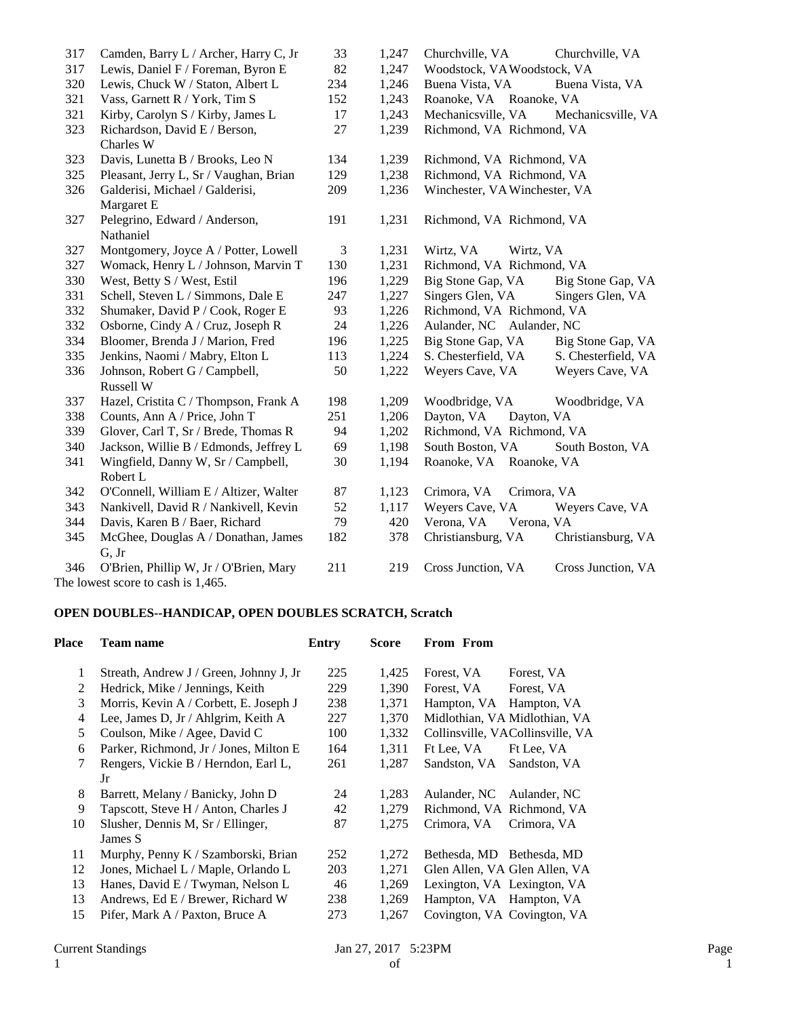| 317 | Camden, Barry L / Archer, Harry C, Jr      | 33             | 1,247 | Churchville, VA               | Churchville, VA     |
|-----|--------------------------------------------|----------------|-------|-------------------------------|---------------------|
| 317 | Lewis, Daniel F / Foreman, Byron E         | 82             | 1,247 | Woodstock, VAWoodstock, VA    |                     |
| 320 | Lewis, Chuck W / Staton, Albert L          | 234            | 1,246 | Buena Vista, VA               | Buena Vista, VA     |
| 321 | Vass, Garnett R / York, Tim S              | 152            | 1,243 | Roanoke, VA Roanoke, VA       |                     |
| 321 | Kirby, Carolyn S / Kirby, James L          | 17             | 1,243 | Mechanicsville, VA            | Mechanicsville, VA  |
| 323 | Richardson, David E / Berson,<br>Charles W | 27             | 1,239 | Richmond, VA Richmond, VA     |                     |
| 323 | Davis, Lunetta B / Brooks, Leo N           | 134            | 1,239 | Richmond, VA Richmond, VA     |                     |
| 325 | Pleasant, Jerry L, Sr / Vaughan, Brian     | 129            | 1,238 | Richmond, VA Richmond, VA     |                     |
| 326 | Galderisi, Michael / Galderisi,            | 209            | 1,236 | Winchester, VA Winchester, VA |                     |
|     | Margaret E                                 |                |       |                               |                     |
| 327 | Pelegrino, Edward / Anderson,              | 191            | 1,231 | Richmond, VA Richmond, VA     |                     |
|     | Nathaniel                                  |                |       |                               |                     |
| 327 | Montgomery, Joyce A / Potter, Lowell       | $\mathfrak{Z}$ | 1,231 | Wirtz, VA<br>Wirtz, VA        |                     |
| 327 | Womack, Henry L / Johnson, Marvin T        | 130            | 1,231 | Richmond, VA Richmond, VA     |                     |
| 330 | West, Betty S / West, Estil                | 196            | 1,229 | Big Stone Gap, VA             | Big Stone Gap, VA   |
| 331 | Schell, Steven L / Simmons, Dale E         | 247            | 1,227 | Singers Glen, VA              | Singers Glen, VA    |
| 332 | Shumaker, David P / Cook, Roger E          | 93             | 1,226 | Richmond, VA Richmond, VA     |                     |
| 332 | Osborne, Cindy A / Cruz, Joseph R          | 24             | 1,226 | Aulander, NC Aulander, NC     |                     |
| 334 | Bloomer, Brenda J / Marion, Fred           | 196            | 1,225 | Big Stone Gap, VA             | Big Stone Gap, VA   |
| 335 | Jenkins, Naomi / Mabry, Elton L            | 113            | 1,224 | S. Chesterfield, VA           | S. Chesterfield, VA |
| 336 | Johnson, Robert G / Campbell,              | 50             | 1,222 | Weyers Cave, VA               | Weyers Cave, VA     |
|     | Russell W                                  |                |       |                               |                     |
| 337 | Hazel, Cristita C / Thompson, Frank A      | 198            | 1,209 | Woodbridge, VA                | Woodbridge, VA      |
| 338 | Counts, Ann A / Price, John T              | 251            | 1,206 | Dayton, VA<br>Dayton, VA      |                     |
| 339 | Glover, Carl T, Sr / Brede, Thomas R       | 94             | 1,202 | Richmond, VA Richmond, VA     |                     |
| 340 | Jackson, Willie B / Edmonds, Jeffrey L     | 69             | 1,198 | South Boston, VA              | South Boston, VA    |
| 341 | Wingfield, Danny W, Sr / Campbell,         | 30             | 1,194 | Roanoke, VA Roanoke, VA       |                     |
|     | Robert L                                   |                |       |                               |                     |
| 342 | O'Connell, William E / Altizer, Walter     | 87             | 1,123 | Crimora, VA<br>Crimora, VA    |                     |
| 343 | Nankivell, David R / Nankivell, Kevin      | 52             | 1,117 | Weyers Cave, VA               | Weyers Cave, VA     |
| 344 | Davis, Karen B / Baer, Richard             | 79             | 420   | Verona, VA<br>Verona, VA      |                     |
| 345 | McGhee, Douglas A / Donathan, James        | 182            | 378   | Christiansburg, VA            | Christiansburg, VA  |
|     | G, Jr                                      |                |       |                               |                     |
| 346 | O'Brien, Phillip W, Jr / O'Brien, Mary     | 211            | 219   | Cross Junction, VA            | Cross Junction, VA  |
|     | The lowest score to cash is 1,465.         |                |       |                               |                     |

# **OPEN DOUBLES--HANDICAP, OPEN DOUBLES SCRATCH, Scratch**

| Place | Team name                               | Entry | <b>Score</b> | From From                        |
|-------|-----------------------------------------|-------|--------------|----------------------------------|
| 1     | Streath, Andrew J / Green, Johnny J, Jr | 225   | 1,425        | Forest, VA<br>Forest, VA         |
| 2     | Hedrick, Mike / Jennings, Keith         | 229   | 1,390        | Forest, VA<br>Forest, VA         |
| 3     | Morris, Kevin A / Corbett, E. Joseph J  | 238   | 1,371        | Hampton, VA<br>Hampton, VA       |
| 4     | Lee, James D, Jr / Ahlgrim, Keith A     | 227   | 1,370        | Midlothian, VA Midlothian, VA    |
| 5     | Coulson, Mike / Agee, David C           | 100   | 1,332        | Collinsville, VACollinsville, VA |
| 6     | Parker, Richmond, Jr / Jones, Milton E  | 164   | 1,311        | Ft Lee, VA<br>Ft Lee, VA         |
| 7     | Rengers, Vickie B / Herndon, Earl L,    | 261   | 1,287        | Sandston, VA<br>Sandston, VA     |
|       | Jr                                      |       |              |                                  |
| 8     | Barrett, Melany / Banicky, John D       | 24    | 1,283        | Aulander, NC Aulander, NC        |
| 9     | Tapscott, Steve H / Anton, Charles J    | 42    | 1,279        | Richmond, VA Richmond, VA        |
| 10    | Slusher, Dennis M, Sr / Ellinger,       | 87    | 1,275        | Crimora, VA<br>Crimora, VA       |
|       | James S                                 |       |              |                                  |
| 11    | Murphy, Penny K / Szamborski, Brian     | 252   | 1,272        | Bethesda, MD Bethesda, MD        |
| 12    | Jones, Michael L / Maple, Orlando L     | 203   | 1,271        | Glen Allen, VA Glen Allen, VA    |
| 13    | Hanes, David E / Twyman, Nelson L       | 46    | 1,269        | Lexington, VA Lexington, VA      |
| 13    | Andrews, Ed E / Brewer, Richard W       | 238   | 1,269        | Hampton, VA Hampton, VA          |
| 15    | Pifer, Mark A / Paxton, Bruce A         | 273   | 1,267        | Covington, VA Covington, VA      |
|       |                                         |       |              |                                  |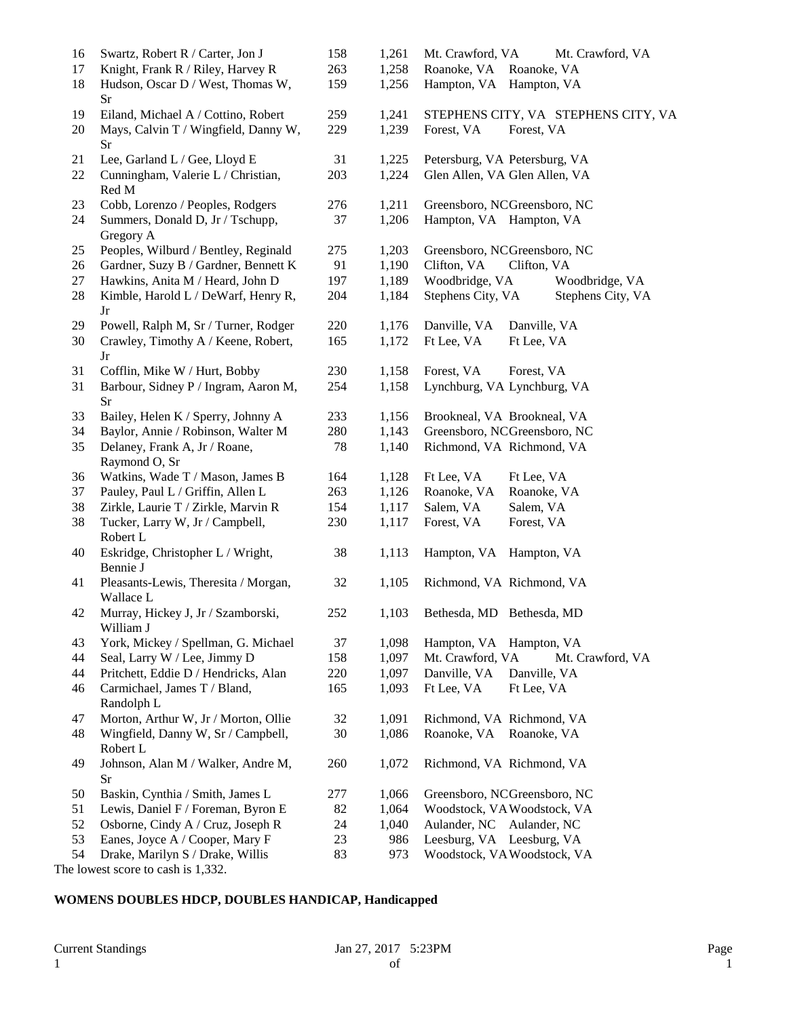| 16<br>17 | Swartz, Robert R / Carter, Jon J<br>Knight, Frank R / Riley, Harvey R | 158<br>263 | 1,261<br>1,258 | Mt. Crawford, VA<br>Mt. Crawford, VA<br>Roanoke, VA Roanoke, VA |
|----------|-----------------------------------------------------------------------|------------|----------------|-----------------------------------------------------------------|
| 18       | Hudson, Oscar D / West, Thomas W,<br>Sr                               | 159        | 1,256          | Hampton, VA Hampton, VA                                         |
| 19       | Eiland, Michael A / Cottino, Robert                                   | 259        | 1,241          | STEPHENS CITY, VA STEPHENS CITY, VA                             |
| 20       | Mays, Calvin T / Wingfield, Danny W,<br>Sr                            | 229        | 1,239          | Forest, VA<br>Forest, VA                                        |
| 21       | Lee, Garland L / Gee, Lloyd E                                         | 31         | 1,225          | Petersburg, VA Petersburg, VA                                   |
| 22       | Cunningham, Valerie L / Christian,<br>Red M                           | 203        | 1,224          | Glen Allen, VA Glen Allen, VA                                   |
| 23       | Cobb, Lorenzo / Peoples, Rodgers                                      | 276        | 1,211          | Greensboro, NCGreensboro, NC                                    |
| 24       | Summers, Donald D, Jr / Tschupp,<br>Gregory A                         | 37         | 1,206          | Hampton, VA Hampton, VA                                         |
| 25       | Peoples, Wilburd / Bentley, Reginald                                  | 275        | 1,203          | Greensboro, NCGreensboro, NC                                    |
| 26       | Gardner, Suzy B / Gardner, Bennett K                                  | 91         | 1,190          | Clifton, VA<br>Clifton, VA                                      |
| 27       | Hawkins, Anita M / Heard, John D                                      | 197        | 1,189          | Woodbridge, VA<br>Woodbridge, VA                                |
| 28       | Kimble, Harold L / DeWarf, Henry R,<br>Jr                             | 204        | 1,184          | Stephens City, VA<br>Stephens City, VA                          |
| 29       | Powell, Ralph M, Sr / Turner, Rodger                                  | 220        | 1,176          | Danville, VA<br>Danville, VA                                    |
| 30       | Crawley, Timothy A / Keene, Robert,<br>Jr                             | 165        | 1,172          | Ft Lee, VA<br>Ft Lee, VA                                        |
| 31       | Cofflin, Mike W / Hurt, Bobby                                         | 230        | 1,158          | Forest, VA<br>Forest, VA                                        |
| 31       | Barbour, Sidney P / Ingram, Aaron M,<br>Sr                            | 254        | 1,158          | Lynchburg, VA Lynchburg, VA                                     |
| 33       | Bailey, Helen K / Sperry, Johnny A                                    | 233        | 1,156          | Brookneal, VA Brookneal, VA                                     |
| 34       | Baylor, Annie / Robinson, Walter M                                    | 280        | 1,143          | Greensboro, NCGreensboro, NC                                    |
| 35       | Delaney, Frank A, Jr / Roane,<br>Raymond O, Sr                        | 78         | 1,140          | Richmond, VA Richmond, VA                                       |
| 36       | Watkins, Wade T / Mason, James B                                      | 164        | 1,128          | Ft Lee, VA<br>Ft Lee, VA                                        |
| 37       | Pauley, Paul L / Griffin, Allen L                                     | 263        | 1,126          | Roanoke, VA<br>Roanoke, VA                                      |
| 38       | Zirkle, Laurie T / Zirkle, Marvin R                                   | 154        | 1,117          | Salem, VA<br>Salem, VA                                          |
| 38       | Tucker, Larry W, Jr / Campbell,<br>Robert L                           | 230        | 1,117          | Forest, VA<br>Forest, VA                                        |
| 40       | Eskridge, Christopher L / Wright,<br>Bennie J                         | 38         | 1,113          | Hampton, VA Hampton, VA                                         |
| 41       | Pleasants-Lewis, Theresita / Morgan,<br>Wallace L                     | 32         | 1,105          | Richmond, VA Richmond, VA                                       |
| 42       | Murray, Hickey J, Jr / Szamborski,<br>William J                       | 252        | 1,103          | Bethesda, MD Bethesda, MD                                       |
| 43       | York, Mickey / Spellman, G. Michael                                   | 37         | 1,098          | Hampton, VA Hampton, VA                                         |
| 44       | Seal, Larry W / Lee, Jimmy D                                          | 158        | 1,097          | Mt. Crawford, VA<br>Mt. Crawford, VA                            |
| 44       | Pritchett, Eddie D / Hendricks, Alan                                  | 220        | 1,097          | Danville, VA<br>Danville, VA                                    |
| 46       | Carmichael, James T / Bland,<br>Randolph L                            | 165        | 1,093          | Ft Lee, VA<br>Ft Lee, VA                                        |
| 47       | Morton, Arthur W, Jr / Morton, Ollie                                  | 32         | 1,091          | Richmond, VA Richmond, VA                                       |
| 48       | Wingfield, Danny W, Sr / Campbell,<br>Robert L                        | 30         | 1,086          | Roanoke, VA<br>Roanoke, VA                                      |
| 49       | Johnson, Alan M / Walker, Andre M,<br>Sr                              | 260        | 1,072          | Richmond, VA Richmond, VA                                       |
| 50       | Baskin, Cynthia / Smith, James L                                      | 277        | 1,066          | Greensboro, NCGreensboro, NC                                    |
| 51       | Lewis, Daniel F / Foreman, Byron E                                    | 82         | 1,064          | Woodstock, VAWoodstock, VA                                      |
| 52       | Osborne, Cindy A / Cruz, Joseph R                                     | 24         | 1,040          | Aulander, NC Aulander, NC                                       |
| 53       | Eanes, Joyce A / Cooper, Mary F                                       | 23         | 986            | Leesburg, VA Leesburg, VA                                       |
| 54       | Drake, Marilyn S / Drake, Willis<br>1.1.120                           | 83         | 973            | Woodstock, VAWoodstock, VA                                      |

The lowest score to cash is 1,332.

## **WOMENS DOUBLES HDCP, DOUBLES HANDICAP, Handicapped**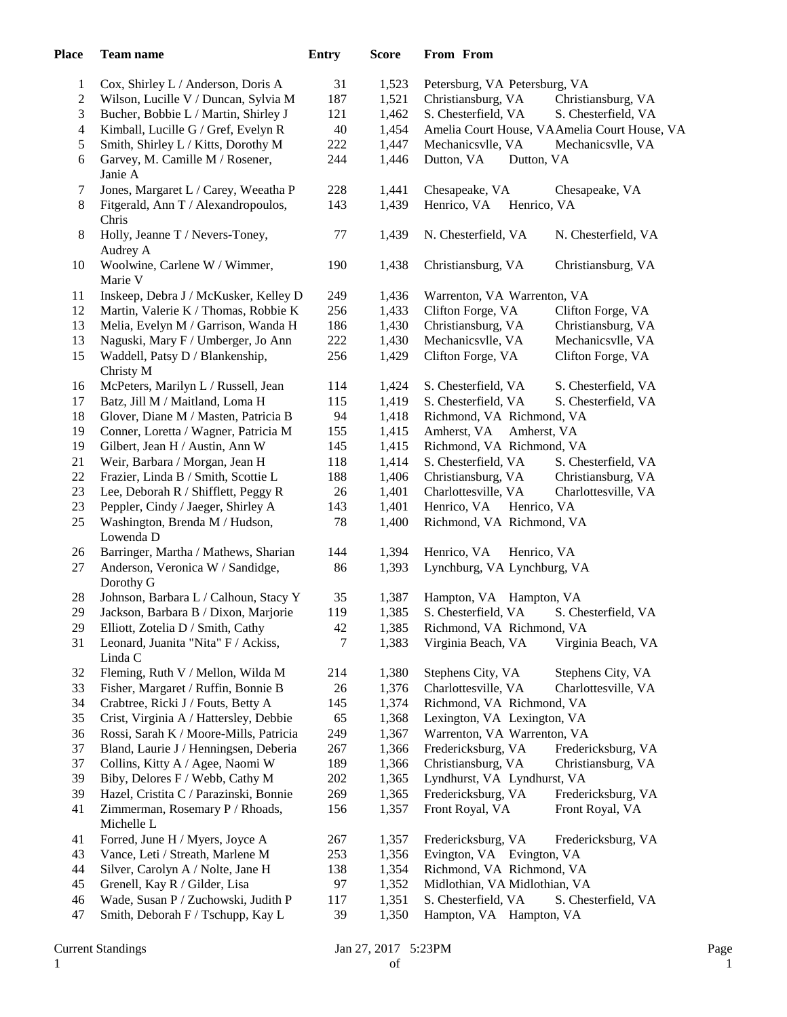| <b>Place</b>   | <b>Team name</b>                       | <b>Entry</b> | <b>Score</b> | From From                     |                                              |
|----------------|----------------------------------------|--------------|--------------|-------------------------------|----------------------------------------------|
| 1              | Cox, Shirley L / Anderson, Doris A     | 31           | 1,523        | Petersburg, VA Petersburg, VA |                                              |
| $\overline{c}$ | Wilson, Lucille V / Duncan, Sylvia M   | 187          | 1,521        | Christiansburg, VA            | Christiansburg, VA                           |
| 3              | Bucher, Bobbie L / Martin, Shirley J   | 121          | 1,462        | S. Chesterfield, VA           | S. Chesterfield, VA                          |
| 4              | Kimball, Lucille G / Gref, Evelyn R    | 40           | 1,454        |                               | Amelia Court House, VAAmelia Court House, VA |
| 5              | Smith, Shirley L / Kitts, Dorothy M    | 222          | 1,447        | Mechanicsvlle, VA             | Mechanicsvlle, VA                            |
| 6              | Garvey, M. Camille M / Rosener,        | 244          | 1,446        | Dutton, VA<br>Dutton, VA      |                                              |
|                | Janie A                                |              |              |                               |                                              |
| 7              | Jones, Margaret L / Carey, Weeatha P   | 228          | 1,441        | Chesapeake, VA                | Chesapeake, VA                               |
| 8              | Fitgerald, Ann T / Alexandropoulos,    | 143          | 1,439        | Henrico, VA<br>Henrico, VA    |                                              |
|                | Chris                                  |              |              |                               |                                              |
| 8              | Holly, Jeanne T / Nevers-Toney,        | $77 \,$      | 1,439        | N. Chesterfield, VA           | N. Chesterfield, VA                          |
|                | Audrey A                               |              |              |                               |                                              |
| 10             | Woolwine, Carlene W / Wimmer,          | 190          | 1,438        | Christiansburg, VA            | Christiansburg, VA                           |
|                | Marie V                                |              |              |                               |                                              |
| 11             | Inskeep, Debra J / McKusker, Kelley D  | 249          | 1,436        | Warrenton, VA Warrenton, VA   |                                              |
| 12             | Martin, Valerie K / Thomas, Robbie K   | 256          | 1,433        | Clifton Forge, VA             | Clifton Forge, VA                            |
| 13             | Melia, Evelyn M / Garrison, Wanda H    | 186          | 1,430        | Christiansburg, VA            | Christiansburg, VA                           |
| 13             | Naguski, Mary F / Umberger, Jo Ann     | 222          | 1,430        | Mechanicsvlle, VA             | Mechanicsvlle, VA                            |
| 15             | Waddell, Patsy D / Blankenship,        | 256          | 1,429        | Clifton Forge, VA             | Clifton Forge, VA                            |
|                | Christy M                              |              |              |                               |                                              |
| 16             | McPeters, Marilyn L / Russell, Jean    | 114          | 1,424        | S. Chesterfield, VA           | S. Chesterfield, VA                          |
| 17             | Batz, Jill M / Maitland, Loma H        | 115          | 1,419        | S. Chesterfield, VA           | S. Chesterfield, VA                          |
| 18             | Glover, Diane M / Masten, Patricia B   | 94           | 1,418        | Richmond, VA Richmond, VA     |                                              |
| 19             | Conner, Loretta / Wagner, Patricia M   | 155          | 1,415        | Amherst, VA                   | Amherst, VA                                  |
| 19             | Gilbert, Jean H / Austin, Ann W        | 145          | 1,415        | Richmond, VA Richmond, VA     |                                              |
| 21             | Weir, Barbara / Morgan, Jean H         | 118          | 1,414        | S. Chesterfield, VA           | S. Chesterfield, VA                          |
| 22             | Frazier, Linda B / Smith, Scottie L    | 188          | 1,406        | Christiansburg, VA            | Christiansburg, VA                           |
| 23             | Lee, Deborah R / Shifflett, Peggy R    | $26\,$       | 1,401        | Charlottesville, VA           | Charlottesville, VA                          |
| 23             | Peppler, Cindy / Jaeger, Shirley A     | 143          | 1,401        | Henrico, VA<br>Henrico, VA    |                                              |
| 25             | Washington, Brenda M / Hudson,         | 78           | 1,400        | Richmond, VA Richmond, VA     |                                              |
|                | Lowenda D                              |              |              |                               |                                              |
| 26             | Barringer, Martha / Mathews, Sharian   | 144          | 1,394        | Henrico, VA                   | Henrico, VA                                  |
| 27             | Anderson, Veronica W / Sandidge,       | 86           | 1,393        | Lynchburg, VA Lynchburg, VA   |                                              |
|                | Dorothy G                              |              |              |                               |                                              |
| 28             | Johnson, Barbara L / Calhoun, Stacy Y  | 35           | 1,387        | Hampton, VA Hampton, VA       |                                              |
| 29             | Jackson, Barbara B / Dixon, Marjorie   | 119          | 1,385        | S. Chesterfield, VA           | S. Chesterfield, VA                          |
| 29             | Elliott, Zotelia D / Smith, Cathy      | 42           | 1,385        | Richmond, VA Richmond, VA     |                                              |
| 31             | Leonard, Juanita "Nita" F / Ackiss,    | 7            | 1,383        | Virginia Beach, VA            | Virginia Beach, VA                           |
|                | Linda C                                |              |              |                               |                                              |
| 32             | Fleming, Ruth V / Mellon, Wilda M      | 214          | 1,380        | Stephens City, VA             | Stephens City, VA                            |
| 33             | Fisher, Margaret / Ruffin, Bonnie B    | 26           | 1,376        | Charlottesville, VA           | Charlottesville, VA                          |
| 34             | Crabtree, Ricki J / Fouts, Betty A     | 145          | 1,374        | Richmond, VA Richmond, VA     |                                              |
| 35             | Crist, Virginia A / Hattersley, Debbie | 65           | 1,368        | Lexington, VA Lexington, VA   |                                              |
| 36             | Rossi, Sarah K / Moore-Mills, Patricia | 249          | 1,367        | Warrenton, VA Warrenton, VA   |                                              |
| 37             | Bland, Laurie J / Henningsen, Deberia  | 267          | 1,366        | Fredericksburg, VA            | Fredericksburg, VA                           |
| 37             | Collins, Kitty A / Agee, Naomi W       | 189          | 1,366        | Christiansburg, VA            | Christiansburg, VA                           |
| 39             | Biby, Delores F / Webb, Cathy M        | 202          | 1,365        | Lyndhurst, VA Lyndhurst, VA   |                                              |
| 39             | Hazel, Cristita C / Parazinski, Bonnie | 269          | 1,365        | Fredericksburg, VA            | Fredericksburg, VA                           |
| 41             | Zimmerman, Rosemary P / Rhoads,        | 156          | 1,357        | Front Royal, VA               | Front Royal, VA                              |
|                | Michelle L                             |              |              |                               |                                              |
| 41             | Forred, June H / Myers, Joyce A        | 267          | 1,357        | Fredericksburg, VA            | Fredericksburg, VA                           |
| 43             | Vance, Leti / Streath, Marlene M       | 253          | 1,356        | Evington, VA Evington, VA     |                                              |
| 44             | Silver, Carolyn A / Nolte, Jane H      | 138          | 1,354        | Richmond, VA Richmond, VA     |                                              |
| 45             | Grenell, Kay R / Gilder, Lisa          | 97           | 1,352        | Midlothian, VA Midlothian, VA |                                              |
| 46             | Wade, Susan P / Zuchowski, Judith P    | 117          | 1,351        | S. Chesterfield, VA           | S. Chesterfield, VA                          |
| 47             | Smith, Deborah F / Tschupp, Kay L      | 39           | 1,350        | Hampton, VA Hampton, VA       |                                              |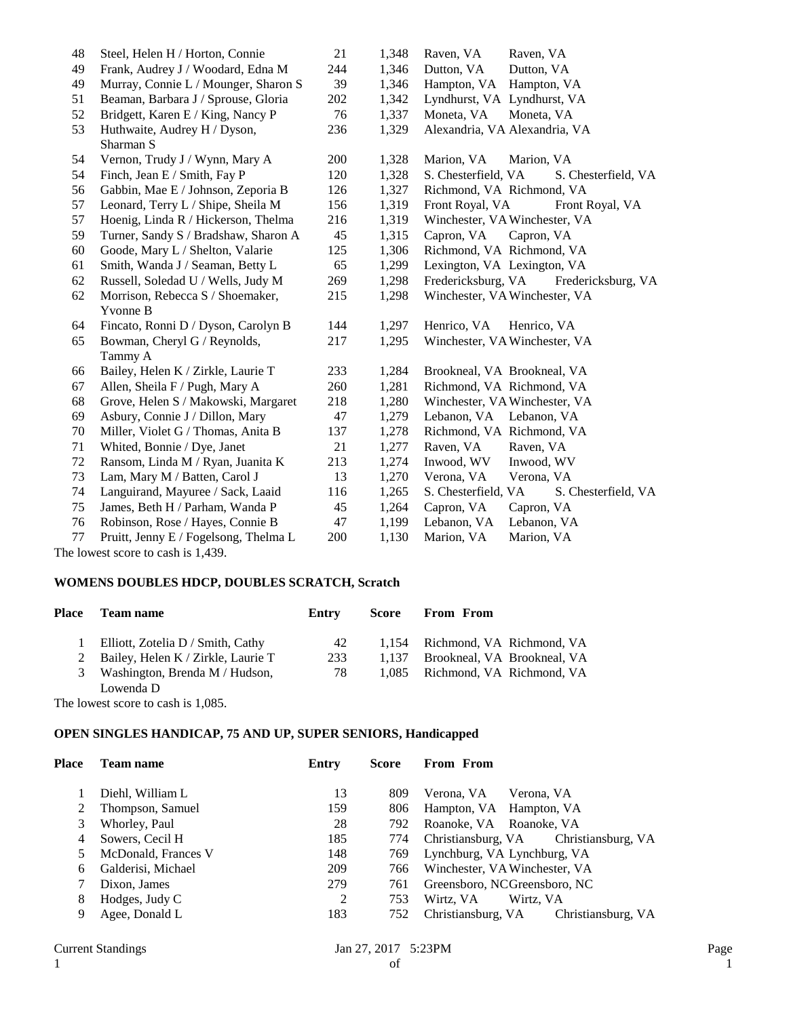| 48 | Steel, Helen H / Horton, Connie              | 21  | 1,348 | Raven, VA<br>Raven, VA                     |
|----|----------------------------------------------|-----|-------|--------------------------------------------|
| 49 | Frank, Audrey J / Woodard, Edna M            | 244 | 1,346 | Dutton, VA<br>Dutton, VA                   |
| 49 | Murray, Connie L / Mounger, Sharon S         | 39  | 1,346 | Hampton, VA<br>Hampton, VA                 |
| 51 | Beaman, Barbara J / Sprouse, Gloria          | 202 | 1,342 | Lyndhurst, VA Lyndhurst, VA                |
| 52 | Bridgett, Karen E / King, Nancy P            | 76  | 1,337 | Moneta, VA<br>Moneta, VA                   |
| 53 | Huthwaite, Audrey H / Dyson,<br>Sharman S    | 236 | 1,329 | Alexandria, VA Alexandria, VA              |
| 54 | Vernon, Trudy J / Wynn, Mary A               | 200 | 1,328 | Marion, VA<br>Marion, VA                   |
| 54 | Finch, Jean E / Smith, Fay P                 | 120 | 1,328 | S. Chesterfield, VA<br>S. Chesterfield, VA |
| 56 | Gabbin, Mae E / Johnson, Zeporia B           | 126 | 1,327 | Richmond, VA Richmond, VA                  |
| 57 | Leonard, Terry L / Shipe, Sheila M           | 156 | 1,319 | Front Royal, VA<br>Front Royal, VA         |
| 57 | Hoenig, Linda R / Hickerson, Thelma          | 216 | 1,319 | Winchester, VA Winchester, VA              |
| 59 | Turner, Sandy S / Bradshaw, Sharon A         | 45  | 1,315 | Capron, VA<br>Capron, VA                   |
| 60 | Goode, Mary L / Shelton, Valarie             | 125 | 1,306 | Richmond, VA Richmond, VA                  |
| 61 | Smith, Wanda J / Seaman, Betty L             | 65  | 1,299 | Lexington, VA Lexington, VA                |
| 62 | Russell, Soledad U / Wells, Judy M           | 269 | 1,298 | Fredericksburg, VA<br>Fredericksburg, VA   |
| 62 | Morrison, Rebecca S / Shoemaker,<br>Yvonne B | 215 | 1,298 | Winchester, VA Winchester, VA              |
| 64 | Fincato, Ronni D / Dyson, Carolyn B          | 144 | 1,297 | Henrico, VA<br>Henrico, VA                 |
| 65 | Bowman, Cheryl G / Reynolds,<br>Tammy A      | 217 | 1,295 | Winchester, VA Winchester, VA              |
| 66 | Bailey, Helen K / Zirkle, Laurie T           | 233 | 1,284 | Brookneal, VA Brookneal, VA                |
| 67 | Allen, Sheila F / Pugh, Mary A               | 260 | 1,281 | Richmond, VA Richmond, VA                  |
| 68 | Grove, Helen S / Makowski, Margaret          | 218 | 1,280 | Winchester, VA Winchester, VA              |
| 69 | Asbury, Connie J / Dillon, Mary              | 47  | 1,279 | Lebanon, VA Lebanon, VA                    |
| 70 | Miller, Violet G / Thomas, Anita B           | 137 | 1,278 | Richmond, VA Richmond, VA                  |
| 71 | Whited, Bonnie / Dye, Janet                  | 21  | 1,277 | Raven, VA<br>Raven, VA                     |
| 72 | Ransom, Linda M / Ryan, Juanita K            | 213 | 1,274 | Inwood, WV<br>Inwood, WV                   |
| 73 | Lam, Mary M / Batten, Carol J                | 13  | 1,270 | Verona, VA<br>Verona, VA                   |
| 74 | Languirand, Mayuree / Sack, Laaid            | 116 | 1,265 | S. Chesterfield, VA<br>S. Chesterfield, VA |
| 75 | James, Beth H / Parham, Wanda P              | 45  | 1,264 | Capron, VA<br>Capron, VA                   |
| 76 | Robinson, Rose / Hayes, Connie B             | 47  | 1,199 | Lebanon, VA<br>Lebanon, VA                 |
| 77 | Pruitt, Jenny E / Fogelsong, Thelma L        | 200 | 1,130 | Marion, VA<br>Marion, VA                   |

The lowest score to cash is 1,439.

# **WOMENS DOUBLES HDCP, DOUBLES SCRATCH, Scratch**

| Place | <b>Team name</b>                     | Entry | Score | <b>From From</b>                  |
|-------|--------------------------------------|-------|-------|-----------------------------------|
|       | Elliott, Zotelia D / Smith, Cathy    | 42    |       | 1,154 Richmond, VA Richmond, VA   |
|       | 2 Bailey, Helen K / Zirkle, Laurie T | 233   |       | 1,137 Brookneal, VA Brookneal, VA |
|       | 3 Washington, Brenda M / Hudson,     | 78    |       | 1,085 Richmond, VA Richmond, VA   |
|       | Lowenda D                            |       |       |                                   |

The lowest score to cash is 1,085.

### **OPEN SINGLES HANDICAP, 75 AND UP, SUPER SENIORS, Handicapped**

| Place | Team name           | Entry | Score | From From                                |
|-------|---------------------|-------|-------|------------------------------------------|
|       | Diehl, William L    | 13    | 809   | Verona, VA<br>Verona, VA                 |
|       | Thompson, Samuel    | 159   | 806   | Hampton, VA Hampton, VA                  |
| 3     | Whorley, Paul       | 28    | 792   | Roanoke, VA Roanoke, VA                  |
|       | Sowers, Cecil H     | 185   | 774   | Christiansburg, VA Christiansburg, VA    |
|       | McDonald, Frances V | 148   | 769   | Lynchburg, VA Lynchburg, VA              |
| 6     | Galderisi, Michael  | 209   | 766   | Winchester, VA Winchester, VA            |
|       | Dixon, James        | 279   | 761   | Greensboro, NCGreensboro, NC             |
| 8     | Hodges, Judy C      | 2     | 753   | Wirtz, VA<br>Wirtz, VA                   |
| 9     | Agee, Donald L      | 183   | 752   | Christiansburg, VA<br>Christiansburg, VA |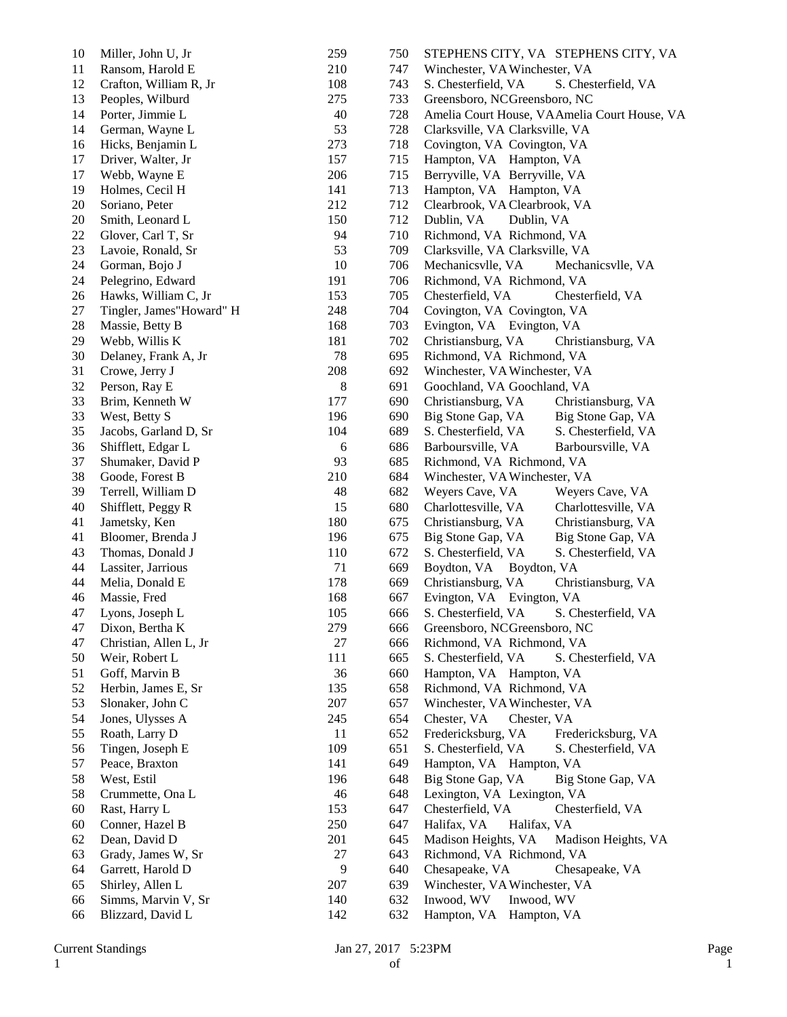| 10 | Miller, John U, Jr       | 259     | 750 | STEPHENS CITY, VA STEPHENS CITY, VA          |
|----|--------------------------|---------|-----|----------------------------------------------|
| 11 | Ransom, Harold E         | 210     | 747 | Winchester, VA Winchester, VA                |
| 12 | Crafton, William R, Jr   | 108     | 743 | S. Chesterfield, VA<br>S. Chesterfield, VA   |
| 13 | Peoples, Wilburd         | 275     | 733 | Greensboro, NCGreensboro, NC                 |
| 14 | Porter, Jimmie L         | 40      | 728 | Amelia Court House, VAAmelia Court House, VA |
| 14 | German, Wayne L          | 53      | 728 | Clarksville, VA Clarksville, VA              |
| 16 | Hicks, Benjamin L        | 273     | 718 | Covington, VA Covington, VA                  |
| 17 | Driver, Walter, Jr       | 157     | 715 | Hampton, VA Hampton, VA                      |
| 17 | Webb, Wayne E            | 206     | 715 | Berryville, VA Berryville, VA                |
| 19 | Holmes, Cecil H          | 141     | 713 | Hampton, VA Hampton, VA                      |
| 20 | Soriano, Peter           | 212     | 712 | Clearbrook, VA Clearbrook, VA                |
| 20 | Smith, Leonard L         | 150     | 712 | Dublin, VA<br>Dublin, VA                     |
| 22 | Glover, Carl T, Sr       | 94      | 710 | Richmond, VA Richmond, VA                    |
| 23 | Lavoie, Ronald, Sr       | 53      | 709 | Clarksville, VA Clarksville, VA              |
| 24 | Gorman, Bojo J           | 10      | 706 | Mechanicsvlle, VA<br>Mechanicsvlle, VA       |
| 24 | Pelegrino, Edward        | 191     | 706 | Richmond, VA Richmond, VA                    |
|    |                          | 153     | 705 |                                              |
| 26 | Hawks, William C, Jr     |         |     | Chesterfield, VA<br>Chesterfield, VA         |
| 27 | Tingler, James"Howard" H | 248     | 704 | Covington, VA Covington, VA                  |
| 28 | Massie, Betty B          | 168     | 703 | Evington, VA Evington, VA                    |
| 29 | Webb, Willis K           | 181     | 702 | Christiansburg, VA<br>Christiansburg, VA     |
| 30 | Delaney, Frank A, Jr     | 78      | 695 | Richmond, VA Richmond, VA                    |
| 31 | Crowe, Jerry J           | 208     | 692 | Winchester, VA Winchester, VA                |
| 32 | Person, Ray E            | $\,8\,$ | 691 | Goochland, VA Goochland, VA                  |
| 33 | Brim, Kenneth W          | 177     | 690 | Christiansburg, VA<br>Christiansburg, VA     |
| 33 | West, Betty S            | 196     | 690 | Big Stone Gap, VA<br>Big Stone Gap, VA       |
| 35 | Jacobs, Garland D, Sr    | 104     | 689 | S. Chesterfield, VA<br>S. Chesterfield, VA   |
| 36 | Shifflett, Edgar L       | 6       | 686 | Barboursville, VA<br>Barboursville, VA       |
| 37 | Shumaker, David P        | 93      | 685 | Richmond, VA Richmond, VA                    |
| 38 | Goode, Forest B          | 210     | 684 | Winchester, VA Winchester, VA                |
| 39 | Terrell, William D       | 48      | 682 | Weyers Cave, VA<br>Weyers Cave, VA           |
| 40 | Shifflett, Peggy R       | 15      | 680 | Charlottesville, VA<br>Charlottesville, VA   |
| 41 | Jametsky, Ken            | 180     | 675 | Christiansburg, VA<br>Christiansburg, VA     |
| 41 | Bloomer, Brenda J        | 196     | 675 | Big Stone Gap, VA<br>Big Stone Gap, VA       |
| 43 | Thomas, Donald J         | 110     | 672 | S. Chesterfield, VA<br>S. Chesterfield, VA   |
| 44 | Lassiter, Jarrious       | 71      | 669 | Boydton, VA<br>Boydton, VA                   |
| 44 | Melia, Donald E          | 178     | 669 | Christiansburg, VA<br>Christiansburg, VA     |
| 46 | Massie, Fred             | 168     | 667 | Evington, VA Evington, VA                    |
| 47 | Lyons, Joseph L          | 105     | 666 | S. Chesterfield, VA<br>S. Chesterfield, VA   |
| 47 | Dixon, Bertha K          | 279     | 666 | Greensboro, NCGreensboro, NC                 |
| 47 | Christian, Allen L, Jr   | 27      | 666 | Richmond, VA Richmond, VA                    |
| 50 | Weir, Robert L           | 111     | 665 | S. Chesterfield, VA<br>S. Chesterfield, VA   |
| 51 | Goff, Marvin B           | 36      | 660 | Hampton, VA Hampton, VA                      |
| 52 | Herbin, James E, Sr      | 135     | 658 | Richmond, VA Richmond, VA                    |
| 53 | Slonaker, John C         | 207     | 657 | Winchester, VA Winchester, VA                |
| 54 | Jones, Ulysses A         | 245     | 654 | Chester, VA<br>Chester, VA                   |
| 55 |                          | 11      | 652 | Fredericksburg, VA                           |
|    | Roath, Larry D           |         |     | Fredericksburg, VA                           |
| 56 | Tingen, Joseph E         | 109     | 651 | S. Chesterfield, VA<br>S. Chesterfield, VA   |
| 57 | Peace, Braxton           | 141     | 649 | Hampton, VA Hampton, VA                      |
| 58 | West, Estil              | 196     | 648 | Big Stone Gap, VA<br>Big Stone Gap, VA       |
| 58 | Crummette, Ona L         | 46      | 648 | Lexington, VA Lexington, VA                  |
| 60 | Rast, Harry L            | 153     | 647 | Chesterfield, VA<br>Chesterfield, VA         |
| 60 | Conner, Hazel B          | 250     | 647 | Halifax, VA<br>Halifax, VA                   |
| 62 | Dean, David D            | 201     | 645 | Madison Heights, VA<br>Madison Heights, VA   |
| 63 | Grady, James W, Sr       | 27      | 643 | Richmond, VA Richmond, VA                    |
| 64 | Garrett, Harold D        | 9       | 640 | Chesapeake, VA<br>Chesapeake, VA             |
| 65 | Shirley, Allen L         | 207     | 639 | Winchester, VA Winchester, VA                |
| 66 | Simms, Marvin V, Sr      | 140     | 632 | Inwood, WV<br>Inwood, WV                     |
| 66 | Blizzard, David L        | 142     | 632 | Hampton, VA Hampton, VA                      |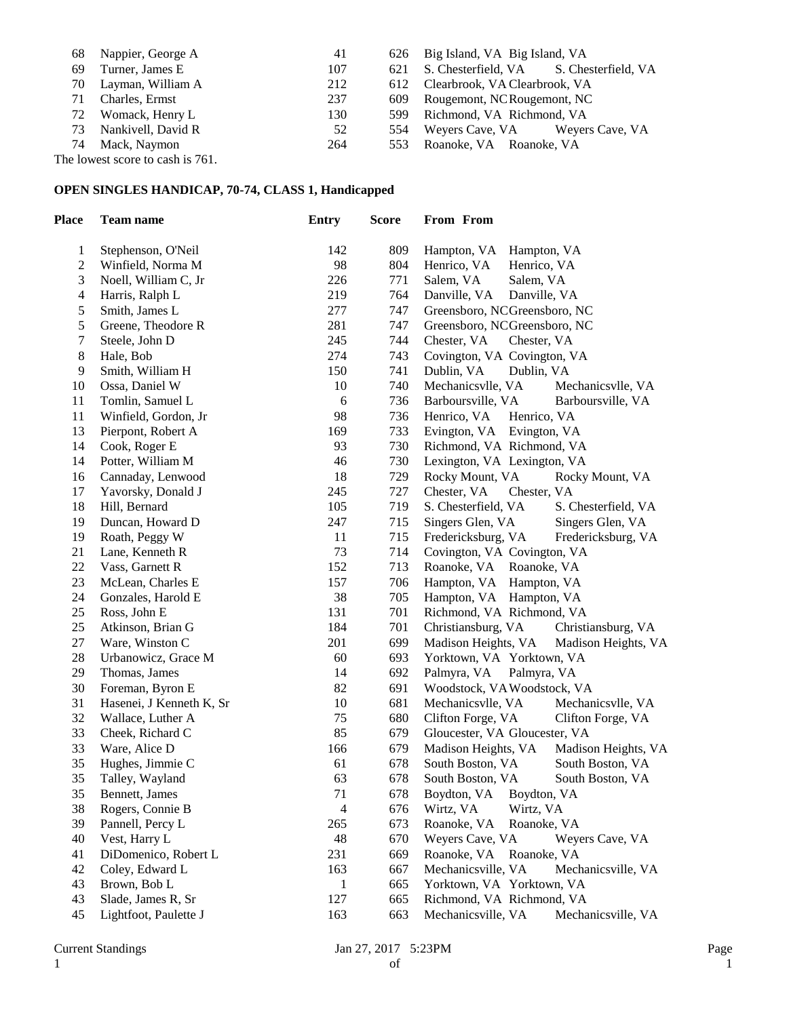| 68 | Nappier, George A  | 41  |     | 626 Big Island, VA Big Island, VA       |
|----|--------------------|-----|-----|-----------------------------------------|
| 69 | Turner, James E    | 107 | 621 | S. Chesterfield, VA S. Chesterfield, VA |
| 70 | Layman, William A  | 212 |     | 612 Clearbrook, VA Clearbrook, VA       |
| 71 | Charles, Ermst     | 237 |     | 609 Rougemont, NCRougemont, NC          |
| 72 | Womack, Henry L    | 130 |     | 599 Richmond, VA Richmond, VA           |
| 73 | Nankivell, David R | 52  |     | 554 Weyers Cave, VA Weyers Cave, VA     |
| 74 | Mack, Naymon       | 264 |     | 553 Roanoke, VA Roanoke, VA             |
|    |                    |     |     |                                         |

The lowest score to cash is 761.

### **OPEN SINGLES HANDICAP, 70-74, CLASS 1, Handicapped**

| <b>Place</b>   | <b>Team name</b>                            | <b>Entry</b>   | <b>Score</b> | From From                                        |
|----------------|---------------------------------------------|----------------|--------------|--------------------------------------------------|
| 1              | Stephenson, O'Neil                          | 142            | 809          | Hampton, VA<br>Hampton, VA                       |
| $\overline{c}$ | Winfield, Norma M                           | 98             | 804          | Henrico, VA<br>Henrico, VA                       |
| 3              | Noell, William C, Jr                        | 226            | 771          | Salem, VA<br>Salem, VA                           |
| 4              | Harris, Ralph L                             | 219            | 764          | Danville, VA<br>Danville, VA                     |
| 5              | Smith, James L                              | 277            | 747          | Greensboro, NCGreensboro, NC                     |
| 5              | Greene, Theodore R                          | 281            | 747          | Greensboro, NCGreensboro, NC                     |
| 7              | Steele, John D                              | 245            | 744          | Chester, VA<br>Chester, VA                       |
| 8              | Hale, Bob                                   | 274            | 743          | Covington, VA Covington, VA                      |
| 9              | Smith, William H                            | 150            | 741          | Dublin, VA<br>Dublin, VA                         |
| 10             | Ossa, Daniel W                              | 10             | 740          | Mechanicsvlle, VA<br>Mechanicsvlle, VA           |
| 11             | Tomlin, Samuel L                            | 6              | 736          | Barboursville, VA<br>Barboursville, VA           |
| 11             | Winfield, Gordon, Jr                        | 98             | 736          | Henrico, VA<br>Henrico, VA                       |
| 13             | Pierpont, Robert A                          | 169            | 733          | Evington, VA Evington, VA                        |
| 14             | Cook, Roger E                               | 93             | 730          | Richmond, VA Richmond, VA                        |
| 14             | Potter, William M                           | 46             | 730          | Lexington, VA Lexington, VA                      |
| 16             | Cannaday, Lenwood                           | 18             | 729          | Rocky Mount, VA<br>Rocky Mount, VA               |
| 17             | Yavorsky, Donald J                          | 245            | 727          | Chester, VA<br>Chester, VA                       |
| 18             | Hill, Bernard                               | 105            | 719          | S. Chesterfield, VA<br>S. Chesterfield, VA       |
| 19             | Duncan, Howard D                            | 247            | 715          | Singers Glen, VA<br>Singers Glen, VA             |
| 19             | Roath, Peggy W                              | 11             | 715          | Fredericksburg, VA<br>Fredericksburg, VA         |
| 21             | Lane, Kenneth R                             | 73             | 714          | Covington, VA Covington, VA                      |
| 22             | Vass, Garnett R                             | 152            | 713          | Roanoke, VA Roanoke, VA                          |
| 23             | McLean, Charles E                           | 157            | 706          | Hampton, VA Hampton, VA                          |
| 24             | Gonzales, Harold E                          | 38             | 705          | Hampton, VA Hampton, VA                          |
| 25             | Ross, John E                                | 131            | 701          | Richmond, VA Richmond, VA                        |
| 25             | Atkinson, Brian G                           | 184            | 701          | Christiansburg, VA<br>Christiansburg, VA         |
| 27             | Ware, Winston C                             | 201            | 699          | Madison Heights, VA<br>Madison Heights, VA       |
| 28             | Urbanowicz, Grace M                         | 60             | 693          | Yorktown, VA Yorktown, VA                        |
| 29             | Thomas, James                               | 14             | 692          | Palmyra, VA<br>Palmyra, VA                       |
| 30             | Foreman, Byron E                            | 82             | 691          | Woodstock, VA Woodstock, VA                      |
| 31             | Hasenei, J Kenneth K, Sr                    | 10             | 681          | Mechanicsvlle, VA<br>Mechanicsvlle, VA           |
| 32             | Wallace, Luther A                           | 75             | 680          | Clifton Forge, VA<br>Clifton Forge, VA           |
| 33             | Cheek, Richard C                            | 85             | 679          | Gloucester, VA Gloucester, VA                    |
| 33             | Ware, Alice D                               | 166            | 679          | Madison Heights, VA<br>Madison Heights, VA       |
| 35             | Hughes, Jimmie C                            | 61             | 678          | South Boston, VA<br>South Boston, VA             |
| 35             | Talley, Wayland                             | 63             | 678          | South Boston, VA<br>South Boston, VA             |
| 35             | Bennett, James                              | 71             | 678          | Boydton, VA<br>Boydton, VA                       |
| 38             | Rogers, Connie B                            | $\overline{4}$ | 676          | Wirtz, VA<br>Wirtz, VA                           |
| 39             | Pannell, Percy L                            | 265            | 673          | Roanoke, VA<br>Roanoke, VA                       |
| 40             | Vest, Harry L                               | 48             | 670          | Weyers Cave, VA<br>Weyers Cave, VA               |
| 41<br>42       | DiDomenico, Robert L                        | 231<br>163     | 669          | Roanoke, VA<br>Roanoke, VA<br>Mechanicsville, VA |
|                | Coley, Edward L<br>Brown, Bob L             |                | 667<br>665   | Mechanicsville, VA<br>Yorktown, VA Yorktown, VA  |
| 43<br>43       |                                             | 1<br>127       |              | Richmond, VA Richmond, VA                        |
| 45             | Slade, James R, Sr<br>Lightfoot, Paulette J |                | 665          |                                                  |
|                |                                             | 163            | 663          | Mechanicsville, VA<br>Mechanicsville, VA         |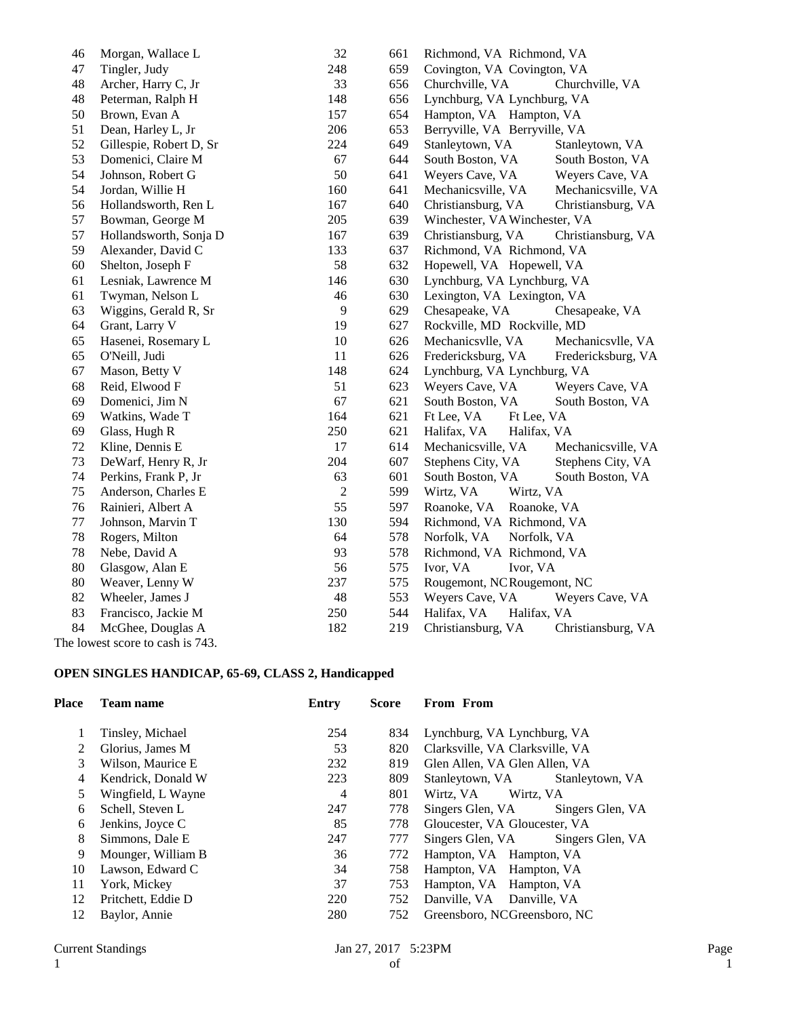| 46 | Morgan, Wallace L                | 32             | 661 | Richmond, VA Richmond, VA                |
|----|----------------------------------|----------------|-----|------------------------------------------|
| 47 | Tingler, Judy                    | 248            | 659 | Covington, VA Covington, VA              |
| 48 | Archer, Harry C, Jr              | 33             | 656 | Churchville, VA<br>Churchville, VA       |
| 48 | Peterman, Ralph H                | 148            | 656 | Lynchburg, VA Lynchburg, VA              |
| 50 | Brown, Evan A                    | 157            | 654 | Hampton, VA Hampton, VA                  |
| 51 | Dean, Harley L, Jr               | 206            | 653 | Berryville, VA Berryville, VA            |
| 52 | Gillespie, Robert D, Sr          | 224            | 649 | Stanleytown, VA<br>Stanleytown, VA       |
| 53 | Domenici, Claire M               | 67             | 644 | South Boston, VA<br>South Boston, VA     |
| 54 | Johnson, Robert G                | 50             | 641 | Weyers Cave, VA<br>Weyers Cave, VA       |
| 54 | Jordan, Willie H                 | 160            | 641 | Mechanicsville, VA<br>Mechanicsville, VA |
| 56 | Hollandsworth, Ren L             | 167            | 640 | Christiansburg, VA<br>Christiansburg, VA |
| 57 | Bowman, George M                 | 205            | 639 | Winchester, VA Winchester, VA            |
| 57 | Hollandsworth, Sonja D           | 167            | 639 | Christiansburg, VA<br>Christiansburg, VA |
| 59 | Alexander, David C               | 133            | 637 | Richmond, VA Richmond, VA                |
| 60 | Shelton, Joseph F                | 58             | 632 | Hopewell, VA Hopewell, VA                |
| 61 | Lesniak, Lawrence M              | 146            | 630 | Lynchburg, VA Lynchburg, VA              |
| 61 | Twyman, Nelson L                 | 46             | 630 | Lexington, VA Lexington, VA              |
| 63 | Wiggins, Gerald R, Sr            | $\overline{9}$ | 629 | Chesapeake, VA<br>Chesapeake, VA         |
| 64 | Grant, Larry V                   | 19             | 627 | Rockville, MD Rockville, MD              |
| 65 | Hasenei, Rosemary L              | 10             | 626 | Mechanicsvlle, VA<br>Mechanicsvlle, VA   |
| 65 | O'Neill, Judi                    | 11             | 626 | Fredericksburg, VA<br>Fredericksburg, VA |
| 67 | Mason, Betty V                   | 148            | 624 | Lynchburg, VA Lynchburg, VA              |
| 68 | Reid, Elwood F                   | 51             | 623 | Weyers Cave, VA<br>Weyers Cave, VA       |
| 69 | Domenici, Jim N                  | 67             | 621 | South Boston, VA<br>South Boston, VA     |
| 69 | Watkins, Wade T                  | 164            | 621 | Ft Lee, VA<br>Ft Lee, VA                 |
| 69 | Glass, Hugh R                    | 250            | 621 | Halifax, VA<br>Halifax, VA               |
| 72 | Kline, Dennis E                  | 17             | 614 | Mechanicsville, VA<br>Mechanicsville, VA |
| 73 | DeWarf, Henry R, Jr              | 204            | 607 | Stephens City, VA<br>Stephens City, VA   |
| 74 | Perkins, Frank P, Jr             | 63             | 601 | South Boston, VA<br>South Boston, VA     |
| 75 | Anderson, Charles E              | $\sqrt{2}$     | 599 | Wirtz, VA<br>Wirtz, VA                   |
| 76 | Rainieri, Albert A               | 55             | 597 | Roanoke, VA<br>Roanoke, VA               |
| 77 | Johnson, Marvin T                | 130            | 594 | Richmond, VA Richmond, VA                |
| 78 | Rogers, Milton                   | 64             | 578 | Norfolk, VA<br>Norfolk, VA               |
| 78 | Nebe, David A                    | 93             | 578 | Richmond, VA Richmond, VA                |
| 80 | Glasgow, Alan E                  | 56             | 575 | Ivor, VA<br>Ivor, VA                     |
| 80 | Weaver, Lenny W                  | 237            | 575 | Rougemont, NCRougemont, NC               |
| 82 | Wheeler, James J                 | $\sqrt{48}$    | 553 | Weyers Cave, VA<br>Weyers Cave, VA       |
| 83 | Francisco, Jackie M              | 250            | 544 | Halifax, VA<br>Halifax, VA               |
| 84 | McGhee, Douglas A                | 182            | 219 | Christiansburg, VA<br>Christiansburg, VA |
|    | The lowest score to cash is 743. |                |     |                                          |

## **OPEN SINGLES HANDICAP, 65-69, CLASS 2, Handicapped**

| Place         | <b>Team name</b>   | Entry | <b>Score</b> | From From                            |
|---------------|--------------------|-------|--------------|--------------------------------------|
|               | Tinsley, Michael   | 254   | 834          | Lynchburg, VA Lynchburg, VA          |
| $\mathcal{L}$ | Glorius, James M   | 53    | 820          | Clarksville, VA Clarksville, VA      |
| 3             | Wilson, Maurice E  | 232   | 819          | Glen Allen, VA Glen Allen, VA        |
| 4             | Kendrick, Donald W | 223   | 809          | Stanleytown, VA<br>Stanleytown, VA   |
| 5             | Wingfield, L Wayne | 4     | 801          | Wirtz, VA Wirtz, VA                  |
| 6             | Schell, Steven L   | 247   | 778          | Singers Glen, VA<br>Singers Glen, VA |
| 6             | Jenkins, Joyce C   | 85    | 778          | Gloucester, VA Gloucester, VA        |
| 8             | Simmons, Dale E    | 247   | 777          | Singers Glen, VA Singers Glen, VA    |
| 9             | Mounger, William B | 36    | 772          | Hampton, VA Hampton, VA              |
| 10            | Lawson, Edward C   | 34    | 758          | Hampton, VA Hampton, VA              |
| 11            | York, Mickey       | 37    | 753          | Hampton, VA Hampton, VA              |
| 12            | Pritchett, Eddie D | 220   | 752          | Danville, VA Danville, VA            |
| 12            | Baylor, Annie      | 280   | 752          | Greensboro, NCGreensboro, NC         |
|               |                    |       |              |                                      |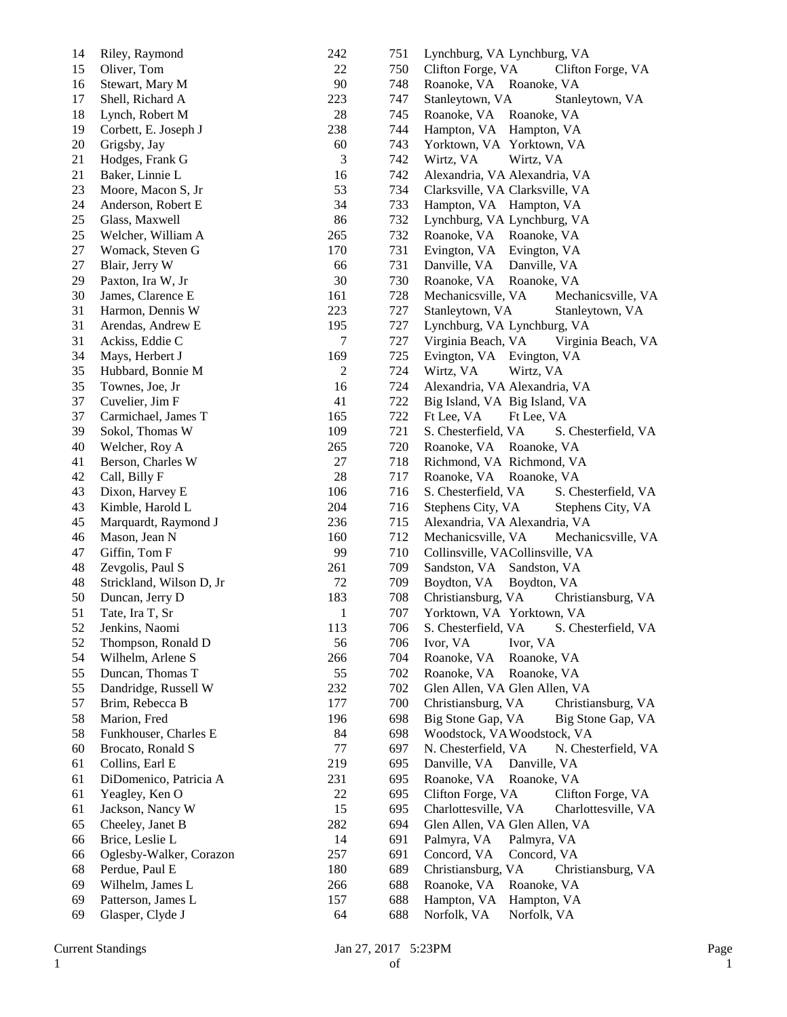| 14 | Riley, Raymond           | 242          | 751 | Lynchburg, VA Lynchburg, VA                |
|----|--------------------------|--------------|-----|--------------------------------------------|
| 15 | Oliver, Tom              | 22           | 750 | Clifton Forge, VA<br>Clifton Forge, VA     |
| 16 | Stewart, Mary M          | 90           | 748 | Roanoke, VA<br>Roanoke, VA                 |
| 17 | Shell, Richard A         | 223          | 747 | Stanleytown, VA<br>Stanleytown, VA         |
| 18 | Lynch, Robert M          | 28           | 745 | Roanoke, VA Roanoke, VA                    |
| 19 | Corbett, E. Joseph J     | 238          | 744 | Hampton, VA Hampton, VA                    |
| 20 | Grigsby, Jay             | 60           | 743 | Yorktown, VA Yorktown, VA                  |
| 21 | Hodges, Frank G          | 3            | 742 | Wirtz, VA<br>Wirtz, VA                     |
| 21 | Baker, Linnie L          | 16           | 742 | Alexandria, VA Alexandria, VA              |
| 23 | Moore, Macon S, Jr       | 53           | 734 | Clarksville, VA Clarksville, VA            |
| 24 | Anderson, Robert E       | 34           | 733 | Hampton, VA Hampton, VA                    |
| 25 | Glass, Maxwell           | 86           | 732 | Lynchburg, VA Lynchburg, VA                |
| 25 | Welcher, William A       | 265          | 732 | Roanoke, VA Roanoke, VA                    |
| 27 | Womack, Steven G         | 170          | 731 | Evington, VA Evington, VA                  |
| 27 | Blair, Jerry W           | 66           | 731 | Danville, VA<br>Danville, VA               |
| 29 | Paxton, Ira W, Jr        | 30           | 730 | Roanoke, VA<br>Roanoke, VA                 |
| 30 | James, Clarence E        | 161          | 728 | Mechanicsville, VA<br>Mechanicsville, VA   |
| 31 | Harmon, Dennis W         | 223          | 727 | Stanleytown, VA<br>Stanleytown, VA         |
| 31 | Arendas, Andrew E        | 195          | 727 | Lynchburg, VA Lynchburg, VA                |
| 31 | Ackiss, Eddie C          | $\tau$       | 727 | Virginia Beach, VA<br>Virginia Beach, VA   |
| 34 | Mays, Herbert J          | 169          | 725 | Evington, VA<br>Evington, VA               |
| 35 | Hubbard, Bonnie M        | $\sqrt{2}$   | 724 | Wirtz, VA<br>Wirtz, VA                     |
| 35 | Townes, Joe, Jr          | 16           | 724 | Alexandria, VA Alexandria, VA              |
| 37 | Cuvelier, Jim F          | 41           | 722 | Big Island, VA Big Island, VA              |
| 37 | Carmichael, James T      | 165          | 722 | Ft Lee, VA<br>Ft Lee, VA                   |
| 39 | Sokol, Thomas W          | 109          | 721 | S. Chesterfield, VA<br>S. Chesterfield, VA |
| 40 | Welcher, Roy A           | 265          | 720 | Roanoke, VA Roanoke, VA                    |
| 41 | Berson, Charles W        | 27           | 718 | Richmond, VA Richmond, VA                  |
| 42 | Call, Billy F            | 28           | 717 | Roanoke, VA<br>Roanoke, VA                 |
| 43 | Dixon, Harvey E          | 106          | 716 | S. Chesterfield, VA<br>S. Chesterfield, VA |
| 43 | Kimble, Harold L         | 204          | 716 | Stephens City, VA<br>Stephens City, VA     |
| 45 | Marquardt, Raymond J     | 236          | 715 | Alexandria, VA Alexandria, VA              |
| 46 | Mason, Jean N            | 160          | 712 | Mechanicsville, VA<br>Mechanicsville, VA   |
| 47 | Giffin, Tom F            | 99           | 710 | Collinsville, VACollinsville, VA           |
| 48 | Zevgolis, Paul S         | 261          | 709 | Sandston, VA Sandston, VA                  |
| 48 | Strickland, Wilson D, Jr | 72           | 709 | Boydton, VA<br>Boydton, VA                 |
| 50 | Duncan, Jerry D          | 183          | 708 | Christiansburg, VA<br>Christiansburg, VA   |
| 51 | Tate, Ira T, Sr          | $\mathbf{1}$ | 707 | Yorktown, VA Yorktown, VA                  |
| 52 | Jenkins, Naomi           | 113          | 706 | S. Chesterfield, VA<br>S. Chesterfield, VA |
| 52 | Thompson, Ronald D       | 56           | 706 | Ivor, VA<br>Ivor, VA                       |
| 54 | Wilhelm, Arlene S        | 266          | 704 | Roanoke, VA<br>Roanoke, VA                 |
| 55 | Duncan, Thomas T         | 55           | 702 | Roanoke, VA<br>Roanoke, VA                 |
| 55 | Dandridge, Russell W     | 232          | 702 | Glen Allen, VA Glen Allen, VA              |
| 57 | Brim, Rebecca B          | 177          | 700 | Christiansburg, VA<br>Christiansburg, VA   |
| 58 | Marion, Fred             | 196          | 698 | Big Stone Gap, VA<br>Big Stone Gap, VA     |
| 58 | Funkhouser, Charles E    | 84           | 698 | Woodstock, VAWoodstock, VA                 |
| 60 | Brocato, Ronald S        | $77 \,$      | 697 | N. Chesterfield, VA<br>N. Chesterfield, VA |
| 61 | Collins, Earl E          | 219          | 695 | Danville, VA<br>Danville, VA               |
| 61 | DiDomenico, Patricia A   | 231          | 695 | Roanoke, VA<br>Roanoke, VA                 |
| 61 | Yeagley, Ken O           | 22           | 695 | Clifton Forge, VA<br>Clifton Forge, VA     |
| 61 | Jackson, Nancy W         | 15           | 695 | Charlottesville, VA<br>Charlottesville, VA |
| 65 | Cheeley, Janet B         | 282          | 694 | Glen Allen, VA Glen Allen, VA              |
| 66 | Brice, Leslie L          | 14           | 691 | Palmyra, VA<br>Palmyra, VA                 |
| 66 | Oglesby-Walker, Corazon  | 257          | 691 | Concord, VA<br>Concord, VA                 |
| 68 | Perdue, Paul E           | 180          | 689 | Christiansburg, VA<br>Christiansburg, VA   |
| 69 | Wilhelm, James L         | 266          | 688 | Roanoke, VA<br>Roanoke, VA                 |
| 69 | Patterson, James L       | 157          | 688 | Hampton, VA<br>Hampton, VA                 |
| 69 | Glasper, Clyde J         | 64           | 688 | Norfolk, VA<br>Norfolk, VA                 |
|    |                          |              |     |                                            |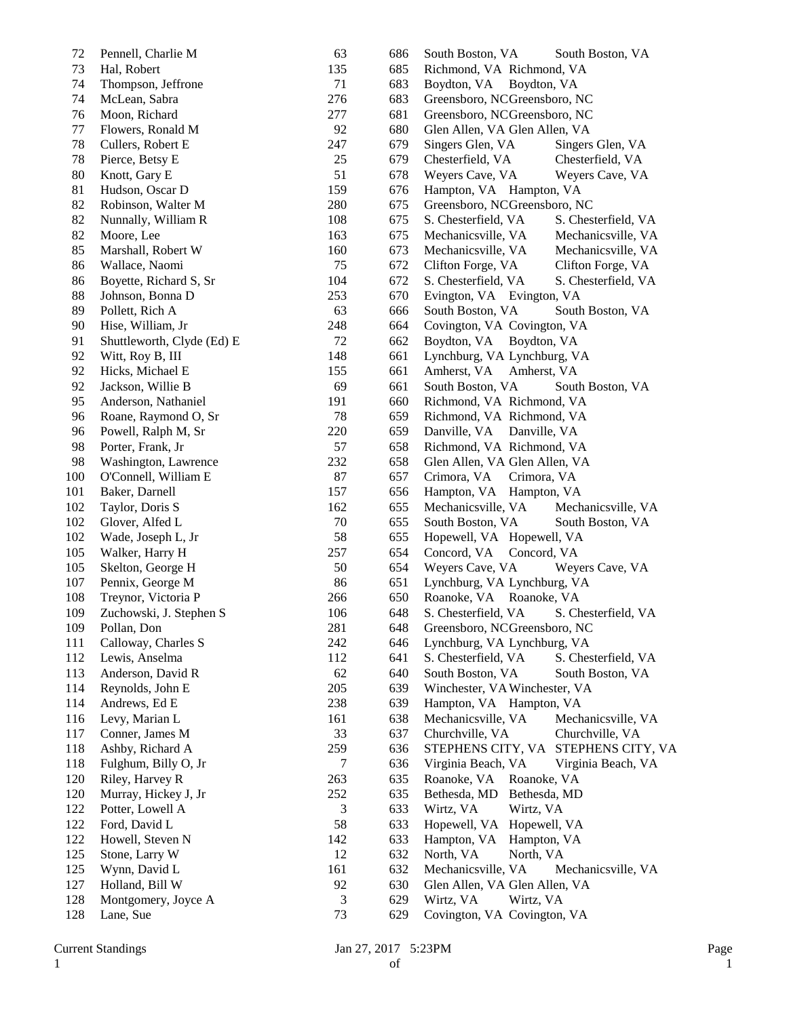| 72  | Pennell, Charlie M         | 63        | 686 | South Boston, VA<br>South Boston, VA       |
|-----|----------------------------|-----------|-----|--------------------------------------------|
| 73  | Hal, Robert                | 135       | 685 | Richmond, VA Richmond, VA                  |
| 74  | Thompson, Jeffrone         | 71        | 683 | Boydton, VA Boydton, VA                    |
| 74  | McLean, Sabra              | 276       | 683 | Greensboro, NCGreensboro, NC               |
| 76  | Moon, Richard              | 277       | 681 | Greensboro, NCGreensboro, NC               |
| 77  | Flowers, Ronald M          | 92        | 680 | Glen Allen, VA Glen Allen, VA              |
| 78  | Cullers, Robert E          | 247       | 679 | Singers Glen, VA<br>Singers Glen, VA       |
| 78  | Pierce, Betsy E            | 25        | 679 | Chesterfield, VA<br>Chesterfield, VA       |
| 80  | Knott, Gary E              | 51        | 678 | Weyers Cave, VA<br>Weyers Cave, VA         |
| 81  | Hudson, Oscar D            | 159       | 676 | Hampton, VA Hampton, VA                    |
| 82  | Robinson, Walter M         | 280       | 675 | Greensboro, NCGreensboro, NC               |
| 82  | Nunnally, William R        | 108       | 675 | S. Chesterfield, VA<br>S. Chesterfield, VA |
| 82  | Moore, Lee                 | 163       | 675 | Mechanicsville, VA<br>Mechanicsville, VA   |
| 85  | Marshall, Robert W         | 160       | 673 | Mechanicsville, VA<br>Mechanicsville, VA   |
| 86  | Wallace, Naomi             | 75        | 672 | Clifton Forge, VA<br>Clifton Forge, VA     |
| 86  | Boyette, Richard S, Sr     | 104       | 672 | S. Chesterfield, VA<br>S. Chesterfield, VA |
| 88  | Johnson, Bonna D           | 253       | 670 | Evington, VA Evington, VA                  |
| 89  | Pollett, Rich A            | 63        | 666 | South Boston, VA<br>South Boston, VA       |
| 90  | Hise, William, Jr          | 248       | 664 | Covington, VA Covington, VA                |
| 91  | Shuttleworth, Clyde (Ed) E | 72        | 662 | Boydton, VA<br>Boydton, VA                 |
| 92  | Witt, Roy B, III           | 148       | 661 | Lynchburg, VA Lynchburg, VA                |
| 92  | Hicks, Michael E           | 155       | 661 | Amherst, VA<br>Amherst, VA                 |
| 92  | Jackson, Willie B          | 69        | 661 | South Boston, VA<br>South Boston, VA       |
| 95  | Anderson, Nathaniel        | 191       | 660 | Richmond, VA Richmond, VA                  |
| 96  |                            | 78        | 659 | Richmond, VA Richmond, VA                  |
|     | Roane, Raymond O, Sr       |           |     |                                            |
| 96  | Powell, Ralph M, Sr        | 220<br>57 | 659 | Danville, VA<br>Danville, VA               |
| 98  | Porter, Frank, Jr          |           | 658 | Richmond, VA Richmond, VA                  |
| 98  | Washington, Lawrence       | 232       | 658 | Glen Allen, VA Glen Allen, VA              |
| 100 | O'Connell, William E       | 87        | 657 | Crimora, VA<br>Crimora, VA                 |
| 101 | Baker, Darnell             | 157       | 656 | Hampton, VA Hampton, VA                    |
| 102 | Taylor, Doris S            | 162       | 655 | Mechanicsville, VA<br>Mechanicsville, VA   |
| 102 | Glover, Alfed L            | 70        | 655 | South Boston, VA<br>South Boston, VA       |
| 102 | Wade, Joseph L, Jr         | 58        | 655 | Hopewell, VA Hopewell, VA                  |
| 105 | Walker, Harry H            | 257       | 654 | Concord, VA<br>Concord, VA                 |
| 105 | Skelton, George H          | 50        | 654 | Weyers Cave, VA<br>Weyers Cave, VA         |
| 107 | Pennix, George M           | 86        | 651 | Lynchburg, VA Lynchburg, VA                |
| 108 | Treynor, Victoria P        | 266       | 650 | Roanoke, VA Roanoke, VA                    |
| 109 | Zuchowski, J. Stephen S    | 106       | 648 | S. Chesterfield, VA<br>S. Chesterfield, VA |
| 109 | Pollan, Don                | 281       | 648 | Greensboro, NCGreensboro, NC               |
| 111 | Calloway, Charles S        | 242       | 646 | Lynchburg, VA Lynchburg, VA                |
| 112 | Lewis, Anselma             | 112       | 641 | S. Chesterfield, VA<br>S. Chesterfield, VA |
| 113 | Anderson, David R          | 62        | 640 | South Boston, VA<br>South Boston, VA       |
| 114 | Reynolds, John E           | 205       | 639 | Winchester, VA Winchester, VA              |
| 114 | Andrews, Ed E              | 238       | 639 | Hampton, VA Hampton, VA                    |
| 116 | Levy, Marian L             | 161       | 638 | Mechanicsville, VA<br>Mechanicsville, VA   |
| 117 | Conner, James M            | 33        | 637 | Churchville, VA<br>Churchville, VA         |
| 118 | Ashby, Richard A           | 259       | 636 | STEPHENS CITY, VA STEPHENS CITY, VA        |
| 118 | Fulghum, Billy O, Jr       | 7         | 636 | Virginia Beach, VA<br>Virginia Beach, VA   |
| 120 | Riley, Harvey R            | 263       | 635 | Roanoke, VA<br>Roanoke, VA                 |
| 120 | Murray, Hickey J, Jr       | 252       | 635 | Bethesda, MD<br>Bethesda, MD               |
| 122 | Potter, Lowell A           | 3         | 633 | Wirtz, VA<br>Wirtz, VA                     |
| 122 | Ford, David L              | 58        | 633 | Hopewell, VA Hopewell, VA                  |
| 122 | Howell, Steven N           | 142       | 633 | Hampton, VA<br>Hampton, VA                 |
| 125 | Stone, Larry W             | 12        | 632 | North, VA<br>North, VA                     |
| 125 | Wynn, David L              | 161       | 632 | Mechanicsville, VA<br>Mechanicsville, VA   |
| 127 | Holland, Bill W            | 92        | 630 | Glen Allen, VA Glen Allen, VA              |
| 128 | Montgomery, Joyce A        | 3         | 629 | Wirtz, VA<br>Wirtz, VA                     |
|     |                            | 73        |     |                                            |
| 128 | Lane, Sue                  |           | 629 | Covington, VA Covington, VA                |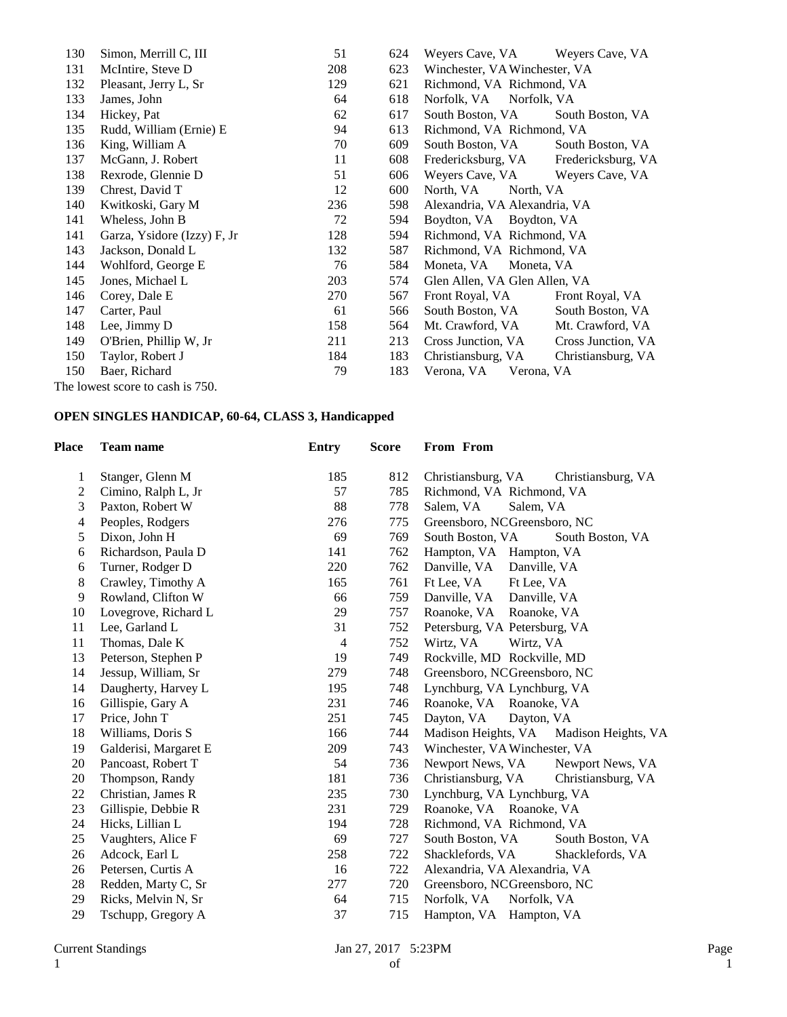| 130 | Simon, Merrill C, III            | 51  | 624 | Weyers Cave, VA               | Weyers Cave, VA    |
|-----|----------------------------------|-----|-----|-------------------------------|--------------------|
| 131 | McIntire, Steve D                | 208 | 623 | Winchester, VA Winchester, VA |                    |
| 132 | Pleasant, Jerry L, Sr            | 129 | 621 | Richmond, VA Richmond, VA     |                    |
| 133 | James, John                      | 64  | 618 | Norfolk, VA<br>Norfolk, VA    |                    |
| 134 | Hickey, Pat                      | 62  | 617 | South Boston, VA              | South Boston, VA   |
| 135 | Rudd, William (Ernie) E          | 94  | 613 | Richmond, VA Richmond, VA     |                    |
| 136 | King, William A                  | 70  | 609 | South Boston, VA              | South Boston, VA   |
| 137 | McGann, J. Robert                | 11  | 608 | Fredericksburg, VA            | Fredericksburg, VA |
| 138 | Rexrode, Glennie D               | 51  | 606 | Weyers Cave, VA               | Weyers Cave, VA    |
| 139 | Chrest, David T                  | 12  | 600 | North, VA<br>North, VA        |                    |
| 140 | Kwitkoski, Gary M                | 236 | 598 | Alexandria, VA Alexandria, VA |                    |
| 141 | Wheless, John B                  | 72  | 594 | Boydton, VA Boydton, VA       |                    |
| 141 | Garza, Ysidore (Izzy) F, Jr      | 128 | 594 | Richmond, VA Richmond, VA     |                    |
| 143 | Jackson, Donald L                | 132 | 587 | Richmond, VA Richmond, VA     |                    |
| 144 | Wohlford, George E               | 76  | 584 | Moneta, VA<br>Moneta, VA      |                    |
| 145 | Jones, Michael L                 | 203 | 574 | Glen Allen, VA Glen Allen, VA |                    |
| 146 | Corey, Dale E                    | 270 | 567 | Front Royal, VA               | Front Royal, VA    |
| 147 | Carter, Paul                     | 61  | 566 | South Boston, VA              | South Boston, VA   |
| 148 | Lee, Jimmy D                     | 158 | 564 | Mt. Crawford, VA              | Mt. Crawford, VA   |
| 149 | O'Brien, Phillip W, Jr           | 211 | 213 | Cross Junction, VA            | Cross Junction, VA |
| 150 | Taylor, Robert J                 | 184 | 183 | Christiansburg, VA            | Christiansburg, VA |
| 150 | Baer, Richard                    | 79  | 183 | Verona, VA<br>Verona, VA      |                    |
|     | The lowest score to cash is 750. |     |     |                               |                    |

## **OPEN SINGLES HANDICAP, 60-64, CLASS 3, Handicapped**

| Place | <b>Team name</b>      | <b>Entry</b> | <b>Score</b> | From From                                  |
|-------|-----------------------|--------------|--------------|--------------------------------------------|
| 1     | Stanger, Glenn M      | 185          | 812          | Christiansburg, VA<br>Christiansburg, VA   |
| 2     | Cimino, Ralph L, Jr   | 57           | 785          | Richmond, VA Richmond, VA                  |
| 3     | Paxton, Robert W      | 88           | 778          | Salem, VA<br>Salem, VA                     |
| 4     | Peoples, Rodgers      | 276          | 775          | Greensboro, NCGreensboro, NC               |
| 5     | Dixon, John H         | 69           | 769          | South Boston, VA<br>South Boston, VA       |
| 6     | Richardson, Paula D   | 141          | 762          | Hampton, VA Hampton, VA                    |
| 6     | Turner, Rodger D      | 220          | 762          | Danville, VA Danville, VA                  |
| 8     | Crawley, Timothy A    | 165          | 761          | Ft Lee, VA<br>Ft Lee, VA                   |
| 9     | Rowland, Clifton W    | 66           | 759          | Danville, VA<br>Danville, VA               |
| 10    | Lovegrove, Richard L  | 29           | 757          | Roanoke, VA Roanoke, VA                    |
| 11    | Lee, Garland L        | 31           | 752          | Petersburg, VA Petersburg, VA              |
| 11    | Thomas, Dale K        | 4            | 752          | Wirtz, VA<br>Wirtz, VA                     |
| 13    | Peterson, Stephen P   | 19           | 749          | Rockville, MD Rockville, MD                |
| 14    | Jessup, William, Sr   | 279          | 748          | Greensboro, NCGreensboro, NC               |
| 14    | Daugherty, Harvey L   | 195          | 748          | Lynchburg, VA Lynchburg, VA                |
| 16    | Gillispie, Gary A     | 231          | 746          | Roanoke, VA Roanoke, VA                    |
| 17    | Price, John T         | 251          | 745          | Dayton, VA<br>Dayton, VA                   |
| 18    | Williams, Doris S     | 166          | 744          | Madison Heights, VA<br>Madison Heights, VA |
| 19    | Galderisi, Margaret E | 209          | 743          | Winchester, VA Winchester, VA              |
| 20    | Pancoast, Robert T    | 54           | 736          | Newport News, VA<br>Newport News, VA       |
| 20    | Thompson, Randy       | 181          | 736          | Christiansburg, VA<br>Christiansburg, VA   |
| 22    | Christian, James R    | 235          | 730          | Lynchburg, VA Lynchburg, VA                |
| 23    | Gillispie, Debbie R   | 231          | 729          | Roanoke, VA Roanoke, VA                    |
| 24    | Hicks, Lillian L      | 194          | 728          | Richmond, VA Richmond, VA                  |
| 25    | Vaughters, Alice F    | 69           | 727          | South Boston, VA<br>South Boston, VA       |
| 26    | Adcock, Earl L        | 258          | 722          | Shacklefords, VA<br>Shacklefords, VA       |
| 26    | Petersen, Curtis A    | 16           | 722          | Alexandria, VA Alexandria, VA              |
| 28    | Redden, Marty C, Sr   | 277          | 720          | Greensboro, NCGreensboro, NC               |
| 29    | Ricks, Melvin N, Sr   | 64           | 715          | Norfolk, VA<br>Norfolk, VA                 |
| 29    | Tschupp, Gregory A    | 37           | 715          | Hampton, VA Hampton, VA                    |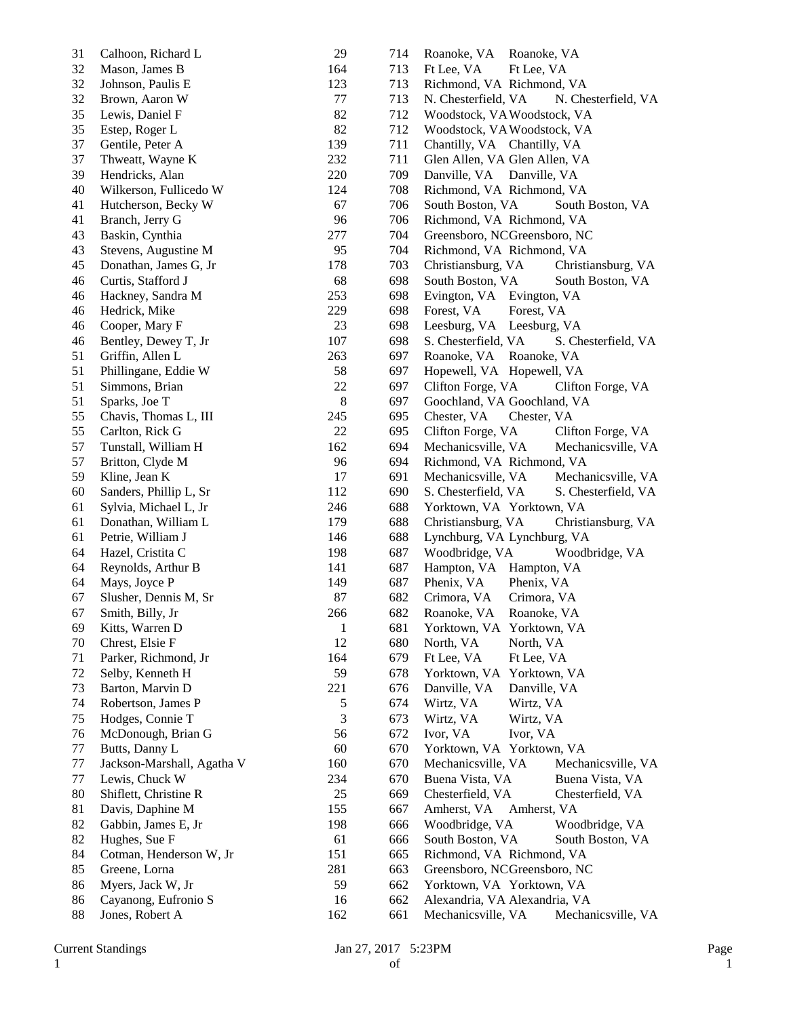| 31 | Calhoon, Richard L         | 29           | 714 | Roanoke, VA Roanoke, VA                    |
|----|----------------------------|--------------|-----|--------------------------------------------|
| 32 | Mason, James B             | 164          | 713 | Ft Lee, VA<br>Ft Lee, VA                   |
| 32 | Johnson, Paulis E          | 123          | 713 | Richmond, VA Richmond, VA                  |
| 32 | Brown, Aaron W             | 77           | 713 | N. Chesterfield, VA<br>N. Chesterfield, VA |
| 35 | Lewis, Daniel F            | 82           | 712 | Woodstock, VAWoodstock, VA                 |
| 35 | Estep, Roger L             | 82           | 712 | Woodstock, VAWoodstock, VA                 |
| 37 | Gentile, Peter A           | 139          | 711 | Chantilly, VA Chantilly, VA                |
| 37 | Thweatt, Wayne K           | 232          | 711 | Glen Allen, VA Glen Allen, VA              |
| 39 | Hendricks, Alan            | 220          | 709 | Danville, VA Danville, VA                  |
| 40 | Wilkerson, Fullicedo W     | 124          | 708 | Richmond, VA Richmond, VA                  |
| 41 | Hutcherson, Becky W        | 67           | 706 | South Boston, VA<br>South Boston, VA       |
| 41 | Branch, Jerry G            | 96           | 706 | Richmond, VA Richmond, VA                  |
| 43 | Baskin, Cynthia            | 277          | 704 | Greensboro, NCGreensboro, NC               |
| 43 | Stevens, Augustine M       | 95           | 704 | Richmond, VA Richmond, VA                  |
| 45 | Donathan, James G, Jr      | 178          | 703 | Christiansburg, VA<br>Christiansburg, VA   |
| 46 | Curtis, Stafford J         | 68           | 698 | South Boston, VA<br>South Boston, VA       |
| 46 | Hackney, Sandra M          | 253          | 698 | Evington, VA Evington, VA                  |
| 46 | Hedrick, Mike              | 229          | 698 | Forest, VA<br>Forest, VA                   |
| 46 | Cooper, Mary F             | 23           | 698 | Leesburg, VA Leesburg, VA                  |
| 46 | Bentley, Dewey T, Jr       | 107          | 698 | S. Chesterfield, VA<br>S. Chesterfield, VA |
| 51 | Griffin, Allen L           | 263          | 697 | Roanoke, VA Roanoke, VA                    |
| 51 | Phillingane, Eddie W       | 58           | 697 | Hopewell, VA Hopewell, VA                  |
| 51 | Simmons, Brian             | $22\,$       | 697 | Clifton Forge, VA<br>Clifton Forge, VA     |
| 51 | Sparks, Joe T              | $\,8\,$      | 697 | Goochland, VA Goochland, VA                |
| 55 | Chavis, Thomas L, III      | 245          | 695 | Chester, VA<br>Chester, VA                 |
| 55 | Carlton, Rick G            | 22           | 695 | Clifton Forge, VA<br>Clifton Forge, VA     |
| 57 | Tunstall, William H        | 162          | 694 | Mechanicsville, VA<br>Mechanicsville, VA   |
| 57 | Britton, Clyde M           | 96           | 694 | Richmond, VA Richmond, VA                  |
| 59 | Kline, Jean K              | 17           | 691 | Mechanicsville, VA<br>Mechanicsville, VA   |
| 60 | Sanders, Phillip L, Sr     | 112          | 690 | S. Chesterfield, VA<br>S. Chesterfield, VA |
| 61 | Sylvia, Michael L, Jr      | 246          | 688 | Yorktown, VA Yorktown, VA                  |
| 61 | Donathan, William L        | 179          | 688 | Christiansburg, VA<br>Christiansburg, VA   |
| 61 | Petrie, William J          | 146          | 688 | Lynchburg, VA Lynchburg, VA                |
| 64 | Hazel, Cristita C          | 198          | 687 | Woodbridge, VA<br>Woodbridge, VA           |
| 64 | Reynolds, Arthur B         | 141          | 687 | Hampton, VA Hampton, VA                    |
| 64 | Mays, Joyce P              | 149          | 687 | Phenix, VA<br>Phenix, VA                   |
| 67 | Slusher, Dennis M, Sr      | 87           | 682 | Crimora, VA<br>Crimora, VA                 |
| 67 | Smith, Billy, Jr           | 266          | 682 | Roanoke, VA<br>Roanoke, VA                 |
| 69 | Kitts, Warren D            | $\mathbf{1}$ | 681 | Yorktown, VA Yorktown, VA                  |
| 70 | Chrest, Elsie F            | 12           | 680 | North, VA<br>North, VA                     |
| 71 | Parker, Richmond, Jr       | 164          | 679 | Ft Lee, VA<br>Ft Lee, VA                   |
| 72 | Selby, Kenneth H           | 59           | 678 | Yorktown, VA Yorktown, VA                  |
| 73 | Barton, Marvin D           | 221          | 676 | Danville, VA<br>Danville, VA               |
| 74 | Robertson, James P         | 5            | 674 | Wirtz, VA<br>Wirtz, VA                     |
| 75 | Hodges, Connie T           | 3            | 673 | Wirtz, VA<br>Wirtz, VA                     |
| 76 | McDonough, Brian G         | 56           | 672 | Ivor, VA<br>Ivor, VA                       |
| 77 | Butts, Danny L             | 60           | 670 | Yorktown, VA Yorktown, VA                  |
| 77 | Jackson-Marshall, Agatha V | 160          | 670 | Mechanicsville, VA<br>Mechanicsville, VA   |
| 77 | Lewis, Chuck W             | 234          | 670 | Buena Vista, VA<br>Buena Vista, VA         |
| 80 | Shiflett, Christine R      | 25           | 669 | Chesterfield, VA<br>Chesterfield, VA       |
| 81 | Davis, Daphine M           | 155          | 667 | Amherst, VA<br>Amherst, VA                 |
| 82 | Gabbin, James E, Jr        | 198          | 666 | Woodbridge, VA<br>Woodbridge, VA           |
| 82 | Hughes, Sue F              | 61           | 666 | South Boston, VA<br>South Boston, VA       |
| 84 | Cotman, Henderson W, Jr    | 151          | 665 | Richmond, VA Richmond, VA                  |
| 85 | Greene, Lorna              | 281          | 663 | Greensboro, NCGreensboro, NC               |
| 86 | Myers, Jack W, Jr          | 59           | 662 | Yorktown, VA Yorktown, VA                  |
| 86 | Cayanong, Eufronio S       | 16           | 662 | Alexandria, VA Alexandria, VA              |
| 88 | Jones, Robert A            | 162          | 661 | Mechanicsville, VA<br>Mechanicsville, VA   |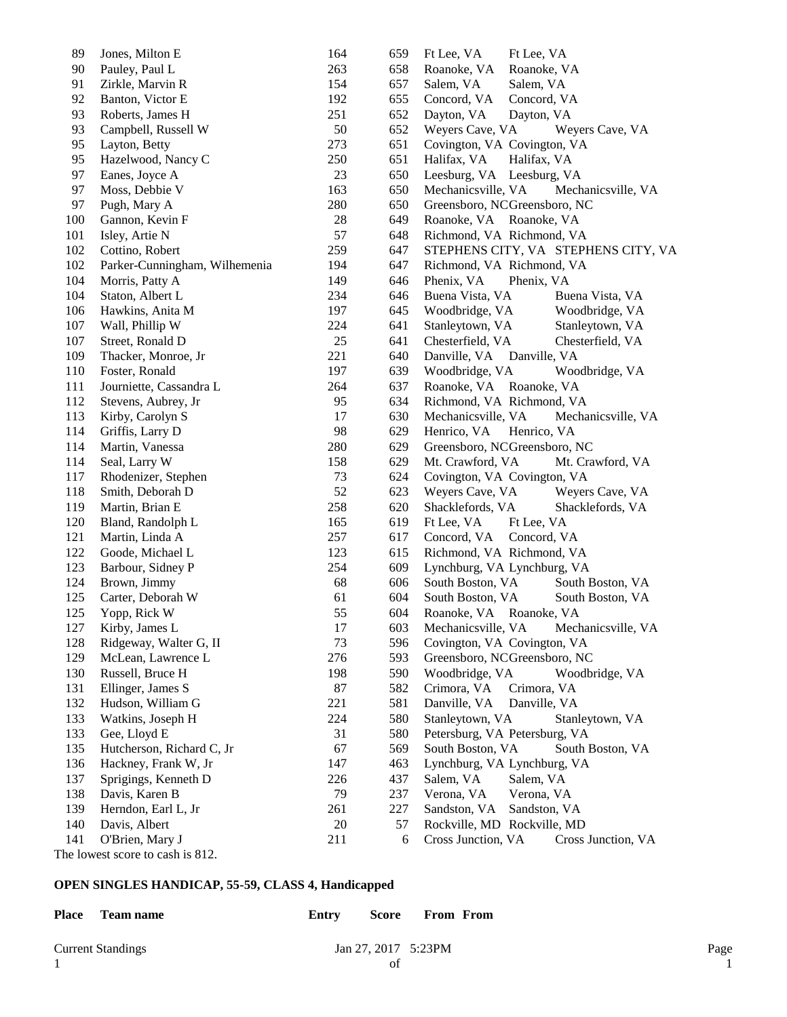| 89  | Jones, Milton E                | 164 | 659 | Ft Lee, VA<br>Ft Lee, VA                 |
|-----|--------------------------------|-----|-----|------------------------------------------|
| 90  | Pauley, Paul L                 | 263 | 658 | Roanoke, VA<br>Roanoke, VA               |
| 91  | Zirkle, Marvin R               | 154 | 657 | Salem, VA<br>Salem, VA                   |
| 92  | Banton, Victor E               | 192 | 655 | Concord, VA<br>Concord, VA               |
| 93  | Roberts, James H               | 251 | 652 | Dayton, VA<br>Dayton, VA                 |
| 93  | Campbell, Russell W            | 50  | 652 | Weyers Cave, VA<br>Weyers Cave, VA       |
| 95  | Layton, Betty                  | 273 | 651 | Covington, VA Covington, VA              |
| 95  | Hazelwood, Nancy C             | 250 | 651 | Halifax, VA<br>Halifax, VA               |
| 97  | Eanes, Joyce A                 | 23  | 650 | Leesburg, VA Leesburg, VA                |
| 97  | Moss, Debbie V                 | 163 | 650 | Mechanicsville, VA<br>Mechanicsville, VA |
| 97  | Pugh, Mary A                   | 280 | 650 | Greensboro, NCGreensboro, NC             |
| 100 | Gannon, Kevin F                | 28  | 649 | Roanoke, VA Roanoke, VA                  |
| 101 | Isley, Artie N                 | 57  | 648 | Richmond, VA Richmond, VA                |
| 102 | Cottino, Robert                | 259 | 647 | STEPHENS CITY, VA STEPHENS CITY, VA      |
| 102 | Parker-Cunningham, Wilhemenia  | 194 | 647 | Richmond, VA Richmond, VA                |
| 104 | Morris, Patty A                | 149 | 646 | Phenix, VA<br>Phenix, VA                 |
| 104 | Staton, Albert L               | 234 | 646 | Buena Vista, VA<br>Buena Vista, VA       |
| 106 | Hawkins, Anita M               | 197 | 645 | Woodbridge, VA<br>Woodbridge, VA         |
| 107 | Wall, Phillip W                | 224 | 641 | Stanleytown, VA<br>Stanleytown, VA       |
| 107 | Street, Ronald D               | 25  | 641 | Chesterfield, VA<br>Chesterfield, VA     |
| 109 | Thacker, Monroe, Jr            | 221 | 640 | Danville, VA Danville, VA                |
| 110 | Foster, Ronald                 | 197 | 639 | Woodbridge, VA<br>Woodbridge, VA         |
| 111 | Journiette, Cassandra L        | 264 | 637 | Roanoke, VA Roanoke, VA                  |
| 112 | Stevens, Aubrey, Jr            | 95  | 634 | Richmond, VA Richmond, VA                |
| 113 | Kirby, Carolyn S               | 17  | 630 | Mechanicsville, VA<br>Mechanicsville, VA |
| 114 | Griffis, Larry D               | 98  | 629 | Henrico, VA<br>Henrico, VA               |
| 114 | Martin, Vanessa                | 280 | 629 | Greensboro, NCGreensboro, NC             |
| 114 | Seal, Larry W                  | 158 | 629 | Mt. Crawford, VA<br>Mt. Crawford, VA     |
| 117 | Rhodenizer, Stephen            | 73  | 624 | Covington, VA Covington, VA              |
| 118 | Smith, Deborah D               | 52  | 623 | Weyers Cave, VA<br>Weyers Cave, VA       |
| 119 | Martin, Brian E                | 258 | 620 | Shacklefords, VA<br>Shacklefords, VA     |
| 120 | Bland, Randolph L              | 165 | 619 | Ft Lee, VA<br>Ft Lee, VA                 |
| 121 | Martin, Linda A                | 257 | 617 | Concord, VA<br>Concord, VA               |
| 122 | Goode, Michael L               | 123 | 615 | Richmond, VA Richmond, VA                |
| 123 | Barbour, Sidney P              | 254 | 609 | Lynchburg, VA Lynchburg, VA              |
| 124 | Brown, Jimmy                   | 68  | 606 | South Boston, VA<br>South Boston, VA     |
| 125 | Carter, Deborah W              | 61  | 604 | South Boston, VA<br>South Boston, VA     |
| 125 | Yopp, Rick W                   | 55  | 604 | Roanoke, VA Roanoke, VA                  |
| 127 | Kirby, James L                 | 17  | 603 | Mechanicsville, VA<br>Mechanicsville, VA |
| 128 | Ridgeway, Walter G, II         | 73  | 596 | Covington, VA Covington, VA              |
| 129 | McLean, Lawrence L             | 276 | 593 | Greensboro, NCGreensboro, NC             |
| 130 | Russell, Bruce H               | 198 | 590 | Woodbridge, VA<br>Woodbridge, VA         |
| 131 | Ellinger, James S              | 87  | 582 | Crimora, VA<br>Crimora, VA               |
| 132 | Hudson, William G              | 221 | 581 | Danville, VA<br>Danville, VA             |
| 133 | Watkins, Joseph H              | 224 | 580 | Stanleytown, VA<br>Stanleytown, VA       |
| 133 | Gee, Lloyd E                   | 31  | 580 | Petersburg, VA Petersburg, VA            |
| 135 | Hutcherson, Richard C, Jr      | 67  | 569 | South Boston, VA<br>South Boston, VA     |
| 136 | Hackney, Frank W, Jr           | 147 | 463 | Lynchburg, VA Lynchburg, VA              |
| 137 | Sprigings, Kenneth D           | 226 | 437 | Salem, VA<br>Salem, VA                   |
| 138 | Davis, Karen B                 | 79  | 237 | Verona, VA<br>Verona, VA                 |
| 139 | Herndon, Earl L, Jr            | 261 | 227 | Sandston, VA<br>Sandston, VA             |
| 140 | Davis, Albert                  | 20  | 57  | Rockville, MD Rockville, MD              |
| 141 | O'Brien, Mary J                | 211 | 6   | Cross Junction, VA<br>Cross Junction, VA |
|     | he lowest score to cash is 812 |     |     |                                          |

The lowest score to cash is 812.

## **OPEN SINGLES HANDICAP, 55-59, CLASS 4, Handicapped**

| Place Team name          | Entry | Score               | <b>From From</b> |      |
|--------------------------|-------|---------------------|------------------|------|
| <b>Current Standings</b> |       | Jan 27, 2017 5:23PM |                  | Page |
|                          |       | of                  |                  |      |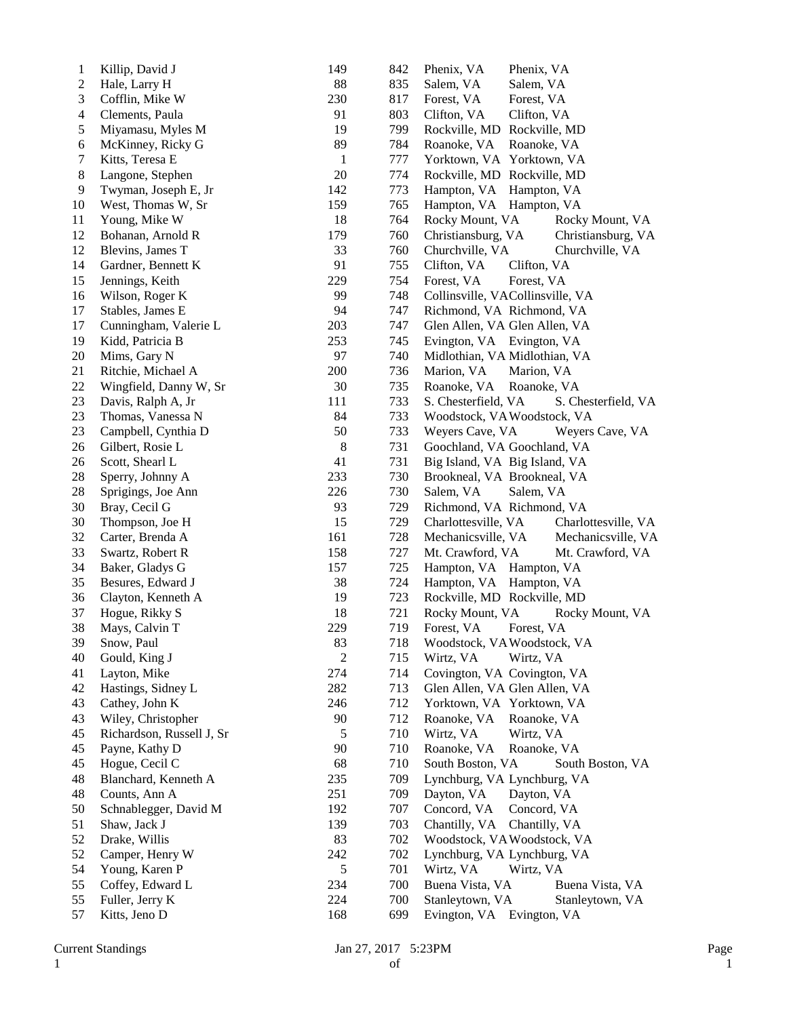| $\mathbf{1}$   | Killip, David J           | 149            | 842 | Phenix, VA<br>Phenix, VA                   |
|----------------|---------------------------|----------------|-----|--------------------------------------------|
| $\mathbf{2}$   | Hale, Larry H             | 88             | 835 | Salem, VA<br>Salem, VA                     |
| 3              | Cofflin, Mike W           | 230            | 817 | Forest, VA<br>Forest, VA                   |
| $\overline{4}$ | Clements, Paula           | 91             | 803 | Clifton, VA<br>Clifton, VA                 |
| 5              | Miyamasu, Myles M         | 19             | 799 | Rockville, MD Rockville, MD                |
| 6              | McKinney, Ricky G         | 89             | 784 | Roanoke, VA<br>Roanoke, VA                 |
| 7              | Kitts, Teresa E           | $\mathbf{1}$   | 777 | Yorktown, VA Yorktown, VA                  |
| 8              | Langone, Stephen          | 20             | 774 | Rockville, MD Rockville, MD                |
| 9              | Twyman, Joseph E, Jr      | 142            | 773 | Hampton, VA<br>Hampton, VA                 |
| 10             | West, Thomas W, Sr        | 159            | 765 | Hampton, VA<br>Hampton, VA                 |
| 11             | Young, Mike W             | 18             | 764 | Rocky Mount, VA<br>Rocky Mount, VA         |
| 12             | Bohanan, Arnold R         | 179            | 760 | Christiansburg, VA<br>Christiansburg, VA   |
| 12             | Blevins, James T          | 33             | 760 | Churchville, VA<br>Churchville, VA         |
| 14             | Gardner, Bennett K        | 91             | 755 | Clifton, VA<br>Clifton, VA                 |
| 15             | Jennings, Keith           | 229            | 754 | Forest, VA<br>Forest, VA                   |
| 16             | Wilson, Roger K           | 99             | 748 | Collinsville, VACollinsville, VA           |
| 17             | Stables, James E          | 94             | 747 | Richmond, VA Richmond, VA                  |
| 17             | Cunningham, Valerie L     | 203            | 747 | Glen Allen, VA Glen Allen, VA              |
| 19             | Kidd, Patricia B          | 253            | 745 | Evington, VA Evington, VA                  |
| $20\,$         | Mims, Gary N              | 97             | 740 | Midlothian, VA Midlothian, VA              |
| 21             | Ritchie, Michael A        | 200            | 736 | Marion, VA<br>Marion, VA                   |
| 22             | Wingfield, Danny W, Sr    | 30             | 735 | Roanoke, VA<br>Roanoke, VA                 |
| 23             | Davis, Ralph A, Jr        | 111            | 733 | S. Chesterfield, VA<br>S. Chesterfield, VA |
| 23             | Thomas, Vanessa N         | 84             | 733 | Woodstock, VAWoodstock, VA                 |
| 23             | Campbell, Cynthia D       | 50             | 733 | Weyers Cave, VA<br>Weyers Cave, VA         |
| 26             | Gilbert, Rosie L          | 8              | 731 | Goochland, VA Goochland, VA                |
| 26             | Scott, Shearl L           | 41             | 731 | Big Island, VA Big Island, VA              |
| 28             | Sperry, Johnny A          | 233            | 730 | Brookneal, VA Brookneal, VA                |
| 28             | Sprigings, Joe Ann        | 226            | 730 | Salem, VA<br>Salem, VA                     |
| 30             | Bray, Cecil G             | 93             | 729 | Richmond, VA Richmond, VA                  |
| 30             | Thompson, Joe H           | 15             | 729 | Charlottesville, VA<br>Charlottesville, VA |
| 32             | Carter, Brenda A          | 161            | 728 | Mechanicsville, VA<br>Mechanicsville, VA   |
| 33             | Swartz, Robert R          | 158            | 727 | Mt. Crawford, VA<br>Mt. Crawford, VA       |
| 34             | Baker, Gladys G           | 157            | 725 | Hampton, VA Hampton, VA                    |
| 35             | Besures, Edward J         | 38             | 724 | Hampton, VA Hampton, VA                    |
| 36             | Clayton, Kenneth A        | 19             | 723 | Rockville, MD Rockville, MD                |
| 37             | Hogue, Rikky S            | 18             | 721 | Rocky Mount, VA<br>Rocky Mount, VA         |
| 38             | Mays, Calvin T            | 229            | 719 | Forest, VA<br>Forest, VA                   |
| 39             | Snow, Paul                | 83             | 718 | Woodstock, VA Woodstock, VA                |
| 40             | Gould, King J             | $\overline{2}$ | 715 | Wirtz, VA<br>Wirtz, VA                     |
| 41             | Layton, Mike              | 274            | 714 | Covington, VA Covington, VA                |
| 42             | Hastings, Sidney L        | 282            | 713 | Glen Allen, VA Glen Allen, VA              |
| 43             | Cathey, John K            | 246            | 712 | Yorktown, VA Yorktown, VA                  |
| 43             | Wiley, Christopher        | 90             | 712 | Roanoke, VA<br>Roanoke, VA                 |
| 45             | Richardson, Russell J, Sr | 5              | 710 | Wirtz, VA<br>Wirtz, VA                     |
| 45             | Payne, Kathy D            | 90             | 710 | Roanoke, VA<br>Roanoke, VA                 |
| 45             | Hogue, Cecil C            | 68             | 710 | South Boston, VA<br>South Boston, VA       |
| 48             | Blanchard, Kenneth A      | 235            | 709 | Lynchburg, VA Lynchburg, VA                |
| 48             | Counts, Ann A             | 251            | 709 | Dayton, VA<br>Dayton, VA                   |
| 50             | Schnablegger, David M     | 192            | 707 | Concord, VA<br>Concord, VA                 |
| 51             | Shaw, Jack J              | 139            | 703 | Chantilly, VA<br>Chantilly, VA             |
| 52             | Drake, Willis             | 83             | 702 | Woodstock, VAWoodstock, VA                 |
| 52             | Camper, Henry W           | 242            | 702 | Lynchburg, VA Lynchburg, VA                |
| 54             | Young, Karen P            | 5              | 701 | Wirtz, VA<br>Wirtz, VA                     |
| 55             | Coffey, Edward L          | 234            | 700 | Buena Vista, VA<br>Buena Vista, VA         |
| 55             | Fuller, Jerry K           | 224            | 700 | Stanleytown, VA<br>Stanleytown, VA         |
| 57             | Kitts, Jeno D             | 168            | 699 | Evington, VA Evington, VA                  |
|                |                           |                |     |                                            |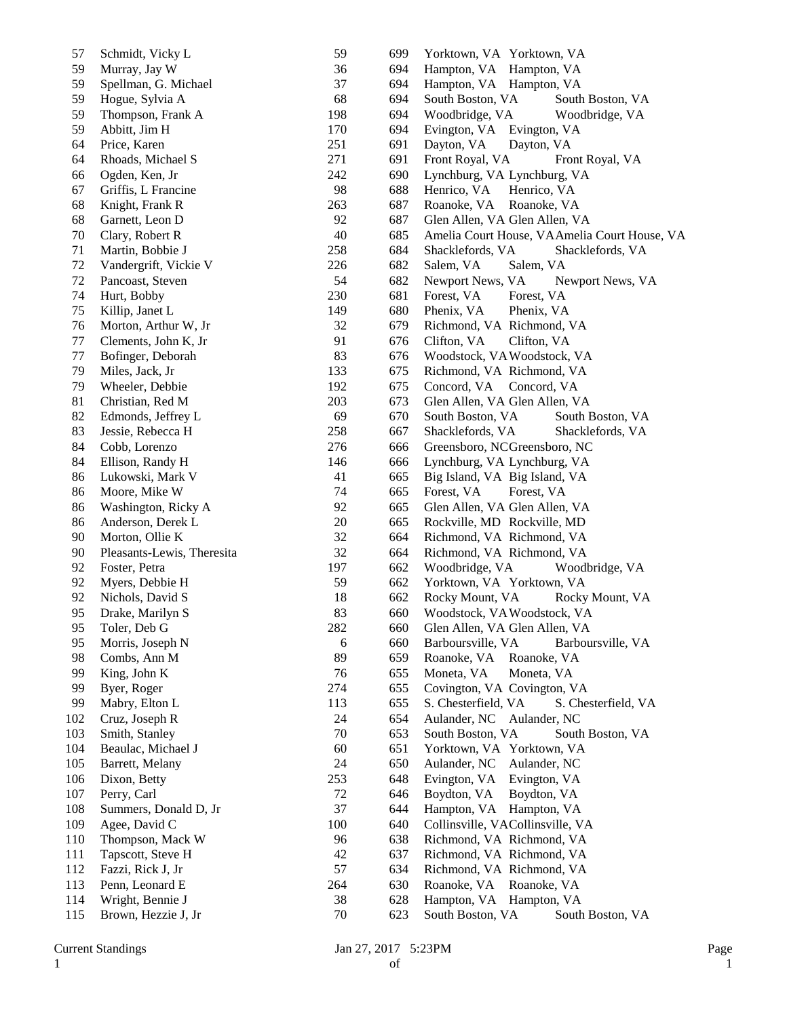| 57  | Schmidt, Vicky L           | 59  | 699 | Yorktown, VA Yorktown, VA                    |
|-----|----------------------------|-----|-----|----------------------------------------------|
| 59  | Murray, Jay W              | 36  | 694 | Hampton, VA Hampton, VA                      |
| 59  | Spellman, G. Michael       | 37  | 694 | Hampton, VA Hampton, VA                      |
| 59  | Hogue, Sylvia A            | 68  | 694 | South Boston, VA<br>South Boston, VA         |
| 59  | Thompson, Frank A          | 198 | 694 | Woodbridge, VA<br>Woodbridge, VA             |
| 59  | Abbitt, Jim H              | 170 | 694 | Evington, VA Evington, VA                    |
| 64  | Price, Karen               | 251 | 691 | Dayton, VA<br>Dayton, VA                     |
| 64  | Rhoads, Michael S          | 271 | 691 | Front Royal, VA<br>Front Royal, VA           |
| 66  | Ogden, Ken, Jr             | 242 | 690 | Lynchburg, VA Lynchburg, VA                  |
| 67  | Griffis, L Francine        | 98  | 688 | Henrico, VA<br>Henrico, VA                   |
| 68  | Knight, Frank R            | 263 | 687 | Roanoke, VA<br>Roanoke, VA                   |
| 68  | Garnett, Leon D            | 92  | 687 | Glen Allen, VA Glen Allen, VA                |
| 70  | Clary, Robert R            | 40  | 685 | Amelia Court House, VAAmelia Court House, VA |
| 71  | Martin, Bobbie J           | 258 | 684 | Shacklefords, VA<br>Shacklefords, VA         |
| 72  | Vandergrift, Vickie V      | 226 | 682 | Salem, VA<br>Salem, VA                       |
| 72  | Pancoast, Steven           | 54  | 682 | Newport News, VA<br>Newport News, VA         |
| 74  | Hurt, Bobby                | 230 | 681 | Forest, VA<br>Forest, VA                     |
| 75  | Killip, Janet L            | 149 | 680 | Phenix, VA<br>Phenix, VA                     |
| 76  | Morton, Arthur W, Jr       | 32  | 679 | Richmond, VA Richmond, VA                    |
| 77  | Clements, John K, Jr       | 91  | 676 | Clifton, VA<br>Clifton, VA                   |
| 77  | Bofinger, Deborah          | 83  | 676 | Woodstock, VA Woodstock, VA                  |
| 79  | Miles, Jack, Jr            | 133 | 675 | Richmond, VA Richmond, VA                    |
| 79  | Wheeler, Debbie            | 192 | 675 | Concord, VA<br>Concord, VA                   |
| 81  | Christian, Red M           | 203 | 673 | Glen Allen, VA Glen Allen, VA                |
| 82  | Edmonds, Jeffrey L         | 69  | 670 | South Boston, VA<br>South Boston, VA         |
| 83  | Jessie, Rebecca H          | 258 | 667 | Shacklefords, VA<br>Shacklefords, VA         |
| 84  | Cobb, Lorenzo              | 276 | 666 | Greensboro, NCGreensboro, NC                 |
| 84  | Ellison, Randy H           | 146 | 666 | Lynchburg, VA Lynchburg, VA                  |
| 86  | Lukowski, Mark V           | 41  | 665 | Big Island, VA Big Island, VA                |
| 86  | Moore, Mike W              | 74  | 665 | Forest, VA<br>Forest, VA                     |
| 86  | Washington, Ricky A        | 92  | 665 | Glen Allen, VA Glen Allen, VA                |
| 86  | Anderson, Derek L          | 20  | 665 | Rockville, MD Rockville, MD                  |
| 90  | Morton, Ollie K            | 32  | 664 | Richmond, VA Richmond, VA                    |
| 90  | Pleasants-Lewis, Theresita | 32  | 664 | Richmond, VA Richmond, VA                    |
| 92  | Foster, Petra              | 197 | 662 | Woodbridge, VA<br>Woodbridge, VA             |
| 92  | Myers, Debbie H            | 59  | 662 | Yorktown, VA Yorktown, VA                    |
| 92  | Nichols, David S           | 18  | 662 | Rocky Mount, VA<br>Rocky Mount, VA           |
| 95  | Drake, Marilyn S           | 83  | 660 | Woodstock, VA Woodstock, VA                  |
| 95  | Toler, Deb G               | 282 | 660 | Glen Allen, VA Glen Allen, VA                |
| 95  | Morris, Joseph N           | 6   | 660 | Barboursville, VA<br>Barboursville, VA       |
| 98  | Combs, Ann M               | 89  | 659 | Roanoke, VA<br>Roanoke, VA                   |
| 99  | King, John K               | 76  | 655 | Moneta, VA<br>Moneta, VA                     |
| 99  | Byer, Roger                | 274 | 655 | Covington, VA Covington, VA                  |
| 99  | Mabry, Elton L             | 113 | 655 | S. Chesterfield, VA<br>S. Chesterfield, VA   |
| 102 | Cruz, Joseph R             | 24  | 654 | Aulander, NC Aulander, NC                    |
| 103 | Smith, Stanley             | 70  | 653 | South Boston, VA<br>South Boston, VA         |
| 104 | Beaulac, Michael J         | 60  | 651 | Yorktown, VA Yorktown, VA                    |
| 105 | Barrett, Melany            | 24  | 650 | Aulander, NC<br>Aulander, NC                 |
| 106 | Dixon, Betty               | 253 | 648 | Evington, VA<br>Evington, VA                 |
| 107 | Perry, Carl                | 72  | 646 | Boydton, VA<br>Boydton, VA                   |
| 108 | Summers, Donald D, Jr      | 37  | 644 | Hampton, VA<br>Hampton, VA                   |
| 109 | Agee, David C              | 100 | 640 | Collinsville, VACollinsville, VA             |
| 110 | Thompson, Mack W           | 96  | 638 | Richmond, VA Richmond, VA                    |
| 111 | Tapscott, Steve H          | 42  | 637 | Richmond, VA Richmond, VA                    |
| 112 | Fazzi, Rick J, Jr          | 57  | 634 | Richmond, VA Richmond, VA                    |
| 113 | Penn, Leonard E            | 264 | 630 | Roanoke, VA Roanoke, VA                      |
| 114 | Wright, Bennie J           | 38  | 628 | Hampton, VA Hampton, VA                      |
| 115 | Brown, Hezzie J, Jr        | 70  | 623 | South Boston, VA<br>South Boston, VA         |
|     |                            |     |     |                                              |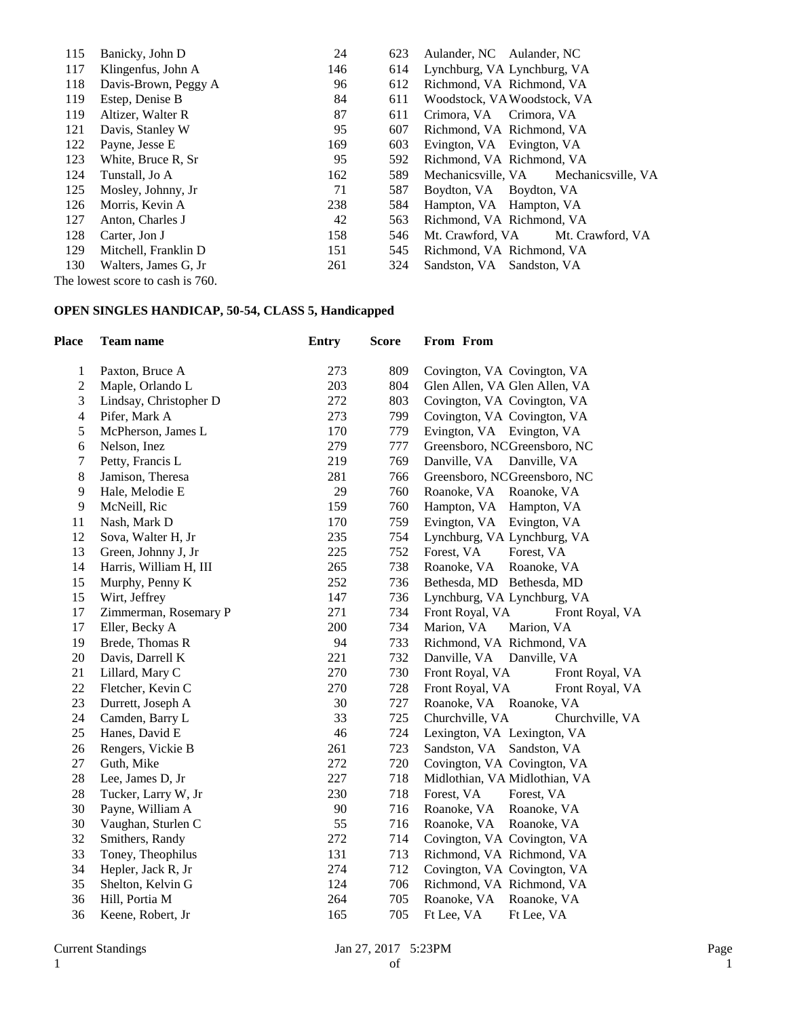| 115 | Banicky, John D                  | 24  | 623 | Aulander, NC Aulander, NC             |
|-----|----------------------------------|-----|-----|---------------------------------------|
| 117 | Klingenfus, John A               | 146 | 614 | Lynchburg, VA Lynchburg, VA           |
| 118 | Davis-Brown, Peggy A             | 96  | 612 | Richmond, VA Richmond, VA             |
| 119 | Estep, Denise B                  | 84  | 611 | Woodstock, VA Woodstock, VA           |
| 119 | Altizer, Walter R                | 87  | 611 | Crimora, VA Crimora, VA               |
| 121 | Davis, Stanley W                 | 95  | 607 | Richmond, VA Richmond, VA             |
| 122 | Payne, Jesse E                   | 169 | 603 | Evington, VA Evington, VA             |
| 123 | White, Bruce R, Sr               | 95  | 592 | Richmond, VA Richmond, VA             |
| 124 | Tunstall, Jo A                   | 162 | 589 | Mechanicsville, VA Mechanicsville, VA |
| 125 | Mosley, Johnny, Jr               | 71  | 587 | Boydton, VA Boydton, VA               |
| 126 | Morris, Kevin A                  | 238 | 584 | Hampton, VA Hampton, VA               |
| 127 | Anton, Charles J                 | 42  | 563 | Richmond, VA Richmond, VA             |
| 128 | Carter, Jon J                    | 158 | 546 | Mt. Crawford, VA<br>Mt. Crawford, VA  |
| 129 | Mitchell, Franklin D             | 151 | 545 | Richmond, VA Richmond, VA             |
| 130 | Walters, James G, Jr.            | 261 | 324 | Sandston, VA Sandston, VA             |
|     | The lowest score to cash is 760. |     |     |                                       |

#### **OPEN SINGLES HANDICAP, 50-54, CLASS 5, Handicapped**

| <b>Place</b>   | <b>Team name</b>       | <b>Entry</b> | <b>Score</b> | From From                          |
|----------------|------------------------|--------------|--------------|------------------------------------|
| 1              | Paxton, Bruce A        | 273          | 809          | Covington, VA Covington, VA        |
| $\sqrt{2}$     | Maple, Orlando L       | 203          | 804          | Glen Allen, VA Glen Allen, VA      |
| 3              | Lindsay, Christopher D | 272          | 803          | Covington, VA Covington, VA        |
| $\overline{4}$ | Pifer, Mark A          | 273          | 799          | Covington, VA Covington, VA        |
| 5              | McPherson, James L     | 170          | 779          | Evington, VA Evington, VA          |
| 6              | Nelson, Inez           | 279          | 777          | Greensboro, NCGreensboro, NC       |
| $\tau$         | Petty, Francis L       | 219          | 769          | Danville, VA<br>Danville, VA       |
| 8              | Jamison, Theresa       | 281          | 766          | Greensboro, NCGreensboro, NC       |
| 9              | Hale, Melodie E        | 29           | 760          | Roanoke, VA<br>Roanoke, VA         |
| 9              | McNeill, Ric           | 159          | 760          | Hampton, VA<br>Hampton, VA         |
| 11             | Nash, Mark D           | 170          | 759          | Evington, VA<br>Evington, VA       |
| 12             | Sova, Walter H, Jr     | 235          | 754          | Lynchburg, VA Lynchburg, VA        |
| 13             | Green, Johnny J, Jr    | 225          | 752          | Forest, VA<br>Forest, VA           |
| 14             | Harris, William H, III | 265          | 738          | Roanoke, VA<br>Roanoke, VA         |
| 15             | Murphy, Penny K        | 252          | 736          | Bethesda, MD Bethesda, MD          |
| 15             | Wirt, Jeffrey          | 147          | 736          | Lynchburg, VA Lynchburg, VA        |
| 17             | Zimmerman, Rosemary P  | 271          | 734          | Front Royal, VA<br>Front Royal, VA |
| 17             | Eller, Becky A         | 200          | 734          | Marion, VA<br>Marion, VA           |
| 19             | Brede, Thomas R        | 94           | 733          | Richmond, VA Richmond, VA          |
| 20             | Davis, Darrell K       | 221          | 732          | Danville, VA<br>Danville, VA       |
| 21             | Lillard, Mary C        | 270          | 730          | Front Royal, VA<br>Front Royal, VA |
| 22             | Fletcher, Kevin C      | 270          | 728          | Front Royal, VA<br>Front Royal, VA |
| 23             | Durrett, Joseph A      | 30           | 727          | Roanoke, VA Roanoke, VA            |
| 24             | Camden, Barry L        | 33           | 725          | Churchville, VA<br>Churchville, VA |
| 25             | Hanes, David E         | 46           | 724          | Lexington, VA Lexington, VA        |
| 26             | Rengers, Vickie B      | 261          | 723          | Sandston, VA Sandston, VA          |
| 27             | Guth, Mike             | 272          | 720          | Covington, VA Covington, VA        |
| 28             | Lee, James D, Jr       | 227          | 718          | Midlothian, VA Midlothian, VA      |
| 28             | Tucker, Larry W, Jr    | 230          | 718          | Forest, VA<br>Forest, VA           |
| 30             | Payne, William A       | 90           | 716          | Roanoke, VA<br>Roanoke, VA         |
| 30             | Vaughan, Sturlen C     | 55           | 716          | Roanoke, VA<br>Roanoke, VA         |
| 32             | Smithers, Randy        | 272          | 714          | Covington, VA Covington, VA        |
| 33             | Toney, Theophilus      | 131          | 713          | Richmond, VA Richmond, VA          |
| 34             | Hepler, Jack R, Jr     | 274          | 712          | Covington, VA Covington, VA        |
| 35             | Shelton, Kelvin G      | 124          | 706          | Richmond, VA Richmond, VA          |
| 36             | Hill, Portia M         | 264          | 705          | Roanoke, VA<br>Roanoke, VA         |
| 36             | Keene, Robert, Jr      | 165          | 705          | Ft Lee, VA<br>Ft Lee, VA           |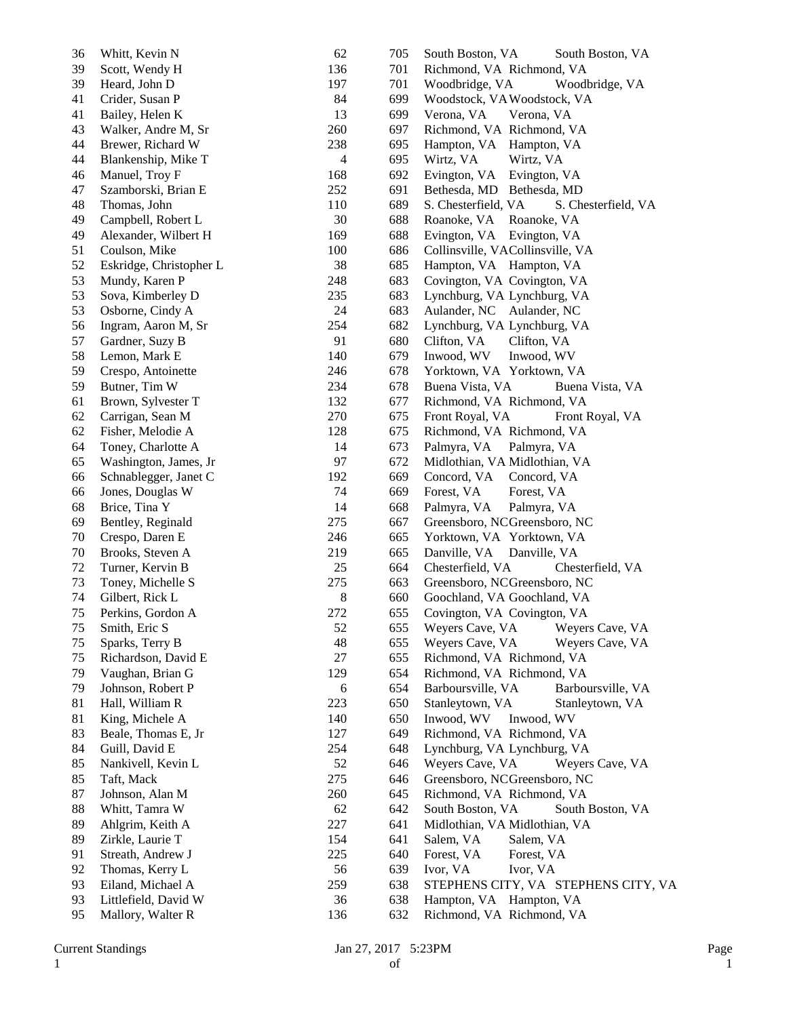| 36 | Whitt, Kevin N          | 62             | 705 | South Boston, VA<br>South Boston, VA       |
|----|-------------------------|----------------|-----|--------------------------------------------|
| 39 | Scott, Wendy H          | 136            | 701 | Richmond, VA Richmond, VA                  |
| 39 | Heard, John D           | 197            | 701 | Woodbridge, VA<br>Woodbridge, VA           |
| 41 | Crider, Susan P         | 84             | 699 | Woodstock, VA Woodstock, VA                |
| 41 | Bailey, Helen K         | 13             | 699 | Verona, VA<br>Verona, VA                   |
| 43 | Walker, Andre M, Sr     | 260            | 697 | Richmond, VA Richmond, VA                  |
| 44 | Brewer, Richard W       | 238            | 695 | Hampton, VA<br>Hampton, VA                 |
| 44 | Blankenship, Mike T     | $\overline{4}$ | 695 | Wirtz, VA<br>Wirtz, VA                     |
| 46 | Manuel, Troy F          | 168            | 692 | Evington, VA<br>Evington, VA               |
| 47 | Szamborski, Brian E     | 252            | 691 | Bethesda, MD Bethesda, MD                  |
| 48 | Thomas, John            | 110            | 689 | S. Chesterfield, VA<br>S. Chesterfield, VA |
| 49 | Campbell, Robert L      | 30             | 688 | Roanoke, VA<br>Roanoke, VA                 |
| 49 | Alexander, Wilbert H    | 169            | 688 | Evington, VA Evington, VA                  |
| 51 | Coulson, Mike           | 100            | 686 | Collinsville, VACollinsville, VA           |
| 52 | Eskridge, Christopher L | 38             | 685 | Hampton, VA Hampton, VA                    |
| 53 | Mundy, Karen P          | 248            | 683 | Covington, VA Covington, VA                |
| 53 | Sova, Kimberley D       | 235            | 683 | Lynchburg, VA Lynchburg, VA                |
| 53 | Osborne, Cindy A        | 24             | 683 | Aulander, NC Aulander, NC                  |
| 56 | Ingram, Aaron M, Sr     | 254            | 682 | Lynchburg, VA Lynchburg, VA                |
| 57 | Gardner, Suzy B         | 91             | 680 | Clifton, VA<br>Clifton, VA                 |
| 58 | Lemon, Mark E           | 140            | 679 | Inwood, WV<br>Inwood, WV                   |
| 59 | Crespo, Antoinette      | 246            | 678 | Yorktown, VA Yorktown, VA                  |
| 59 | Butner, Tim W           | 234            | 678 | Buena Vista, VA<br>Buena Vista, VA         |
| 61 | Brown, Sylvester T      | 132            | 677 | Richmond, VA Richmond, VA                  |
| 62 | Carrigan, Sean M        | 270            | 675 | Front Royal, VA<br>Front Royal, VA         |
| 62 | Fisher, Melodie A       | 128            | 675 | Richmond, VA Richmond, VA                  |
| 64 | Toney, Charlotte A      | 14             | 673 | Palmyra, VA<br>Palmyra, VA                 |
| 65 | Washington, James, Jr   | 97             | 672 | Midlothian, VA Midlothian, VA              |
| 66 | Schnablegger, Janet C   | 192            | 669 | Concord, VA<br>Concord, VA                 |
| 66 | Jones, Douglas W        | 74             | 669 | Forest, VA<br>Forest, VA                   |
| 68 | Brice, Tina Y           | 14             | 668 | Palmyra, VA<br>Palmyra, VA                 |
| 69 | Bentley, Reginald       | 275            | 667 | Greensboro, NCGreensboro, NC               |
| 70 | Crespo, Daren E         | 246            | 665 | Yorktown, VA Yorktown, VA                  |
| 70 | Brooks, Steven A        | 219            | 665 | Danville, VA<br>Danville, VA               |
| 72 | Turner, Kervin B        | 25             | 664 | Chesterfield, VA<br>Chesterfield, VA       |
| 73 | Toney, Michelle S       | 275            | 663 | Greensboro, NCGreensboro, NC               |
| 74 | Gilbert, Rick L         | 8              | 660 |                                            |
| 75 | Perkins, Gordon A       | 272            | 655 | Goochland, VA Goochland, VA                |
|    |                         |                |     | Covington, VA Covington, VA                |
| 75 | Smith, Eric S           | 52             | 655 | Weyers Cave, VA<br>Weyers Cave, VA         |
| 75 | Sparks, Terry B         | 48             | 655 | Weyers Cave, VA<br>Weyers Cave, VA         |
| 75 | Richardson, David E     | 27             | 655 | Richmond, VA Richmond, VA                  |
| 79 | Vaughan, Brian G        | 129            | 654 | Richmond, VA Richmond, VA                  |
| 79 | Johnson, Robert P       | 6              | 654 | Barboursville, VA<br>Barboursville, VA     |
| 81 | Hall, William R         | 223            | 650 | Stanleytown, VA<br>Stanleytown, VA         |
| 81 | King, Michele A         | 140            | 650 | Inwood, WV<br>Inwood, WV                   |
| 83 | Beale, Thomas E, Jr     | 127            | 649 | Richmond, VA Richmond, VA                  |
| 84 | Guill, David E          | 254            | 648 | Lynchburg, VA Lynchburg, VA                |
| 85 | Nankivell, Kevin L      | 52             | 646 | Weyers Cave, VA<br>Weyers Cave, VA         |
| 85 | Taft, Mack              | 275            | 646 | Greensboro, NCGreensboro, NC               |
| 87 | Johnson, Alan M         | 260            | 645 | Richmond, VA Richmond, VA                  |
| 88 | Whitt, Tamra W          | 62             | 642 | South Boston, VA<br>South Boston, VA       |
| 89 | Ahlgrim, Keith A        | 227            | 641 | Midlothian, VA Midlothian, VA              |
| 89 | Zirkle, Laurie T        | 154            | 641 | Salem, VA<br>Salem, VA                     |
| 91 | Streath, Andrew J       | 225            | 640 | Forest, VA<br>Forest, VA                   |
| 92 | Thomas, Kerry L         | 56             | 639 | Ivor, VA<br>Ivor, VA                       |
| 93 | Eiland, Michael A       | 259            | 638 | STEPHENS CITY, VA STEPHENS CITY, VA        |
| 93 | Littlefield, David W    | 36             | 638 | Hampton, VA Hampton, VA                    |
| 95 | Mallory, Walter R       | 136            | 632 | Richmond, VA Richmond, VA                  |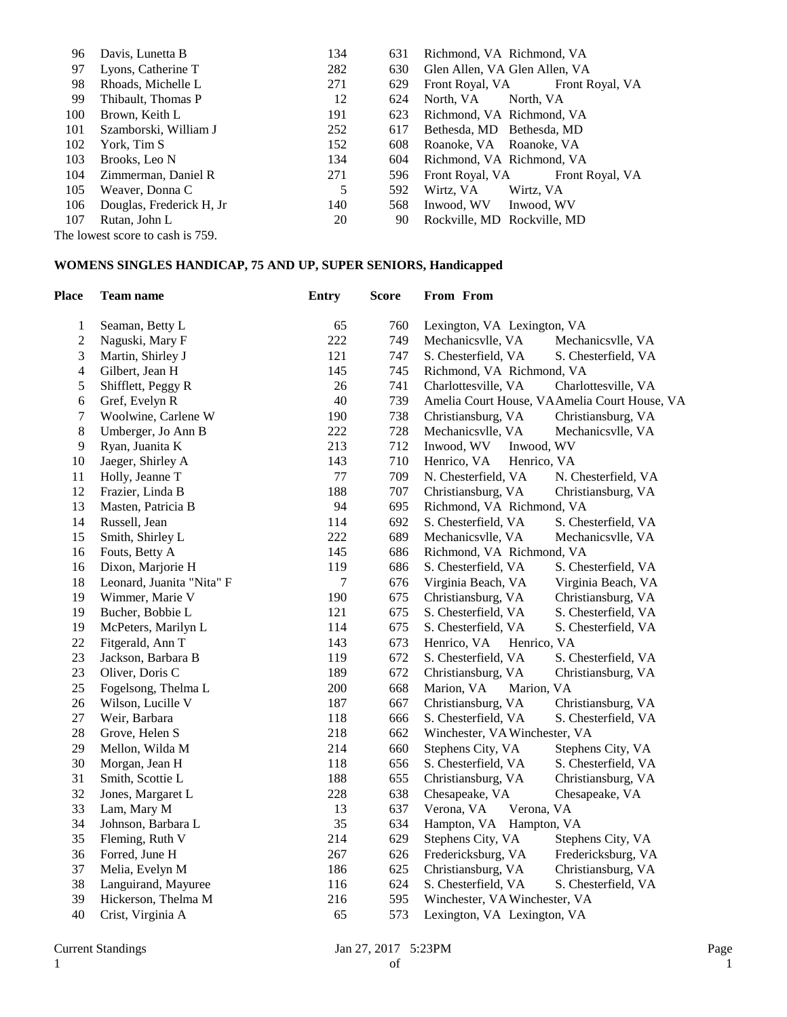| 96  | Davis, Lunetta B                 | 134 | 631 | Richmond, VA Richmond, VA       |
|-----|----------------------------------|-----|-----|---------------------------------|
| 97  | Lyons, Catherine T               | 282 | 630 | Glen Allen, VA Glen Allen, VA   |
| 98  | Rhoads, Michelle L               | 271 | 629 | Front Royal, VA Front Royal, VA |
| 99  | Thibault, Thomas P               | 12  | 624 | North, VA<br>North. VA          |
| 100 | Brown, Keith L                   | 191 | 623 | Richmond, VA Richmond, VA       |
| 101 | Szamborski, William J            | 252 | 617 | Bethesda, MD Bethesda, MD       |
| 102 | York, Tim S                      | 152 | 608 | Roanoke, VA Roanoke, VA         |
| 103 | Brooks, Leo N                    | 134 | 604 | Richmond, VA Richmond, VA       |
| 104 | Zimmerman, Daniel R              | 271 | 596 | Front Royal, VA Front Royal, VA |
| 105 | Weaver, Donna C                  | 5   | 592 | Wirtz, VA<br>Wirtz, VA          |
| 106 | Douglas, Frederick H, Jr         | 140 | 568 | Inwood, WV Inwood, WV           |
| 107 | Rutan, John L                    | 20  | 90  | Rockville, MD Rockville, MD     |
|     | The lowest score to cash is 759. |     |     |                                 |

## **WOMENS SINGLES HANDICAP, 75 AND UP, SUPER SENIORS, Handicapped**

| <b>Place</b>   | Team name                 | <b>Entry</b> | <b>Score</b> | From From                     |                                              |
|----------------|---------------------------|--------------|--------------|-------------------------------|----------------------------------------------|
| $\mathbf{1}$   | Seaman, Betty L           | 65           | 760          | Lexington, VA Lexington, VA   |                                              |
| $\overline{c}$ | Naguski, Mary F           | 222          | 749          | Mechanicsvlle, VA             | Mechanicsvlle, VA                            |
| 3              | Martin, Shirley J         | 121          | 747          | S. Chesterfield, VA           | S. Chesterfield, VA                          |
| $\overline{4}$ | Gilbert, Jean H           | 145          | 745          | Richmond, VA Richmond, VA     |                                              |
| 5              | Shifflett, Peggy R        | 26           | 741          | Charlottesville, VA           | Charlottesville, VA                          |
| 6              | Gref, Evelyn R            | 40           | 739          |                               | Amelia Court House, VAAmelia Court House, VA |
| 7              | Woolwine, Carlene W       | 190          | 738          | Christiansburg, VA            | Christiansburg, VA                           |
| 8              | Umberger, Jo Ann B        | 222          | 728          | Mechanicsvlle, VA             | Mechanicsvlle, VA                            |
| 9              | Ryan, Juanita K           | 213          | 712          | Inwood, WV                    | Inwood, WV                                   |
| 10             | Jaeger, Shirley A         | 143          | 710          | Henrico, VA                   | Henrico, VA                                  |
| 11             | Holly, Jeanne T           | $77 \,$      | 709          | N. Chesterfield, VA           | N. Chesterfield, VA                          |
| 12             | Frazier, Linda B          | 188          | 707          | Christiansburg, VA            | Christiansburg, VA                           |
| 13             | Masten, Patricia B        | 94           | 695          | Richmond, VA Richmond, VA     |                                              |
| 14             | Russell, Jean             | 114          | 692          | S. Chesterfield, VA           | S. Chesterfield, VA                          |
| 15             | Smith, Shirley L          | 222          | 689          | Mechanicsvlle, VA             | Mechanicsvlle, VA                            |
| 16             | Fouts, Betty A            | 145          | 686          | Richmond, VA Richmond, VA     |                                              |
| 16             | Dixon, Marjorie H         | 119          | 686          | S. Chesterfield, VA           | S. Chesterfield, VA                          |
| 18             | Leonard, Juanita "Nita" F | $\tau$       | 676          | Virginia Beach, VA            | Virginia Beach, VA                           |
| 19             | Wimmer, Marie V           | 190          | 675          | Christiansburg, VA            | Christiansburg, VA                           |
| 19             | Bucher, Bobbie L          | 121          | 675          | S. Chesterfield, VA           | S. Chesterfield, VA                          |
| 19             | McPeters, Marilyn L       | 114          | 675          | S. Chesterfield, VA           | S. Chesterfield, VA                          |
| 22             | Fitgerald, Ann T          | 143          | 673          | Henrico, VA                   | Henrico, VA                                  |
| 23             | Jackson, Barbara B        | 119          | 672          | S. Chesterfield, VA           | S. Chesterfield, VA                          |
| 23             | Oliver, Doris C           | 189          | 672          | Christiansburg, VA            | Christiansburg, VA                           |
| 25             | Fogelsong, Thelma L       | 200          | 668          | Marion, VA<br>Marion, VA      |                                              |
| 26             | Wilson, Lucille V         | 187          | 667          | Christiansburg, VA            | Christiansburg, VA                           |
| 27             | Weir, Barbara             | 118          | 666          | S. Chesterfield, VA           | S. Chesterfield, VA                          |
| 28             | Grove, Helen S            | 218          | 662          | Winchester, VA Winchester, VA |                                              |
| 29             | Mellon, Wilda M           | 214          | 660          | Stephens City, VA             | Stephens City, VA                            |
| 30             | Morgan, Jean H            | 118          | 656          | S. Chesterfield, VA           | S. Chesterfield, VA                          |
| 31             | Smith, Scottie L          | 188          | 655          | Christiansburg, VA            | Christiansburg, VA                           |
| 32             | Jones, Margaret L         | 228          | 638          | Chesapeake, VA                | Chesapeake, VA                               |
| 33             | Lam, Mary M               | 13           | 637          | Verona, VA<br>Verona, VA      |                                              |
| 34             | Johnson, Barbara L        | 35           | 634          | Hampton, VA Hampton, VA       |                                              |
| 35             | Fleming, Ruth V           | 214          | 629          | Stephens City, VA             | Stephens City, VA                            |
| 36             | Forred, June H            | 267          | 626          | Fredericksburg, VA            | Fredericksburg, VA                           |
| 37             | Melia, Evelyn M           | 186          | 625          | Christiansburg, VA            | Christiansburg, VA                           |
| 38             | Languirand, Mayuree       | 116          | 624          | S. Chesterfield, VA           | S. Chesterfield, VA                          |
| 39             | Hickerson, Thelma M       | 216          | 595          | Winchester, VA Winchester, VA |                                              |
| 40             | Crist, Virginia A         | 65           | 573          | Lexington, VA Lexington, VA   |                                              |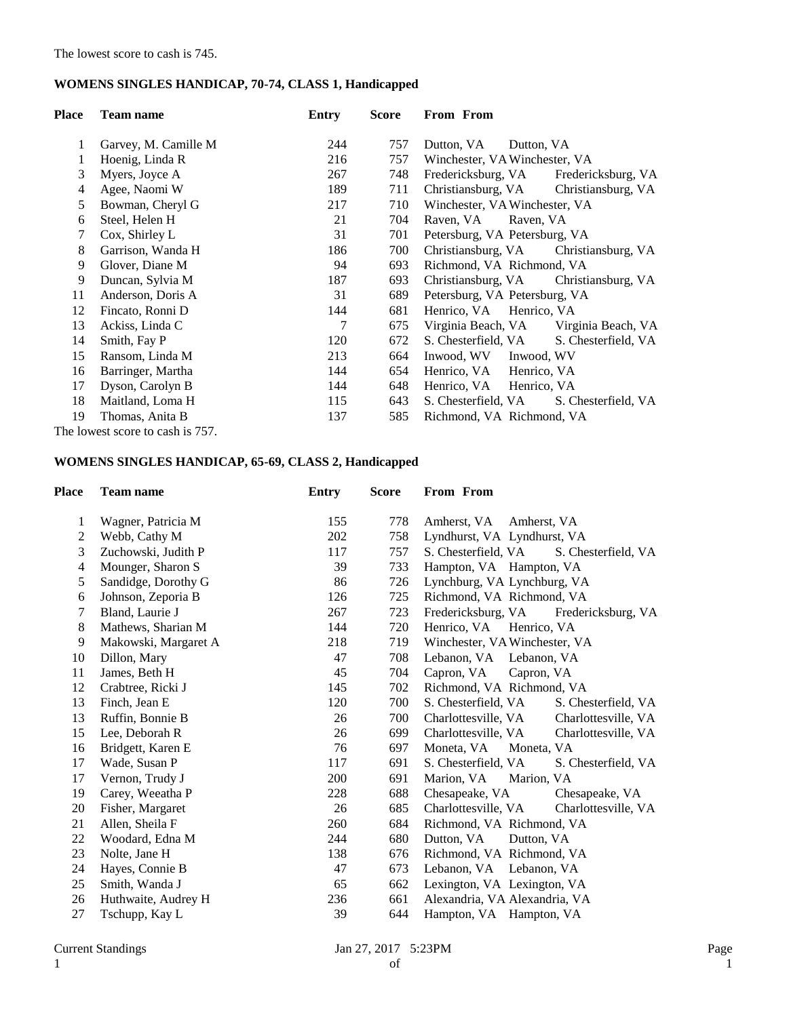## **WOMENS SINGLES HANDICAP, 70-74, CLASS 1, Handicapped**

| <b>Place</b> | <b>Team name</b>                 | Entry | <b>Score</b> | From From                                  |
|--------------|----------------------------------|-------|--------------|--------------------------------------------|
|              |                                  |       |              |                                            |
| 1            | Garvey, M. Camille M.            | 244   | 757          | Dutton, VA<br>Dutton, VA                   |
| 1            | Hoenig, Linda R                  | 216   | 757          | Winchester, VA Winchester, VA              |
| 3            | Myers, Joyce A                   | 267   | 748          | Fredericksburg, VA<br>Fredericksburg, VA   |
| 4            | Agee, Naomi W                    | 189   | 711          | Christiansburg, VA<br>Christiansburg, VA   |
| 5            | Bowman, Cheryl G                 | 217   | 710          | Winchester, VA Winchester, VA              |
| 6            | Steel, Helen H                   | 21    | 704          | Raven, VA<br>Raven, VA                     |
| 7            | Cox, Shirley L                   | 31    | 701          | Petersburg, VA Petersburg, VA              |
| 8            | Garrison, Wanda H                | 186   | 700          | Christiansburg, VA Christiansburg, VA      |
| 9            | Glover, Diane M                  | 94    | 693          | Richmond, VA Richmond, VA                  |
| 9            | Duncan, Sylvia M                 | 187   | 693          | Christiansburg, VA Christiansburg, VA      |
| 11           | Anderson, Doris A                | 31    | 689          | Petersburg, VA Petersburg, VA              |
| 12           | Fincato, Ronni D                 | 144   | 681          | Henrico, VA Henrico, VA                    |
| 13           | Ackiss, Linda C                  | 7     | 675          | Virginia Beach, VA Virginia Beach, VA      |
| 14           | Smith, Fay P                     | 120   | 672          | S. Chesterfield, VA<br>S. Chesterfield, VA |
| 15           | Ransom, Linda M                  | 213   | 664          | Inwood, WV<br>Inwood, WV                   |
| 16           | Barringer, Martha                | 144   | 654          | Henrico, VA Henrico, VA                    |
| 17           | Dyson, Carolyn B                 | 144   | 648          | Henrico, VA Henrico, VA                    |
| 18           | Maitland, Loma H                 | 115   | 643          | S. Chesterfield, VA<br>S. Chesterfield, VA |
| 19           | Thomas, Anita B                  | 137   | 585          | Richmond, VA Richmond, VA                  |
|              | The lowest score to cash is 757. |       |              |                                            |

## **WOMENS SINGLES HANDICAP, 65-69, CLASS 2, Handicapped**

| Place | <b>Team name</b>     | <b>Entry</b> | <b>Score</b> | From From                                  |
|-------|----------------------|--------------|--------------|--------------------------------------------|
| 1     | Wagner, Patricia M   | 155          | 778          | Amherst, VA<br>Amherst, VA                 |
| 2     | Webb, Cathy M        | 202          | 758          | Lyndhurst, VA Lyndhurst, VA                |
| 3     | Zuchowski, Judith P  | 117          | 757          | S. Chesterfield, VA<br>S. Chesterfield, VA |
| 4     | Mounger, Sharon S    | 39           | 733          | Hampton, VA Hampton, VA                    |
| 5     | Sandidge, Dorothy G  | 86           | 726          | Lynchburg, VA Lynchburg, VA                |
| 6     | Johnson, Zeporia B   | 126          | 725          | Richmond, VA Richmond, VA                  |
| 7     | Bland, Laurie J      | 267          | 723          | Fredericksburg, VA<br>Fredericksburg, VA   |
| 8     | Mathews, Sharian M   | 144          | 720          | Henrico, VA<br>Henrico, VA                 |
| 9     | Makowski, Margaret A | 218          | 719          | Winchester, VA Winchester, VA              |
| 10    | Dillon, Mary         | 47           | 708          | Lebanon, VA Lebanon, VA                    |
| 11    | James, Beth H        | 45           | 704          | Capron, VA<br>Capron, VA                   |
| 12    | Crabtree, Ricki J    | 145          | 702          | Richmond, VA Richmond, VA                  |
| 13    | Finch, Jean E        | 120          | 700          | S. Chesterfield, VA<br>S. Chesterfield, VA |
| 13    | Ruffin, Bonnie B     | 26           | 700          | Charlottesville, VA<br>Charlottesville, VA |
| 15    | Lee, Deborah R       | 26           | 699          | Charlottesville, VA<br>Charlottesville, VA |
| 16    | Bridgett, Karen E    | 76           | 697          | Moneta, VA<br>Moneta, VA                   |
| 17    | Wade, Susan P        | 117          | 691          | S. Chesterfield, VA<br>S. Chesterfield, VA |
| 17    | Vernon, Trudy J      | 200          | 691          | Marion, VA<br>Marion, VA                   |
| 19    | Carey, Weeatha P     | 228          | 688          | Chesapeake, VA<br>Chesapeake, VA           |
| 20    | Fisher, Margaret     | 26           | 685          | Charlottesville, VA<br>Charlottesville, VA |
| 21    | Allen, Sheila F      | 260          | 684          | Richmond, VA Richmond, VA                  |
| 22    | Woodard, Edna M      | 244          | 680          | Dutton, VA<br>Dutton, VA                   |
| 23    | Nolte, Jane H        | 138          | 676          | Richmond, VA Richmond, VA                  |
| 24    | Hayes, Connie B      | 47           | 673          | Lebanon, VA Lebanon, VA                    |
| 25    | Smith, Wanda J       | 65           | 662          | Lexington, VA Lexington, VA                |
| 26    | Huthwaite, Audrey H  | 236          | 661          | Alexandria, VA Alexandria, VA              |
| 27    | Tschupp, Kay L       | 39           | 644          | Hampton, VA Hampton, VA                    |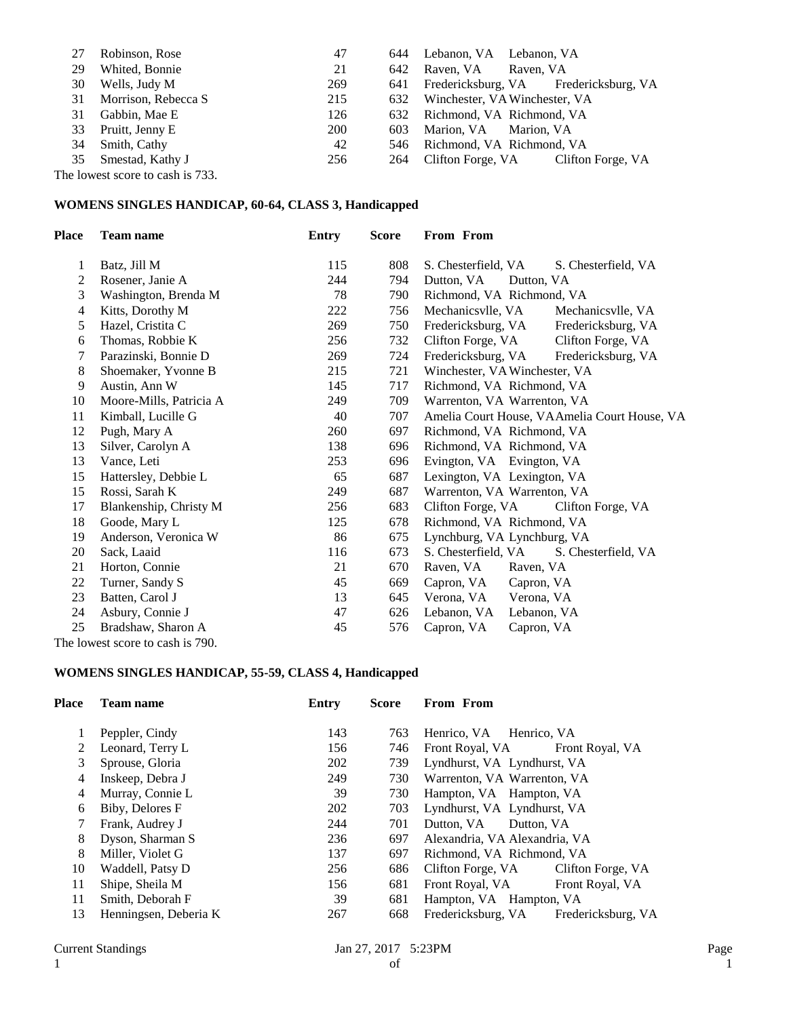| 27 | Robinson, Rose                      | 47         |     | 644 Lebanon, VA Lebanon, VA           |
|----|-------------------------------------|------------|-----|---------------------------------------|
| 29 | Whited, Bonnie                      | 21         | 642 | Raven, VA Raven, VA                   |
| 30 | Wells, Judy M                       | 269        | 641 | Fredericksburg, VA Fredericksburg, VA |
|    | 31 Morrison, Rebecca S              | 215        |     | 632 Winchester, VA Winchester, VA     |
| 31 | Gabbin, Mae E                       | 126        | 632 | Richmond, VA Richmond, VA             |
|    | 33 Pruitt, Jenny E                  | <b>200</b> | 603 | Marion, VA Marion, VA                 |
|    | 34 Smith, Cathy                     | 42         |     | 546 Richmond, VA Richmond, VA         |
|    | 35 Smestad, Kathy J                 | 256        | 264 | Clifton Forge, VA Clifton Forge, VA   |
|    | $\alpha$ lawset seem to sach is 722 |            |     |                                       |

The lowest score to cash is 733.

### **WOMENS SINGLES HANDICAP, 60-64, CLASS 3, Handicapped**

| <b>Place</b>   | <b>Team name</b>                 | <b>Entry</b> | <b>Score</b> | From From                                    |                     |
|----------------|----------------------------------|--------------|--------------|----------------------------------------------|---------------------|
| 1              | Batz, Jill M                     | 115          | 808          | S. Chesterfield, VA                          | S. Chesterfield, VA |
| 2              | Rosener, Janie A                 | 244          | 794          | Dutton, VA<br>Dutton, VA                     |                     |
| 3              | Washington, Brenda M             | 78           | 790          | Richmond, VA Richmond, VA                    |                     |
| $\overline{4}$ | Kitts, Dorothy M                 | 222          | 756          | Mechanicsvlle, VA                            | Mechanicsvlle, VA   |
| 5              | Hazel, Cristita C                | 269          | 750          | Fredericksburg, VA                           | Fredericksburg, VA  |
| 6              | Thomas, Robbie K                 | 256          | 732          | Clifton Forge, VA                            | Clifton Forge, VA   |
| 7              | Parazinski, Bonnie D             | 269          | 724          | Fredericksburg, VA                           | Fredericksburg, VA  |
| 8              | Shoemaker, Yvonne B              | 215          | 721          | Winchester, VA Winchester, VA                |                     |
| 9              | Austin, Ann W                    | 145          | 717          | Richmond, VA Richmond, VA                    |                     |
| 10             | Moore-Mills, Patricia A          | 249          | 709          | Warrenton, VA Warrenton, VA                  |                     |
| 11             | Kimball, Lucille G               | 40           | 707          | Amelia Court House, VAAmelia Court House, VA |                     |
| 12             | Pugh, Mary A                     | 260          | 697          | Richmond, VA Richmond, VA                    |                     |
| 13             | Silver, Carolyn A                | 138          | 696          | Richmond, VA Richmond, VA                    |                     |
| 13             | Vance, Leti                      | 253          | 696          | Evington, VA Evington, VA                    |                     |
| 15             | Hattersley, Debbie L             | 65           | 687          | Lexington, VA Lexington, VA                  |                     |
| 15             | Rossi, Sarah K                   | 249          | 687          | Warrenton, VA Warrenton, VA                  |                     |
| 17             | Blankenship, Christy M           | 256          | 683          | Clifton Forge, VA                            | Clifton Forge, VA   |
| 18             | Goode, Mary L                    | 125          | 678          | Richmond, VA Richmond, VA                    |                     |
| 19             | Anderson, Veronica W             | 86           | 675          | Lynchburg, VA Lynchburg, VA                  |                     |
| 20             | Sack, Laaid                      | 116          | 673          | S. Chesterfield, VA                          | S. Chesterfield, VA |
| 21             | Horton, Connie                   | 21           | 670          | Raven, VA<br>Raven, VA                       |                     |
| 22             | Turner, Sandy S                  | 45           | 669          | Capron, VA<br>Capron, VA                     |                     |
| 23             | Batten, Carol J                  | 13           | 645          | Verona, VA<br>Verona, VA                     |                     |
| 24             | Asbury, Connie J                 | 47           | 626          | Lebanon, VA<br>Lebanon, VA                   |                     |
| 25             | Bradshaw, Sharon A               | 45           | 576          | Capron, VA<br>Capron, VA                     |                     |
|                | The lowest score to cash is 790. |              |              |                                              |                     |

# **WOMENS SINGLES HANDICAP, 55-59, CLASS 4, Handicapped**

| Place | <b>Team name</b>      | Entry | <b>Score</b> | From From                                |
|-------|-----------------------|-------|--------------|------------------------------------------|
|       | Peppler, Cindy        | 143   | 763          | Henrico, VA Henrico, VA                  |
| 2     | Leonard, Terry L      | 156   | 746          | Front Royal, VA<br>Front Royal, VA       |
| 3     | Sprouse, Gloria       | 202   | 739          | Lyndhurst, VA Lyndhurst, VA              |
| 4     | Inskeep, Debra J      | 249   | 730          | Warrenton, VA Warrenton, VA              |
| 4     | Murray, Connie L      | 39    | 730          | Hampton, VA Hampton, VA                  |
| 6     | Biby, Delores F       | 202   | 703          | Lyndhurst, VA Lyndhurst, VA              |
| 7     | Frank, Audrey J       | 244   | 701          | Dutton, VA<br>Dutton, VA                 |
| 8     | Dyson, Sharman S      | 236   | 697          | Alexandria, VA Alexandria, VA            |
| 8     | Miller, Violet G      | 137   | 697          | Richmond, VA Richmond, VA                |
| 10    | Waddell, Patsy D      | 256   | 686          | Clifton Forge, VA<br>Clifton Forge, VA   |
| 11    | Shipe, Sheila M       | 156   | 681          | Front Royal, VA<br>Front Royal, VA       |
| 11    | Smith, Deborah F      | 39    | 681          | Hampton, VA Hampton, VA                  |
| 13    | Henningsen, Deberia K | 267   | 668          | Fredericksburg, VA<br>Fredericksburg, VA |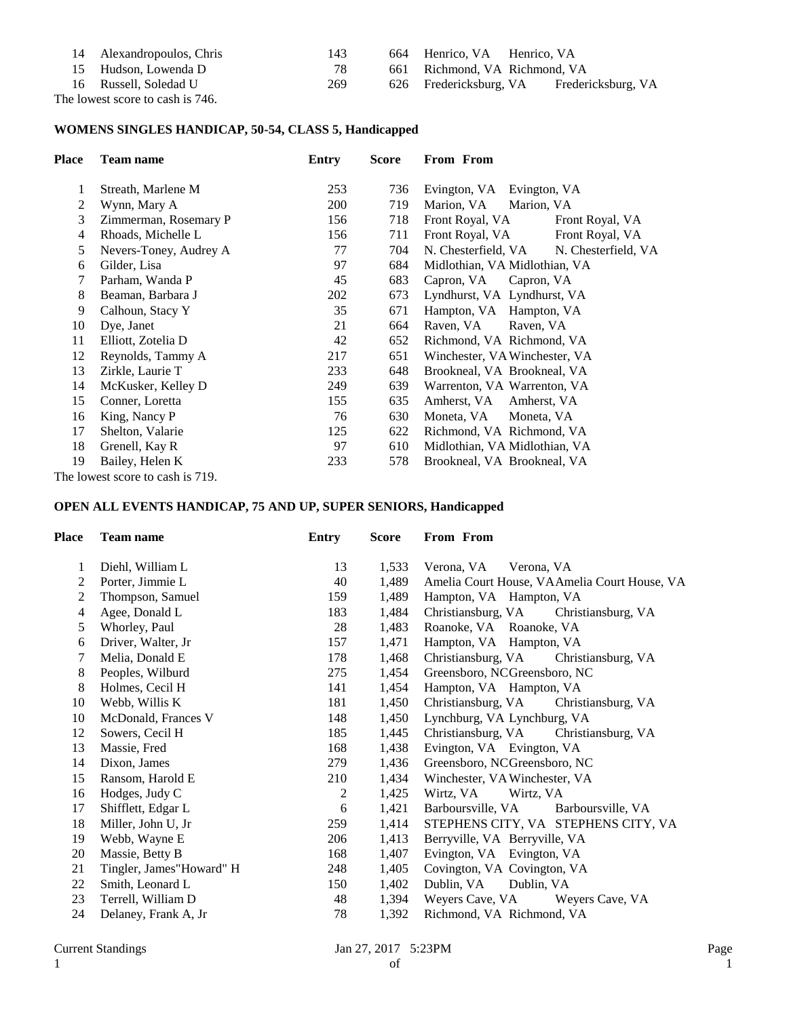| 14 Alexandropoulos, Chris        | 143 | 664 Henrico, VA Henrico, VA   |                    |  |
|----------------------------------|-----|-------------------------------|--------------------|--|
| 15 Hudson, Lowenda D             | 78  | 661 Richmond, VA Richmond, VA |                    |  |
| 16 Russell, Soledad U            | 269 | 626 Fredericksburg, VA        | Fredericksburg, VA |  |
| The lowest score to cash is 746. |     |                               |                    |  |

#### **WOMENS SINGLES HANDICAP, 50-54, CLASS 5, Handicapped**

| <b>Place</b> | Team name                        | Entry      | <b>Score</b> | From From                                  |
|--------------|----------------------------------|------------|--------------|--------------------------------------------|
| 1            | Streath, Marlene M               | 253        | 736          | Evington, VA<br>Evington, VA               |
| 2            | Wynn, Mary A                     | <b>200</b> | 719          | Marion, VA<br>Marion, VA                   |
| 3            | Zimmerman, Rosemary P            | 156        | 718          | Front Royal, VA<br>Front Royal, VA         |
| 4            | Rhoads, Michelle L               | 156        | 711          | Front Royal, VA<br>Front Royal, VA         |
| 5            | Nevers-Toney, Audrey A           | 77         | 704          | N. Chesterfield, VA<br>N. Chesterfield, VA |
| 6            | Gilder, Lisa                     | 97         | 684          | Midlothian, VA Midlothian, VA              |
| 7            | Parham, Wanda P                  | 45         | 683          | Capron, VA<br>Capron, VA                   |
| 8            | Beaman, Barbara J                | 202        | 673          | Lyndhurst, VA Lyndhurst, VA                |
| 9            | Calhoun, Stacy Y                 | 35         | 671          | Hampton, VA Hampton, VA                    |
| 10           | Dye, Janet                       | 21         | 664          | Raven, VA<br>Raven, VA                     |
| 11           | Elliott, Zotelia D               | 42         | 652          | Richmond, VA Richmond, VA                  |
| 12           | Reynolds, Tammy A                | 217        | 651          | Winchester, VA Winchester, VA              |
| 13           | Zirkle, Laurie T                 | 233        | 648          | Brookneal, VA Brookneal, VA                |
| 14           | McKusker, Kelley D               | 249        | 639          | Warrenton, VA Warrenton, VA                |
| 15           | Conner, Loretta                  | 155        | 635          | Amherst, VA<br>Amherst, VA                 |
| 16           | King, Nancy P                    | 76         | 630          | Moneta, VA<br>Moneta, VA                   |
| 17           | Shelton, Valarie                 | 125        | 622          | Richmond, VA Richmond, VA                  |
| 18           | Grenell, Kay R                   | 97         | 610          | Midlothian, VA Midlothian, VA              |
| 19           | Bailey, Helen K                  | 233        | 578          | Brookneal, VA Brookneal, VA                |
|              | The lowest score to cash is 719. |            |              |                                            |

#### **OPEN ALL EVENTS HANDICAP, 75 AND UP, SUPER SENIORS, Handicapped**

| <b>Place</b> | <b>Team name</b>         | <b>Entry</b>   | <b>Score</b> | From From                                    |
|--------------|--------------------------|----------------|--------------|----------------------------------------------|
| 1            | Diehl, William L         | 13             | 1,533        | Verona, VA<br>Verona, VA                     |
| 2            | Porter, Jimmie L         | 40             | 1,489        | Amelia Court House, VAAmelia Court House, VA |
| 2            | Thompson, Samuel         | 159            | 1,489        | Hampton, VA Hampton, VA                      |
| 4            | Agee, Donald L           | 183            | 1,484        | Christiansburg, VA<br>Christiansburg, VA     |
| 5            | Whorley, Paul            | 28             | 1,483        | Roanoke, VA Roanoke, VA                      |
| 6            | Driver, Walter, Jr.      | 157            | 1,471        | Hampton, VA Hampton, VA                      |
| 7            | Melia, Donald E          | 178            | 1,468        | Christiansburg, VA<br>Christiansburg, VA     |
| 8            | Peoples, Wilburd         | 275            | 1,454        | Greensboro, NCGreensboro, NC                 |
| 8            | Holmes, Cecil H          | 141            | 1,454        | Hampton, VA Hampton, VA                      |
| 10           | Webb, Willis K           | 181            | 1,450        | Christiansburg, VA<br>Christiansburg, VA     |
| 10           | McDonald, Frances V      | 148            | 1,450        | Lynchburg, VA Lynchburg, VA                  |
| 12           | Sowers, Cecil H          | 185            | 1,445        | Christiansburg, VA<br>Christiansburg, VA     |
| 13           | Massie, Fred             | 168            | 1,438        | Evington, VA Evington, VA                    |
| 14           | Dixon, James             | 279            | 1,436        | Greensboro, NCGreensboro, NC                 |
| 15           | Ransom, Harold E         | 210            | 1,434        | Winchester, VA Winchester, VA                |
| 16           | Hodges, Judy C           | $\overline{c}$ | 1,425        | Wirtz, VA<br>Wirtz, VA                       |
| 17           | Shifflett, Edgar L       | 6              | 1,421        | Barboursville, VA Barboursville, VA          |
| 18           | Miller, John U, Jr       | 259            | 1,414        | STEPHENS CITY, VA STEPHENS CITY, VA          |
| 19           | Webb, Wayne E            | 206            | 1,413        | Berryville, VA Berryville, VA                |
| 20           | Massie, Betty B          | 168            | 1,407        | Evington, VA Evington, VA                    |
| 21           | Tingler, James"Howard" H | 248            | 1,405        | Covington, VA Covington, VA                  |
| 22           | Smith, Leonard L         | 150            | 1,402        | Dublin, VA<br>Dublin, VA                     |
| 23           | Terrell, William D       | 48             | 1,394        | Weyers Cave, VA<br>Weyers Cave, VA           |
| 24           | Delaney, Frank A, Jr     | 78             | 1,392        | Richmond, VA Richmond, VA                    |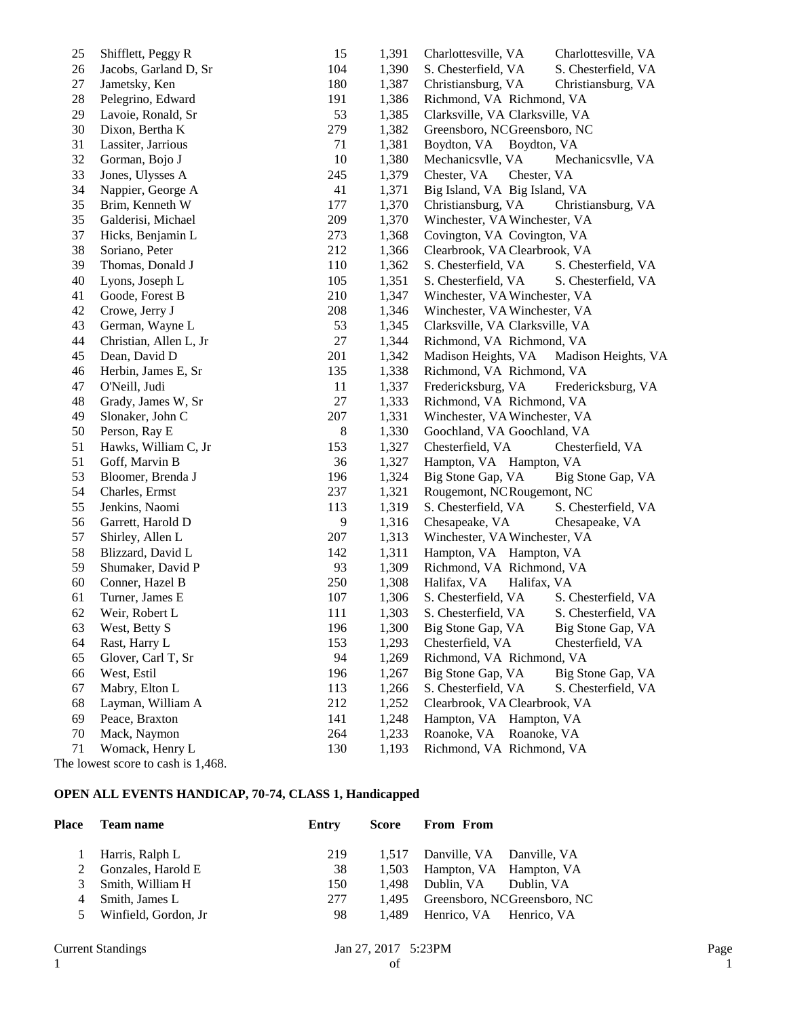| 25 | Shifflett, Peggy R      | 15     | 1,391 | Charlottesville, VA<br>Charlottesville, VA |
|----|-------------------------|--------|-------|--------------------------------------------|
| 26 | Jacobs, Garland D, Sr   | 104    | 1,390 | S. Chesterfield, VA<br>S. Chesterfield, VA |
| 27 | Jametsky, Ken           | 180    | 1,387 | Christiansburg, VA<br>Christiansburg, VA   |
| 28 | Pelegrino, Edward       | 191    | 1,386 | Richmond, VA Richmond, VA                  |
| 29 | Lavoie, Ronald, Sr      | 53     | 1,385 | Clarksville, VA Clarksville, VA            |
| 30 | Dixon, Bertha K         | 279    | 1,382 | Greensboro, NCGreensboro, NC               |
| 31 | Lassiter, Jarrious      | 71     | 1,381 | Boydton, VA<br>Boydton, VA                 |
| 32 | Gorman, Bojo J          | 10     | 1,380 | Mechanicsvlle, VA<br>Mechanicsvlle, VA     |
| 33 | Jones, Ulysses A        | 245    | 1,379 | Chester, VA<br>Chester, VA                 |
| 34 | Nappier, George A       | 41     | 1,371 | Big Island, VA Big Island, VA              |
| 35 | Brim, Kenneth W         | 177    | 1,370 | Christiansburg, VA<br>Christiansburg, VA   |
| 35 | Galderisi, Michael      | 209    | 1,370 | Winchester, VA Winchester, VA              |
| 37 | Hicks, Benjamin L       | 273    | 1,368 | Covington, VA Covington, VA                |
| 38 | Soriano, Peter          | 212    | 1,366 | Clearbrook, VA Clearbrook, VA              |
| 39 | Thomas, Donald J        | 110    | 1,362 | S. Chesterfield, VA<br>S. Chesterfield, VA |
| 40 | Lyons, Joseph L         | 105    | 1,351 | S. Chesterfield, VA<br>S. Chesterfield, VA |
| 41 | Goode, Forest B         | 210    | 1,347 | Winchester, VA Winchester, VA              |
| 42 | Crowe, Jerry J          | 208    | 1,346 | Winchester, VA Winchester, VA              |
| 43 | German, Wayne L         | 53     | 1,345 | Clarksville, VA Clarksville, VA            |
| 44 | Christian, Allen L, Jr  | $27\,$ | 1,344 | Richmond, VA Richmond, VA                  |
| 45 | Dean, David D           | 201    | 1,342 | Madison Heights, VA<br>Madison Heights, VA |
| 46 | Herbin, James E, Sr     | 135    | 1,338 | Richmond, VA Richmond, VA                  |
| 47 | O'Neill, Judi           | 11     | 1,337 | Fredericksburg, VA<br>Fredericksburg, VA   |
| 48 | Grady, James W, Sr      | 27     | 1,333 | Richmond, VA Richmond, VA                  |
| 49 | Slonaker, John C        | 207    | 1,331 | Winchester, VA Winchester, VA              |
| 50 | Person, Ray E           | 8      | 1,330 | Goochland, VA Goochland, VA                |
| 51 | Hawks, William C, Jr    | 153    | 1,327 | Chesterfield, VA<br>Chesterfield, VA       |
| 51 | Goff, Marvin B          | 36     | 1,327 | Hampton, VA Hampton, VA                    |
| 53 | Bloomer, Brenda J       | 196    | 1,324 | Big Stone Gap, VA<br>Big Stone Gap, VA     |
| 54 | Charles, Ermst          | 237    | 1,321 | Rougemont, NCRougemont, NC                 |
| 55 | Jenkins, Naomi          | 113    | 1,319 | S. Chesterfield, VA<br>S. Chesterfield, VA |
| 56 | Garrett, Harold D       | 9      | 1,316 | Chesapeake, VA<br>Chesapeake, VA           |
| 57 | Shirley, Allen L        | 207    | 1,313 | Winchester, VA Winchester, VA              |
| 58 | Blizzard, David L       | 142    | 1,311 | Hampton, VA Hampton, VA                    |
| 59 | Shumaker, David P       | 93     | 1,309 | Richmond, VA Richmond, VA                  |
| 60 | Conner, Hazel B         | 250    | 1,308 | Halifax, VA<br>Halifax, VA                 |
| 61 | Turner, James E         | 107    | 1,306 | S. Chesterfield, VA<br>S. Chesterfield, VA |
| 62 | Weir, Robert L          | 111    | 1,303 | S. Chesterfield, VA<br>S. Chesterfield, VA |
| 63 | West, Betty S           | 196    | 1,300 | Big Stone Gap, VA<br>Big Stone Gap, VA     |
| 64 | Rast, Harry L           | 153    | 1,293 | Chesterfield, VA<br>Chesterfield, VA       |
| 65 | Glover, Carl T, Sr      | 94     | 1,269 | Richmond, VA Richmond, VA                  |
| 66 | West, Estil             | 196    | 1,267 | Big Stone Gap, VA<br>Big Stone Gap, VA     |
| 67 | Mabry, Elton L          | 113    | 1,266 | S. Chesterfield, VA<br>S. Chesterfield, VA |
| 68 | Layman, William A       | 212    | 1,252 | Clearbrook, VA Clearbrook, VA              |
| 69 | Peace, Braxton          | 141    | 1,248 | Hampton, VA Hampton, VA                    |
| 70 | Mack, Naymon            | 264    | 1,233 | Roanoke, VA<br>Roanoke, VA                 |
| 71 | Womack, Henry L         | 130    | 1,193 | Richmond, VA Richmond, VA                  |
|    | cons to sock is $1.400$ |        |       |                                            |

#### The lowest score to cash is 1,468.

## **OPEN ALL EVENTS HANDICAP, 70-74, CLASS 1, Handicapped**

| Place          | Team name              | Entry | Score | <b>From From</b>                |                                    |
|----------------|------------------------|-------|-------|---------------------------------|------------------------------------|
|                | 1 Harris, Ralph L      | 219   |       | 1,517 Danville, VA Danville, VA |                                    |
|                | 2 Gonzales, Harold E   | 38    |       | 1,503 Hampton, VA Hampton, VA   |                                    |
|                | 3 Smith, William H     | 150   |       | 1,498 Dublin, VA Dublin, VA     |                                    |
| $\overline{4}$ | Smith, James L         | 277   |       |                                 | 1,495 Greensboro, NCGreensboro, NC |
|                | 5 Winfield, Gordon, Jr | 98    |       | 1,489 Henrico, VA Henrico, VA   |                                    |
|                |                        |       |       |                                 |                                    |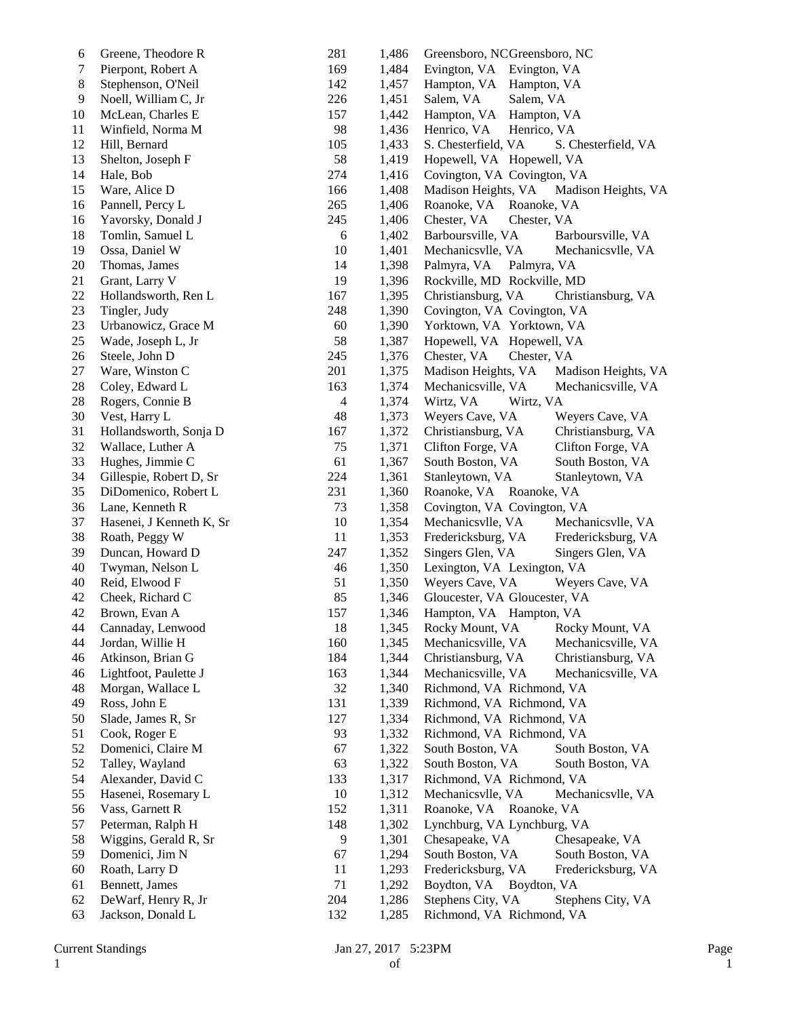| 6  | Greene, Theodore R       | 281            | 1,486 | Greensboro, NCGreensboro, NC               |
|----|--------------------------|----------------|-------|--------------------------------------------|
| 7  | Pierpont, Robert A       | 169            | 1,484 | Evington, VA<br>Evington, VA               |
| 8  | Stephenson, O'Neil       | 142            | 1,457 | Hampton, VA<br>Hampton, VA                 |
| 9  | Noell, William C, Jr     | 226            | 1,451 | Salem, VA<br>Salem, VA                     |
| 10 | McLean, Charles E        | 157            | 1,442 | Hampton, VA<br>Hampton, VA                 |
| 11 | Winfield, Norma M        | 98             | 1,436 | Henrico, VA<br>Henrico, VA                 |
| 12 | Hill, Bernard            | 105            | 1,433 | S. Chesterfield, VA<br>S. Chesterfield, VA |
| 13 | Shelton, Joseph F        | 58             | 1,419 | Hopewell, VA Hopewell, VA                  |
| 14 | Hale, Bob                | 274            | 1,416 | Covington, VA Covington, VA                |
| 15 | Ware, Alice D            | 166            | 1,408 | Madison Heights, VA Madison Heights, VA    |
| 16 | Pannell, Percy L         | 265            | 1,406 | Roanoke, VA Roanoke, VA                    |
| 16 | Yavorsky, Donald J       | 245            | 1,406 | Chester, VA<br>Chester, VA                 |
| 18 | Tomlin, Samuel L         | 6              | 1,402 | Barboursville, VA<br>Barboursville, VA     |
| 19 | Ossa, Daniel W           | 10             | 1,401 | Mechanicsvlle, VA<br>Mechanicsvlle, VA     |
| 20 | Thomas, James            | 14             | 1,398 | Palmyra, VA<br>Palmyra, VA                 |
| 21 | Grant, Larry V           | 19             | 1,396 | Rockville, MD Rockville, MD                |
| 22 | Hollandsworth, Ren L     | 167            | 1,395 | Christiansburg, VA<br>Christiansburg, VA   |
| 23 | Tingler, Judy            | 248            | 1,390 | Covington, VA Covington, VA                |
| 23 | Urbanowicz, Grace M      | 60             | 1,390 | Yorktown, VA Yorktown, VA                  |
| 25 | Wade, Joseph L, Jr       | 58             | 1,387 | Hopewell, VA Hopewell, VA                  |
| 26 | Steele, John D           | 245            | 1,376 | Chester, VA<br>Chester, VA                 |
| 27 | Ware, Winston C          | 201            | 1,375 | Madison Heights, VA<br>Madison Heights, VA |
| 28 | Coley, Edward L          | 163            | 1,374 | Mechanicsville, VA<br>Mechanicsville, VA   |
| 28 | Rogers, Connie B         | $\overline{4}$ | 1,374 | Wirtz, VA<br>Wirtz, VA                     |
| 30 | Vest, Harry L            | 48             | 1,373 | Weyers Cave, VA<br>Weyers Cave, VA         |
| 31 | Hollandsworth, Sonja D   | 167            | 1,372 | Christiansburg, VA<br>Christiansburg, VA   |
| 32 | Wallace, Luther A        | 75             | 1,371 | Clifton Forge, VA<br>Clifton Forge, VA     |
| 33 | Hughes, Jimmie C         | 61             | 1,367 | South Boston, VA<br>South Boston, VA       |
| 34 | Gillespie, Robert D, Sr  | 224            | 1,361 | Stanleytown, VA<br>Stanleytown, VA         |
| 35 | DiDomenico, Robert L     | 231            | 1,360 | Roanoke, VA Roanoke, VA                    |
| 36 | Lane, Kenneth R          | 73             | 1,358 | Covington, VA Covington, VA                |
| 37 | Hasenei, J Kenneth K, Sr | 10             | 1,354 | Mechanicsvlle, VA<br>Mechanicsvlle, VA     |
| 38 | Roath, Peggy W           | 11             | 1,353 | Fredericksburg, VA<br>Fredericksburg, VA   |
| 39 | Duncan, Howard D         | 247            | 1,352 | Singers Glen, VA<br>Singers Glen, VA       |
| 40 | Twyman, Nelson L         | 46             | 1,350 | Lexington, VA Lexington, VA                |
| 40 | Reid, Elwood F           | 51             | 1,350 | Weyers Cave, VA<br>Weyers Cave, VA         |
| 42 | Cheek, Richard C         | 85             | 1,346 | Gloucester, VA Gloucester, VA              |
| 42 | Brown, Evan A            | 157            | 1,346 | Hampton, VA Hampton, VA                    |
| 44 | Cannaday, Lenwood        | 18             | 1,345 | Rocky Mount, VA<br>Rocky Mount, VA         |
| 44 | Jordan, Willie H         | 160            | 1,345 | Mechanicsville, VA<br>Mechanicsville, VA   |
| 46 | Atkinson, Brian G        | 184            | 1,344 | Christiansburg, VA<br>Christiansburg, VA   |
| 46 | Lightfoot, Paulette J    | 163            | 1,344 | Mechanicsville, VA<br>Mechanicsville, VA   |
| 48 | Morgan, Wallace L        | 32             | 1,340 | Richmond, VA Richmond, VA                  |
| 49 | Ross, John E             | 131            | 1,339 | Richmond, VA Richmond, VA                  |
| 50 | Slade, James R, Sr       | 127            | 1,334 | Richmond, VA Richmond, VA                  |
| 51 | Cook, Roger E            | 93             | 1,332 | Richmond, VA Richmond, VA                  |
| 52 | Domenici, Claire M       | 67             | 1,322 | South Boston, VA<br>South Boston, VA       |
| 52 | Talley, Wayland          | 63             | 1,322 | South Boston, VA<br>South Boston, VA       |
| 54 | Alexander, David C       | 133            | 1,317 | Richmond, VA Richmond, VA                  |
| 55 | Hasenei, Rosemary L      | 10             | 1,312 | Mechanicsvlle, VA<br>Mechanicsvlle, VA     |
| 56 | Vass, Garnett R          | 152            | 1,311 | Roanoke, VA Roanoke, VA                    |
| 57 | Peterman, Ralph H        | 148            | 1,302 | Lynchburg, VA Lynchburg, VA                |
| 58 | Wiggins, Gerald R, Sr    | 9              | 1,301 | Chesapeake, VA<br>Chesapeake, VA           |
| 59 | Domenici, Jim N          | 67             | 1,294 | South Boston, VA<br>South Boston, VA       |
| 60 | Roath, Larry D           | 11             | 1,293 | Fredericksburg, VA<br>Fredericksburg, VA   |
| 61 | Bennett, James           | 71             | 1,292 | Boydton, VA<br>Boydton, VA                 |
| 62 | DeWarf, Henry R, Jr      | 204            | 1,286 | Stephens City, VA<br>Stephens City, VA     |
| 63 | Jackson, Donald L        | 132            | 1,285 | Richmond, VA Richmond, VA                  |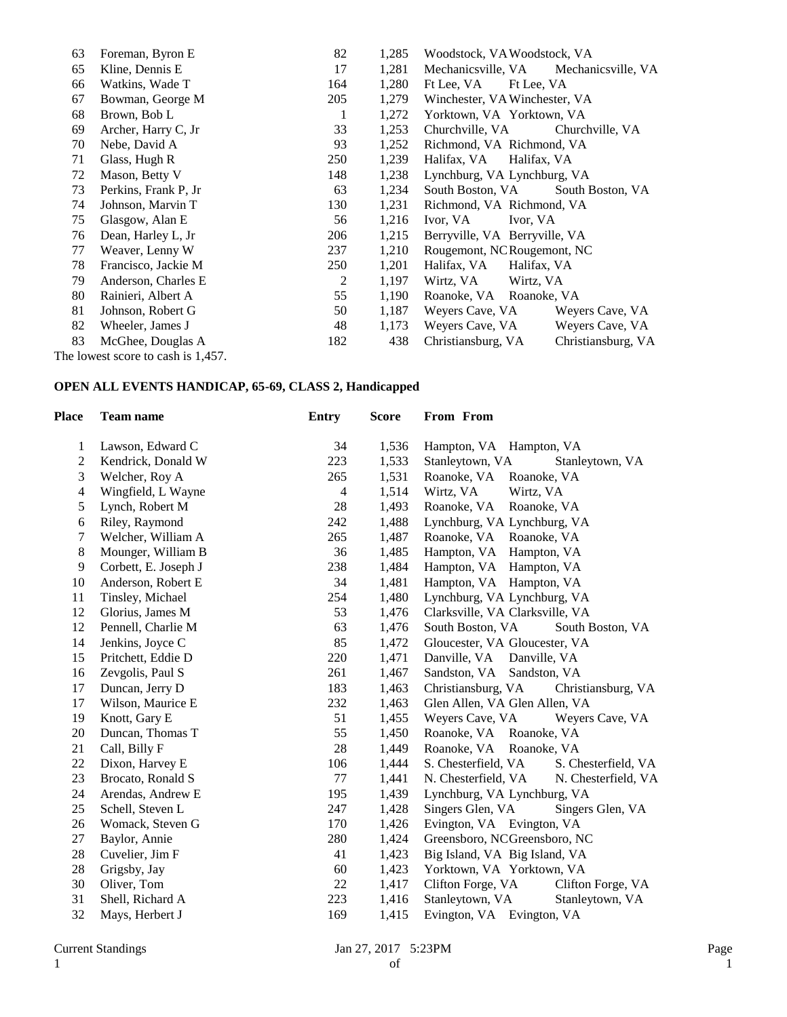| 63 | Foreman, Byron E                   | 82  | 1,285 | Woodstock, VA Woodstock, VA              |
|----|------------------------------------|-----|-------|------------------------------------------|
| 65 | Kline, Dennis E                    | 17  | 1,281 | Mechanicsville, VA<br>Mechanicsville, VA |
| 66 | Watkins, Wade T                    | 164 | 1,280 | Ft Lee. VA<br>Ft Lee, VA                 |
| 67 | Bowman, George M                   | 205 | 1,279 | Winchester, VA Winchester, VA            |
| 68 | Brown, Bob L                       | 1   | 1,272 | Yorktown, VA Yorktown, VA                |
| 69 | Archer, Harry C, Jr                | 33  | 1,253 | Churchville, VA<br>Churchville, VA       |
| 70 | Nebe, David A                      | 93  | 1,252 | Richmond, VA Richmond, VA                |
| 71 | Glass, Hugh R                      | 250 | 1,239 | Halifax, VA Halifax, VA                  |
| 72 | Mason, Betty V                     | 148 | 1,238 | Lynchburg, VA Lynchburg, VA              |
| 73 | Perkins, Frank P, Jr               | 63  | 1,234 | South Boston, VA<br>South Boston, VA     |
| 74 | Johnson, Marvin T                  | 130 | 1,231 | Richmond, VA Richmond, VA                |
| 75 | Glasgow, Alan E                    | 56  | 1,216 | Ivor, VA<br>Ivor, VA                     |
| 76 | Dean, Harley L, Jr                 | 206 | 1,215 | Berryville, VA Berryville, VA            |
| 77 | Weaver, Lenny W                    | 237 | 1,210 | Rougemont, NCRougemont, NC               |
| 78 | Francisco, Jackie M                | 250 | 1,201 | Halifax, VA<br>Halifax, VA               |
| 79 | Anderson, Charles E                | 2   | 1,197 | Wirtz, VA<br>Wirtz, VA                   |
| 80 | Rainieri, Albert A                 | 55  | 1,190 | Roanoke, VA Roanoke, VA                  |
| 81 | Johnson, Robert G                  | 50  | 1,187 | Weyers Cave, VA<br>Weyers Cave, VA       |
| 82 | Wheeler, James J                   | 48  | 1,173 | Weyers Cave, VA<br>Weyers Cave, VA       |
| 83 | McGhee, Douglas A                  | 182 | 438   | Christiansburg, VA<br>Christiansburg, VA |
|    | The lowest score to cash is 1,457. |     |       |                                          |

## **OPEN ALL EVENTS HANDICAP, 65-69, CLASS 2, Handicapped**

| Place          | <b>Team name</b>     | <b>Entry</b> | <b>Score</b> | From From                                  |
|----------------|----------------------|--------------|--------------|--------------------------------------------|
| 1              | Lawson, Edward C     | 34           | 1,536        | Hampton, VA Hampton, VA                    |
| $\overline{c}$ | Kendrick, Donald W   | 223          | 1,533        | Stanleytown, VA<br>Stanleytown, VA         |
| 3              | Welcher, Roy A       | 265          | 1,531        | Roanoke, VA<br>Roanoke, VA                 |
| 4              | Wingfield, L Wayne   | 4            | 1,514        | Wirtz, VA<br>Wirtz, VA                     |
| 5              | Lynch, Robert M      | 28           | 1,493        | Roanoke, VA<br>Roanoke, VA                 |
| 6              | Riley, Raymond       | 242          | 1,488        | Lynchburg, VA Lynchburg, VA                |
| 7              | Welcher, William A   | 265          | 1,487        | Roanoke, VA Roanoke, VA                    |
| 8              | Mounger, William B   | 36           | 1,485        | Hampton, VA<br>Hampton, VA                 |
| 9              | Corbett, E. Joseph J | 238          | 1,484        | Hampton, VA Hampton, VA                    |
| 10             | Anderson, Robert E   | 34           | 1,481        | Hampton, VA Hampton, VA                    |
| 11             | Tinsley, Michael     | 254          | 1,480        | Lynchburg, VA Lynchburg, VA                |
| 12             | Glorius, James M     | 53           | 1,476        | Clarksville, VA Clarksville, VA            |
| 12             | Pennell, Charlie M   | 63           | 1,476        | South Boston, VA<br>South Boston, VA       |
| 14             | Jenkins, Joyce C     | 85           | 1,472        | Gloucester, VA Gloucester, VA              |
| 15             | Pritchett, Eddie D   | 220          | 1,471        | Danville, VA<br>Danville, VA               |
| 16             | Zevgolis, Paul S     | 261          | 1,467        | Sandston, VA<br>Sandston, VA               |
| 17             | Duncan, Jerry D      | 183          | 1,463        | Christiansburg, VA<br>Christiansburg, VA   |
| 17             | Wilson, Maurice E    | 232          | 1,463        | Glen Allen, VA Glen Allen, VA              |
| 19             | Knott, Gary E        | 51           | 1,455        | Weyers Cave, VA<br>Weyers Cave, VA         |
| 20             | Duncan, Thomas T     | 55           | 1,450        | Roanoke, VA Roanoke, VA                    |
| 21             | Call, Billy F        | 28           | 1,449        | Roanoke, VA Roanoke, VA                    |
| 22             | Dixon, Harvey E      | 106          | 1,444        | S. Chesterfield, VA<br>S. Chesterfield, VA |
| 23             | Brocato, Ronald S    | 77           | 1,441        | N. Chesterfield, VA<br>N. Chesterfield, VA |
| 24             | Arendas, Andrew E    | 195          | 1,439        | Lynchburg, VA Lynchburg, VA                |
| 25             | Schell, Steven L     | 247          | 1,428        | Singers Glen, VA<br>Singers Glen, VA       |
| 26             | Womack, Steven G     | 170          | 1,426        | Evington, VA Evington, VA                  |
| 27             | Baylor, Annie        | 280          | 1,424        | Greensboro, NCGreensboro, NC               |
| 28             | Cuvelier, Jim F      | 41           | 1,423        | Big Island, VA Big Island, VA              |
| 28             | Grigsby, Jay         | 60           | 1,423        | Yorktown, VA Yorktown, VA                  |
| 30             | Oliver, Tom          | 22           | 1,417        | Clifton Forge, VA<br>Clifton Forge, VA     |
| 31             | Shell, Richard A     | 223          | 1,416        | Stanleytown, VA<br>Stanleytown, VA         |
| 32             | Mays, Herbert J      | 169          | 1,415        | Evington, VA Evington, VA                  |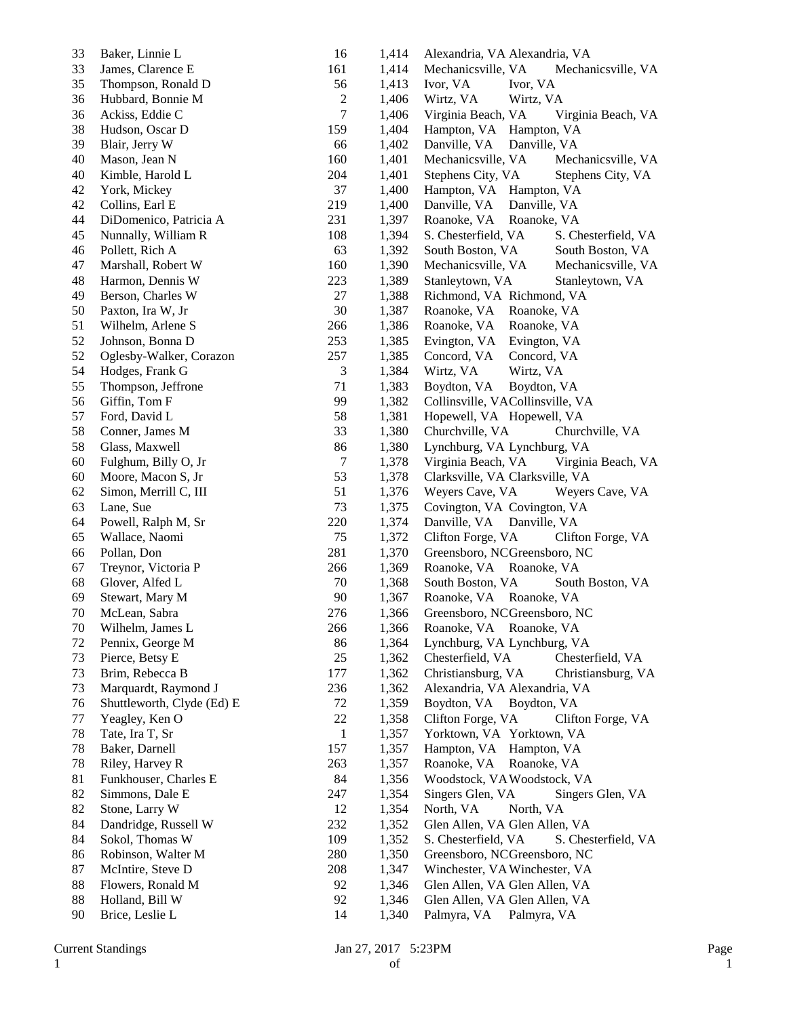| 33 | Baker, Linnie L            | 16             | 1,414 | Alexandria, VA Alexandria, VA              |
|----|----------------------------|----------------|-------|--------------------------------------------|
| 33 | James, Clarence E          | 161            | 1,414 | Mechanicsville, VA<br>Mechanicsville, VA   |
| 35 | Thompson, Ronald D         | 56             | 1,413 | Ivor, VA<br>Ivor, VA                       |
| 36 | Hubbard, Bonnie M          | $\sqrt{2}$     | 1,406 | Wirtz, VA<br>Wirtz, VA                     |
| 36 | Ackiss, Eddie C            | $\tau$         | 1,406 | Virginia Beach, VA<br>Virginia Beach, VA   |
| 38 | Hudson, Oscar D            | 159            | 1,404 | Hampton, VA Hampton, VA                    |
| 39 | Blair, Jerry W             | 66             | 1,402 | Danville, VA Danville, VA                  |
| 40 | Mason, Jean N              | 160            | 1,401 | Mechanicsville, VA<br>Mechanicsville, VA   |
| 40 | Kimble, Harold L           | 204            | 1,401 | Stephens City, VA<br>Stephens City, VA     |
| 42 | York, Mickey               | 37             | 1,400 | Hampton, VA Hampton, VA                    |
| 42 | Collins, Earl E            | 219            | 1,400 | Danville, VA<br>Danville, VA               |
| 44 | DiDomenico, Patricia A     | 231            | 1,397 | Roanoke, VA<br>Roanoke, VA                 |
| 45 | Nunnally, William R        | 108            | 1,394 | S. Chesterfield, VA<br>S. Chesterfield, VA |
| 46 | Pollett, Rich A            | 63             | 1,392 | South Boston, VA<br>South Boston, VA       |
| 47 | Marshall, Robert W         | 160            | 1,390 | Mechanicsville, VA<br>Mechanicsville, VA   |
| 48 | Harmon, Dennis W           | 223            | 1,389 | Stanleytown, VA<br>Stanleytown, VA         |
| 49 | Berson, Charles W          | 27             | 1,388 | Richmond, VA Richmond, VA                  |
| 50 | Paxton, Ira W, Jr          | 30             | 1,387 | Roanoke, VA<br>Roanoke, VA                 |
| 51 | Wilhelm, Arlene S          | 266            | 1,386 | Roanoke, VA<br>Roanoke, VA                 |
| 52 | Johnson, Bonna D           | 253            | 1,385 | Evington, VA<br>Evington, VA               |
| 52 | Oglesby-Walker, Corazon    | 257            | 1,385 | Concord, VA<br>Concord, VA                 |
| 54 | Hodges, Frank G            | $\mathfrak{Z}$ | 1,384 | Wirtz, VA<br>Wirtz, VA                     |
| 55 | Thompson, Jeffrone         | 71             | 1,383 | Boydton, VA<br>Boydton, VA                 |
| 56 | Giffin, Tom F              | 99             | 1,382 | Collinsville, VACollinsville, VA           |
| 57 | Ford, David L              | 58             | 1,381 | Hopewell, VA Hopewell, VA                  |
| 58 | Conner, James M            | 33             | 1,380 | Churchville, VA<br>Churchville, VA         |
| 58 | Glass, Maxwell             | 86             | 1,380 | Lynchburg, VA Lynchburg, VA                |
| 60 | Fulghum, Billy O, Jr       | $\tau$         | 1,378 | Virginia Beach, VA<br>Virginia Beach, VA   |
| 60 | Moore, Macon S, Jr         | 53             | 1,378 | Clarksville, VA Clarksville, VA            |
| 62 | Simon, Merrill C, III      | 51             | 1,376 | Weyers Cave, VA<br>Weyers Cave, VA         |
| 63 | Lane, Sue                  | 73             | 1,375 | Covington, VA Covington, VA                |
| 64 | Powell, Ralph M, Sr        | 220            | 1,374 | Danville, VA Danville, VA                  |
| 65 | Wallace, Naomi             | 75             | 1,372 | Clifton Forge, VA<br>Clifton Forge, VA     |
| 66 | Pollan, Don                | 281            | 1,370 | Greensboro, NCGreensboro, NC               |
| 67 | Treynor, Victoria P        | 266            | 1,369 | Roanoke, VA Roanoke, VA                    |
| 68 | Glover, Alfed L            | 70             | 1,368 | South Boston, VA<br>South Boston, VA       |
| 69 | Stewart, Mary M            | 90             | 1,367 | Roanoke, VA Roanoke, VA                    |
| 70 | McLean, Sabra              | 276            | 1,366 | Greensboro, NCGreensboro, NC               |
| 70 | Wilhelm, James L           | 266            | 1,366 | Roanoke, VA Roanoke, VA                    |
| 72 | Pennix, George M           | 86             | 1,364 | Lynchburg, VA Lynchburg, VA                |
| 73 | Pierce, Betsy E            | 25             | 1,362 | Chesterfield, VA<br>Chesterfield, VA       |
| 73 | Brim, Rebecca B            | 177            | 1,362 | Christiansburg, VA<br>Christiansburg, VA   |
| 73 | Marquardt, Raymond J       | 236            | 1,362 | Alexandria, VA Alexandria, VA              |
| 76 | Shuttleworth, Clyde (Ed) E | 72             | 1,359 | Boydton, VA<br>Boydton, VA                 |
| 77 | Yeagley, Ken O             | 22             | 1,358 | Clifton Forge, VA<br>Clifton Forge, VA     |
| 78 | Tate, Ira T, Sr            | $\mathbf{1}$   | 1,357 | Yorktown, VA Yorktown, VA                  |
| 78 | Baker, Darnell             | 157            | 1,357 | Hampton, VA Hampton, VA                    |
| 78 | Riley, Harvey R            | 263            | 1,357 | Roanoke, VA<br>Roanoke, VA                 |
| 81 | Funkhouser, Charles E      | 84             | 1,356 | Woodstock, VAWoodstock, VA                 |
| 82 | Simmons, Dale E            | 247            | 1,354 | Singers Glen, VA<br>Singers Glen, VA       |
| 82 | Stone, Larry W             | 12             | 1,354 | North, VA<br>North, VA                     |
| 84 | Dandridge, Russell W       | 232            | 1,352 | Glen Allen, VA Glen Allen, VA              |
| 84 | Sokol, Thomas W            | 109            | 1,352 | S. Chesterfield, VA<br>S. Chesterfield, VA |
| 86 | Robinson, Walter M         | 280            | 1,350 | Greensboro, NCGreensboro, NC               |
| 87 | McIntire, Steve D          | 208            | 1,347 | Winchester, VA Winchester, VA              |
| 88 | Flowers, Ronald M          | 92             | 1,346 | Glen Allen, VA Glen Allen, VA              |
| 88 | Holland, Bill W            | 92             | 1,346 | Glen Allen, VA Glen Allen, VA              |
| 90 | Brice, Leslie L            | 14             | 1,340 | Palmyra, VA Palmyra, VA                    |
|    |                            |                |       |                                            |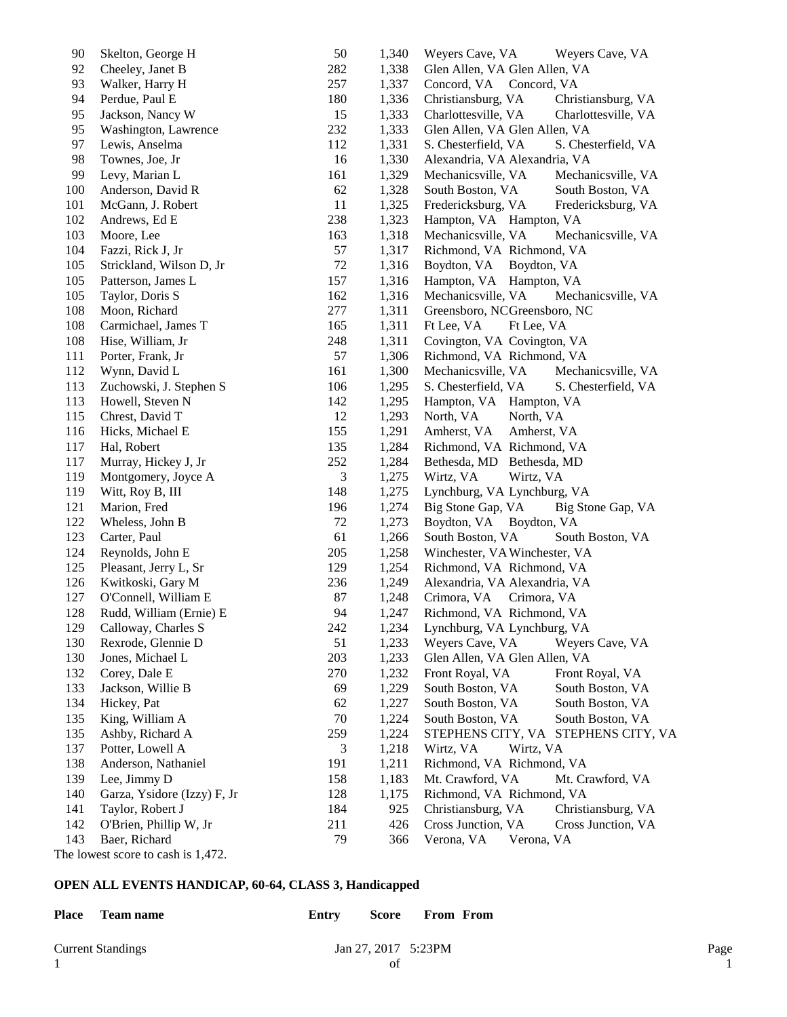| 90  | Skelton, George H                  | 50  | 1,340 | Weyers Cave, VA<br>Weyers Cave, VA         |
|-----|------------------------------------|-----|-------|--------------------------------------------|
| 92  | Cheeley, Janet B                   | 282 | 1,338 | Glen Allen, VA Glen Allen, VA              |
| 93  | Walker, Harry H                    | 257 | 1,337 | Concord, VA Concord, VA                    |
| 94  | Perdue, Paul E                     | 180 | 1,336 | Christiansburg, VA<br>Christiansburg, VA   |
| 95  | Jackson, Nancy W                   | 15  | 1,333 | Charlottesville, VA<br>Charlottesville, VA |
| 95  | Washington, Lawrence               | 232 | 1,333 | Glen Allen, VA Glen Allen, VA              |
| 97  | Lewis, Anselma                     | 112 | 1,331 | S. Chesterfield, VA<br>S. Chesterfield, VA |
| 98  | Townes, Joe, Jr                    | 16  | 1,330 | Alexandria, VA Alexandria, VA              |
| 99  | Levy, Marian L                     | 161 | 1,329 | Mechanicsville, VA<br>Mechanicsville, VA   |
| 100 | Anderson, David R                  | 62  | 1,328 | South Boston, VA<br>South Boston, VA       |
| 101 | McGann, J. Robert                  | 11  | 1,325 | Fredericksburg, VA<br>Fredericksburg, VA   |
| 102 | Andrews, Ed E                      | 238 | 1,323 | Hampton, VA Hampton, VA                    |
| 103 | Moore, Lee                         | 163 | 1,318 | Mechanicsville, VA<br>Mechanicsville, VA   |
| 104 | Fazzi, Rick J, Jr                  | 57  | 1,317 | Richmond, VA Richmond, VA                  |
| 105 | Strickland, Wilson D, Jr           | 72  | 1,316 | Boydton, VA<br>Boydton, VA                 |
| 105 | Patterson, James L                 | 157 | 1,316 | Hampton, VA Hampton, VA                    |
| 105 | Taylor, Doris S                    | 162 | 1,316 | Mechanicsville, VA<br>Mechanicsville, VA   |
| 108 | Moon, Richard                      | 277 | 1,311 | Greensboro, NCGreensboro, NC               |
| 108 | Carmichael, James T                | 165 | 1,311 | Ft Lee, VA<br>Ft Lee, VA                   |
| 108 | Hise, William, Jr                  | 248 | 1,311 | Covington, VA Covington, VA                |
| 111 | Porter, Frank, Jr                  | 57  | 1,306 | Richmond, VA Richmond, VA                  |
| 112 | Wynn, David L                      | 161 | 1,300 | Mechanicsville, VA<br>Mechanicsville, VA   |
| 113 | Zuchowski, J. Stephen S            | 106 | 1,295 | S. Chesterfield, VA<br>S. Chesterfield, VA |
| 113 | Howell, Steven N                   | 142 | 1,295 | Hampton, VA Hampton, VA                    |
| 115 | Chrest, David T                    | 12  | 1,293 | North, VA<br>North, VA                     |
| 116 | Hicks, Michael E                   | 155 | 1,291 | Amherst, VA<br>Amherst, VA                 |
| 117 | Hal, Robert                        | 135 | 1,284 | Richmond, VA Richmond, VA                  |
| 117 | Murray, Hickey J, Jr               | 252 | 1,284 | Bethesda, MD Bethesda, MD                  |
| 119 | Montgomery, Joyce A                | 3   | 1,275 | Wirtz, VA<br>Wirtz, VA                     |
| 119 | Witt, Roy B, III                   | 148 | 1,275 | Lynchburg, VA Lynchburg, VA                |
| 121 | Marion, Fred                       | 196 | 1,274 | Big Stone Gap, VA<br>Big Stone Gap, VA     |
| 122 | Wheless, John B                    | 72  | 1,273 | Boydton, VA Boydton, VA                    |
| 123 | Carter, Paul                       | 61  | 1,266 | South Boston, VA<br>South Boston, VA       |
| 124 | Reynolds, John E                   | 205 | 1,258 | Winchester, VA Winchester, VA              |
| 125 | Pleasant, Jerry L, Sr              | 129 | 1,254 | Richmond, VA Richmond, VA                  |
| 126 | Kwitkoski, Gary M                  | 236 | 1,249 | Alexandria, VA Alexandria, VA              |
| 127 | O'Connell, William E               | 87  | 1,248 | Crimora, VA<br>Crimora, VA                 |
| 128 | Rudd, William (Ernie) E            | 94  | 1,247 | Richmond, VA Richmond, VA                  |
| 129 | Calloway, Charles S                | 242 | 1,234 | Lynchburg, VA Lynchburg, VA                |
| 130 | Rexrode, Glennie D                 | 51  | 1,233 | Weyers Cave, VA<br>Weyers Cave, VA         |
| 130 | Jones, Michael L                   | 203 | 1,233 | Glen Allen, VA Glen Allen, VA              |
| 132 | Corey, Dale E                      | 270 | 1,232 | Front Royal, VA<br>Front Royal, VA         |
| 133 | Jackson, Willie B                  | 69  | 1,229 | South Boston, VA<br>South Boston, VA       |
| 134 | Hickey, Pat                        | 62  | 1,227 | South Boston, VA<br>South Boston, VA       |
| 135 | King, William A                    | 70  | 1,224 | South Boston, VA<br>South Boston, VA       |
| 135 | Ashby, Richard A                   | 259 | 1,224 | STEPHENS CITY, VA STEPHENS CITY, VA        |
| 137 | Potter, Lowell A                   | 3   | 1,218 | Wirtz, VA<br>Wirtz, VA                     |
| 138 | Anderson, Nathaniel                | 191 | 1,211 | Richmond, VA Richmond, VA                  |
| 139 | Lee, Jimmy D                       | 158 | 1,183 | Mt. Crawford, VA<br>Mt. Crawford, VA       |
| 140 | Garza, Ysidore (Izzy) F, Jr        | 128 | 1,175 | Richmond, VA Richmond, VA                  |
| 141 | Taylor, Robert J                   | 184 | 925   | Christiansburg, VA<br>Christiansburg, VA   |
| 142 | O'Brien, Phillip W, Jr             | 211 | 426   | Cross Junction, VA<br>Cross Junction, VA   |
| 143 | Baer, Richard                      | 79  | 366   | Verona, VA<br>Verona, VA                   |
|     | The lowest score to cash is 1,472. |     |       |                                            |
|     |                                    |     |       |                                            |

**OPEN ALL EVENTS HANDICAP, 60-64, CLASS 3, Handicapped**

| <b>Place</b> | Team name                | Entry | Score                 | <b>From From</b> |      |
|--------------|--------------------------|-------|-----------------------|------------------|------|
|              | <b>Current Standings</b> |       | Jan 27, 2017 $5:23PM$ |                  | Page |
|              |                          |       | of                    |                  |      |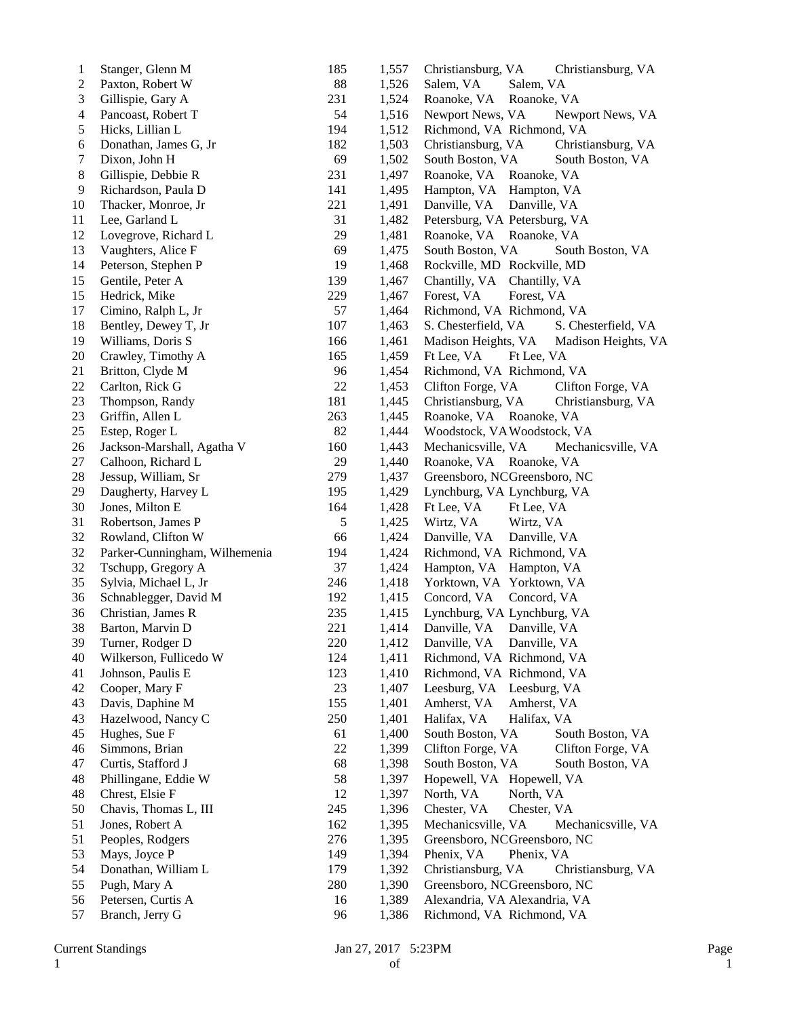| 1  | Stanger, Glenn M              | 185    | 1,557 | Christiansburg, VA<br>Christiansburg, VA   |
|----|-------------------------------|--------|-------|--------------------------------------------|
| 2  | Paxton, Robert W              | 88     | 1,526 | Salem, VA<br>Salem, VA                     |
| 3  | Gillispie, Gary A             | 231    | 1,524 | Roanoke, VA<br>Roanoke, VA                 |
| 4  | Pancoast, Robert T            | 54     | 1,516 | Newport News, VA<br>Newport News, VA       |
| 5  | Hicks, Lillian L              | 194    | 1,512 | Richmond, VA Richmond, VA                  |
| 6  | Donathan, James G, Jr         | 182    | 1,503 | Christiansburg, VA<br>Christiansburg, VA   |
| 7  | Dixon, John H                 | 69     | 1,502 | South Boston, VA<br>South Boston, VA       |
| 8  | Gillispie, Debbie R           | 231    | 1,497 | Roanoke, VA<br>Roanoke, VA                 |
| 9  | Richardson, Paula D           | 141    | 1,495 | Hampton, VA Hampton, VA                    |
| 10 | Thacker, Monroe, Jr           | 221    | 1,491 | Danville, VA<br>Danville, VA               |
| 11 | Lee, Garland L                | 31     | 1,482 | Petersburg, VA Petersburg, VA              |
| 12 | Lovegrove, Richard L          | 29     | 1,481 | Roanoke, VA Roanoke, VA                    |
| 13 | Vaughters, Alice F            | 69     | 1,475 | South Boston, VA<br>South Boston, VA       |
| 14 | Peterson, Stephen P           | 19     | 1,468 | Rockville, MD Rockville, MD                |
| 15 | Gentile, Peter A              | 139    | 1,467 | Chantilly, VA<br>Chantilly, VA             |
| 15 | Hedrick, Mike                 | 229    | 1,467 | Forest, VA<br>Forest, VA                   |
| 17 | Cimino, Ralph L, Jr           | 57     | 1,464 | Richmond, VA Richmond, VA                  |
| 18 | Bentley, Dewey T, Jr          | 107    | 1,463 | S. Chesterfield, VA<br>S. Chesterfield, VA |
| 19 | Williams, Doris S             | 166    | 1,461 | Madison Heights, VA<br>Madison Heights, VA |
| 20 | Crawley, Timothy A            | 165    | 1,459 | Ft Lee, VA<br>Ft Lee, VA                   |
| 21 | Britton, Clyde M              | 96     | 1,454 | Richmond, VA Richmond, VA                  |
| 22 | Carlton, Rick G               | $22\,$ | 1,453 | Clifton Forge, VA<br>Clifton Forge, VA     |
| 23 | Thompson, Randy               | 181    | 1,445 | Christiansburg, VA<br>Christiansburg, VA   |
| 23 | Griffin, Allen L              | 263    | 1,445 | Roanoke, VA Roanoke, VA                    |
| 25 | Estep, Roger L                | 82     | 1,444 | Woodstock, VAWoodstock, VA                 |
| 26 | Jackson-Marshall, Agatha V    | 160    | 1,443 | Mechanicsville, VA<br>Mechanicsville, VA   |
| 27 | Calhoon, Richard L            | 29     | 1,440 | Roanoke, VA Roanoke, VA                    |
| 28 | Jessup, William, Sr           | 279    | 1,437 | Greensboro, NCGreensboro, NC               |
| 29 | Daugherty, Harvey L           | 195    | 1,429 | Lynchburg, VA Lynchburg, VA                |
| 30 | Jones, Milton E               | 164    | 1,428 | Ft Lee, VA<br>Ft Lee, VA                   |
| 31 | Robertson, James P            | 5      | 1,425 | Wirtz, VA<br>Wirtz, VA                     |
| 32 | Rowland, Clifton W            | 66     | 1,424 | Danville, VA<br>Danville, VA               |
| 32 | Parker-Cunningham, Wilhemenia | 194    | 1,424 | Richmond, VA Richmond, VA                  |
| 32 | Tschupp, Gregory A            | 37     | 1,424 | Hampton, VA Hampton, VA                    |
| 35 | Sylvia, Michael L, Jr         | 246    | 1,418 | Yorktown, VA Yorktown, VA                  |
| 36 | Schnablegger, David M         | 192    | 1,415 | Concord, VA<br>Concord, VA                 |
| 36 | Christian, James R            | 235    | 1,415 | Lynchburg, VA Lynchburg, VA                |
| 38 | Barton, Marvin D              | 221    | 1,414 | Danville, VA<br>Danville, VA               |
| 39 | Turner, Rodger D              | 220    | 1,412 | Danville, VA<br>Danville, VA               |
| 40 | Wilkerson, Fullicedo W        | 124    | 1,411 | Richmond, VA Richmond, VA                  |
| 41 | Johnson, Paulis E             | 123    | 1,410 | Richmond, VA Richmond, VA                  |
| 42 | Cooper, Mary F                | 23     | 1,407 | Leesburg, VA<br>Leesburg, VA               |
| 43 | Davis, Daphine M              | 155    | 1,401 | Amherst, VA<br>Amherst, VA                 |
| 43 | Hazelwood, Nancy C            | 250    | 1,401 | Halifax, VA<br>Halifax, VA                 |
| 45 | Hughes, Sue F                 | 61     | 1,400 | South Boston, VA<br>South Boston, VA       |
| 46 | Simmons, Brian                | 22     | 1,399 | Clifton Forge, VA<br>Clifton Forge, VA     |
| 47 | Curtis, Stafford J            | 68     | 1,398 | South Boston, VA<br>South Boston, VA       |
| 48 | Phillingane, Eddie W          | 58     | 1,397 | Hopewell, VA Hopewell, VA                  |
| 48 | Chrest, Elsie F               | 12     | 1,397 | North, VA<br>North, VA                     |
| 50 | Chavis, Thomas L, III         | 245    | 1,396 | Chester, VA<br>Chester, VA                 |
| 51 | Jones, Robert A               | 162    | 1,395 | Mechanicsville, VA<br>Mechanicsville, VA   |
| 51 | Peoples, Rodgers              | 276    | 1,395 | Greensboro, NCGreensboro, NC               |
| 53 | Mays, Joyce P                 | 149    | 1,394 | Phenix, VA<br>Phenix, VA                   |
| 54 | Donathan, William L           | 179    | 1,392 | Christiansburg, VA<br>Christiansburg, VA   |
| 55 | Pugh, Mary A                  | 280    | 1,390 | Greensboro, NCGreensboro, NC               |
| 56 | Petersen, Curtis A            | 16     | 1,389 | Alexandria, VA Alexandria, VA              |
| 57 | Branch, Jerry G               | 96     | 1,386 | Richmond, VA Richmond, VA                  |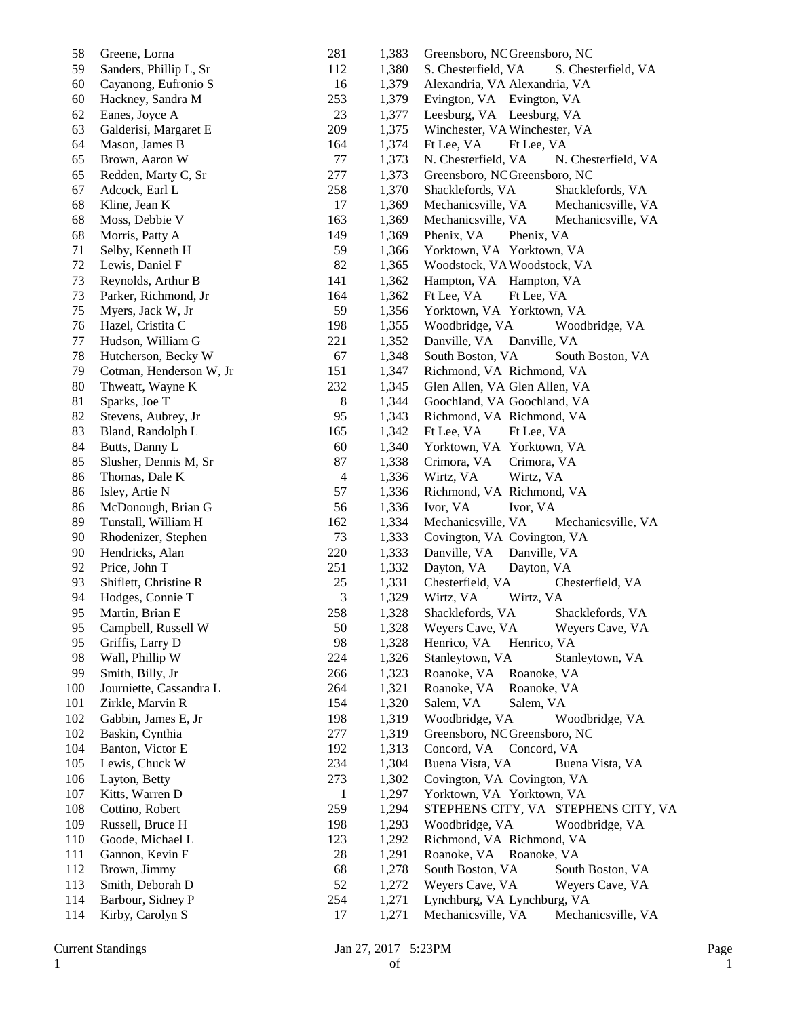| 58     | Greene, Lorna           | 281            | 1,383          | Greensboro, NCGreensboro, NC               |
|--------|-------------------------|----------------|----------------|--------------------------------------------|
| 59     | Sanders, Phillip L, Sr  | 112            | 1,380          | S. Chesterfield, VA<br>S. Chesterfield, VA |
| 60     | Cayanong, Eufronio S    | 16             | 1,379          | Alexandria, VA Alexandria, VA              |
| 60     | Hackney, Sandra M       | 253            | 1,379          | Evington, VA Evington, VA                  |
| 62     | Eanes, Joyce A          | 23             | 1,377          | Leesburg, VA Leesburg, VA                  |
| 63     | Galderisi, Margaret E   | 209            | 1,375          | Winchester, VA Winchester, VA              |
| 64     | Mason, James B          | 164            | 1,374          | Ft Lee, VA<br>Ft Lee, VA                   |
| 65     | Brown, Aaron W          | $77 \,$        | 1,373          | N. Chesterfield, VA<br>N. Chesterfield, VA |
| 65     | Redden, Marty C, Sr     | 277            | 1,373          | Greensboro, NCGreensboro, NC               |
| 67     | Adcock, Earl L          | 258            | 1,370          | Shacklefords, VA<br>Shacklefords, VA       |
| 68     | Kline, Jean K           | 17             | 1,369          | Mechanicsville, VA<br>Mechanicsville, VA   |
| 68     | Moss, Debbie V          | 163            | 1,369          | Mechanicsville, VA<br>Mechanicsville, VA   |
| 68     | Morris, Patty A         | 149            | 1,369          | Phenix, VA<br>Phenix, VA                   |
| 71     | Selby, Kenneth H        | 59             | 1,366          | Yorktown, VA Yorktown, VA                  |
| 72     | Lewis, Daniel F         | 82             | 1,365          | Woodstock, VA Woodstock, VA                |
| 73     | Reynolds, Arthur B      | 141            | 1,362          | Hampton, VA Hampton, VA                    |
| 73     | Parker, Richmond, Jr    | 164            | 1,362          | Ft Lee, VA<br>Ft Lee, VA                   |
| 75     | Myers, Jack W, Jr       | 59             | 1,356          | Yorktown, VA Yorktown, VA                  |
| 76     | Hazel, Cristita C       | 198            | 1,355          | Woodbridge, VA<br>Woodbridge, VA           |
| 77     | Hudson, William G       | 221            | 1,352          | Danville, VA<br>Danville, VA               |
| 78     | Hutcherson, Becky W     | 67             | 1,348          | South Boston, VA<br>South Boston, VA       |
| 79     | Cotman, Henderson W, Jr | 151            | 1,347          | Richmond, VA Richmond, VA                  |
| $80\,$ | Thweatt, Wayne K        | 232            | 1,345          | Glen Allen, VA Glen Allen, VA              |
| 81     | Sparks, Joe T           | 8              | 1,344          |                                            |
| 82     | Stevens, Aubrey, Jr     | 95             |                | Goochland, VA Goochland, VA                |
| 83     | Bland, Randolph L       | 165            | 1,343<br>1,342 | Richmond, VA Richmond, VA<br>Ft Lee, VA    |
| 84     | Butts, Danny L          | 60             | 1,340          | Ft Lee, VA<br>Yorktown, VA Yorktown, VA    |
|        |                         |                |                |                                            |
| 85     | Slusher, Dennis M, Sr   | 87             | 1,338          | Crimora, VA<br>Crimora, VA                 |
| 86     | Thomas, Dale K          | $\overline{4}$ | 1,336          | Wirtz, VA<br>Wirtz, VA                     |
| 86     | Isley, Artie N          | 57             | 1,336          | Richmond, VA Richmond, VA                  |
| 86     | McDonough, Brian G      | 56             | 1,336          | Ivor, VA<br>Ivor, VA                       |
| 89     | Tunstall, William H     | 162            | 1,334          | Mechanicsville, VA<br>Mechanicsville, VA   |
| 90     | Rhodenizer, Stephen     | 73             | 1,333          | Covington, VA Covington, VA                |
| 90     | Hendricks, Alan         | 220            | 1,333          | Danville, VA<br>Danville, VA               |
| 92     | Price, John T           | 251            | 1,332          | Dayton, VA<br>Dayton, VA                   |
| 93     | Shiflett, Christine R   | 25             | 1,331          | Chesterfield, VA<br>Chesterfield, VA       |
| 94     | Hodges, Connie T        | 3              | 1,329          | Wirtz, VA<br>Wirtz, VA                     |
| 95     | Martin, Brian E         | 258            | 1,328          | Shacklefords, VA<br>Shacklefords, VA       |
| 95     | Campbell, Russell W     | 50             | 1,328          | Weyers Cave, VA<br>Weyers Cave, VA         |
| 95     | Griffis, Larry D        | 98             | 1,328          | Henrico, VA<br>Henrico, VA                 |
| 98     | Wall, Phillip W         | 224            | 1,326          | Stanleytown, VA<br>Stanleytown, VA         |
| 99     | Smith, Billy, Jr        | 266            | 1,323          | Roanoke, VA<br>Roanoke, VA                 |
| 100    | Journiette, Cassandra L | 264            | 1,321          | Roanoke, VA<br>Roanoke, VA                 |
| 101    | Zirkle, Marvin R        | 154            | 1,320          | Salem, VA<br>Salem, VA                     |
| 102    | Gabbin, James E, Jr     | 198            | 1,319          | Woodbridge, VA<br>Woodbridge, VA           |
| 102    | Baskin, Cynthia         | 277            | 1,319          | Greensboro, NCGreensboro, NC               |
| 104    | Banton, Victor E        | 192            | 1,313          | Concord, VA Concord, VA                    |
| 105    | Lewis, Chuck W          | 234            | 1,304          | Buena Vista, VA<br>Buena Vista, VA         |
| 106    | Layton, Betty           | 273            | 1,302          | Covington, VA Covington, VA                |
| 107    | Kitts, Warren D         | $\mathbf{1}$   | 1,297          | Yorktown, VA Yorktown, VA                  |
| 108    | Cottino, Robert         | 259            | 1,294          | STEPHENS CITY, VA STEPHENS CITY, VA        |
| 109    | Russell, Bruce H        | 198            | 1,293          | Woodbridge, VA<br>Woodbridge, VA           |
| 110    | Goode, Michael L        | 123            | 1,292          | Richmond, VA Richmond, VA                  |
| 111    | Gannon, Kevin F         | 28             | 1,291          | Roanoke, VA Roanoke, VA                    |
| 112    | Brown, Jimmy            | 68             | 1,278          | South Boston, VA<br>South Boston, VA       |
| 113    | Smith, Deborah D        | 52             | 1,272          | Weyers Cave, VA<br>Weyers Cave, VA         |
| 114    | Barbour, Sidney P       | 254            | 1,271          | Lynchburg, VA Lynchburg, VA                |
| 114    | Kirby, Carolyn S        | 17             | 1,271          | Mechanicsville, VA<br>Mechanicsville, VA   |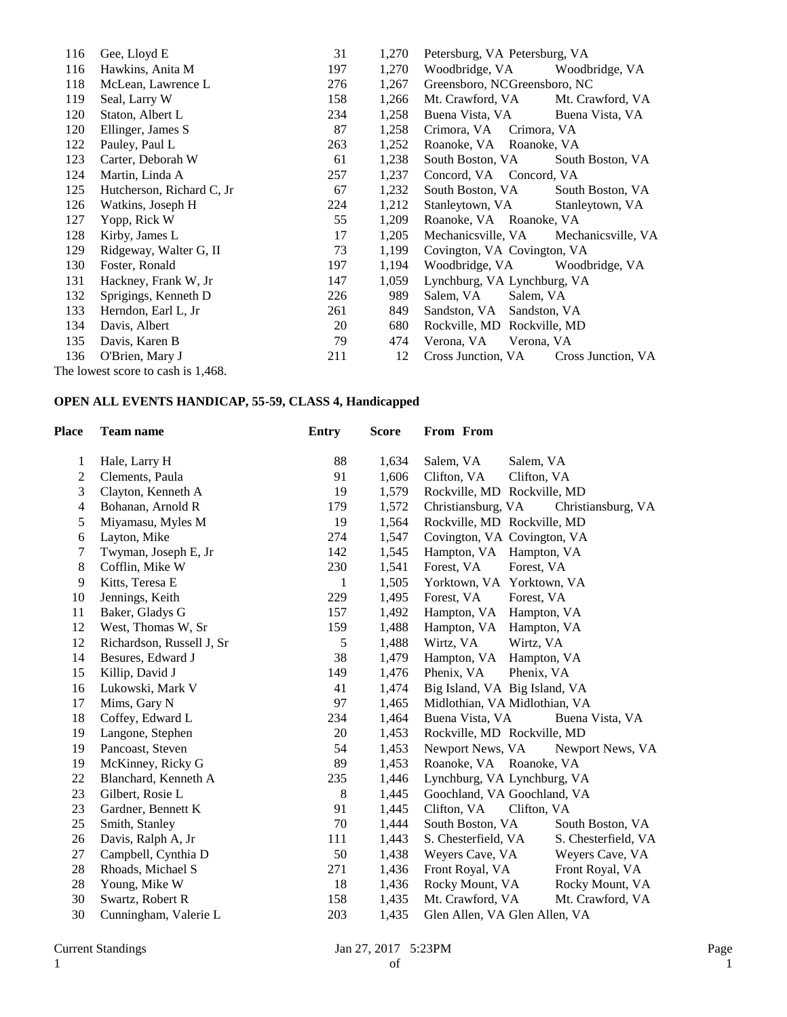| 116 | Gee, Lloyd E                       | 31  | 1,270 | Petersburg, VA Petersburg, VA |                    |
|-----|------------------------------------|-----|-------|-------------------------------|--------------------|
| 116 | Hawkins, Anita M                   | 197 | 1,270 | Woodbridge, VA                | Woodbridge, VA     |
| 118 | McLean, Lawrence L                 | 276 | 1,267 | Greensboro, NCGreensboro, NC  |                    |
| 119 | Seal, Larry W                      | 158 | 1,266 | Mt. Crawford, VA              | Mt. Crawford, VA   |
| 120 | Staton, Albert L                   | 234 | 1,258 | Buena Vista, VA               | Buena Vista, VA    |
| 120 | Ellinger, James S                  | 87  | 1,258 | Crimora, VA Crimora, VA       |                    |
| 122 | Pauley, Paul L                     | 263 | 1,252 | Roanoke, VA Roanoke, VA       |                    |
| 123 | Carter, Deborah W                  | 61  | 1,238 | South Boston, VA              | South Boston, VA   |
| 124 | Martin, Linda A                    | 257 | 1,237 | Concord, VA Concord, VA       |                    |
| 125 | Hutcherson, Richard C, Jr          | 67  | 1,232 | South Boston, VA              | South Boston, VA   |
| 126 | Watkins, Joseph H                  | 224 | 1,212 | Stanleytown, VA               | Stanleytown, VA    |
| 127 | Yopp, Rick W                       | 55  | 1,209 | Roanoke, VA Roanoke, VA       |                    |
| 128 | Kirby, James L                     | 17  | 1,205 | Mechanicsville, VA            | Mechanicsville, VA |
| 129 | Ridgeway, Walter G, II             | 73  | 1,199 | Covington, VA Covington, VA   |                    |
| 130 | Foster, Ronald                     | 197 | 1,194 | Woodbridge, VA                | Woodbridge, VA     |
| 131 | Hackney, Frank W, Jr               | 147 | 1,059 | Lynchburg, VA Lynchburg, VA   |                    |
| 132 | Sprigings, Kenneth D               | 226 | 989   | Salem, VA<br>Salem, VA        |                    |
| 133 | Herndon, Earl L, Jr                | 261 | 849   | Sandston, VA Sandston, VA     |                    |
| 134 | Davis, Albert                      | 20  | 680   | Rockville, MD Rockville, MD   |                    |
| 135 | Davis, Karen B                     | 79  | 474   | Verona, VA Verona, VA         |                    |
| 136 | O'Brien, Mary J                    | 211 | 12    | Cross Junction, VA            | Cross Junction, VA |
|     | The lowest score to cash is 1,468. |     |       |                               |                    |

### **OPEN ALL EVENTS HANDICAP, 55-59, CLASS 4, Handicapped**

| <b>Place</b>   | <b>Team name</b>          | <b>Entry</b> | <b>Score</b> | From From                     |                     |
|----------------|---------------------------|--------------|--------------|-------------------------------|---------------------|
| 1              | Hale, Larry H             | 88           | 1,634        | Salem, VA<br>Salem, VA        |                     |
| $\overline{c}$ | Clements, Paula           | 91           | 1,606        | Clifton, VA<br>Clifton, VA    |                     |
| 3              | Clayton, Kenneth A        | 19           | 1,579        | Rockville, MD Rockville, MD   |                     |
| 4              | Bohanan, Arnold R         | 179          | 1,572        | Christiansburg, VA            | Christiansburg, VA  |
| 5              | Miyamasu, Myles M         | 19           | 1,564        | Rockville, MD Rockville, MD   |                     |
| 6              | Layton, Mike              | 274          | 1,547        | Covington, VA Covington, VA   |                     |
| 7              | Twyman, Joseph E, Jr      | 142          | 1,545        | Hampton, VA Hampton, VA       |                     |
| 8              | Cofflin, Mike W           | 230          | 1,541        | Forest, VA<br>Forest, VA      |                     |
| 9              | Kitts, Teresa E           | 1            | 1,505        | Yorktown, VA Yorktown, VA     |                     |
| 10             | Jennings, Keith           | 229          | 1,495        | Forest, VA<br>Forest, VA      |                     |
| 11             | Baker, Gladys G           | 157          | 1,492        | Hampton, VA Hampton, VA       |                     |
| 12             | West, Thomas W, Sr        | 159          | 1,488        | Hampton, VA<br>Hampton, VA    |                     |
| 12             | Richardson, Russell J, Sr | 5            | 1,488        | Wirtz, VA<br>Wirtz, VA        |                     |
| 14             | Besures, Edward J         | 38           | 1,479        | Hampton, VA<br>Hampton, VA    |                     |
| 15             | Killip, David J           | 149          | 1,476        | Phenix, VA<br>Phenix, VA      |                     |
| 16             | Lukowski, Mark V          | 41           | 1,474        | Big Island, VA Big Island, VA |                     |
| 17             | Mims, Gary N              | 97           | 1,465        | Midlothian, VA Midlothian, VA |                     |
| 18             | Coffey, Edward L          | 234          | 1,464        | Buena Vista, VA               | Buena Vista, VA     |
| 19             | Langone, Stephen          | 20           | 1,453        | Rockville, MD Rockville, MD   |                     |
| 19             | Pancoast, Steven          | 54           | 1,453        | Newport News, VA              | Newport News, VA    |
| 19             | McKinney, Ricky G         | 89           | 1,453        | Roanoke, VA Roanoke, VA       |                     |
| 22             | Blanchard, Kenneth A      | 235          | 1,446        | Lynchburg, VA Lynchburg, VA   |                     |
| 23             | Gilbert, Rosie L          | 8            | 1,445        | Goochland, VA Goochland, VA   |                     |
| 23             | Gardner, Bennett K        | 91           | 1,445        | Clifton, VA<br>Clifton, VA    |                     |
| 25             | Smith, Stanley            | 70           | 1,444        | South Boston, VA              | South Boston, VA    |
| 26             | Davis, Ralph A, Jr        | 111          | 1,443        | S. Chesterfield, VA           | S. Chesterfield, VA |
| 27             | Campbell, Cynthia D       | 50           | 1,438        | Weyers Cave, VA               | Weyers Cave, VA     |
| 28             | Rhoads, Michael S         | 271          | 1,436        | Front Royal, VA               | Front Royal, VA     |
| 28             | Young, Mike W             | 18           | 1,436        | Rocky Mount, VA               | Rocky Mount, VA     |
| 30             | Swartz, Robert R          | 158          | 1,435        | Mt. Crawford, VA              | Mt. Crawford, VA    |
| 30             | Cunningham, Valerie L     | 203          | 1,435        | Glen Allen, VA Glen Allen, VA |                     |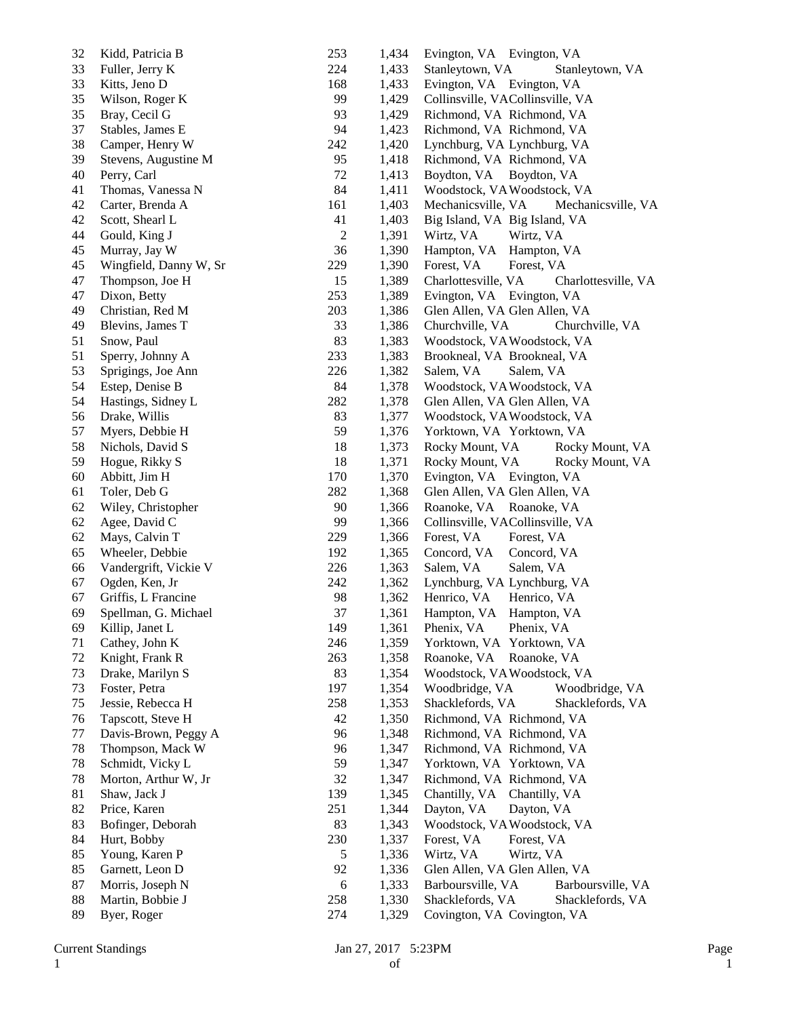| 32 | Kidd, Patricia B       | 253            | 1,434 | Evington, VA Evington, VA                  |
|----|------------------------|----------------|-------|--------------------------------------------|
| 33 | Fuller, Jerry K        | 224            | 1,433 | Stanleytown, VA<br>Stanleytown, VA         |
| 33 | Kitts, Jeno D          | 168            | 1,433 | Evington, VA Evington, VA                  |
| 35 | Wilson, Roger K        | 99             | 1,429 | Collinsville, VACollinsville, VA           |
| 35 | Bray, Cecil G          | 93             | 1,429 | Richmond, VA Richmond, VA                  |
| 37 | Stables, James E       | 94             | 1,423 | Richmond, VA Richmond, VA                  |
| 38 | Camper, Henry W        | 242            | 1,420 | Lynchburg, VA Lynchburg, VA                |
| 39 | Stevens, Augustine M   | 95             | 1,418 | Richmond, VA Richmond, VA                  |
| 40 | Perry, Carl            | 72             | 1,413 | Boydton, VA<br>Boydton, VA                 |
| 41 | Thomas, Vanessa N      | 84             | 1,411 | Woodstock, VA Woodstock, VA                |
| 42 | Carter, Brenda A       | 161            | 1,403 | Mechanicsville, VA<br>Mechanicsville, VA   |
| 42 | Scott, Shearl L        | 41             | 1,403 | Big Island, VA Big Island, VA              |
| 44 | Gould, King J          | $\overline{c}$ | 1,391 | Wirtz, VA<br>Wirtz, VA                     |
| 45 | Murray, Jay W          | 36             | 1,390 | Hampton, VA<br>Hampton, VA                 |
| 45 | Wingfield, Danny W, Sr | 229            | 1,390 | Forest, VA<br>Forest, VA                   |
| 47 |                        | 15             |       |                                            |
|    | Thompson, Joe H        |                | 1,389 | Charlottesville, VA<br>Charlottesville, VA |
| 47 | Dixon, Betty           | 253            | 1,389 | Evington, VA Evington, VA                  |
| 49 | Christian, Red M       | 203            | 1,386 | Glen Allen, VA Glen Allen, VA              |
| 49 | Blevins, James T       | 33             | 1,386 | Churchville, VA<br>Churchville, VA         |
| 51 | Snow, Paul             | 83             | 1,383 | Woodstock, VAWoodstock, VA                 |
| 51 | Sperry, Johnny A       | 233            | 1,383 | Brookneal, VA Brookneal, VA                |
| 53 | Sprigings, Joe Ann     | 226            | 1,382 | Salem, VA<br>Salem, VA                     |
| 54 | Estep, Denise B        | 84             | 1,378 | Woodstock, VAWoodstock, VA                 |
| 54 | Hastings, Sidney L     | 282            | 1,378 | Glen Allen, VA Glen Allen, VA              |
| 56 | Drake, Willis          | 83             | 1,377 | Woodstock, VA Woodstock, VA                |
| 57 | Myers, Debbie H        | 59             | 1,376 | Yorktown, VA Yorktown, VA                  |
| 58 | Nichols, David S       | 18             | 1,373 | Rocky Mount, VA<br>Rocky Mount, VA         |
| 59 | Hogue, Rikky S         | 18             | 1,371 | Rocky Mount, VA<br>Rocky Mount, VA         |
| 60 | Abbitt, Jim H          | 170            | 1,370 | Evington, VA Evington, VA                  |
| 61 | Toler, Deb G           | 282            | 1,368 | Glen Allen, VA Glen Allen, VA              |
| 62 | Wiley, Christopher     | 90             | 1,366 | Roanoke, VA Roanoke, VA                    |
| 62 | Agee, David C          | 99             | 1,366 | Collinsville, VACollinsville, VA           |
| 62 | Mays, Calvin T         | 229            | 1,366 | Forest, VA<br>Forest, VA                   |
| 65 | Wheeler, Debbie        | 192            | 1,365 | Concord, VA<br>Concord, VA                 |
| 66 | Vandergrift, Vickie V  | 226            | 1,363 | Salem, VA<br>Salem, VA                     |
| 67 | Ogden, Ken, Jr         | 242            | 1,362 | Lynchburg, VA Lynchburg, VA                |
| 67 | Griffis, L Francine    | 98             | 1,362 | Henrico, VA<br>Henrico, VA                 |
| 69 | Spellman, G. Michael   | 37             | 1,361 | Hampton, VA Hampton, VA                    |
| 69 | Killip, Janet L        | 149            | 1,361 | Phenix, VA<br>Phenix, VA                   |
| 71 | Cathey, John K         | 246            | 1,359 | Yorktown, VA Yorktown, VA                  |
| 72 | Knight, Frank R        | 263            | 1,358 | Roanoke, VA<br>Roanoke, VA                 |
| 73 | Drake, Marilyn S       | 83             | 1,354 | Woodstock, VA Woodstock, VA                |
| 73 | Foster, Petra          | 197            | 1,354 | Woodbridge, VA<br>Woodbridge, VA           |
|    |                        |                |       |                                            |
| 75 | Jessie, Rebecca H      | 258            | 1,353 | Shacklefords, VA<br>Shacklefords, VA       |
| 76 | Tapscott, Steve H      | 42             | 1,350 | Richmond, VA Richmond, VA                  |
| 77 | Davis-Brown, Peggy A   | 96             | 1,348 | Richmond, VA Richmond, VA                  |
| 78 | Thompson, Mack W       | 96             | 1,347 | Richmond, VA Richmond, VA                  |
| 78 | Schmidt, Vicky L       | 59             | 1,347 | Yorktown, VA Yorktown, VA                  |
| 78 | Morton, Arthur W, Jr   | 32             | 1,347 | Richmond, VA Richmond, VA                  |
| 81 | Shaw, Jack J           | 139            | 1,345 | Chantilly, VA Chantilly, VA                |
| 82 | Price, Karen           | 251            | 1,344 | Dayton, VA<br>Dayton, VA                   |
| 83 | Bofinger, Deborah      | 83             | 1,343 | Woodstock, VA Woodstock, VA                |
| 84 | Hurt, Bobby            | 230            | 1,337 | Forest, VA<br>Forest, VA                   |
| 85 | Young, Karen P         | 5              | 1,336 | Wirtz, VA<br>Wirtz, VA                     |
| 85 | Garnett, Leon D        | 92             | 1,336 | Glen Allen, VA Glen Allen, VA              |
| 87 | Morris, Joseph N       | 6              | 1,333 | Barboursville, VA<br>Barboursville, VA     |
| 88 | Martin, Bobbie J       | 258            | 1,330 | Shacklefords, VA<br>Shacklefords, VA       |
| 89 | Byer, Roger            | 274            | 1,329 | Covington, VA Covington, VA                |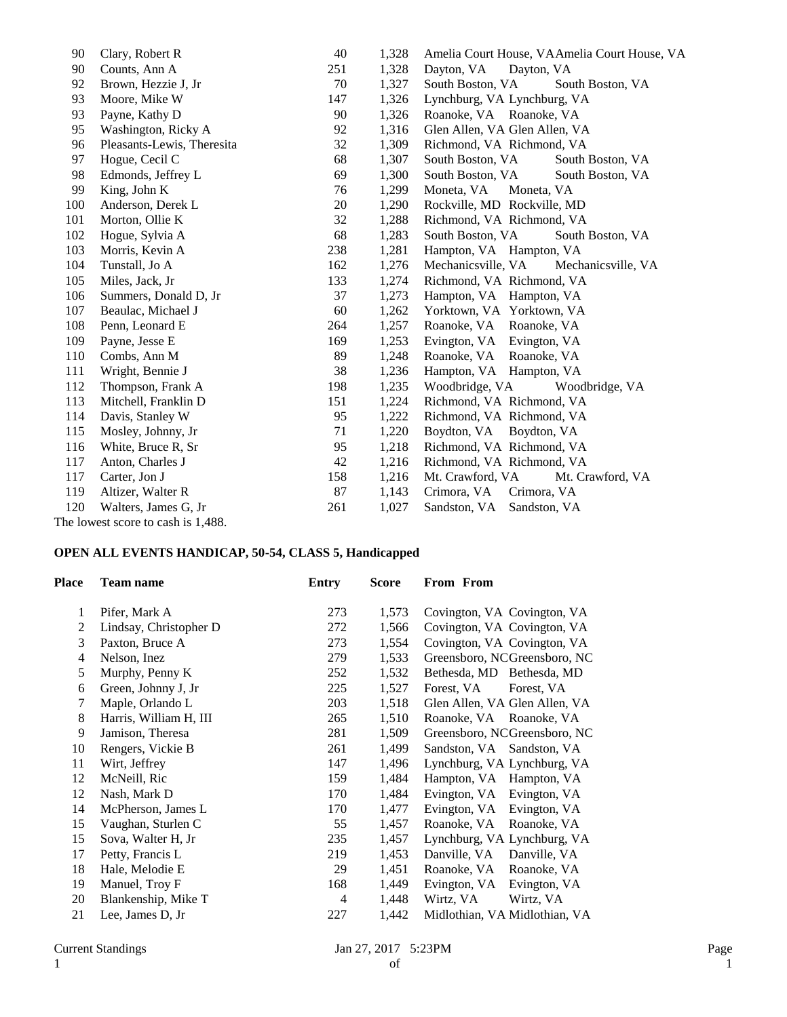| 90  | Clary, Robert R                    | 40  | 1,328 | Amelia Court House, VAAmelia Court House, VA |
|-----|------------------------------------|-----|-------|----------------------------------------------|
| 90  | Counts, Ann A                      | 251 | 1,328 | Dayton, VA<br>Dayton, VA                     |
| 92  | Brown, Hezzie J, Jr                | 70  | 1,327 | South Boston, VA<br>South Boston, VA         |
| 93  | Moore, Mike W                      | 147 | 1,326 | Lynchburg, VA Lynchburg, VA                  |
| 93  | Payne, Kathy D                     | 90  | 1,326 | Roanoke, VA Roanoke, VA                      |
| 95  | Washington, Ricky A                | 92  | 1,316 | Glen Allen, VA Glen Allen, VA                |
| 96  | Pleasants-Lewis, Theresita         | 32  | 1,309 | Richmond, VA Richmond, VA                    |
| 97  | Hogue, Cecil C                     | 68  | 1,307 | South Boston, VA<br>South Boston, VA         |
| 98  | Edmonds, Jeffrey L                 | 69  | 1,300 | South Boston, VA<br>South Boston, VA         |
| 99  | King, John K                       | 76  | 1,299 | Moneta, VA<br>Moneta, VA                     |
| 100 | Anderson, Derek L                  | 20  | 1,290 | Rockville, MD Rockville, MD                  |
| 101 | Morton, Ollie K                    | 32  | 1,288 | Richmond, VA Richmond, VA                    |
| 102 | Hogue, Sylvia A                    | 68  | 1,283 | South Boston, VA<br>South Boston, VA         |
| 103 | Morris, Kevin A                    | 238 | 1,281 | Hampton, VA Hampton, VA                      |
| 104 | Tunstall, Jo A                     | 162 | 1,276 | Mechanicsville, VA<br>Mechanicsville, VA     |
| 105 | Miles, Jack, Jr                    | 133 | 1,274 | Richmond, VA Richmond, VA                    |
| 106 | Summers, Donald D, Jr.             | 37  | 1,273 | Hampton, VA Hampton, VA                      |
| 107 | Beaulac, Michael J                 | 60  | 1,262 | Yorktown, VA Yorktown, VA                    |
| 108 | Penn, Leonard E                    | 264 | 1,257 | Roanoke, VA Roanoke, VA                      |
| 109 | Payne, Jesse E                     | 169 | 1,253 | Evington, VA Evington, VA                    |
| 110 | Combs, Ann M                       | 89  | 1,248 | Roanoke, VA<br>Roanoke, VA                   |
| 111 | Wright, Bennie J                   | 38  | 1,236 | Hampton, VA Hampton, VA                      |
| 112 | Thompson, Frank A                  | 198 | 1,235 | Woodbridge, VA<br>Woodbridge, VA             |
| 113 | Mitchell, Franklin D               | 151 | 1,224 | Richmond, VA Richmond, VA                    |
| 114 | Davis, Stanley W                   | 95  | 1,222 | Richmond, VA Richmond, VA                    |
| 115 | Mosley, Johnny, Jr                 | 71  | 1,220 | Boydton, VA Boydton, VA                      |
| 116 | White, Bruce R, Sr                 | 95  | 1,218 | Richmond, VA Richmond, VA                    |
| 117 | Anton, Charles J                   | 42  | 1,216 | Richmond, VA Richmond, VA                    |
| 117 | Carter, Jon J                      | 158 | 1,216 | Mt. Crawford, VA<br>Mt. Crawford, VA         |
| 119 | Altizer, Walter R                  | 87  | 1,143 | Crimora, VA<br>Crimora, VA                   |
| 120 | Walters, James G, Jr               | 261 | 1,027 | Sandston, VA<br>Sandston, VA                 |
|     | The lowest score to cash is 1,488. |     |       |                                              |

## **OPEN ALL EVENTS HANDICAP, 50-54, CLASS 5, Handicapped**

| Place          | Team name              | Entry          | Score | From From                     |
|----------------|------------------------|----------------|-------|-------------------------------|
| 1              | Pifer, Mark A          | 273            | 1,573 | Covington, VA Covington, VA   |
| 2              | Lindsay, Christopher D | 272            | 1,566 | Covington, VA Covington, VA   |
| 3              | Paxton, Bruce A        | 273            | 1,554 | Covington, VA Covington, VA   |
| $\overline{4}$ | Nelson, Inez           | 279            | 1,533 | Greensboro, NCGreensboro, NC  |
| 5              | Murphy, Penny K        | 252            | 1,532 | Bethesda, MD Bethesda, MD     |
| 6              | Green, Johnny J, Jr    | 225            | 1,527 | Forest, VA<br>Forest, VA      |
| 7              | Maple, Orlando L       | 203            | 1,518 | Glen Allen, VA Glen Allen, VA |
| 8              | Harris, William H, III | 265            | 1,510 | Roanoke, VA Roanoke, VA       |
| 9              | Jamison, Theresa       | 281            | 1,509 | Greensboro, NCGreensboro, NC  |
| 10             | Rengers, Vickie B      | 261            | 1,499 | Sandston, VA Sandston, VA     |
| 11             | Wirt, Jeffrey          | 147            | 1,496 | Lynchburg, VA Lynchburg, VA   |
| 12             | McNeill, Ric           | 159            | 1,484 | Hampton, VA Hampton, VA       |
| 12             | Nash, Mark D           | 170            | 1,484 | Evington, VA Evington, VA     |
| 14             | McPherson, James L     | 170            | 1,477 | Evington, VA<br>Evington, VA  |
| 15             | Vaughan, Sturlen C     | 55             | 1,457 | Roanoke, VA<br>Roanoke, VA    |
| 15             | Sova, Walter H, Jr     | 235            | 1,457 | Lynchburg, VA Lynchburg, VA   |
| 17             | Petty, Francis L       | 219            | 1,453 | Danville, VA<br>Danville, VA  |
| 18             | Hale, Melodie E        | 29             | 1,451 | Roanoke, VA<br>Roanoke, VA    |
| 19             | Manuel, Troy F         | 168            | 1,449 | Evington, VA<br>Evington, VA  |
| 20             | Blankenship, Mike T    | $\overline{4}$ | 1,448 | Wirtz, VA<br>Wirtz, VA        |
| 21             | Lee, James D, Jr       | 227            | 1,442 | Midlothian, VA Midlothian, VA |
|                |                        |                |       |                               |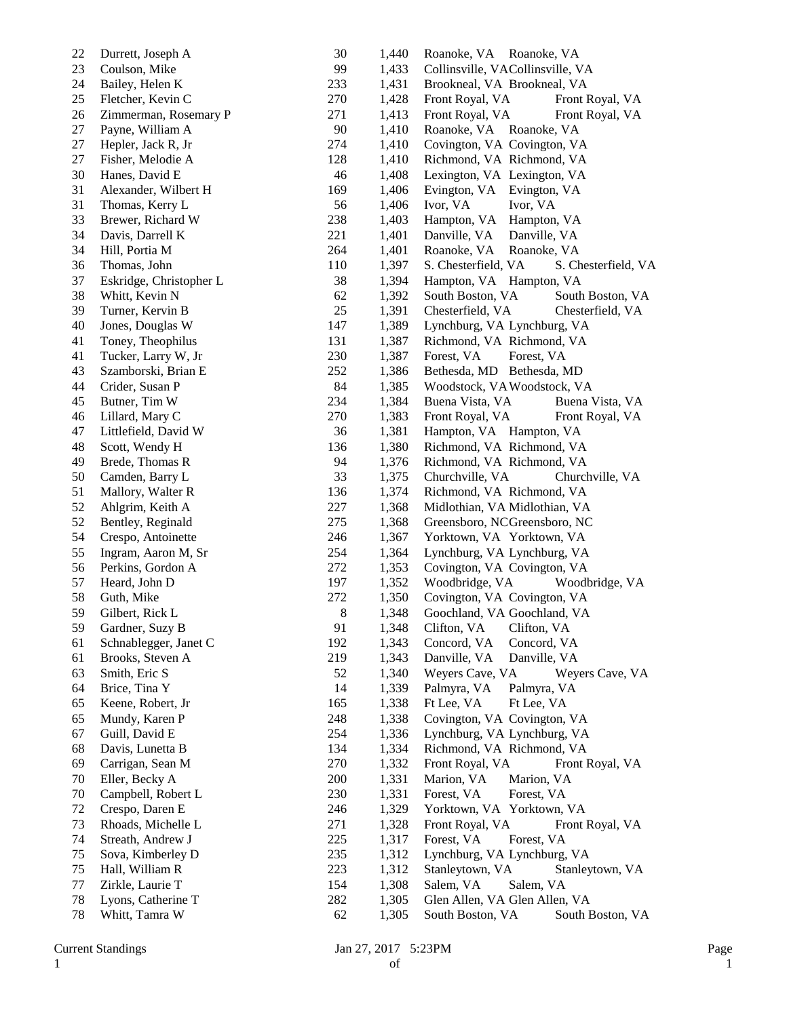| 22 | Durrett, Joseph A       | 30  | 1,440 | Roanoke, VA Roanoke, VA                    |
|----|-------------------------|-----|-------|--------------------------------------------|
| 23 | Coulson, Mike           | 99  | 1,433 | Collinsville, VACollinsville, VA           |
| 24 | Bailey, Helen K         | 233 | 1,431 | Brookneal, VA Brookneal, VA                |
| 25 | Fletcher, Kevin C       | 270 | 1,428 | Front Royal, VA<br>Front Royal, VA         |
| 26 | Zimmerman, Rosemary P   | 271 | 1,413 | Front Royal, VA<br>Front Royal, VA         |
| 27 | Payne, William A        | 90  | 1,410 | Roanoke, VA Roanoke, VA                    |
| 27 | Hepler, Jack R, Jr      | 274 | 1,410 | Covington, VA Covington, VA                |
| 27 | Fisher, Melodie A       | 128 | 1,410 | Richmond, VA Richmond, VA                  |
| 30 | Hanes, David E          | 46  | 1,408 | Lexington, VA Lexington, VA                |
| 31 | Alexander, Wilbert H    | 169 | 1,406 | Evington, VA Evington, VA                  |
| 31 | Thomas, Kerry L         | 56  | 1,406 | Ivor, VA<br>Ivor, VA                       |
| 33 | Brewer, Richard W       | 238 | 1,403 | Hampton, VA<br>Hampton, VA                 |
| 34 | Davis, Darrell K        | 221 | 1,401 | Danville, VA<br>Danville, VA               |
| 34 | Hill, Portia M          | 264 | 1,401 | Roanoke, VA<br>Roanoke, VA                 |
| 36 | Thomas, John            | 110 | 1,397 | S. Chesterfield, VA<br>S. Chesterfield, VA |
| 37 | Eskridge, Christopher L | 38  | 1,394 | Hampton, VA Hampton, VA                    |
| 38 | Whitt, Kevin N          | 62  | 1,392 | South Boston, VA<br>South Boston, VA       |
| 39 | Turner, Kervin B        | 25  | 1,391 | Chesterfield, VA<br>Chesterfield, VA       |
|    |                         | 147 | 1,389 |                                            |
| 40 | Jones, Douglas W        |     |       | Lynchburg, VA Lynchburg, VA                |
| 41 | Toney, Theophilus       | 131 | 1,387 | Richmond, VA Richmond, VA                  |
| 41 | Tucker, Larry W, Jr     | 230 | 1,387 | Forest, VA<br>Forest, VA                   |
| 43 | Szamborski, Brian E     | 252 | 1,386 | Bethesda, MD Bethesda, MD                  |
| 44 | Crider, Susan P         | 84  | 1,385 | Woodstock, VAWoodstock, VA                 |
| 45 | Butner, Tim W           | 234 | 1,384 | Buena Vista, VA<br>Buena Vista, VA         |
| 46 | Lillard, Mary C         | 270 | 1,383 | Front Royal, VA<br>Front Royal, VA         |
| 47 | Littlefield, David W    | 36  | 1,381 | Hampton, VA Hampton, VA                    |
| 48 | Scott, Wendy H          | 136 | 1,380 | Richmond, VA Richmond, VA                  |
| 49 | Brede, Thomas R         | 94  | 1,376 | Richmond, VA Richmond, VA                  |
| 50 | Camden, Barry L         | 33  | 1,375 | Churchville, VA<br>Churchville, VA         |
| 51 | Mallory, Walter R       | 136 | 1,374 | Richmond, VA Richmond, VA                  |
| 52 | Ahlgrim, Keith A        | 227 | 1,368 | Midlothian, VA Midlothian, VA              |
| 52 | Bentley, Reginald       | 275 | 1,368 | Greensboro, NCGreensboro, NC               |
| 54 | Crespo, Antoinette      | 246 | 1,367 | Yorktown, VA Yorktown, VA                  |
| 55 | Ingram, Aaron M, Sr     | 254 | 1,364 | Lynchburg, VA Lynchburg, VA                |
| 56 | Perkins, Gordon A       | 272 | 1,353 | Covington, VA Covington, VA                |
| 57 | Heard, John D           | 197 | 1,352 | Woodbridge, VA<br>Woodbridge, VA           |
| 58 | Guth, Mike              | 272 | 1,350 | Covington, VA Covington, VA                |
| 59 | Gilbert, Rick L         | 8   | 1,348 | Goochland, VA Goochland, VA                |
| 59 | Gardner, Suzy B         | 91  | 1,348 | Clifton, VA<br>Clifton, VA                 |
| 61 | Schnablegger, Janet C   | 192 | 1,343 | Concord, VA<br>Concord, VA                 |
| 61 | Brooks, Steven A        | 219 | 1,343 | Danville, VA<br>Danville, VA               |
| 63 | Smith, Eric S           | 52  | 1,340 | Weyers Cave, VA<br>Weyers Cave, VA         |
| 64 | Brice, Tina Y           | 14  | 1,339 | Palmyra, VA<br>Palmyra, VA                 |
| 65 | Keene, Robert, Jr       | 165 | 1,338 | Ft Lee, VA<br>Ft Lee, VA                   |
| 65 | Mundy, Karen P          | 248 | 1,338 | Covington, VA Covington, VA                |
| 67 | Guill, David E          | 254 | 1,336 | Lynchburg, VA Lynchburg, VA                |
| 68 | Davis, Lunetta B        | 134 | 1,334 | Richmond, VA Richmond, VA                  |
| 69 | Carrigan, Sean M        | 270 | 1,332 | Front Royal, VA<br>Front Royal, VA         |
| 70 | Eller, Becky A          | 200 | 1,331 | Marion, VA<br>Marion, VA                   |
| 70 | Campbell, Robert L      | 230 | 1,331 | Forest, VA<br>Forest, VA                   |
| 72 | Crespo, Daren E         | 246 | 1,329 | Yorktown, VA Yorktown, VA                  |
| 73 | Rhoads, Michelle L      | 271 | 1,328 | Front Royal, VA<br>Front Royal, VA         |
| 74 | Streath, Andrew J       | 225 | 1,317 | Forest, VA<br>Forest, VA                   |
|    |                         |     |       | Lynchburg, VA Lynchburg, VA                |
| 75 | Sova, Kimberley D       | 235 | 1,312 |                                            |
| 75 | Hall, William R         | 223 | 1,312 | Stanleytown, VA<br>Stanleytown, VA         |
| 77 | Zirkle, Laurie T        | 154 | 1,308 | Salem, VA<br>Salem, VA                     |
| 78 | Lyons, Catherine T      | 282 | 1,305 | Glen Allen, VA Glen Allen, VA              |
| 78 | Whitt, Tamra W          | 62  | 1,305 | South Boston, VA<br>South Boston, VA       |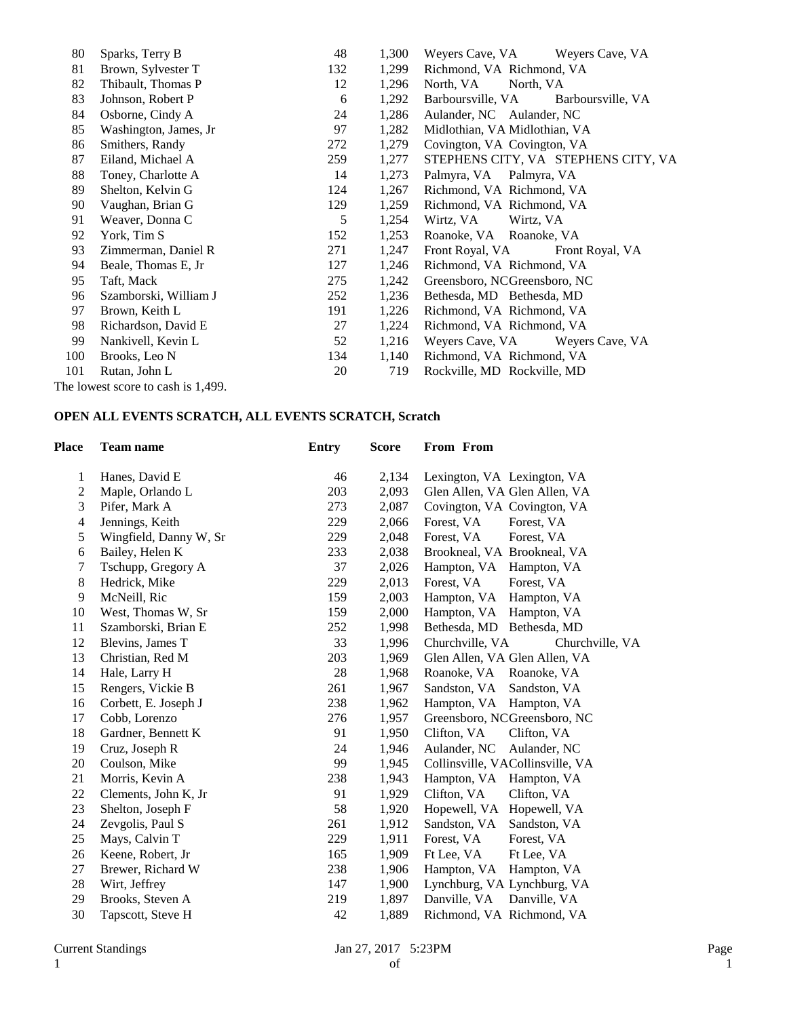| Sparks, Terry B       | 48                                 | 1,300 | Weyers Cave, VA<br>Weyers Cave, VA     |
|-----------------------|------------------------------------|-------|----------------------------------------|
| Brown, Sylvester T    | 132                                | 1,299 | Richmond, VA Richmond, VA              |
| Thibault, Thomas P    | 12                                 | 1,296 | North, VA<br>North, VA                 |
| Johnson, Robert P     | 6                                  | 1,292 | Barboursville, VA<br>Barboursville, VA |
| Osborne, Cindy A      | 24                                 | 1,286 | Aulander, NC Aulander, NC              |
| Washington, James, Jr | 97                                 | 1,282 | Midlothian, VA Midlothian, VA          |
| Smithers, Randy       | 272                                | 1,279 | Covington, VA Covington, VA            |
| Eiland, Michael A     | 259                                | 1,277 | STEPHENS CITY, VA STEPHENS CITY, VA    |
| Toney, Charlotte A    | 14                                 | 1,273 | Palmyra, VA Palmyra, VA                |
| Shelton, Kelvin G     | 124                                | 1,267 | Richmond, VA Richmond, VA              |
| Vaughan, Brian G      | 129                                | 1,259 | Richmond, VA Richmond, VA              |
| Weaver, Donna C       | 5                                  | 1,254 | Wirtz, VA<br>Wirtz, VA                 |
| York, Tim S           | 152                                | 1,253 | Roanoke, VA Roanoke, VA                |
| Zimmerman, Daniel R   | 271                                | 1,247 | Front Royal, VA<br>Front Royal, VA     |
| Beale, Thomas E, Jr   | 127                                | 1,246 | Richmond, VA Richmond, VA              |
| Taft, Mack            | 275                                | 1,242 | Greensboro, NCGreensboro, NC           |
| Szamborski, William J | 252                                | 1,236 | Bethesda, MD Bethesda, MD              |
| Brown, Keith L        | 191                                | 1,226 | Richmond, VA Richmond, VA              |
| Richardson, David E   | 27                                 | 1,224 | Richmond, VA Richmond, VA              |
| Nankivell, Kevin L    | 52                                 | 1,216 | Weyers Cave, VA<br>Weyers Cave, VA     |
| Brooks, Leo N         | 134                                | 1,140 | Richmond, VA Richmond, VA              |
| Rutan, John L         | 20                                 | 719   | Rockville, MD Rockville, MD            |
|                       |                                    |       |                                        |
|                       | The lowest score to cash is 1,499. |       |                                        |

### **OPEN ALL EVENTS SCRATCH, ALL EVENTS SCRATCH, Scratch**

| <b>Team name</b>       | <b>Entry</b> | <b>Score</b> | From From                          |
|------------------------|--------------|--------------|------------------------------------|
| Hanes, David E         | 46           | 2,134        | Lexington, VA Lexington, VA        |
| Maple, Orlando L       | 203          | 2,093        | Glen Allen, VA Glen Allen, VA      |
| Pifer, Mark A          | 273          | 2,087        | Covington, VA Covington, VA        |
| Jennings, Keith        | 229          | 2,066        | Forest, VA<br>Forest, VA           |
| Wingfield, Danny W, Sr | 229          | 2,048        | Forest, VA<br>Forest, VA           |
| Bailey, Helen K        | 233          | 2,038        | Brookneal, VA Brookneal, VA        |
| Tschupp, Gregory A     | 37           | 2,026        | Hampton, VA Hampton, VA            |
| Hedrick, Mike          | 229          | 2,013        | Forest, VA<br>Forest, VA           |
| McNeill, Ric           | 159          | 2,003        | Hampton, VA Hampton, VA            |
| West, Thomas W, Sr     | 159          | 2,000        | Hampton, VA Hampton, VA            |
| Szamborski, Brian E    | 252          | 1,998        | Bethesda, MD Bethesda, MD          |
| Blevins, James T       | 33           | 1,996        | Churchville, VA<br>Churchville, VA |
| Christian, Red M       | 203          | 1,969        | Glen Allen, VA Glen Allen, VA      |
| Hale, Larry H          | 28           | 1,968        | Roanoke, VA Roanoke, VA            |
| Rengers, Vickie B      | 261          | 1,967        | Sandston, VA<br>Sandston, VA       |
| Corbett, E. Joseph J   | 238          | 1,962        | Hampton, VA Hampton, VA            |
| Cobb, Lorenzo          | 276          | 1,957        | Greensboro, NCGreensboro, NC       |
| Gardner, Bennett K     | 91           | 1,950        | Clifton, VA<br>Clifton, VA         |
| Cruz, Joseph R         | 24           | 1,946        | Aulander, NC<br>Aulander, NC       |
| Coulson, Mike          | 99           | 1,945        | Collinsville, VACollinsville, VA   |
| Morris, Kevin A        | 238          | 1,943        | Hampton, VA<br>Hampton, VA         |
| Clements, John K, Jr   | 91           | 1,929        | Clifton, VA<br>Clifton, VA         |
| Shelton, Joseph F      | 58           | 1,920        | Hopewell, VA Hopewell, VA          |
| Zevgolis, Paul S       | 261          | 1,912        | Sandston, VA<br>Sandston, VA       |
| Mays, Calvin T         | 229          | 1,911        | Forest, VA<br>Forest, VA           |
| Keene, Robert, Jr      | 165          | 1,909        | Ft Lee, VA<br>Ft Lee, VA           |
| Brewer, Richard W      | 238          | 1,906        | Hampton, VA<br>Hampton, VA         |
| Wirt, Jeffrey          | 147          | 1,900        | Lynchburg, VA Lynchburg, VA        |
| Brooks, Steven A       | 219          | 1,897        | Danville, VA<br>Danville, VA       |
| Tapscott, Steve H      | 42           | 1,889        | Richmond, VA Richmond, VA          |
|                        |              |              |                                    |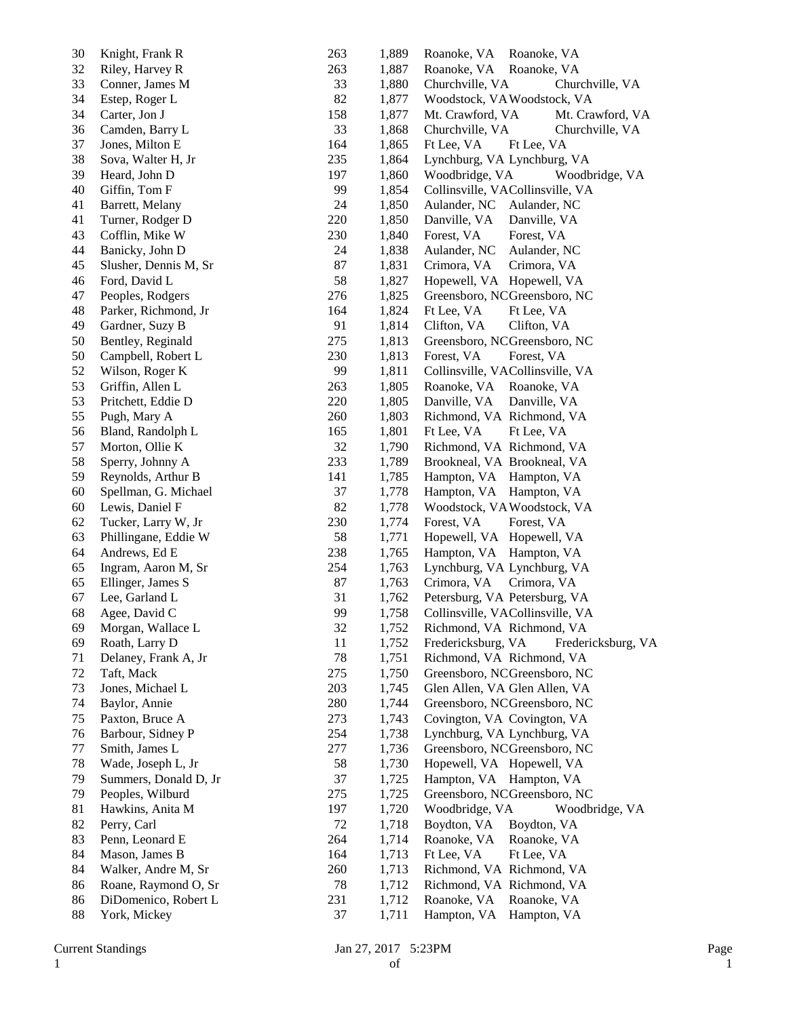| 30 | Knight, Frank R       | 263 | 1,889 | Roanoke, VA<br>Roanoke, VA               |
|----|-----------------------|-----|-------|------------------------------------------|
| 32 | Riley, Harvey R       | 263 | 1,887 | Roanoke, VA<br>Roanoke, VA               |
| 33 | Conner, James M       | 33  | 1,880 | Churchville, VA<br>Churchville, VA       |
| 34 | Estep, Roger L        | 82  | 1,877 | Woodstock, VAWoodstock, VA               |
| 34 | Carter, Jon J         | 158 | 1,877 | Mt. Crawford, VA<br>Mt. Crawford, VA     |
| 36 | Camden, Barry L       | 33  | 1,868 | Churchville, VA<br>Churchville, VA       |
| 37 | Jones, Milton E       | 164 | 1,865 | Ft Lee, VA<br>Ft Lee, VA                 |
| 38 | Sova, Walter H, Jr    | 235 | 1,864 | Lynchburg, VA Lynchburg, VA              |
| 39 | Heard, John D         | 197 | 1,860 | Woodbridge, VA<br>Woodbridge, VA         |
| 40 | Giffin, Tom F         | 99  | 1,854 | Collinsville, VACollinsville, VA         |
| 41 | Barrett, Melany       | 24  | 1,850 | Aulander, NC<br>Aulander, NC             |
| 41 | Turner, Rodger D      | 220 | 1,850 | Danville, VA<br>Danville, VA             |
| 43 | Cofflin, Mike W       | 230 | 1,840 | Forest, VA<br>Forest, VA                 |
| 44 | Banicky, John D       | 24  | 1,838 | Aulander, NC<br>Aulander, NC             |
| 45 | Slusher, Dennis M, Sr | 87  | 1,831 | Crimora, VA<br>Crimora, VA               |
| 46 | Ford, David L         | 58  | 1,827 | Hopewell, VA Hopewell, VA                |
| 47 | Peoples, Rodgers      | 276 | 1,825 | Greensboro, NCGreensboro, NC             |
| 48 | Parker, Richmond, Jr  | 164 | 1,824 | Ft Lee, VA<br>Ft Lee, VA                 |
| 49 | Gardner, Suzy B       | 91  | 1,814 | Clifton, VA<br>Clifton, VA               |
| 50 | Bentley, Reginald     | 275 | 1,813 | Greensboro, NCGreensboro, NC             |
| 50 | Campbell, Robert L    | 230 | 1,813 | Forest, VA<br>Forest, VA                 |
| 52 | Wilson, Roger K       | 99  | 1,811 | Collinsville, VACollinsville, VA         |
| 53 | Griffin, Allen L      | 263 | 1,805 | Roanoke, VA Roanoke, VA                  |
| 53 | Pritchett, Eddie D    | 220 | 1,805 | Danville, VA<br>Danville, VA             |
| 55 | Pugh, Mary A          | 260 | 1,803 | Richmond, VA Richmond, VA                |
| 56 | Bland, Randolph L     | 165 | 1,801 | Ft Lee, VA                               |
| 57 | Morton, Ollie K       | 32  | 1,790 | Ft Lee, VA<br>Richmond, VA Richmond, VA  |
|    |                       |     |       |                                          |
| 58 | Sperry, Johnny A      | 233 | 1,789 | Brookneal, VA Brookneal, VA              |
| 59 | Reynolds, Arthur B    | 141 | 1,785 | Hampton, VA Hampton, VA                  |
| 60 | Spellman, G. Michael  | 37  | 1,778 | Hampton, VA Hampton, VA                  |
| 60 | Lewis, Daniel F       | 82  | 1,778 | Woodstock, VAWoodstock, VA               |
| 62 | Tucker, Larry W, Jr   | 230 | 1,774 | Forest, VA<br>Forest, VA                 |
| 63 | Phillingane, Eddie W  | 58  | 1,771 | Hopewell, VA Hopewell, VA                |
| 64 | Andrews, Ed E         | 238 | 1,765 | Hampton, VA Hampton, VA                  |
| 65 | Ingram, Aaron M, Sr   | 254 | 1,763 | Lynchburg, VA Lynchburg, VA              |
| 65 | Ellinger, James S     | 87  | 1,763 | Crimora, VA<br>Crimora, VA               |
| 67 | Lee, Garland L        | 31  | 1,762 | Petersburg, VA Petersburg, VA            |
| 68 | Agee, David C         | 99  | 1,758 | Collinsville, VACollinsville, VA         |
| 69 | Morgan, Wallace L     | 32  | 1,752 | Richmond, VA Richmond, VA                |
| 69 | Roath, Larry D        | 11  | 1,752 | Fredericksburg, VA<br>Fredericksburg, VA |
| 71 | Delaney, Frank A, Jr  | 78  | 1,751 | Richmond, VA Richmond, VA                |
| 72 | Taft, Mack            | 275 | 1,750 | Greensboro, NCGreensboro, NC             |
| 73 | Jones, Michael L      | 203 | 1,745 | Glen Allen, VA Glen Allen, VA            |
| 74 | Baylor, Annie         | 280 | 1,744 | Greensboro, NCGreensboro, NC             |
| 75 | Paxton, Bruce A       | 273 | 1,743 | Covington, VA Covington, VA              |
| 76 | Barbour, Sidney P     | 254 | 1,738 | Lynchburg, VA Lynchburg, VA              |
| 77 | Smith, James L        | 277 | 1,736 | Greensboro, NCGreensboro, NC             |
| 78 | Wade, Joseph L, Jr    | 58  | 1,730 | Hopewell, VA Hopewell, VA                |
| 79 | Summers, Donald D, Jr | 37  | 1,725 | Hampton, VA Hampton, VA                  |
| 79 | Peoples, Wilburd      | 275 | 1,725 | Greensboro, NCGreensboro, NC             |
| 81 | Hawkins, Anita M      | 197 | 1,720 | Woodbridge, VA<br>Woodbridge, VA         |
| 82 | Perry, Carl           | 72  | 1,718 | Boydton, VA<br>Boydton, VA               |
| 83 | Penn, Leonard E       | 264 | 1,714 | Roanoke, VA<br>Roanoke, VA               |
| 84 | Mason, James B        | 164 | 1,713 | Ft Lee, VA<br>Ft Lee, VA                 |
| 84 | Walker, Andre M, Sr   | 260 | 1,713 | Richmond, VA Richmond, VA                |
| 86 | Roane, Raymond O, Sr  | 78  | 1,712 | Richmond, VA Richmond, VA                |
| 86 | DiDomenico, Robert L  | 231 | 1,712 | Roanoke, VA<br>Roanoke, VA               |
| 88 | York, Mickey          | 37  | 1,711 | Hampton, VA Hampton, VA                  |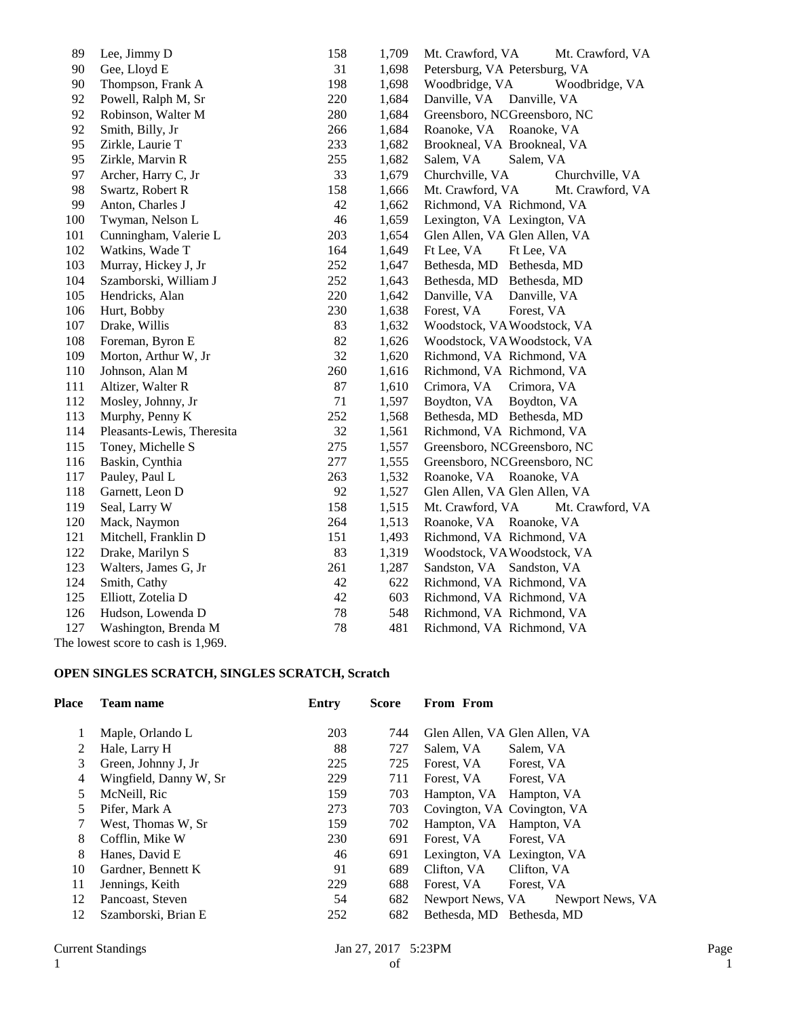| 89  | Lee, Jimmy D                       | 158 | 1,709 | Mt. Crawford, VA<br>Mt. Crawford, VA |
|-----|------------------------------------|-----|-------|--------------------------------------|
| 90  | Gee, Lloyd E                       | 31  | 1,698 | Petersburg, VA Petersburg, VA        |
| 90  | Thompson, Frank A                  | 198 | 1,698 | Woodbridge, VA<br>Woodbridge, VA     |
| 92  | Powell, Ralph M, Sr                | 220 | 1,684 | Danville, VA<br>Danville, VA         |
| 92  | Robinson, Walter M                 | 280 | 1,684 | Greensboro, NCGreensboro, NC         |
| 92  | Smith, Billy, Jr                   | 266 | 1,684 | Roanoke, VA Roanoke, VA              |
| 95  | Zirkle, Laurie T                   | 233 | 1,682 | Brookneal, VA Brookneal, VA          |
| 95  | Zirkle, Marvin R                   | 255 | 1,682 | Salem, VA<br>Salem, VA               |
| 97  | Archer, Harry C, Jr                | 33  | 1,679 | Churchville, VA<br>Churchville, VA   |
| 98  | Swartz, Robert R                   | 158 | 1,666 | Mt. Crawford, VA<br>Mt. Crawford, VA |
| 99  | Anton, Charles J                   | 42  | 1,662 | Richmond, VA Richmond, VA            |
| 100 | Twyman, Nelson L                   | 46  | 1,659 | Lexington, VA Lexington, VA          |
| 101 | Cunningham, Valerie L              | 203 | 1,654 | Glen Allen, VA Glen Allen, VA        |
| 102 | Watkins, Wade T                    | 164 | 1,649 | Ft Lee, VA<br>Ft Lee, VA             |
| 103 | Murray, Hickey J, Jr               | 252 | 1,647 | Bethesda, MD<br>Bethesda, MD         |
| 104 | Szamborski, William J              | 252 | 1,643 | Bethesda, MD<br>Bethesda, MD         |
| 105 | Hendricks, Alan                    | 220 | 1,642 | Danville, VA<br>Danville, VA         |
| 106 | Hurt, Bobby                        | 230 | 1,638 | Forest, VA<br>Forest, VA             |
| 107 | Drake, Willis                      | 83  | 1,632 | Woodstock, VAWoodstock, VA           |
| 108 | Foreman, Byron E                   | 82  | 1,626 | Woodstock, VA Woodstock, VA          |
| 109 | Morton, Arthur W, Jr               | 32  | 1,620 | Richmond, VA Richmond, VA            |
| 110 | Johnson, Alan M                    | 260 | 1,616 | Richmond, VA Richmond, VA            |
| 111 | Altizer, Walter R                  | 87  | 1,610 | Crimora, VA<br>Crimora, VA           |
| 112 | Mosley, Johnny, Jr                 | 71  | 1,597 | Boydton, VA<br>Boydton, VA           |
| 113 | Murphy, Penny K                    | 252 | 1,568 | Bethesda, MD Bethesda, MD            |
| 114 | Pleasants-Lewis, Theresita         | 32  | 1,561 | Richmond, VA Richmond, VA            |
| 115 | Toney, Michelle S                  | 275 | 1,557 | Greensboro, NCGreensboro, NC         |
| 116 | Baskin, Cynthia                    | 277 | 1,555 | Greensboro, NCGreensboro, NC         |
| 117 | Pauley, Paul L                     | 263 | 1,532 | Roanoke, VA Roanoke, VA              |
| 118 | Garnett, Leon D                    | 92  | 1,527 | Glen Allen, VA Glen Allen, VA        |
| 119 | Seal, Larry W                      | 158 | 1,515 | Mt. Crawford, VA<br>Mt. Crawford, VA |
| 120 | Mack, Naymon                       | 264 | 1,513 | Roanoke, VA Roanoke, VA              |
| 121 | Mitchell, Franklin D               | 151 | 1,493 | Richmond, VA Richmond, VA            |
| 122 | Drake, Marilyn S                   | 83  | 1,319 | Woodstock, VA Woodstock, VA          |
| 123 | Walters, James G, Jr               | 261 | 1,287 | Sandston, VA Sandston, VA            |
| 124 | Smith, Cathy                       | 42  | 622   | Richmond, VA Richmond, VA            |
| 125 | Elliott, Zotelia D                 | 42  | 603   | Richmond, VA Richmond, VA            |
| 126 | Hudson, Lowenda D                  | 78  | 548   | Richmond, VA Richmond, VA            |
| 127 | Washington, Brenda M               | 78  | 481   | Richmond, VA Richmond, VA            |
|     | The lowest score to cash is 1,969. |     |       |                                      |

# **OPEN SINGLES SCRATCH, SINGLES SCRATCH, Scratch**

| Place | <b>Team name</b>       | Entry | <b>Score</b> | <b>From From</b>                     |
|-------|------------------------|-------|--------------|--------------------------------------|
|       | Maple, Orlando L       | 203   | 744          | Glen Allen, VA Glen Allen, VA        |
| 2     | Hale, Larry H          | 88    | 727          | Salem, VA<br>Salem, VA               |
| 3     | Green, Johnny J, Jr    | 225   | 725          | Forest, VA<br>Forest, VA             |
| 4     | Wingfield, Danny W, Sr | 229   | 711          | Forest. VA<br>Forest, VA             |
| 5     | McNeill, Ric           | 159   | 703          | Hampton, VA Hampton, VA              |
| 5.    | Pifer, Mark A          | 273   | 703          | Covington, VA Covington, VA          |
|       | West, Thomas W, Sr     | 159   | 702          | Hampton, VA Hampton, VA              |
| 8     | Cofflin, Mike W        | 230   | 691          | Forest, VA<br>Forest, VA             |
| 8     | Hanes, David E         | 46    | 691          | Lexington, VA Lexington, VA          |
| 10    | Gardner, Bennett K     | 91    | 689          | Clifton, VA<br>Clifton, VA           |
| 11    | Jennings, Keith        | 229   | 688          | Forest, VA<br>Forest, VA             |
| 12    | Pancoast, Steven       | 54    | 682          | Newport News, VA<br>Newport News, VA |
| 12    | Szamborski, Brian E    | 252   | 682          | Bethesda, MD Bethesda, MD            |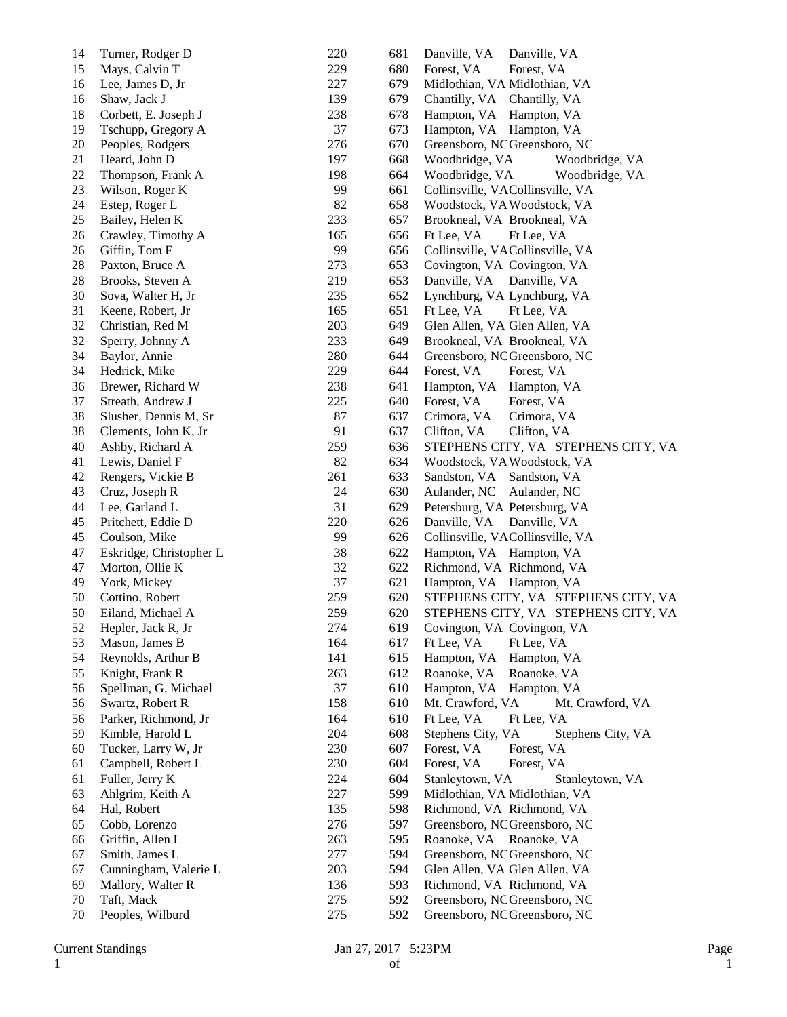| 14 | Turner, Rodger D        | 220 | 681 | Danville, VA<br>Danville, VA           |
|----|-------------------------|-----|-----|----------------------------------------|
| 15 | Mays, Calvin T          | 229 | 680 | Forest, VA<br>Forest, VA               |
| 16 | Lee, James D, Jr        | 227 | 679 | Midlothian, VA Midlothian, VA          |
| 16 | Shaw, Jack J            | 139 | 679 | Chantilly, VA Chantilly, VA            |
| 18 | Corbett, E. Joseph J    | 238 | 678 | Hampton, VA Hampton, VA                |
| 19 | Tschupp, Gregory A      | 37  | 673 | Hampton, VA Hampton, VA                |
| 20 | Peoples, Rodgers        | 276 | 670 | Greensboro, NCGreensboro, NC           |
| 21 | Heard, John D           | 197 | 668 | Woodbridge, VA<br>Woodbridge, VA       |
| 22 | Thompson, Frank A       | 198 | 664 | Woodbridge, VA<br>Woodbridge, VA       |
| 23 | Wilson, Roger K         | 99  | 661 | Collinsville, VACollinsville, VA       |
| 24 | Estep, Roger L          | 82  | 658 | Woodstock, VAWoodstock, VA             |
| 25 | Bailey, Helen K         | 233 | 657 | Brookneal, VA Brookneal, VA            |
| 26 | Crawley, Timothy A      | 165 | 656 | Ft Lee, VA<br>Ft Lee, VA               |
| 26 | Giffin, Tom F           | 99  | 656 | Collinsville, VACollinsville, VA       |
| 28 | Paxton, Bruce A         | 273 | 653 | Covington, VA Covington, VA            |
| 28 | Brooks, Steven A        | 219 | 653 | Danville, VA<br>Danville, VA           |
| 30 | Sova, Walter H, Jr      | 235 | 652 | Lynchburg, VA Lynchburg, VA            |
| 31 | Keene, Robert, Jr       | 165 | 651 | Ft Lee, VA<br>Ft Lee, VA               |
| 32 | Christian, Red M        | 203 | 649 | Glen Allen, VA Glen Allen, VA          |
| 32 | Sperry, Johnny A        | 233 | 649 | Brookneal, VA Brookneal, VA            |
| 34 | Baylor, Annie           | 280 | 644 | Greensboro, NCGreensboro, NC           |
| 34 | Hedrick, Mike           | 229 | 644 | Forest, VA<br>Forest, VA               |
| 36 | Brewer, Richard W       | 238 | 641 | Hampton, VA Hampton, VA                |
| 37 | Streath, Andrew J       | 225 | 640 | Forest, VA<br>Forest, VA               |
| 38 | Slusher, Dennis M, Sr   | 87  | 637 | Crimora, VA<br>Crimora, VA             |
| 38 | Clements, John K, Jr    | 91  | 637 | Clifton, VA<br>Clifton, VA             |
| 40 | Ashby, Richard A        | 259 | 636 | STEPHENS CITY, VA STEPHENS CITY, VA    |
| 41 | Lewis, Daniel F         | 82  | 634 | Woodstock, VAWoodstock, VA             |
| 42 | Rengers, Vickie B       | 261 | 633 | Sandston, VA Sandston, VA              |
| 43 | Cruz, Joseph R          | 24  | 630 | Aulander, NC<br>Aulander, NC           |
| 44 | Lee, Garland L          | 31  | 629 | Petersburg, VA Petersburg, VA          |
| 45 | Pritchett, Eddie D      | 220 | 626 | Danville, VA Danville, VA              |
| 45 | Coulson, Mike           | 99  | 626 | Collinsville, VACollinsville, VA       |
| 47 | Eskridge, Christopher L | 38  | 622 | Hampton, VA Hampton, VA                |
| 47 | Morton, Ollie K         | 32  | 622 | Richmond, VA Richmond, VA              |
| 49 | York, Mickey            | 37  | 621 | Hampton, VA Hampton, VA                |
| 50 | Cottino, Robert         | 259 | 620 | STEPHENS CITY, VA STEPHENS CITY, VA    |
| 50 | Eiland, Michael A       | 259 | 620 | STEPHENS CITY, VA STEPHENS CITY, VA    |
| 52 | Hepler, Jack R, Jr      | 274 | 619 | Covington, VA Covington, VA            |
| 53 | Mason, James B          | 164 | 617 | Ft Lee, VA<br>Ft Lee, VA               |
| 54 | Reynolds, Arthur B      | 141 | 615 | Hampton, VA<br>Hampton, VA             |
| 55 | Knight, Frank R         | 263 | 612 | Roanoke, VA<br>Roanoke, VA             |
| 56 | Spellman, G. Michael    | 37  | 610 | Hampton, VA<br>Hampton, VA             |
| 56 | Swartz, Robert R        | 158 | 610 | Mt. Crawford, VA<br>Mt. Crawford, VA   |
| 56 | Parker, Richmond, Jr    | 164 | 610 | Ft Lee, VA<br>Ft Lee, VA               |
| 59 | Kimble, Harold L        | 204 | 608 | Stephens City, VA<br>Stephens City, VA |
| 60 | Tucker, Larry W, Jr     | 230 | 607 | Forest, VA<br>Forest, VA               |
| 61 | Campbell, Robert L      | 230 | 604 | Forest, VA<br>Forest, VA               |
| 61 | Fuller, Jerry K         | 224 | 604 | Stanleytown, VA<br>Stanleytown, VA     |
| 63 | Ahlgrim, Keith A        | 227 | 599 | Midlothian, VA Midlothian, VA          |
| 64 | Hal, Robert             | 135 | 598 | Richmond, VA Richmond, VA              |
| 65 | Cobb, Lorenzo           | 276 | 597 | Greensboro, NCGreensboro, NC           |
| 66 | Griffin, Allen L        | 263 | 595 | Roanoke, VA Roanoke, VA                |
| 67 | Smith, James L          | 277 | 594 | Greensboro, NCGreensboro, NC           |
| 67 | Cunningham, Valerie L   | 203 | 594 | Glen Allen, VA Glen Allen, VA          |
| 69 | Mallory, Walter R       | 136 | 593 | Richmond, VA Richmond, VA              |
| 70 | Taft, Mack              | 275 | 592 | Greensboro, NCGreensboro, NC           |
| 70 | Peoples, Wilburd        | 275 | 592 | Greensboro, NCGreensboro, NC           |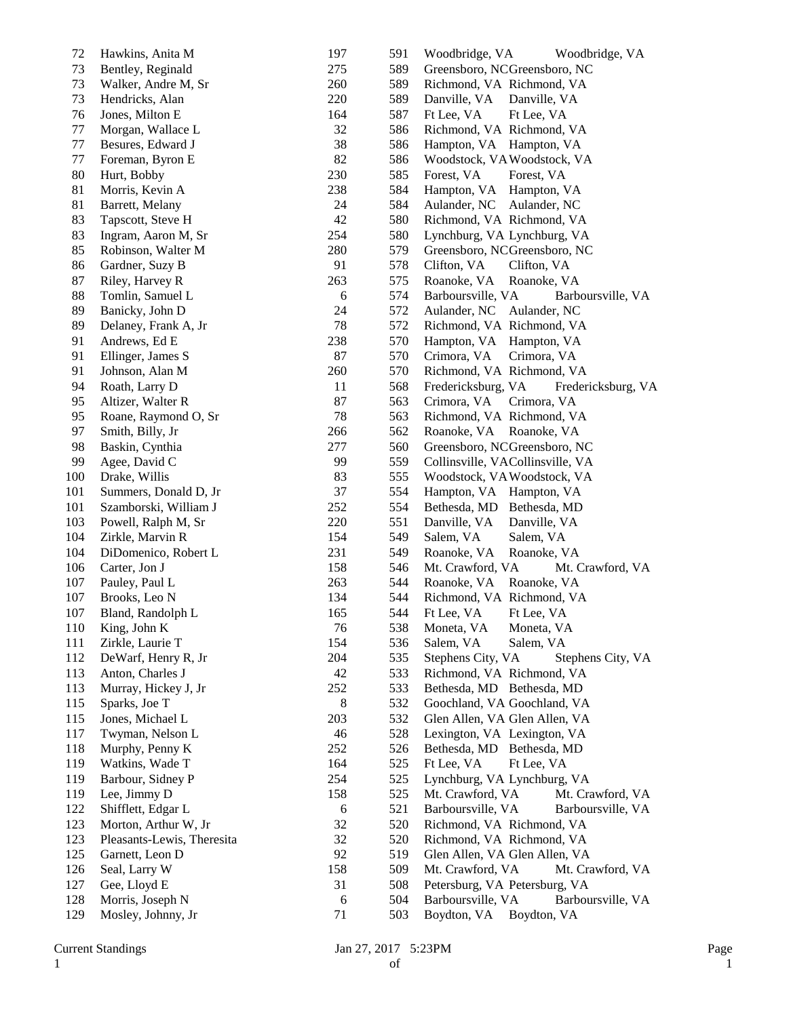| 72  | Hawkins, Anita M           | 197 | 591 | Woodbridge, VA<br>Woodbridge, VA         |
|-----|----------------------------|-----|-----|------------------------------------------|
| 73  | Bentley, Reginald          | 275 | 589 | Greensboro, NCGreensboro, NC             |
| 73  | Walker, Andre M, Sr        | 260 | 589 | Richmond, VA Richmond, VA                |
| 73  | Hendricks, Alan            | 220 | 589 | Danville, VA<br>Danville, VA             |
| 76  | Jones, Milton E            | 164 | 587 | Ft Lee, VA<br>Ft Lee, VA                 |
| 77  | Morgan, Wallace L          | 32  | 586 | Richmond, VA Richmond, VA                |
| 77  | Besures, Edward J          | 38  | 586 | Hampton, VA Hampton, VA                  |
| 77  | Foreman, Byron E           | 82  | 586 | Woodstock, VA Woodstock, VA              |
| 80  | Hurt, Bobby                | 230 | 585 | Forest, VA<br>Forest, VA                 |
| 81  | Morris, Kevin A            | 238 | 584 | Hampton, VA<br>Hampton, VA               |
| 81  | Barrett, Melany            | 24  | 584 | Aulander, NC<br>Aulander, NC             |
| 83  | Tapscott, Steve H          | 42  | 580 | Richmond, VA Richmond, VA                |
| 83  | Ingram, Aaron M, Sr        | 254 | 580 | Lynchburg, VA Lynchburg, VA              |
| 85  | Robinson, Walter M         | 280 | 579 | Greensboro, NCGreensboro, NC             |
| 86  | Gardner, Suzy B            | 91  | 578 | Clifton, VA<br>Clifton, VA               |
| 87  | Riley, Harvey R            | 263 | 575 | Roanoke, VA<br>Roanoke, VA               |
| 88  | Tomlin, Samuel L           | 6   | 574 | Barboursville, VA<br>Barboursville, VA   |
| 89  | Banicky, John D            | 24  | 572 | Aulander, NC Aulander, NC                |
| 89  | Delaney, Frank A, Jr       | 78  | 572 | Richmond, VA Richmond, VA                |
| 91  | Andrews, Ed E              | 238 | 570 | Hampton, VA Hampton, VA                  |
| 91  | Ellinger, James S          | 87  | 570 | Crimora, VA<br>Crimora, VA               |
| 91  | Johnson, Alan M            | 260 | 570 | Richmond, VA Richmond, VA                |
| 94  | Roath, Larry D             | 11  | 568 | Fredericksburg, VA<br>Fredericksburg, VA |
| 95  | Altizer, Walter R          | 87  | 563 | Crimora, VA<br>Crimora, VA               |
| 95  | Roane, Raymond O, Sr       | 78  | 563 | Richmond, VA Richmond, VA                |
| 97  | Smith, Billy, Jr           | 266 | 562 | Roanoke, VA Roanoke, VA                  |
| 98  | Baskin, Cynthia            | 277 | 560 | Greensboro, NCGreensboro, NC             |
| 99  | Agee, David C              | 99  | 559 | Collinsville, VACollinsville, VA         |
| 100 |                            | 83  | 555 |                                          |
|     | Drake, Willis              |     |     | Woodstock, VAWoodstock, VA               |
| 101 | Summers, Donald D, Jr      | 37  | 554 | Hampton, VA Hampton, VA                  |
| 101 | Szamborski, William J      | 252 | 554 | Bethesda, MD Bethesda, MD                |
| 103 | Powell, Ralph M, Sr        | 220 | 551 | Danville, VA<br>Danville, VA             |
| 104 | Zirkle, Marvin R           | 154 | 549 | Salem, VA<br>Salem, VA                   |
| 104 | DiDomenico, Robert L       | 231 | 549 | Roanoke, VA<br>Roanoke, VA               |
| 106 | Carter, Jon J              | 158 | 546 | Mt. Crawford, VA<br>Mt. Crawford, VA     |
| 107 | Pauley, Paul L             | 263 | 544 | Roanoke, VA<br>Roanoke, VA               |
| 107 | Brooks, Leo N              | 134 | 544 | Richmond, VA Richmond, VA                |
| 107 | Bland, Randolph L          | 165 | 544 | Ft Lee, VA<br>Ft Lee, VA                 |
| 110 | King, John K               | 76  | 538 | Moneta, VA<br>Moneta, VA                 |
| 111 | Zirkle, Laurie T           | 154 | 536 | Salem, VA<br>Salem, VA                   |
| 112 | DeWarf, Henry R, Jr        | 204 | 535 | Stephens City, VA<br>Stephens City, VA   |
| 113 | Anton, Charles J           | 42  | 533 | Richmond, VA Richmond, VA                |
| 113 | Murray, Hickey J, Jr       | 252 | 533 | Bethesda, MD Bethesda, MD                |
| 115 | Sparks, Joe T              | 8   | 532 | Goochland, VA Goochland, VA              |
| 115 | Jones, Michael L           | 203 | 532 | Glen Allen, VA Glen Allen, VA            |
| 117 | Twyman, Nelson L           | 46  | 528 | Lexington, VA Lexington, VA              |
| 118 | Murphy, Penny K            | 252 | 526 | Bethesda, MD Bethesda, MD                |
| 119 | Watkins, Wade T            | 164 | 525 | Ft Lee, VA<br>Ft Lee, VA                 |
| 119 | Barbour, Sidney P          | 254 | 525 | Lynchburg, VA Lynchburg, VA              |
| 119 | Lee, Jimmy D               | 158 | 525 | Mt. Crawford, VA<br>Mt. Crawford, VA     |
| 122 | Shifflett, Edgar L         | 6   | 521 | Barboursville, VA<br>Barboursville, VA   |
| 123 | Morton, Arthur W, Jr       | 32  | 520 | Richmond, VA Richmond, VA                |
| 123 | Pleasants-Lewis, Theresita | 32  | 520 | Richmond, VA Richmond, VA                |
| 125 | Garnett, Leon D            | 92  | 519 | Glen Allen, VA Glen Allen, VA            |
| 126 | Seal, Larry W              | 158 | 509 | Mt. Crawford, VA<br>Mt. Crawford, VA     |
| 127 | Gee, Lloyd E               | 31  | 508 | Petersburg, VA Petersburg, VA            |
| 128 | Morris, Joseph N           | 6   | 504 | Barboursville, VA<br>Barboursville, VA   |
| 129 | Mosley, Johnny, Jr         | 71  | 503 | Boydton, VA Boydton, VA                  |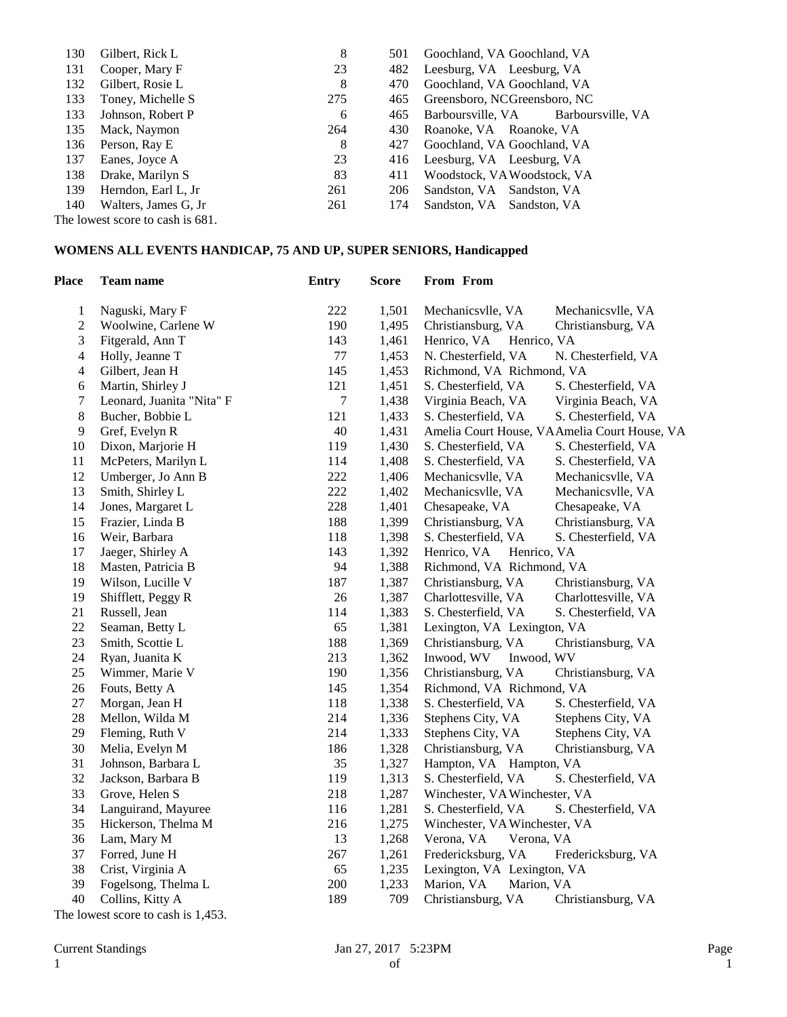| 130 | Gilbert, Rick L                                                                       | 8   | 501 | Goochland, VA Goochland, VA            |
|-----|---------------------------------------------------------------------------------------|-----|-----|----------------------------------------|
| 131 | Cooper, Mary F                                                                        | 23  | 482 | Leesburg, VA Leesburg, VA              |
| 132 | Gilbert, Rosie L                                                                      | 8   | 470 | Goochland, VA Goochland, VA            |
| 133 | Toney, Michelle S                                                                     | 275 | 465 | Greensboro, NCGreensboro, NC           |
| 133 | Johnson, Robert P                                                                     | 6   | 465 | Barboursville, VA<br>Barboursville, VA |
| 135 | Mack, Naymon                                                                          | 264 | 430 | Roanoke, VA Roanoke, VA                |
| 136 | Person, Ray E                                                                         | 8   | 427 | Goochland, VA Goochland, VA            |
| 137 | Eanes, Joyce A                                                                        | 23  | 416 | Leesburg, VA Leesburg, VA              |
| 138 | Drake, Marilyn S                                                                      | 83  | 411 | Woodstock, VA Woodstock, VA            |
| 139 | Herndon, Earl L, Jr                                                                   | 261 | 206 | Sandston, VA Sandston, VA              |
| 140 | Walters, James G, Jr                                                                  | 261 | 174 | Sandston, VA Sandston, VA              |
|     | $\frac{1}{2}$ and $\frac{1}{2}$ and $\frac{1}{2}$ and $\frac{1}{2}$ and $\frac{1}{2}$ |     |     |                                        |

The lowest score to cash is 681.

## **WOMENS ALL EVENTS HANDICAP, 75 AND UP, SUPER SENIORS, Handicapped**

| <b>Place</b>     | <b>Team name</b>          | <b>Entry</b> | <b>Score</b> | From From                                    |                     |
|------------------|---------------------------|--------------|--------------|----------------------------------------------|---------------------|
| $\mathbf{1}$     | Naguski, Mary F           | 222          | 1,501        | Mechanicsvlle, VA                            | Mechanicsvlle, VA   |
| $\sqrt{2}$       | Woolwine, Carlene W       | 190          | 1,495        | Christiansburg, VA                           | Christiansburg, VA  |
| 3                | Fitgerald, Ann T          | 143          | 1,461        | Henrico, VA<br>Henrico, VA                   |                     |
| $\overline{4}$   | Holly, Jeanne T           | $77 \,$      | 1,453        | N. Chesterfield, VA                          | N. Chesterfield, VA |
| $\overline{4}$   | Gilbert, Jean H           | 145          | 1,453        | Richmond, VA Richmond, VA                    |                     |
| $\boldsymbol{6}$ | Martin, Shirley J         | 121          | 1,451        | S. Chesterfield, VA                          | S. Chesterfield, VA |
| 7                | Leonard, Juanita "Nita" F | 7            | 1,438        | Virginia Beach, VA                           | Virginia Beach, VA  |
| $\,8\,$          | Bucher, Bobbie L          | 121          | 1,433        | S. Chesterfield, VA                          | S. Chesterfield, VA |
| $\mathbf{9}$     | Gref, Evelyn R            | 40           | 1,431        | Amelia Court House, VAAmelia Court House, VA |                     |
| 10               | Dixon, Marjorie H         | 119          | 1,430        | S. Chesterfield, VA                          | S. Chesterfield, VA |
| 11               | McPeters, Marilyn L       | 114          | 1,408        | S. Chesterfield, VA                          | S. Chesterfield, VA |
| 12               | Umberger, Jo Ann B        | 222          | 1,406        | Mechanicsvlle, VA                            | Mechanicsvlle, VA   |
| 13               | Smith, Shirley L          | 222          | 1,402        | Mechanicsvlle, VA                            | Mechanicsvlle, VA   |
| 14               | Jones, Margaret L         | 228          | 1,401        | Chesapeake, VA                               | Chesapeake, VA      |
| 15               | Frazier, Linda B          | 188          | 1,399        | Christiansburg, VA                           | Christiansburg, VA  |
| 16               | Weir, Barbara             | 118          | 1,398        | S. Chesterfield, VA                          | S. Chesterfield, VA |
| 17               | Jaeger, Shirley A         | 143          | 1,392        | Henrico, VA<br>Henrico, VA                   |                     |
| 18               | Masten, Patricia B        | 94           | 1,388        | Richmond, VA Richmond, VA                    |                     |
| 19               | Wilson, Lucille V         | 187          | 1,387        | Christiansburg, VA                           | Christiansburg, VA  |
| 19               | Shifflett, Peggy R        | $26\,$       | 1,387        | Charlottesville, VA                          | Charlottesville, VA |
| 21               | Russell, Jean             | 114          | 1,383        | S. Chesterfield, VA                          | S. Chesterfield, VA |
| $22\,$           | Seaman, Betty L           | 65           | 1,381        | Lexington, VA Lexington, VA                  |                     |
| 23               | Smith, Scottie L          | 188          | 1,369        | Christiansburg, VA                           | Christiansburg, VA  |
| 24               | Ryan, Juanita K           | 213          | 1,362        | Inwood, WV<br>Inwood, WV                     |                     |
| 25               | Wimmer, Marie V           | 190          | 1,356        | Christiansburg, VA                           | Christiansburg, VA  |
| 26               | Fouts, Betty A            | 145          | 1,354        | Richmond, VA Richmond, VA                    |                     |
| 27               | Morgan, Jean H            | 118          | 1,338        | S. Chesterfield, VA                          | S. Chesterfield, VA |
| 28               | Mellon, Wilda M           | 214          | 1,336        | Stephens City, VA                            | Stephens City, VA   |
| 29               | Fleming, Ruth V           | 214          | 1,333        | Stephens City, VA                            | Stephens City, VA   |
| 30               | Melia, Evelyn M           | 186          | 1,328        | Christiansburg, VA                           | Christiansburg, VA  |
| 31               | Johnson, Barbara L        | 35           | 1,327        | Hampton, VA Hampton, VA                      |                     |
| 32               | Jackson, Barbara B        | 119          | 1,313        | S. Chesterfield, VA                          | S. Chesterfield, VA |
| 33               | Grove, Helen S            | 218          | 1,287        | Winchester, VA Winchester, VA                |                     |
| 34               | Languirand, Mayuree       | 116          | 1,281        | S. Chesterfield, VA                          | S. Chesterfield, VA |
| 35               | Hickerson, Thelma M       | 216          | 1,275        | Winchester, VA Winchester, VA                |                     |
| 36               | Lam, Mary M               | 13           | 1,268        | Verona, VA<br>Verona, VA                     |                     |
| 37               | Forred, June H            | 267          | 1,261        | Fredericksburg, VA                           | Fredericksburg, VA  |
| 38               | Crist, Virginia A         | 65           | 1,235        | Lexington, VA Lexington, VA                  |                     |
| 39               | Fogelsong, Thelma L       | 200          | 1,233        | Marion, VA<br>Marion, VA                     |                     |
| 40               | Collins, Kitty A          | 189          | 709          | Christiansburg, VA                           | Christiansburg, VA  |

The lowest score to cash is 1,453.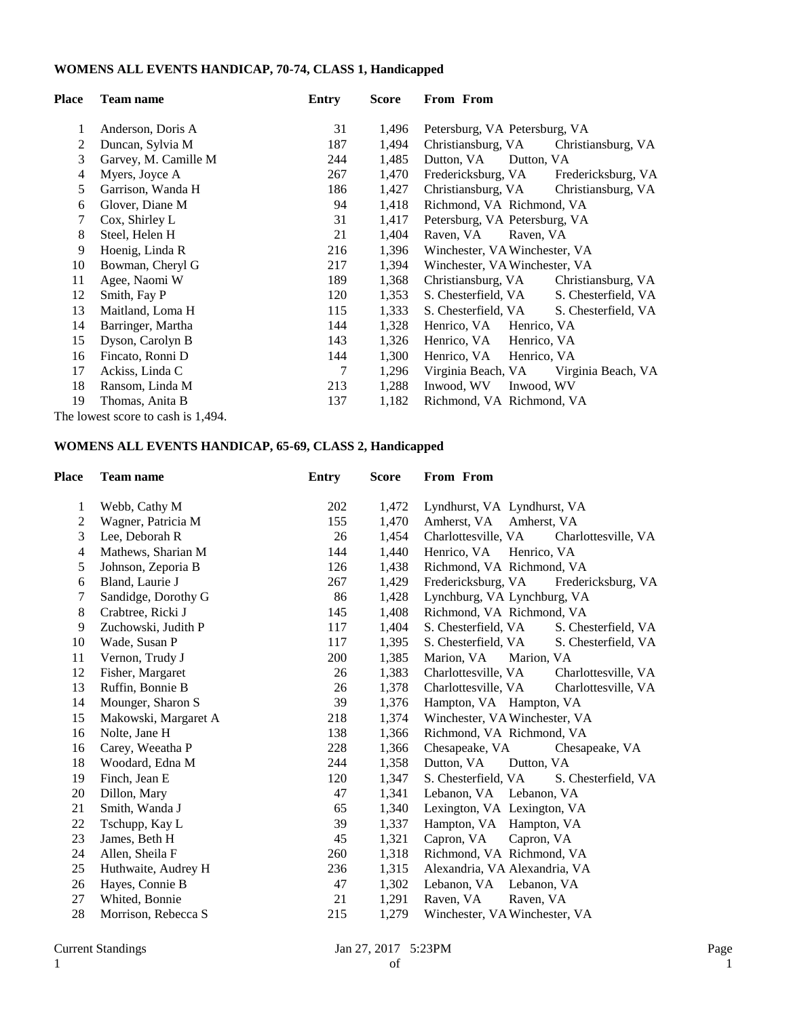## **WOMENS ALL EVENTS HANDICAP, 70-74, CLASS 1, Handicapped**

| <b>Place</b> | <b>Team name</b>                   | Entry | <b>Score</b> | From From                                  |
|--------------|------------------------------------|-------|--------------|--------------------------------------------|
| 1            | Anderson, Doris A                  | 31    | 1,496        | Petersburg, VA Petersburg, VA              |
| 2            | Duncan, Sylvia M                   | 187   | 1,494        | Christiansburg, VA<br>Christiansburg, VA   |
| 3            | Garvey, M. Camille M.              | 244   | 1,485        | Dutton, VA<br>Dutton, VA                   |
| 4            | Myers, Joyce A                     | 267   | 1,470        | Fredericksburg, VA<br>Fredericksburg, VA   |
| 5            | Garrison, Wanda H                  | 186   | 1,427        | Christiansburg, VA<br>Christiansburg, VA   |
| 6            | Glover, Diane M                    | 94    | 1,418        | Richmond, VA Richmond, VA                  |
| 7            | Cox, Shirley L                     | 31    | 1,417        | Petersburg, VA Petersburg, VA              |
| 8            | Steel, Helen H                     | 21    | 1,404        | Raven, VA<br>Raven, VA                     |
| 9            | Hoenig, Linda R                    | 216   | 1,396        | Winchester, VA Winchester, VA              |
| 10           | Bowman, Cheryl G                   | 217   | 1,394        | Winchester, VA Winchester, VA              |
| 11           | Agee, Naomi W                      | 189   | 1,368        | Christiansburg, VA<br>Christiansburg, VA   |
| 12           | Smith, Fay P                       | 120   | 1,353        | S. Chesterfield, VA<br>S. Chesterfield, VA |
| 13           | Maitland, Loma H                   | 115   | 1,333        | S. Chesterfield, VA<br>S. Chesterfield, VA |
| 14           | Barringer, Martha                  | 144   | 1,328        | Henrico, VA<br>Henrico, VA                 |
| 15           | Dyson, Carolyn B                   | 143   | 1,326        | Henrico, VA<br>Henrico, VA                 |
| 16           | Fincato, Ronni D                   | 144   | 1,300        | Henrico, VA Henrico, VA                    |
| 17           | Ackiss, Linda C                    | 7     | 1,296        | Virginia Beach, VA<br>Virginia Beach, VA   |
| 18           | Ransom, Linda M                    | 213   | 1,288        | Inwood, WV<br>Inwood, WV                   |
| 19           | Thomas, Anita B                    | 137   | 1,182        | Richmond, VA Richmond, VA                  |
|              | The lowest score to cash is 1,494. |       |              |                                            |

### **WOMENS ALL EVENTS HANDICAP, 65-69, CLASS 2, Handicapped**

| Place          | <b>Team name</b>     | <b>Entry</b> | <b>Score</b> | From From                                  |
|----------------|----------------------|--------------|--------------|--------------------------------------------|
| 1              | Webb, Cathy M        | 202          | 1,472        | Lyndhurst, VA Lyndhurst, VA                |
| $\overline{c}$ | Wagner, Patricia M   | 155          | 1,470        | Amherst, VA Amherst, VA                    |
| 3              | Lee, Deborah R       | 26           | 1,454        | Charlottesville, VA<br>Charlottesville, VA |
| $\overline{4}$ | Mathews, Sharian M   | 144          | 1,440        | Henrico, VA Henrico, VA                    |
| 5              | Johnson, Zeporia B   | 126          | 1,438        | Richmond, VA Richmond, VA                  |
| 6              | Bland, Laurie J      | 267          | 1,429        | Fredericksburg, VA<br>Fredericksburg, VA   |
| 7              | Sandidge, Dorothy G  | 86           | 1,428        | Lynchburg, VA Lynchburg, VA                |
| 8              | Crabtree, Ricki J    | 145          | 1,408        | Richmond, VA Richmond, VA                  |
| 9              | Zuchowski, Judith P  | 117          | 1,404        | S. Chesterfield, VA<br>S. Chesterfield, VA |
| 10             | Wade, Susan P        | 117          | 1,395        | S. Chesterfield, VA<br>S. Chesterfield, VA |
| 11             | Vernon, Trudy J      | 200          | 1,385        | Marion, VA<br>Marion, VA                   |
| 12             | Fisher, Margaret     | 26           | 1,383        | Charlottesville, VA<br>Charlottesville, VA |
| 13             | Ruffin, Bonnie B     | 26           | 1,378        | Charlottesville, VA<br>Charlottesville, VA |
| 14             | Mounger, Sharon S    | 39           | 1,376        | Hampton, VA Hampton, VA                    |
| 15             | Makowski, Margaret A | 218          | 1,374        | Winchester, VA Winchester, VA              |
| 16             | Nolte, Jane H        | 138          | 1,366        | Richmond, VA Richmond, VA                  |
| 16             | Carey, Weeatha P     | 228          | 1,366        | Chesapeake, VA<br>Chesapeake, VA           |
| 18             | Woodard, Edna M      | 244          | 1,358        | Dutton, VA<br>Dutton, VA                   |
| 19             | Finch, Jean E        | 120          | 1,347        | S. Chesterfield, VA<br>S. Chesterfield, VA |
| 20             | Dillon, Mary         | 47           | 1,341        | Lebanon, VA Lebanon, VA                    |
| 21             | Smith, Wanda J       | 65           | 1,340        | Lexington, VA Lexington, VA                |
| 22             | Tschupp, Kay L       | 39           | 1,337        | Hampton, VA Hampton, VA                    |
| 23             | James, Beth H        | 45           | 1,321        | Capron, VA<br>Capron, VA                   |
| 24             | Allen, Sheila F      | 260          | 1,318        | Richmond, VA Richmond, VA                  |
| 25             | Huthwaite, Audrey H  | 236          | 1,315        | Alexandria, VA Alexandria, VA              |
| 26             | Hayes, Connie B      | 47           | 1,302        | Lebanon, VA Lebanon, VA                    |
| 27             | Whited, Bonnie       | 21           | 1,291        | Raven, VA<br>Raven, VA                     |
| 28             | Morrison, Rebecca S  | 215          | 1,279        | Winchester, VA Winchester, VA              |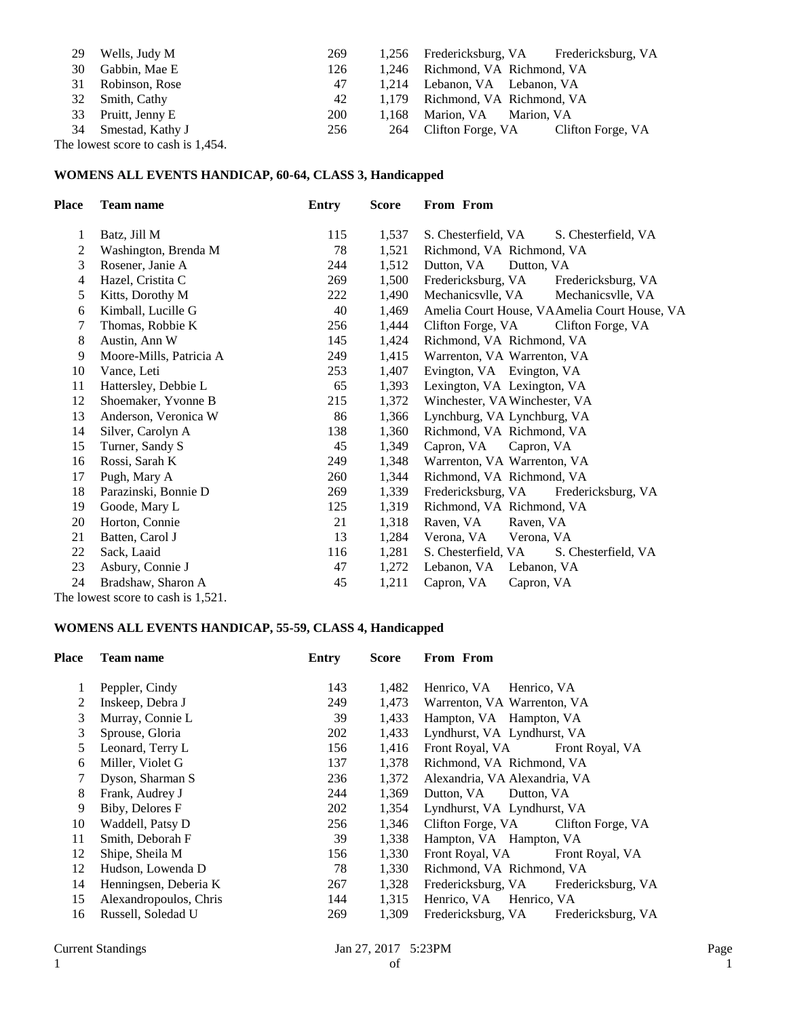| 29 | Wells, Judy M                      | 269        |       | 1,256 Fredericksburg, VA Fredericksburg, VA |
|----|------------------------------------|------------|-------|---------------------------------------------|
| 30 | Gabbin, Mae E                      | 126        |       | 1,246 Richmond, VA Richmond, VA             |
| 31 | Robinson, Rose                     | 47         |       | 1,214 Lebanon, VA Lebanon, VA               |
|    | 32 Smith, Cathy                    | 42         |       | 1,179 Richmond, VA Richmond, VA             |
|    | 33 Pruitt, Jenny E                 | <b>200</b> | 1.168 | Marion, VA Marion, VA                       |
|    | 34 Smestad, Kathy J                | 256        | 264   | Clifton Forge, VA Clifton Forge, VA         |
|    | The lowest score to cash is 1,454. |            |       |                                             |

### **WOMENS ALL EVENTS HANDICAP, 60-64, CLASS 3, Handicapped**

| Place          | <b>Team name</b>                  | Entry | <b>Score</b> | From From                                    |
|----------------|-----------------------------------|-------|--------------|----------------------------------------------|
| 1              | Batz, Jill M                      | 115   | 1,537        | S. Chesterfield, VA<br>S. Chesterfield, VA   |
| 2              | Washington, Brenda M              | 78    | 1,521        | Richmond, VA Richmond, VA                    |
| 3              | Rosener, Janie A                  | 244   | 1,512        | Dutton, VA<br>Dutton, VA                     |
| $\overline{4}$ | Hazel, Cristita C                 | 269   | 1,500        | Fredericksburg, VA<br>Fredericksburg, VA     |
| 5              | Kitts, Dorothy M                  | 222   | 1,490        | Mechanicsvlle, VA<br>Mechanicsvlle, VA       |
| 6              | Kimball, Lucille G                | 40    | 1,469        | Amelia Court House, VAAmelia Court House, VA |
| 7              | Thomas, Robbie K                  | 256   | 1,444        | Clifton Forge, VA<br>Clifton Forge, VA       |
| 8              | Austin, Ann W                     | 145   | 1,424        | Richmond, VA Richmond, VA                    |
| 9              | Moore-Mills, Patricia A           | 249   | 1,415        | Warrenton, VA Warrenton, VA                  |
| 10             | Vance, Leti                       | 253   | 1,407        | Evington, VA Evington, VA                    |
| 11             | Hattersley, Debbie L              | 65    | 1,393        | Lexington, VA Lexington, VA                  |
| 12             | Shoemaker, Yvonne B               | 215   | 1,372        | Winchester, VA Winchester, VA                |
| 13             | Anderson, Veronica W              | 86    | 1,366        | Lynchburg, VA Lynchburg, VA                  |
| 14             | Silver, Carolyn A                 | 138   | 1,360        | Richmond, VA Richmond, VA                    |
| 15             | Turner, Sandy S                   | 45    | 1,349        | Capron, VA<br>Capron, VA                     |
| 16             | Rossi, Sarah K                    | 249   | 1,348        | Warrenton, VA Warrenton, VA                  |
| 17             | Pugh, Mary A                      | 260   | 1,344        | Richmond, VA Richmond, VA                    |
| 18             | Parazinski, Bonnie D              | 269   | 1,339        | Fredericksburg, VA<br>Fredericksburg, VA     |
| 19             | Goode, Mary L                     | 125   | 1,319        | Richmond, VA Richmond, VA                    |
| 20             | Horton, Connie                    | 21    | 1,318        | Raven, VA<br>Raven, VA                       |
| 21             | Batten, Carol J                   | 13    | 1,284        | Verona, VA<br>Verona, VA                     |
| 22             | Sack, Laaid                       | 116   | 1,281        | S. Chesterfield, VA<br>S. Chesterfield, VA   |
| 23             | Asbury, Connie J                  | 47    | 1,272        | Lebanon, VA Lebanon, VA                      |
| 24             | Bradshaw, Sharon A                | 45    | 1,211        | Capron, VA<br>Capron, VA                     |
|                | The lowest score to cash is 1.521 |       |              |                                              |

The lowest score to cash is 1,521.

### **WOMENS ALL EVENTS HANDICAP, 55-59, CLASS 4, Handicapped**

| Place | <b>Team name</b>       | Entry | <b>Score</b> | From From                                |
|-------|------------------------|-------|--------------|------------------------------------------|
|       | Peppler, Cindy         | 143   | 1,482        | Henrico, VA Henrico, VA                  |
| 2     | Inskeep, Debra J       | 249   | 1,473        | Warrenton, VA Warrenton, VA              |
| 3     | Murray, Connie L       | 39    | 1,433        | Hampton, VA Hampton, VA                  |
| 3     | Sprouse, Gloria        | 202   | 1,433        | Lyndhurst, VA Lyndhurst, VA              |
| 5     | Leonard, Terry L       | 156   | 1,416        | Front Royal, VA Front Royal, VA          |
| 6     | Miller, Violet G       | 137   | 1,378        | Richmond, VA Richmond, VA                |
|       | Dyson, Sharman S       | 236   | 1,372        | Alexandria, VA Alexandria, VA            |
| 8     | Frank, Audrey J        | 244   | 1,369        | Dutton, VA<br>Dutton, VA                 |
| 9     | Biby, Delores F        | 202   | 1,354        | Lyndhurst, VA Lyndhurst, VA              |
| 10    | Waddell, Patsy D       | 256   | 1,346        | Clifton Forge, VA<br>Clifton Forge, VA   |
| 11    | Smith, Deborah F       | 39    | 1,338        | Hampton, VA Hampton, VA                  |
| 12    | Shipe, Sheila M        | 156   | 1,330        | Front Royal, VA<br>Front Royal, VA       |
| 12    | Hudson, Lowenda D      | 78    | 1,330        | Richmond, VA Richmond, VA                |
| 14    | Henningsen, Deberia K  | 267   | 1,328        | Fredericksburg, VA Fredericksburg, VA    |
| 15    | Alexandropoulos, Chris | 144   | 1,315        | Henrico, VA Henrico, VA                  |
| 16    | Russell, Soledad U     | 269   | 1,309        | Fredericksburg, VA<br>Fredericksburg, VA |
|       |                        |       |              |                                          |